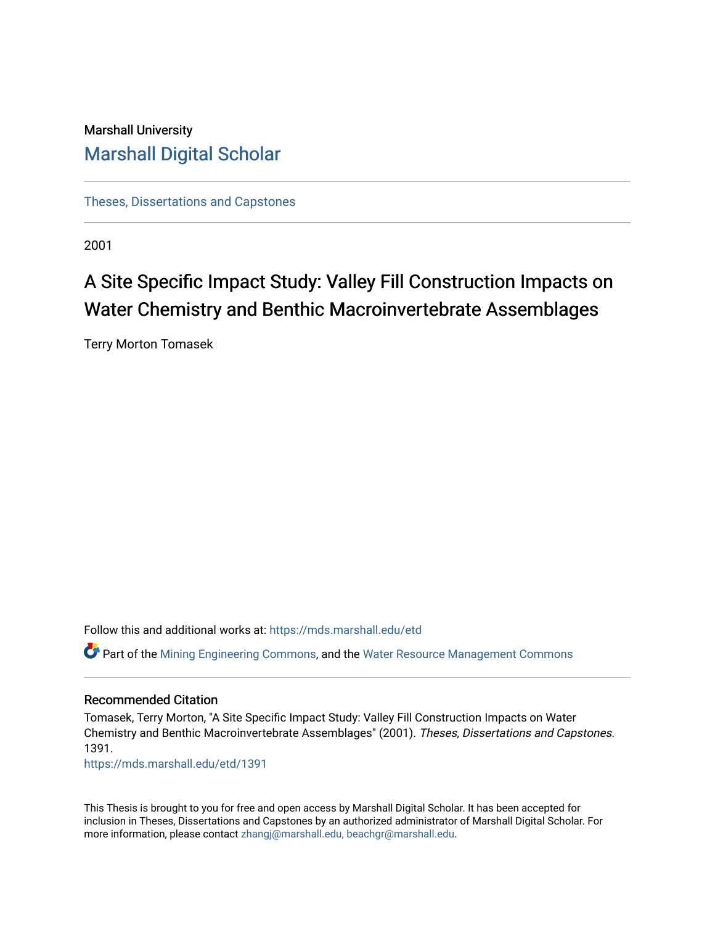# Marshall University [Marshall Digital Scholar](https://mds.marshall.edu/)

[Theses, Dissertations and Capstones](https://mds.marshall.edu/etd)

2001

# A Site Specific Impact Study: Valley Fill Construction Impacts on Water Chemistry and Benthic Macroinvertebrate Assemblages

Terry Morton Tomasek

Follow this and additional works at: [https://mds.marshall.edu/etd](https://mds.marshall.edu/etd?utm_source=mds.marshall.edu%2Fetd%2F1391&utm_medium=PDF&utm_campaign=PDFCoverPages)

Part of the [Mining Engineering Commons,](http://network.bepress.com/hgg/discipline/1090?utm_source=mds.marshall.edu%2Fetd%2F1391&utm_medium=PDF&utm_campaign=PDFCoverPages) and the [Water Resource Management Commons](http://network.bepress.com/hgg/discipline/1057?utm_source=mds.marshall.edu%2Fetd%2F1391&utm_medium=PDF&utm_campaign=PDFCoverPages) 

#### Recommended Citation

Tomasek, Terry Morton, "A Site Specific Impact Study: Valley Fill Construction Impacts on Water Chemistry and Benthic Macroinvertebrate Assemblages" (2001). Theses, Dissertations and Capstones. 1391.

[https://mds.marshall.edu/etd/1391](https://mds.marshall.edu/etd/1391?utm_source=mds.marshall.edu%2Fetd%2F1391&utm_medium=PDF&utm_campaign=PDFCoverPages) 

This Thesis is brought to you for free and open access by Marshall Digital Scholar. It has been accepted for inclusion in Theses, Dissertations and Capstones by an authorized administrator of Marshall Digital Scholar. For more information, please contact [zhangj@marshall.edu, beachgr@marshall.edu](mailto:zhangj@marshall.edu,%20beachgr@marshall.edu).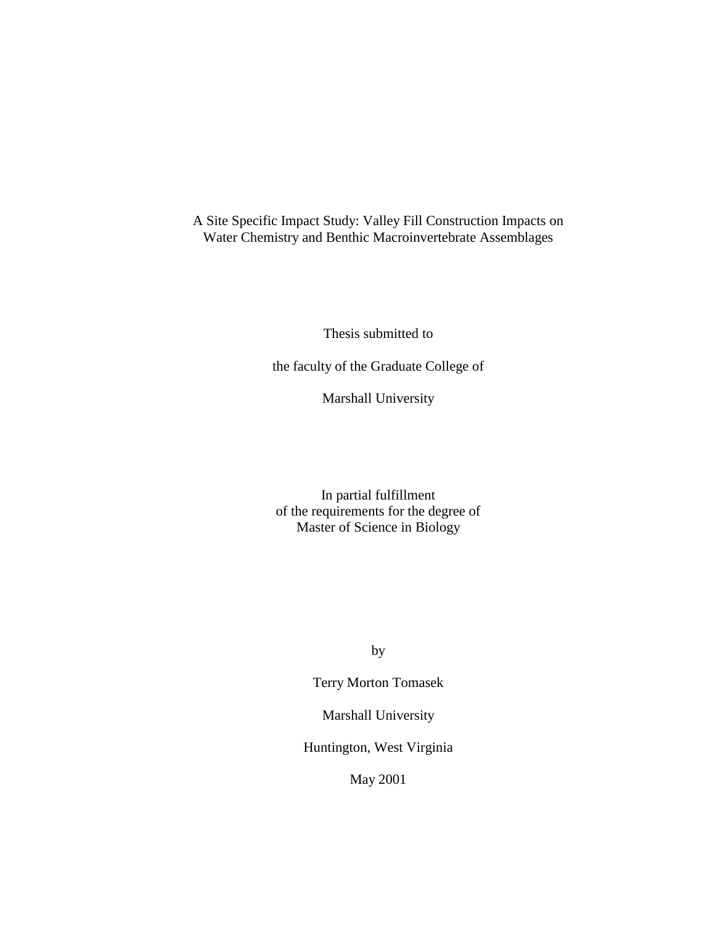A Site Specific Impact Study: Valley Fill Construction Impacts on Water Chemistry and Benthic Macroinvertebrate Assemblages

Thesis submitted to

the faculty of the Graduate College of

Marshall University

In partial fulfillment of the requirements for the degree of Master of Science in Biology

by

Terry Morton Tomasek

Marshall University

Huntington, West Virginia

May 2001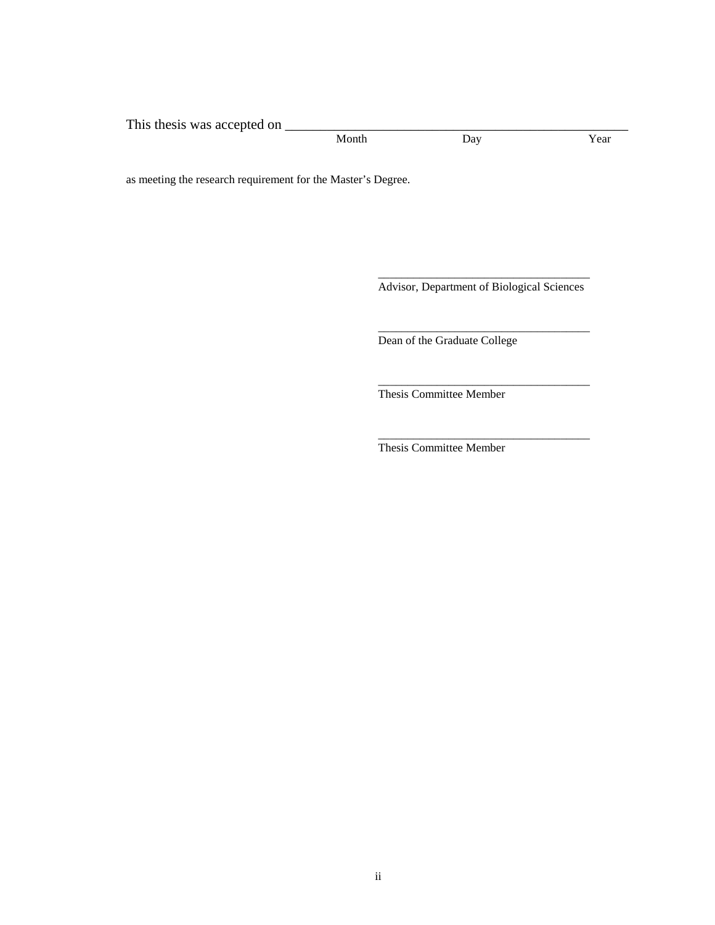This thesis was accepted on \_\_\_\_\_\_\_\_\_\_\_\_\_\_\_\_\_\_\_\_\_\_\_\_\_\_\_\_\_\_\_\_\_\_\_\_\_\_\_\_\_\_\_\_\_\_\_\_\_ Month Day Year

 $\_$ 

 $\_$ 

as meeting the research requirement for the Master's Degree.

Advisor, Department of Biological Sciences

\_\_\_\_\_\_\_\_\_\_\_\_\_\_\_\_\_\_\_\_\_\_\_\_\_\_\_\_\_\_\_\_\_\_\_\_

\_\_\_\_\_\_\_\_\_\_\_\_\_\_\_\_\_\_\_\_\_\_\_\_\_\_\_\_\_\_\_\_\_\_\_\_

Dean of the Graduate College

Thesis Committee Member

Thesis Committee Member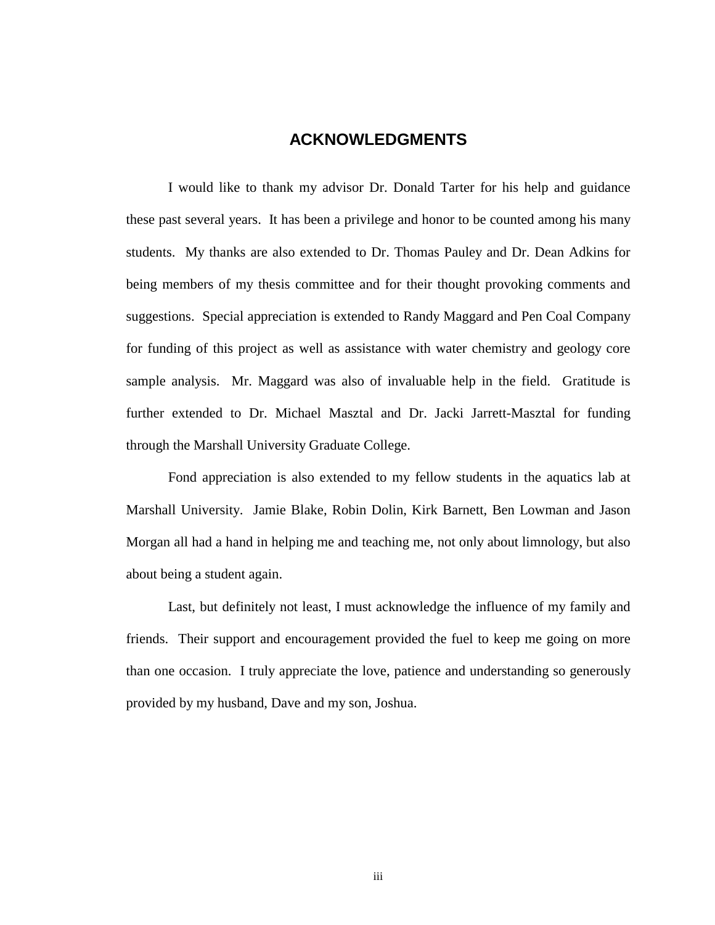### **ACKNOWLEDGMENTS**

 I would like to thank my advisor Dr. Donald Tarter for his help and guidance these past several years. It has been a privilege and honor to be counted among his many students. My thanks are also extended to Dr. Thomas Pauley and Dr. Dean Adkins for being members of my thesis committee and for their thought provoking comments and suggestions. Special appreciation is extended to Randy Maggard and Pen Coal Company for funding of this project as well as assistance with water chemistry and geology core sample analysis. Mr. Maggard was also of invaluable help in the field. Gratitude is further extended to Dr. Michael Masztal and Dr. Jacki Jarrett-Masztal for funding through the Marshall University Graduate College.

 Fond appreciation is also extended to my fellow students in the aquatics lab at Marshall University. Jamie Blake, Robin Dolin, Kirk Barnett, Ben Lowman and Jason Morgan all had a hand in helping me and teaching me, not only about limnology, but also about being a student again.

Last, but definitely not least, I must acknowledge the influence of my family and friends. Their support and encouragement provided the fuel to keep me going on more than one occasion. I truly appreciate the love, patience and understanding so generously provided by my husband, Dave and my son, Joshua.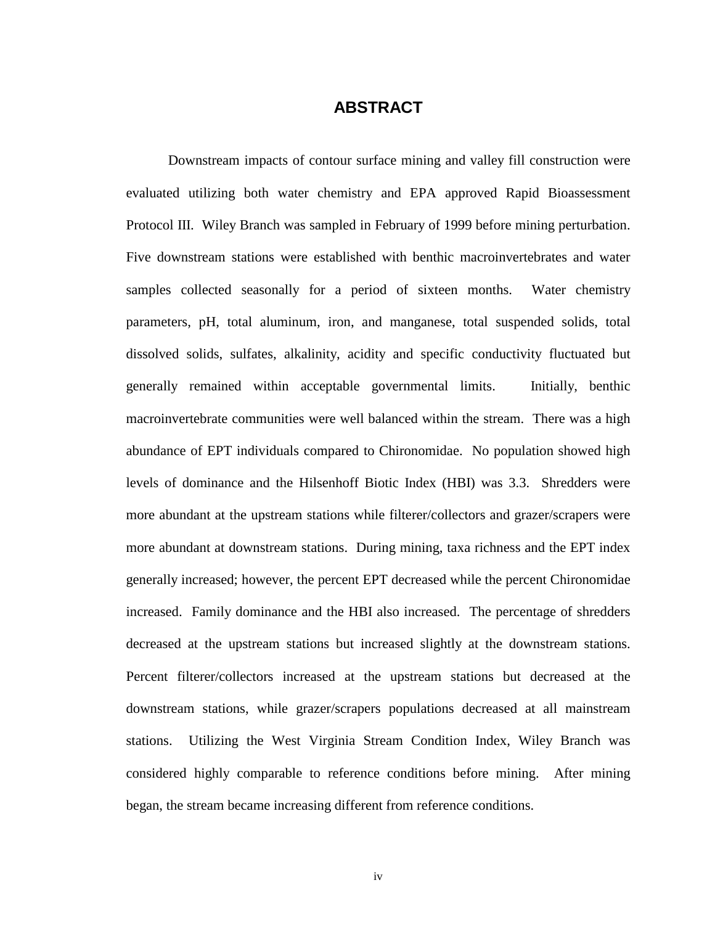### **ABSTRACT**

Downstream impacts of contour surface mining and valley fill construction were evaluated utilizing both water chemistry and EPA approved Rapid Bioassessment Protocol III. Wiley Branch was sampled in February of 1999 before mining perturbation. Five downstream stations were established with benthic macroinvertebrates and water samples collected seasonally for a period of sixteen months. Water chemistry parameters, pH, total aluminum, iron, and manganese, total suspended solids, total dissolved solids, sulfates, alkalinity, acidity and specific conductivity fluctuated but generally remained within acceptable governmental limits. Initially, benthic macroinvertebrate communities were well balanced within the stream. There was a high abundance of EPT individuals compared to Chironomidae. No population showed high levels of dominance and the Hilsenhoff Biotic Index (HBI) was 3.3. Shredders were more abundant at the upstream stations while filterer/collectors and grazer/scrapers were more abundant at downstream stations. During mining, taxa richness and the EPT index generally increased; however, the percent EPT decreased while the percent Chironomidae increased. Family dominance and the HBI also increased. The percentage of shredders decreased at the upstream stations but increased slightly at the downstream stations. Percent filterer/collectors increased at the upstream stations but decreased at the downstream stations, while grazer/scrapers populations decreased at all mainstream stations. Utilizing the West Virginia Stream Condition Index, Wiley Branch was considered highly comparable to reference conditions before mining. After mining began, the stream became increasing different from reference conditions.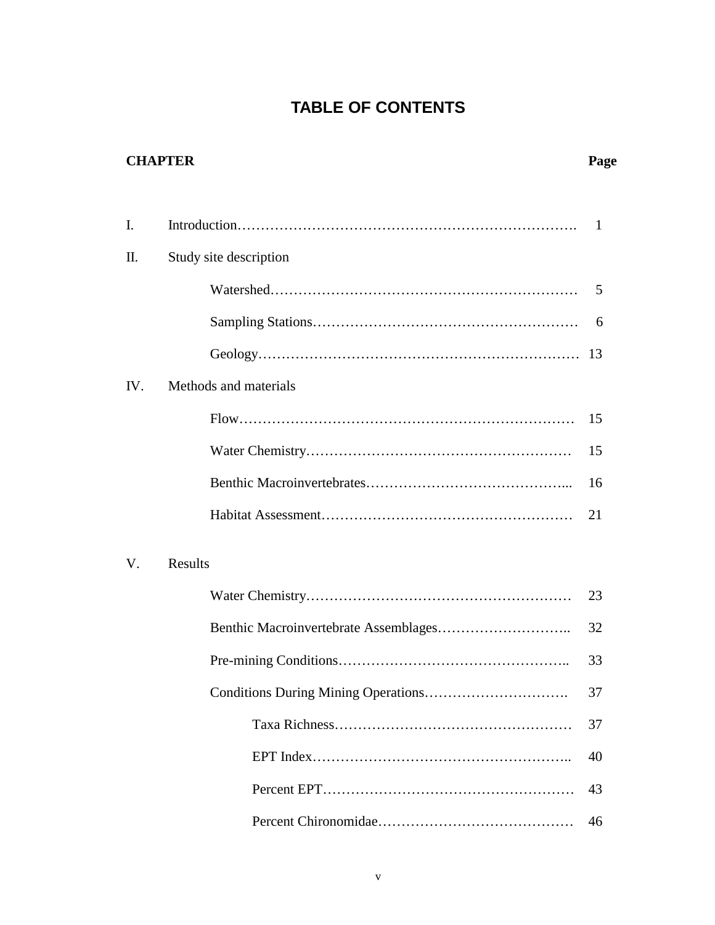### **TABLE OF CONTENTS**

# **CHAPTER Page**  I. [Introduction……](#page-11-0)…………………………………………………………. 1 II. [Study site description](#page-15-0)  [Watershed…](#page-15-0)……………………………………………………… 5 [Sampling Stations…](#page-16-0)……………………………………………… 6 [Geology…](#page-23-0)………………………………………………………… 13 IV. [Methods and materials](#page-25-0)  [Flow…](#page-25-0)…………………………………………………………… 15 [Water Chemistry…](#page-25-0)……………………………………………… 15 [Benthic Macroinvertebrates…](#page-26-0)…………………………………... 16 [Habitat Assessment…](#page-31-0)…………………………………………… 21 V. [Results](#page-33-0)  [Water Chemistry…](#page-33-0)……………………………………………… 23 [Benthic Macroinvertebrate Assemblages…](#page-42-0)…………………….. 32

|  | 33 |
|--|----|
|  | 37 |
|  | 37 |
|  | 40 |
|  |    |
|  | 46 |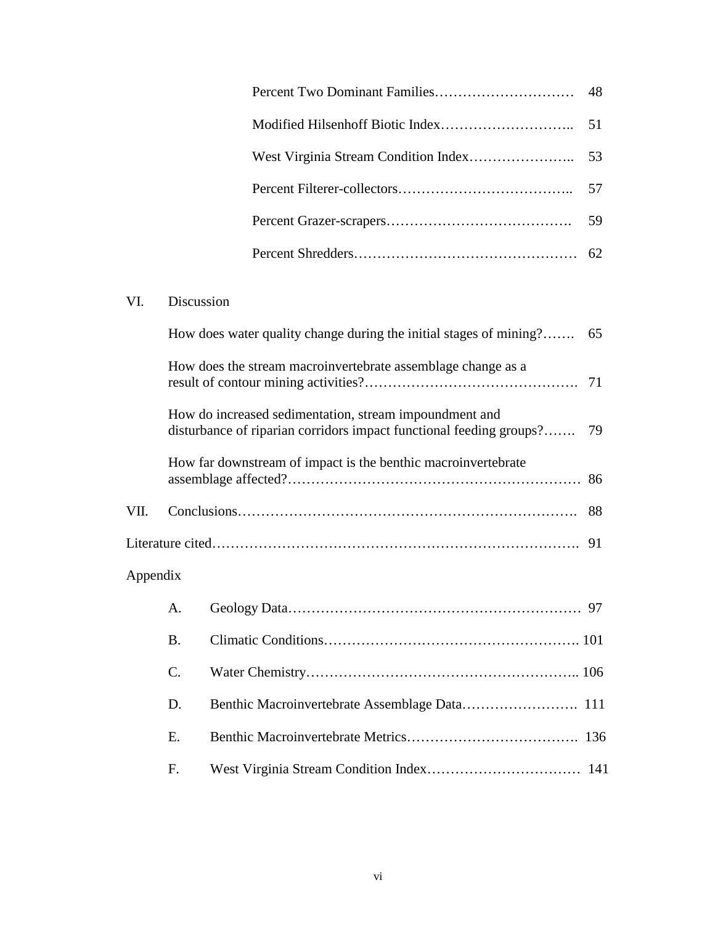|  | 62 |
|--|----|

### VI. [Discussion](#page-75-0)

|          |                 | How does water quality change during the initial stages of mining?<br>65                                                            |  |
|----------|-----------------|-------------------------------------------------------------------------------------------------------------------------------------|--|
|          |                 | How does the stream macroinvertebrate assemblage change as a                                                                        |  |
|          |                 | How do increased sedimentation, stream impoundment and<br>disturbance of riparian corridors impact functional feeding groups?<br>79 |  |
|          |                 | How far downstream of impact is the benthic macroinvertebrate                                                                       |  |
| VII.     |                 | 88                                                                                                                                  |  |
|          |                 |                                                                                                                                     |  |
| Appendix |                 |                                                                                                                                     |  |
|          | A.              |                                                                                                                                     |  |
|          | <b>B.</b>       |                                                                                                                                     |  |
|          | $\mathcal{C}$ . |                                                                                                                                     |  |
|          | D.              |                                                                                                                                     |  |
|          | E.              |                                                                                                                                     |  |
|          | F.              |                                                                                                                                     |  |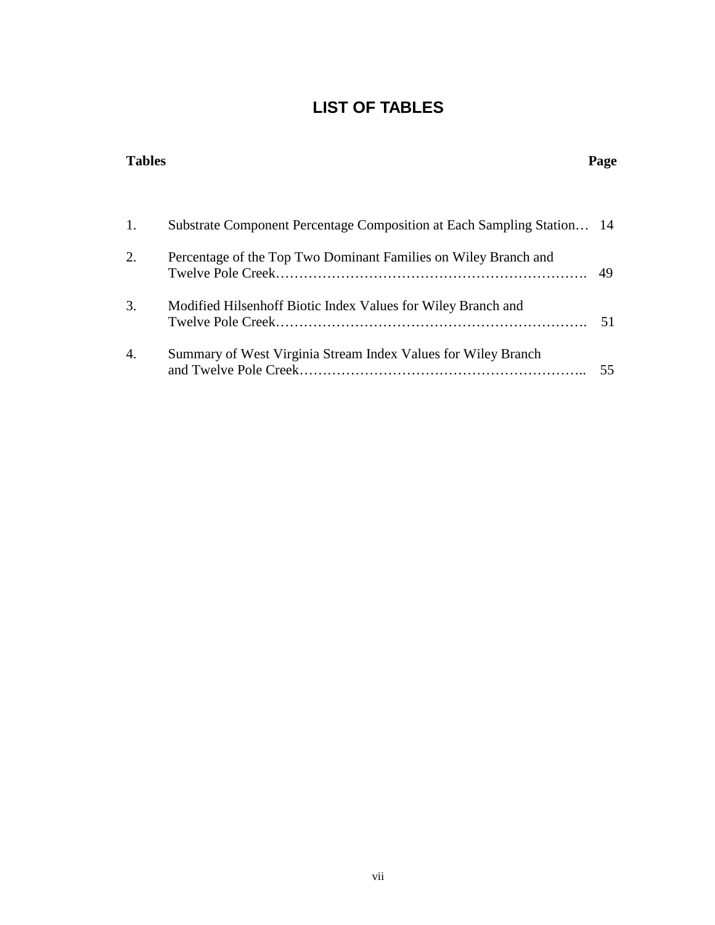# **LIST OF TABLES**

| <b>Tables</b> |                                                                        | Page |
|---------------|------------------------------------------------------------------------|------|
|               |                                                                        |      |
| 1.            | Substrate Component Percentage Composition at Each Sampling Station 14 |      |
| 2.            | Percentage of the Top Two Dominant Families on Wiley Branch and        | 49   |
| 3.            | Modified Hilsenhoff Biotic Index Values for Wiley Branch and           | 51   |
| 4.            | Summary of West Virginia Stream Index Values for Wiley Branch          | 55   |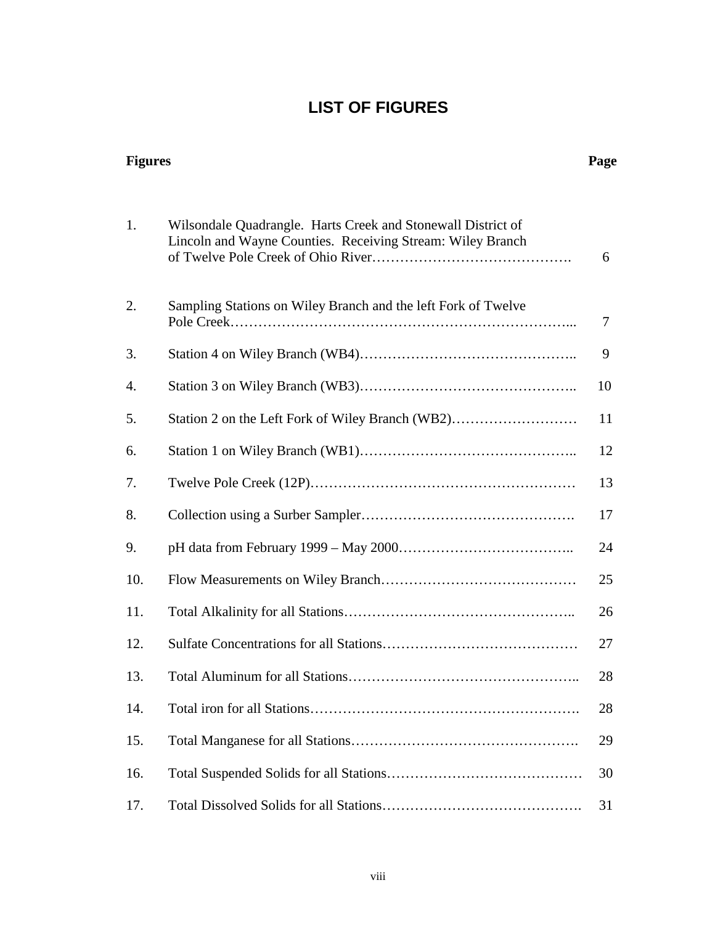# **LIST OF FIGURES**

| <b>Figures</b> |                                                                                                                            | Page |
|----------------|----------------------------------------------------------------------------------------------------------------------------|------|
| 1.             | Wilsondale Quadrangle. Harts Creek and Stonewall District of<br>Lincoln and Wayne Counties. Receiving Stream: Wiley Branch | 6    |
| 2.             | Sampling Stations on Wiley Branch and the left Fork of Twelve                                                              | 7    |
| 3.             |                                                                                                                            | 9    |
| 4.             |                                                                                                                            | 10   |
| 5.             | Station 2 on the Left Fork of Wiley Branch (WB2)                                                                           | 11   |
| 6.             |                                                                                                                            | 12   |
| 7.             |                                                                                                                            | 13   |
| 8.             |                                                                                                                            | 17   |
| 9.             |                                                                                                                            | 24   |
| 10.            |                                                                                                                            | 25   |
| 11.            |                                                                                                                            | 26   |
| 12.            |                                                                                                                            | 27   |
| 13.            | Total Aluminum for all Stations                                                                                            | 28   |
| 14.            |                                                                                                                            | 28   |
| 15.            |                                                                                                                            | 29   |
| 16.            |                                                                                                                            | 30   |
| 17.            |                                                                                                                            | 31   |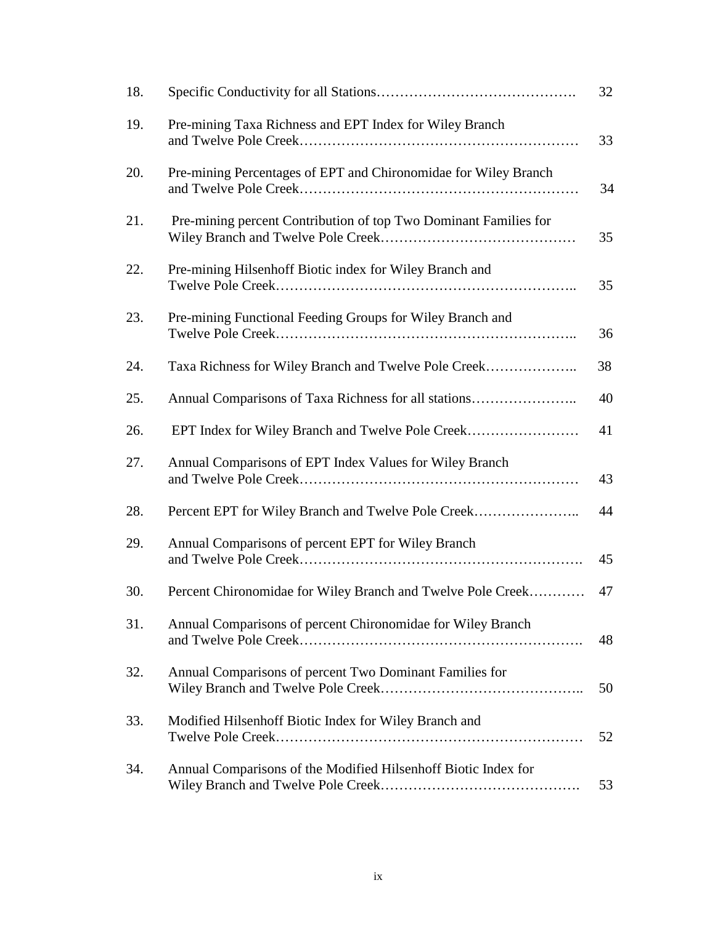| 18. |                                                                  | 32 |
|-----|------------------------------------------------------------------|----|
| 19. | Pre-mining Taxa Richness and EPT Index for Wiley Branch          | 33 |
| 20. | Pre-mining Percentages of EPT and Chironomidae for Wiley Branch  | 34 |
| 21. | Pre-mining percent Contribution of top Two Dominant Families for | 35 |
| 22. | Pre-mining Hilsenhoff Biotic index for Wiley Branch and          | 35 |
| 23. | Pre-mining Functional Feeding Groups for Wiley Branch and        | 36 |
| 24. | Taxa Richness for Wiley Branch and Twelve Pole Creek             | 38 |
| 25. | Annual Comparisons of Taxa Richness for all stations             | 40 |
| 26. | EPT Index for Wiley Branch and Twelve Pole Creek                 | 41 |
| 27. | Annual Comparisons of EPT Index Values for Wiley Branch          | 43 |
| 28. | Percent EPT for Wiley Branch and Twelve Pole Creek               | 44 |
| 29. | Annual Comparisons of percent EPT for Wiley Branch               | 45 |
| 30. | Percent Chironomidae for Wiley Branch and Twelve Pole Creek      | 47 |
| 31. | Annual Comparisons of percent Chironomidae for Wiley Branch      | 48 |
| 32. | Annual Comparisons of percent Two Dominant Families for          | 50 |
| 33. | Modified Hilsenhoff Biotic Index for Wiley Branch and            | 52 |
| 34. | Annual Comparisons of the Modified Hilsenhoff Biotic Index for   | 53 |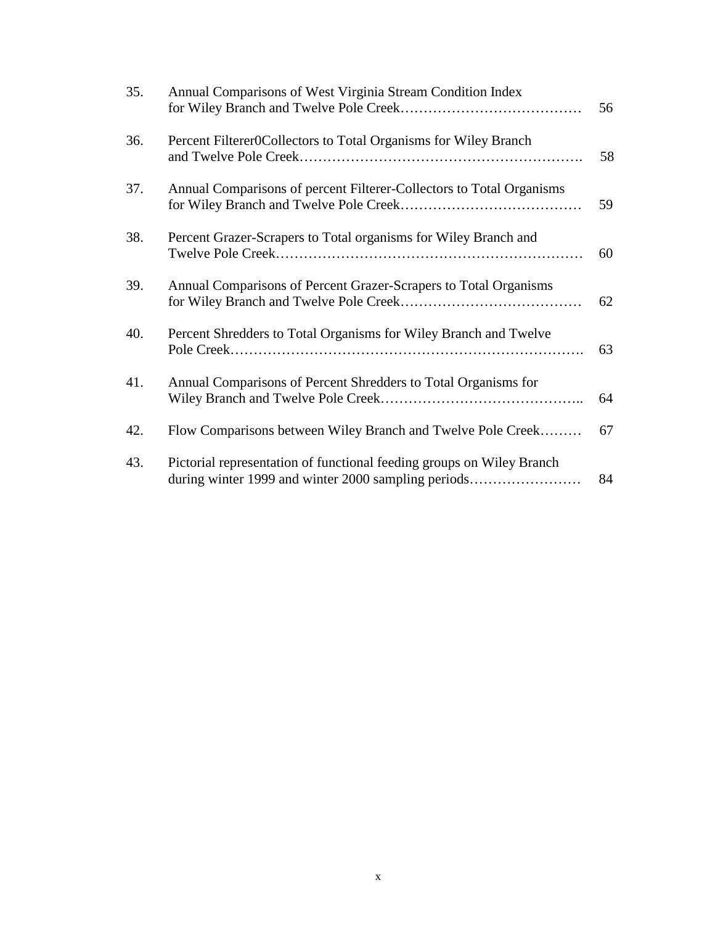| 35. | Annual Comparisons of West Virginia Stream Condition Index                                                                   | 56 |
|-----|------------------------------------------------------------------------------------------------------------------------------|----|
| 36. | Percent Filterer0Collectors to Total Organisms for Wiley Branch                                                              | 58 |
| 37. | Annual Comparisons of percent Filterer-Collectors to Total Organisms                                                         | 59 |
| 38. | Percent Grazer-Scrapers to Total organisms for Wiley Branch and                                                              | 60 |
| 39. | Annual Comparisons of Percent Grazer-Scrapers to Total Organisms                                                             | 62 |
| 40. | Percent Shredders to Total Organisms for Wiley Branch and Twelve                                                             | 63 |
| 41. | Annual Comparisons of Percent Shredders to Total Organisms for                                                               | 64 |
| 42. | Flow Comparisons between Wiley Branch and Twelve Pole Creek                                                                  | 67 |
| 43. | Pictorial representation of functional feeding groups on Wiley Branch<br>during winter 1999 and winter 2000 sampling periods | 84 |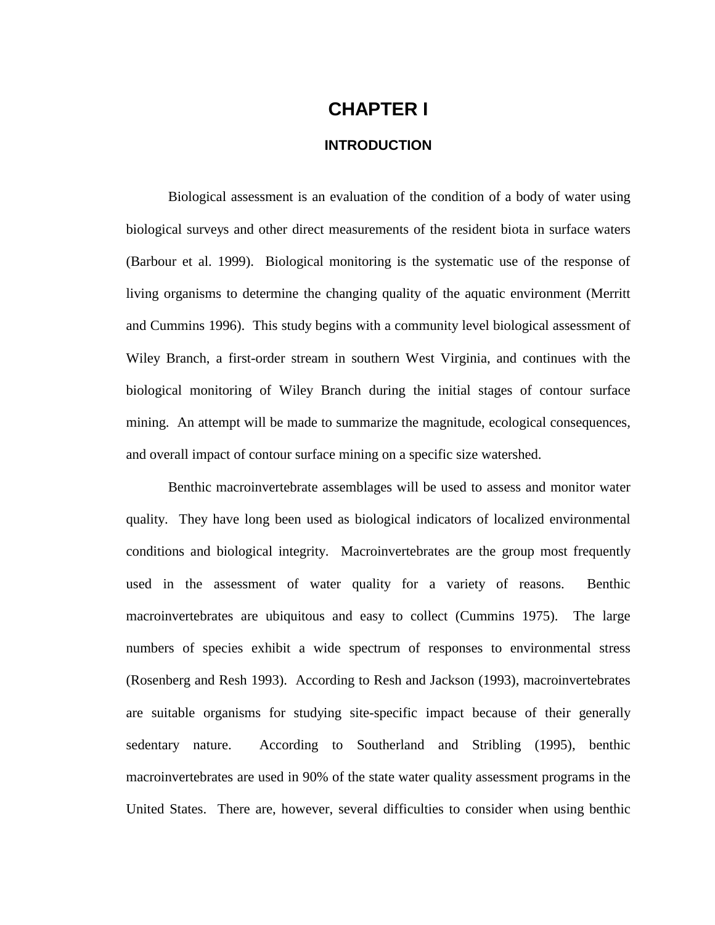# **CHAPTER I**

#### **INTRODUCTION**

<span id="page-11-0"></span>Biological assessment is an evaluation of the condition of a body of water using biological surveys and other direct measurements of the resident biota in surface waters (Barbour et al. 1999). Biological monitoring is the systematic use of the response of living organisms to determine the changing quality of the aquatic environment (Merritt and Cummins 1996). This study begins with a community level biological assessment of Wiley Branch, a first-order stream in southern West Virginia, and continues with the biological monitoring of Wiley Branch during the initial stages of contour surface mining. An attempt will be made to summarize the magnitude, ecological consequences, and overall impact of contour surface mining on a specific size watershed.

Benthic macroinvertebrate assemblages will be used to assess and monitor water quality. They have long been used as biological indicators of localized environmental conditions and biological integrity. Macroinvertebrates are the group most frequently used in the assessment of water quality for a variety of reasons. Benthic macroinvertebrates are ubiquitous and easy to collect (Cummins 1975). The large numbers of species exhibit a wide spectrum of responses to environmental stress (Rosenberg and Resh 1993). According to Resh and Jackson (1993), macroinvertebrates are suitable organisms for studying site-specific impact because of their generally sedentary nature. According to Southerland and Stribling (1995), benthic macroinvertebrates are used in 90% of the state water quality assessment programs in the United States. There are, however, several difficulties to consider when using benthic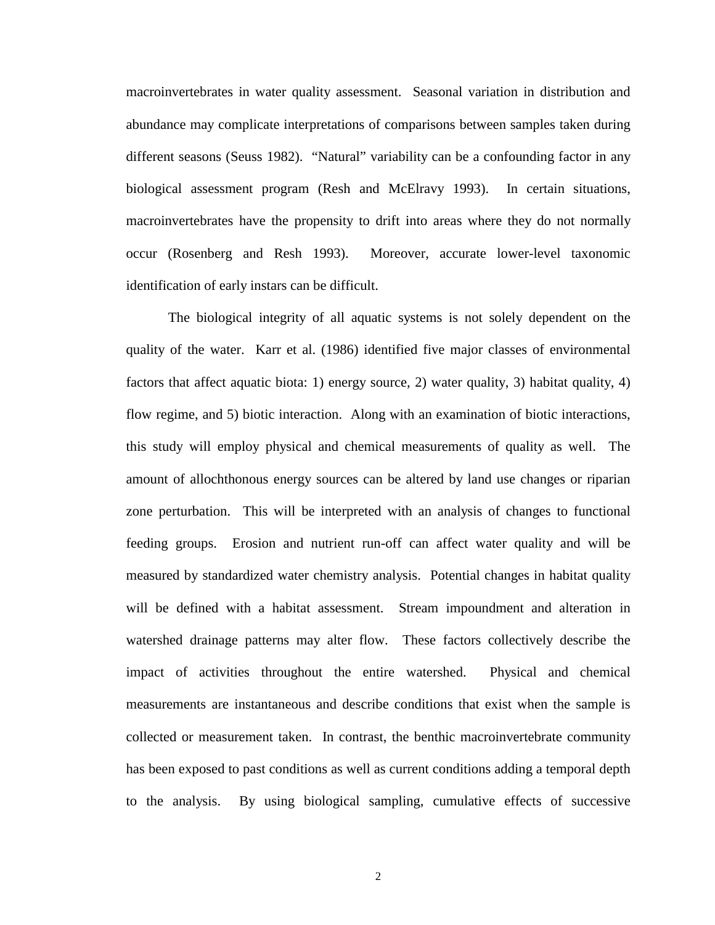macroinvertebrates in water quality assessment. Seasonal variation in distribution and abundance may complicate interpretations of comparisons between samples taken during different seasons (Seuss 1982). "Natural" variability can be a confounding factor in any biological assessment program (Resh and McElravy 1993). In certain situations, macroinvertebrates have the propensity to drift into areas where they do not normally occur (Rosenberg and Resh 1993). Moreover, accurate lower-level taxonomic identification of early instars can be difficult.

The biological integrity of all aquatic systems is not solely dependent on the quality of the water. Karr et al. (1986) identified five major classes of environmental factors that affect aquatic biota: 1) energy source, 2) water quality, 3) habitat quality, 4) flow regime, and 5) biotic interaction. Along with an examination of biotic interactions, this study will employ physical and chemical measurements of quality as well. The amount of allochthonous energy sources can be altered by land use changes or riparian zone perturbation. This will be interpreted with an analysis of changes to functional feeding groups. Erosion and nutrient run-off can affect water quality and will be measured by standardized water chemistry analysis. Potential changes in habitat quality will be defined with a habitat assessment. Stream impoundment and alteration in watershed drainage patterns may alter flow. These factors collectively describe the impact of activities throughout the entire watershed. Physical and chemical measurements are instantaneous and describe conditions that exist when the sample is collected or measurement taken. In contrast, the benthic macroinvertebrate community has been exposed to past conditions as well as current conditions adding a temporal depth to the analysis. By using biological sampling, cumulative effects of successive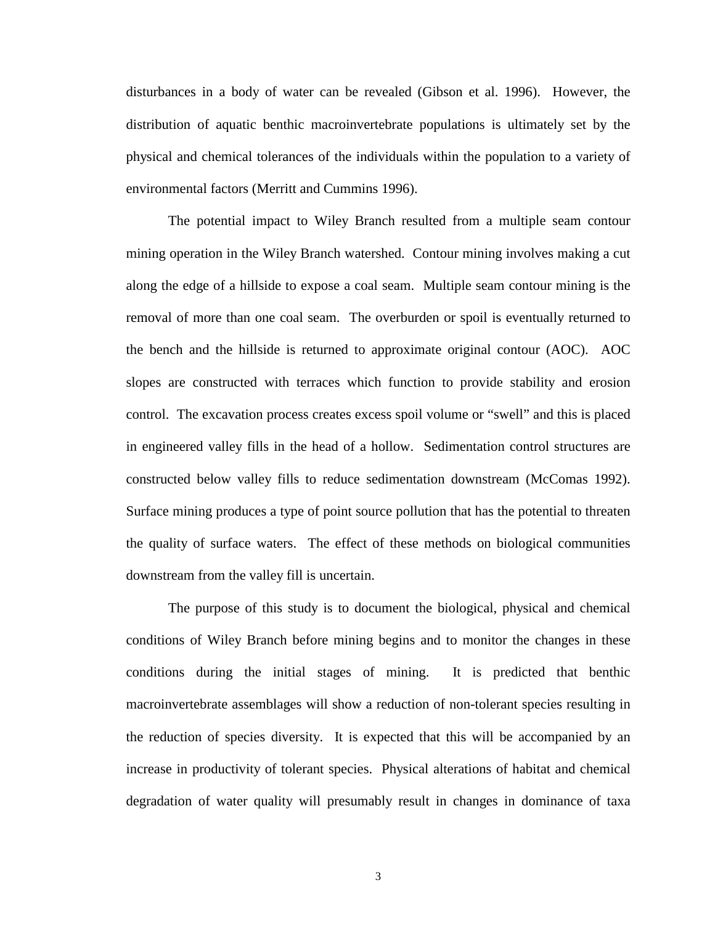disturbances in a body of water can be revealed (Gibson et al. 1996). However, the distribution of aquatic benthic macroinvertebrate populations is ultimately set by the physical and chemical tolerances of the individuals within the population to a variety of environmental factors (Merritt and Cummins 1996).

 The potential impact to Wiley Branch resulted from a multiple seam contour mining operation in the Wiley Branch watershed. Contour mining involves making a cut along the edge of a hillside to expose a coal seam. Multiple seam contour mining is the removal of more than one coal seam. The overburden or spoil is eventually returned to the bench and the hillside is returned to approximate original contour (AOC). AOC slopes are constructed with terraces which function to provide stability and erosion control. The excavation process creates excess spoil volume or "swell" and this is placed in engineered valley fills in the head of a hollow. Sedimentation control structures are constructed below valley fills to reduce sedimentation downstream (McComas 1992). Surface mining produces a type of point source pollution that has the potential to threaten the quality of surface waters. The effect of these methods on biological communities downstream from the valley fill is uncertain.

 The purpose of this study is to document the biological, physical and chemical conditions of Wiley Branch before mining begins and to monitor the changes in these conditions during the initial stages of mining. It is predicted that benthic macroinvertebrate assemblages will show a reduction of non-tolerant species resulting in the reduction of species diversity. It is expected that this will be accompanied by an increase in productivity of tolerant species. Physical alterations of habitat and chemical degradation of water quality will presumably result in changes in dominance of taxa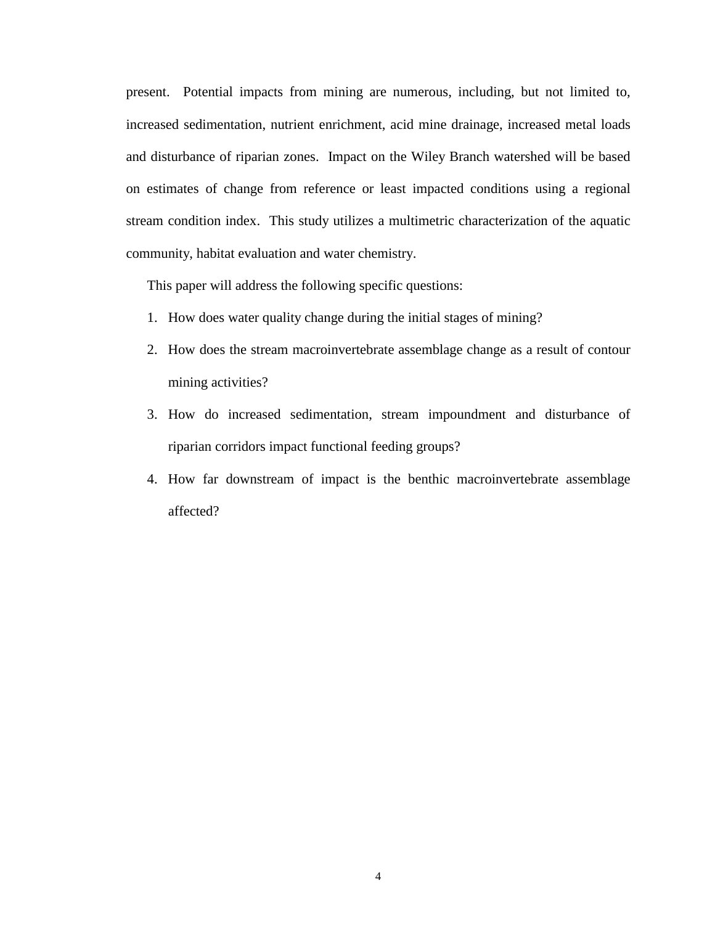present. Potential impacts from mining are numerous, including, but not limited to, increased sedimentation, nutrient enrichment, acid mine drainage, increased metal loads and disturbance of riparian zones. Impact on the Wiley Branch watershed will be based on estimates of change from reference or least impacted conditions using a regional stream condition index. This study utilizes a multimetric characterization of the aquatic community, habitat evaluation and water chemistry.

This paper will address the following specific questions:

- [1. How does water quality change during the initial stages of mining?](#page-75-0)
- [2. How does the stream macroinvertebrate assemblage change as a result of contour](#page-81-0)  mining activities?
- [3. How do increased sedimentation, stream impoundment and disturbance of](#page-89-0)  riparian corridors impact functional feeding groups?
- [4. How far downstream of impact is the benthic macroinvertebrate assemblage](#page-96-0)  affected?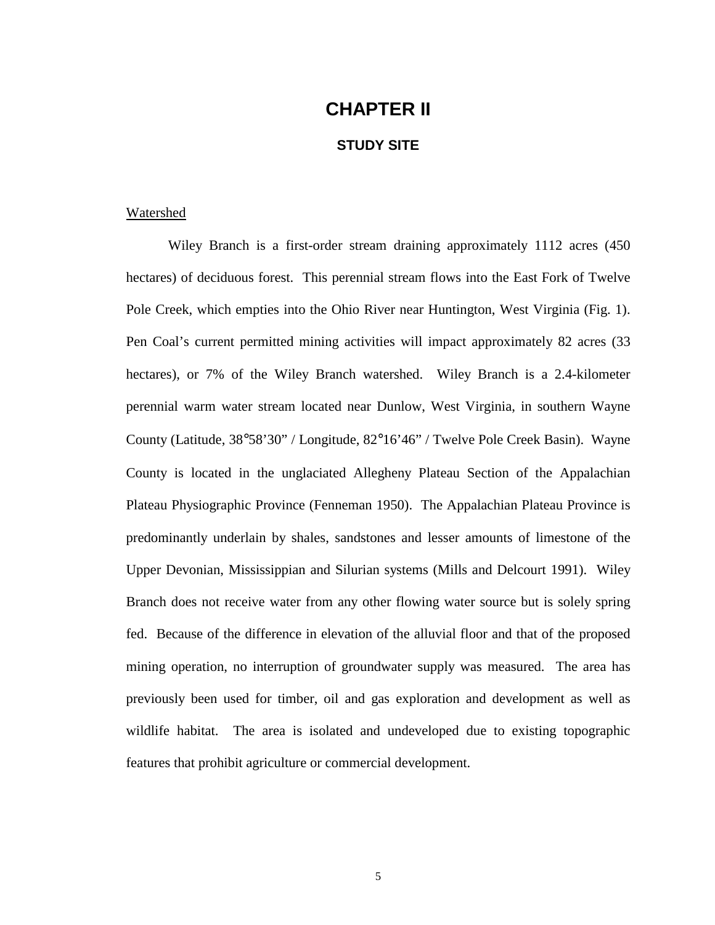# **CHAPTER II**

#### **STUDY SITE**

#### <span id="page-15-0"></span>Watershed

Wiley Branch is a first-order stream draining approximately 1112 acres (450 hectares) of deciduous forest. This perennial stream flows into the East Fork of Twelve Pole Creek, which empties into the Ohio River near Huntington, West Virginia (Fig. 1). Pen Coal's current permitted mining activities will impact approximately 82 acres (33 hectares), or 7% of the Wiley Branch watershed. Wiley Branch is a 2.4-kilometer perennial warm water stream located near Dunlow, West Virginia, in southern Wayne County (Latitude, 38°58'30" / Longitude, 82°16'46" / Twelve Pole Creek Basin). Wayne County is located in the unglaciated Allegheny Plateau Section of the Appalachian Plateau Physiographic Province (Fenneman 1950). The Appalachian Plateau Province is predominantly underlain by shales, sandstones and lesser amounts of limestone of the Upper Devonian, Mississippian and Silurian systems (Mills and Delcourt 1991). Wiley Branch does not receive water from any other flowing water source but is solely spring fed. Because of the difference in elevation of the alluvial floor and that of the proposed mining operation, no interruption of groundwater supply was measured. The area has previously been used for timber, oil and gas exploration and development as well as wildlife habitat. The area is isolated and undeveloped due to existing topographic features that prohibit agriculture or commercial development.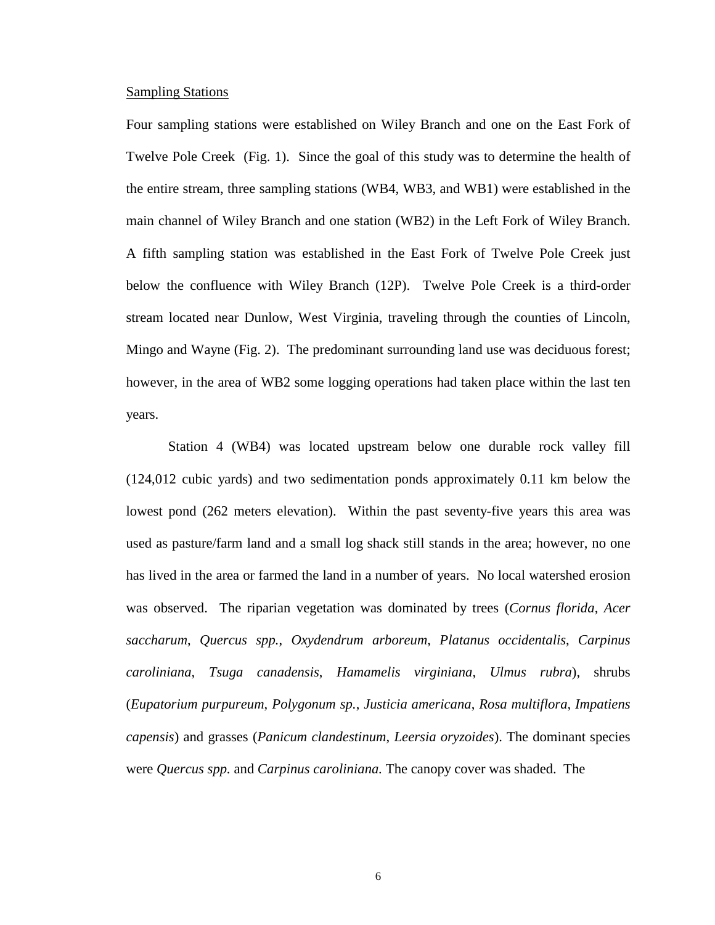#### <span id="page-16-0"></span>Sampling Stations

Four sampling stations were established on Wiley Branch and one on the East Fork of Twelve Pole Creek (Fig. 1). Since the goal of this study was to determine the health of the entire stream, three sampling stations (WB4, WB3, and WB1) were established in the main channel of Wiley Branch and one station (WB2) in the Left Fork of Wiley Branch. A fifth sampling station was established in the East Fork of Twelve Pole Creek just below the confluence with Wiley Branch (12P). Twelve Pole Creek is a third-order stream located near Dunlow, West Virginia, traveling through the counties of Lincoln, Mingo and Wayne (Fig. 2). The predominant surrounding land use was deciduous forest; however, in the area of WB2 some logging operations had taken place within the last ten years.

Station 4 (WB4) was located upstream below one durable rock valley fill (124,012 cubic yards) and two sedimentation ponds approximately 0.11 km below the lowest pond (262 meters elevation). Within the past seventy-five years this area was used as pasture/farm land and a small log shack still stands in the area; however, no one has lived in the area or farmed the land in a number of years. No local watershed erosion was observed. The riparian vegetation was dominated by trees (*Cornus florida*, *Acer saccharum*, *Quercus spp.*, *Oxydendrum arboreum*, *Platanus occidentalis*, *Carpinus caroliniana*, *Tsuga canadensis*, *Hamamelis virginiana*, *Ulmus rubra*), shrubs (*Eupatorium purpureum*, *Polygonum sp.*, *Justicia americana*, *Rosa multiflora*, *Impatiens capensis*) and grasses (*Panicum clandestinum*, *Leersia oryzoides*). The dominant species were *Quercus spp.* and *Carpinus caroliniana.* The canopy cover was shaded. The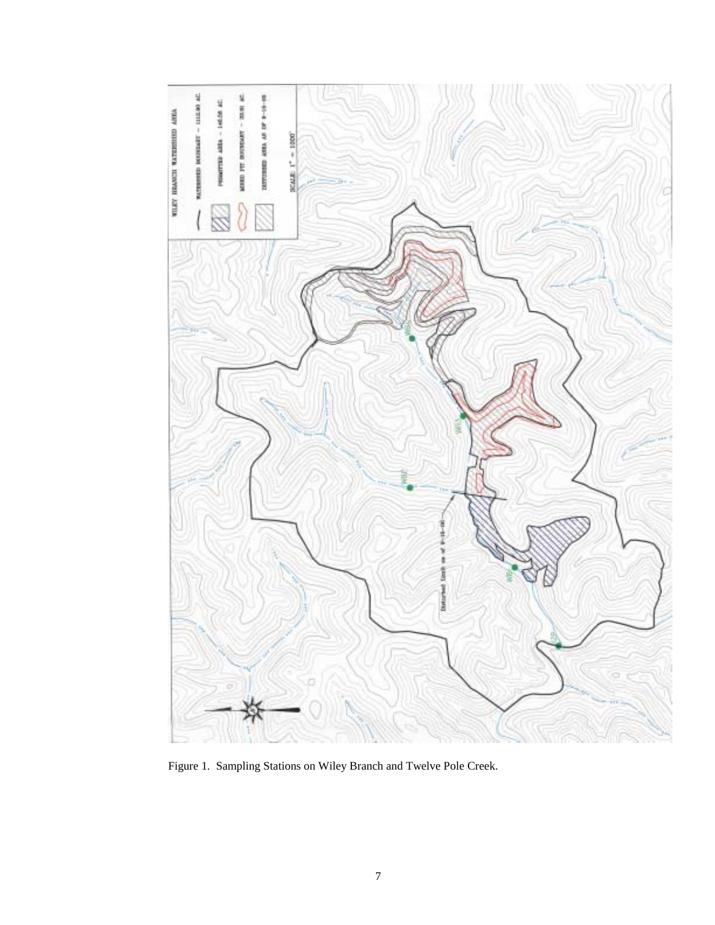

Figure 1. Sampling Stations on Wiley Branch and Twelve Pole Creek.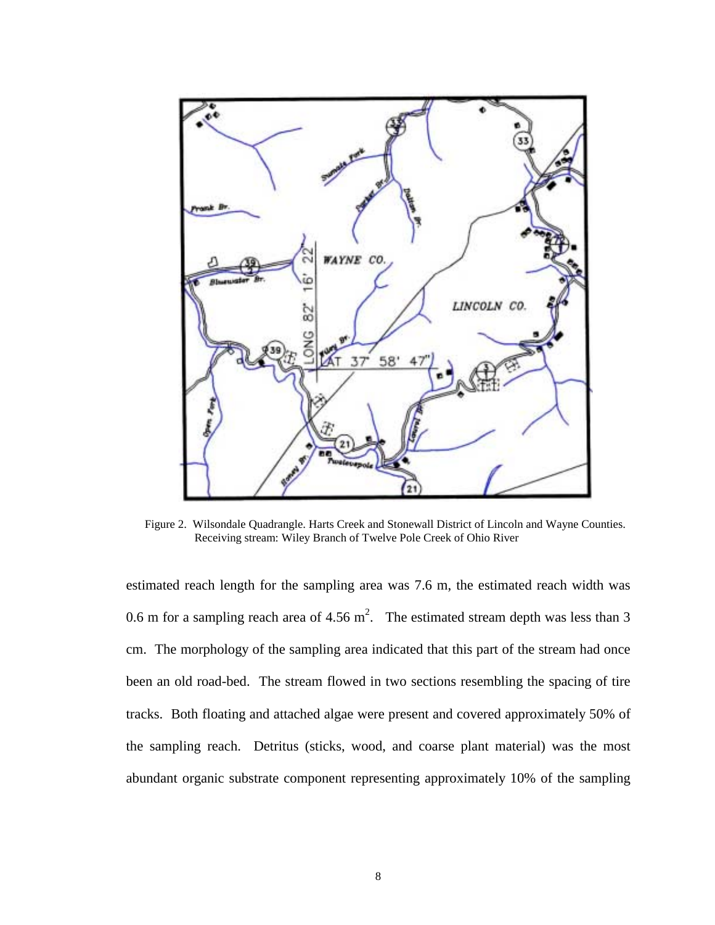

Figure 2. Wilsondale Quadrangle. Harts Creek and Stonewall District of Lincoln and Wayne Counties. Receiving stream: Wiley Branch of Twelve Pole Creek of Ohio River

estimated reach length for the sampling area was 7.6 m, the estimated reach width was 0.6 m for a sampling reach area of 4.56 m<sup>2</sup>. The estimated stream depth was less than 3 cm. The morphology of the sampling area indicated that this part of the stream had once been an old road-bed. The stream flowed in two sections resembling the spacing of tire tracks. Both floating and attached algae were present and covered approximately 50% of the sampling reach. Detritus (sticks, wood, and coarse plant material) was the most abundant organic substrate component representing approximately 10% of the sampling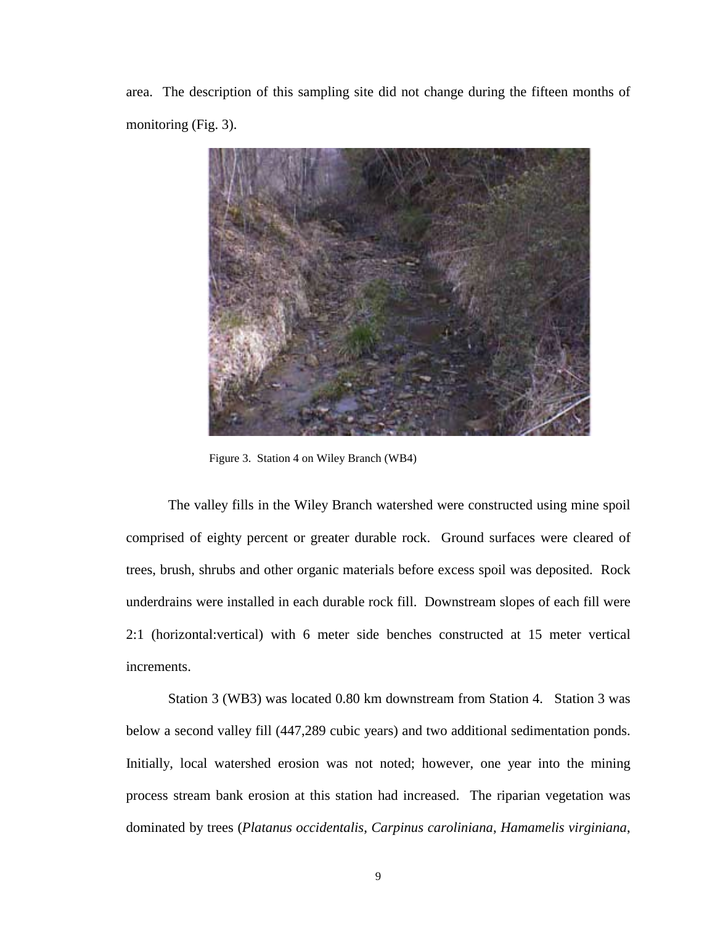area. The description of this sampling site did not change during the fifteen months of monitoring (Fig. 3).



Figure 3. Station 4 on Wiley Branch (WB4)

The valley fills in the Wiley Branch watershed were constructed using mine spoil comprised of eighty percent or greater durable rock. Ground surfaces were cleared of trees, brush, shrubs and other organic materials before excess spoil was deposited. Rock underdrains were installed in each durable rock fill. Downstream slopes of each fill were 2:1 (horizontal:vertical) with 6 meter side benches constructed at 15 meter vertical increments.

Station 3 (WB3) was located 0.80 km downstream from Station 4. Station 3 was below a second valley fill (447,289 cubic years) and two additional sedimentation ponds. Initially, local watershed erosion was not noted; however, one year into the mining process stream bank erosion at this station had increased. The riparian vegetation was dominated by trees (*Platanus occidentalis*, *Carpinus caroliniana*, *Hamamelis virginiana*,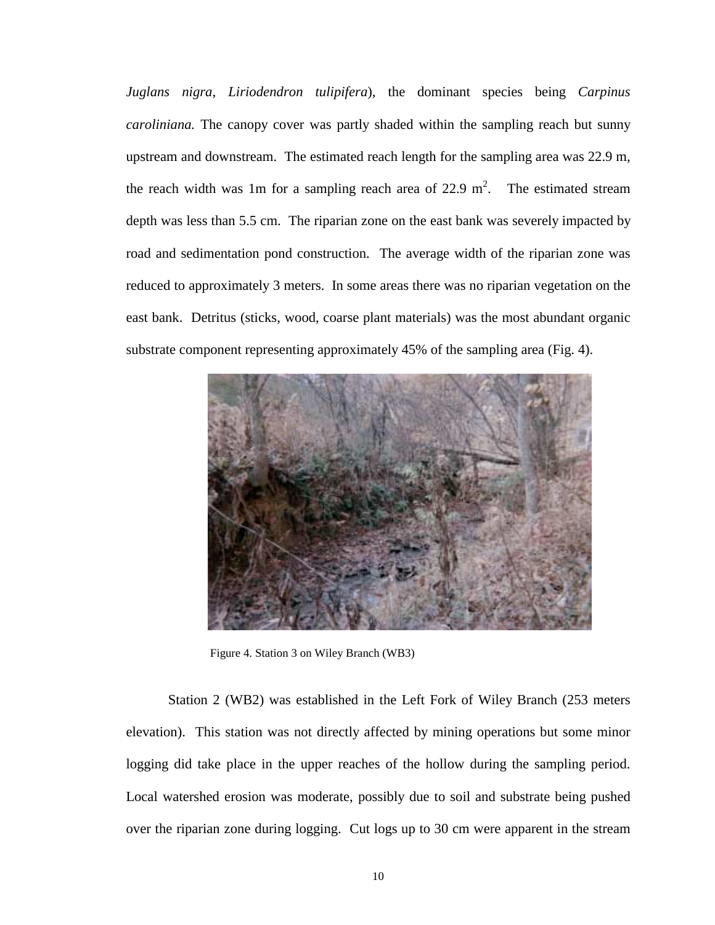*Juglans nigra*, *Liriodendron tulipifera*), the dominant species being *Carpinus caroliniana.* The canopy cover was partly shaded within the sampling reach but sunny upstream and downstream. The estimated reach length for the sampling area was 22.9 m, the reach width was 1m for a sampling reach area of 22.9 m<sup>2</sup>. The estimated stream depth was less than 5.5 cm. The riparian zone on the east bank was severely impacted by road and sedimentation pond construction. The average width of the riparian zone was reduced to approximately 3 meters. In some areas there was no riparian vegetation on the east bank. Detritus (sticks, wood, coarse plant materials) was the most abundant organic substrate component representing approximately 45% of the sampling area (Fig. 4).



Figure 4. Station 3 on Wiley Branch (WB3)

Station 2 (WB2) was established in the Left Fork of Wiley Branch (253 meters elevation). This station was not directly affected by mining operations but some minor logging did take place in the upper reaches of the hollow during the sampling period. Local watershed erosion was moderate, possibly due to soil and substrate being pushed over the riparian zone during logging. Cut logs up to 30 cm were apparent in the stream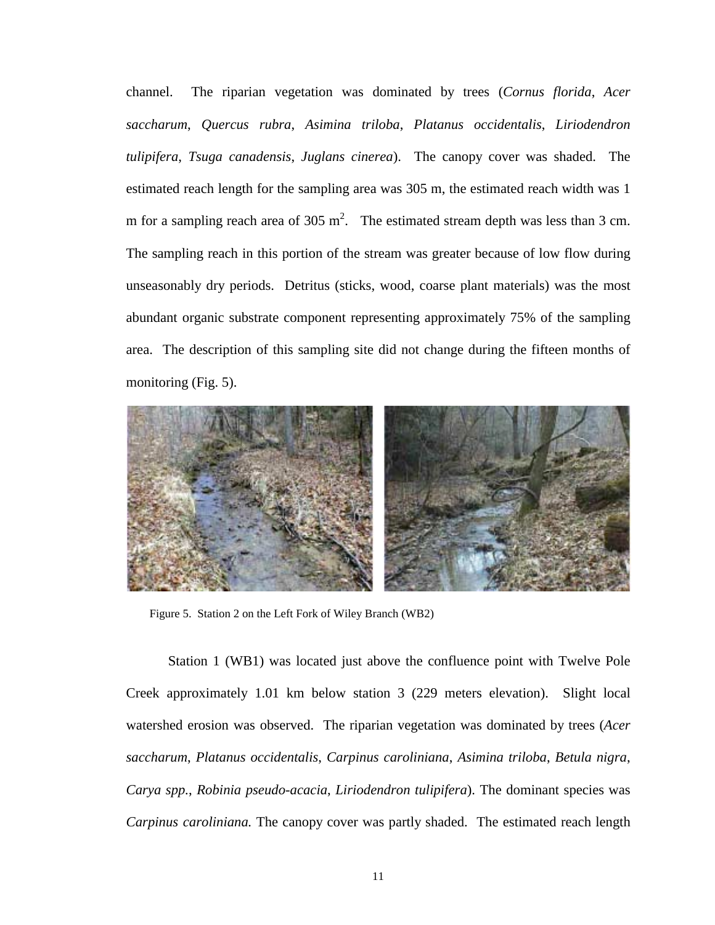channel. The riparian vegetation was dominated by trees (*Cornus florida*, *Acer saccharum*, *Quercus rubra*, *Asimina triloba*, *Platanus occidentalis*, *Liriodendron tulipifera*, *Tsuga canadensis*, *Juglans cinerea*). The canopy cover was shaded. The estimated reach length for the sampling area was 305 m, the estimated reach width was 1 m for a sampling reach area of 305 m<sup>2</sup>. The estimated stream depth was less than 3 cm. The sampling reach in this portion of the stream was greater because of low flow during unseasonably dry periods. Detritus (sticks, wood, coarse plant materials) was the most abundant organic substrate component representing approximately 75% of the sampling area. The description of this sampling site did not change during the fifteen months of monitoring (Fig. 5).



Figure 5. Station 2 on the Left Fork of Wiley Branch (WB2)

Station 1 (WB1) was located just above the confluence point with Twelve Pole Creek approximately 1.01 km below station 3 (229 meters elevation). Slight local watershed erosion was observed. The riparian vegetation was dominated by trees (*Acer saccharum*, *Platanus occidentalis*, *Carpinus caroliniana*, *Asimina triloba*, *Betula nigra*, *Carya spp.*, *Robinia pseudo-acacia*, *Liriodendron tulipifera*). The dominant species was *Carpinus caroliniana.* The canopy cover was partly shaded. The estimated reach length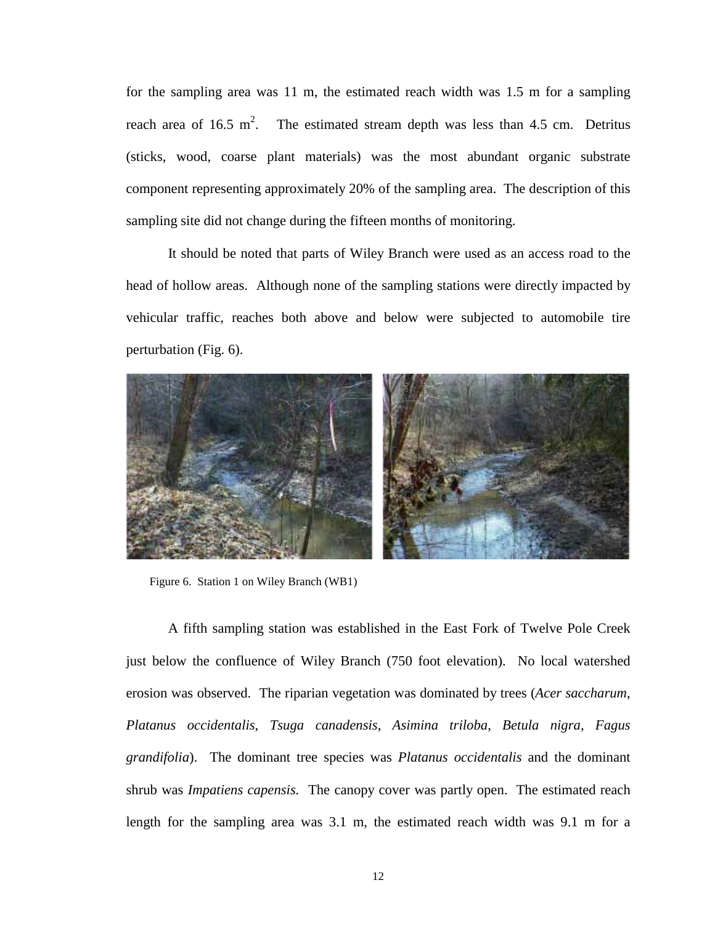for the sampling area was 11 m, the estimated reach width was 1.5 m for a sampling reach area of  $16.5 \text{ m}^2$ . . The estimated stream depth was less than 4.5 cm. Detritus (sticks, wood, coarse plant materials) was the most abundant organic substrate component representing approximately 20% of the sampling area. The description of this sampling site did not change during the fifteen months of monitoring.

It should be noted that parts of Wiley Branch were used as an access road to the head of hollow areas. Although none of the sampling stations were directly impacted by vehicular traffic, reaches both above and below were subjected to automobile tire perturbation (Fig. 6).



Figure 6. Station 1 on Wiley Branch (WB1)

A fifth sampling station was established in the East Fork of Twelve Pole Creek just below the confluence of Wiley Branch (750 foot elevation). No local watershed erosion was observed. The riparian vegetation was dominated by trees (*Acer saccharum*, *Platanus occidentalis*, *Tsuga canadensis*, *Asimina triloba*, *Betula nigra, Fagus grandifolia*). The dominant tree species was *Platanus occidentalis* and the dominant shrub was *Impatiens capensis.* The canopy cover was partly open. The estimated reach length for the sampling area was 3.1 m, the estimated reach width was 9.1 m for a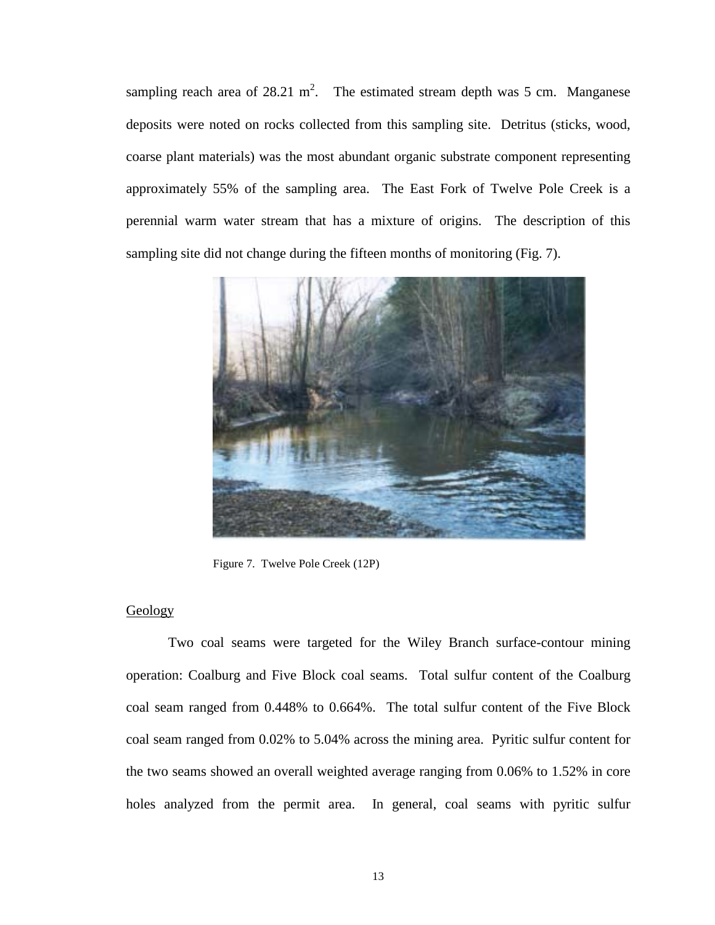<span id="page-23-0"></span>sampling reach area of  $28.21 \text{ m}^2$ . The estimated stream depth was 5 cm. Manganese deposits were noted on rocks collected from this sampling site. Detritus (sticks, wood, coarse plant materials) was the most abundant organic substrate component representing approximately 55% of the sampling area. The East Fork of Twelve Pole Creek is a perennial warm water stream that has a mixture of origins. The description of this sampling site did not change during the fifteen months of monitoring (Fig. 7).



Figure 7. Twelve Pole Creek (12P)

#### Geology

 Two coal seams were targeted for the Wiley Branch surface-contour mining operation: Coalburg and Five Block coal seams. Total sulfur content of the Coalburg coal seam ranged from 0.448% to 0.664%. The total sulfur content of the Five Block coal seam ranged from 0.02% to 5.04% across the mining area. Pyritic sulfur content for the two seams showed an overall weighted average ranging from 0.06% to 1.52% in core holes analyzed from the permit area. In general, coal seams with pyritic sulfur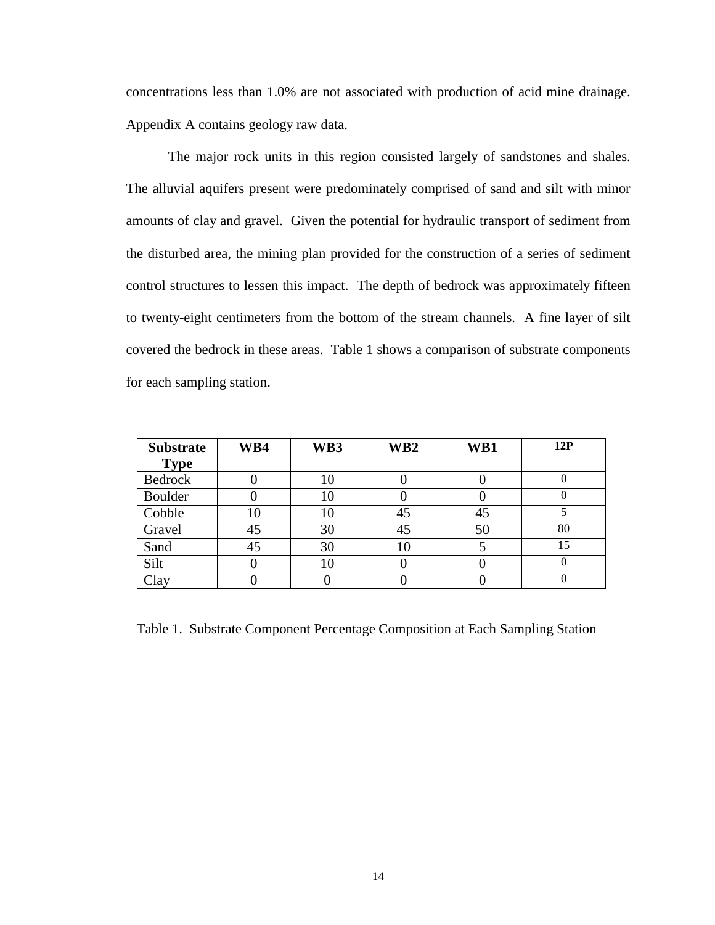concentrations less than 1.0% are not associated with production of acid mine drainage. [Appendix A](#page-107-0) contains geology raw data.

The major rock units in this region consisted largely of sandstones and shales. The alluvial aquifers present were predominately comprised of sand and silt with minor amounts of clay and gravel. Given the potential for hydraulic transport of sediment from the disturbed area, the mining plan provided for the construction of a series of sediment control structures to lessen this impact. The depth of bedrock was approximately fifteen to twenty-eight centimeters from the bottom of the stream channels. A fine layer of silt covered the bedrock in these areas. Table 1 shows a comparison of substrate components for each sampling station.

| <b>Substrate</b> | WB4 | WB3 | WB <sub>2</sub> | WB1 | 12P |
|------------------|-----|-----|-----------------|-----|-----|
| <b>Type</b>      |     |     |                 |     |     |
| <b>Bedrock</b>   |     | 10  |                 |     |     |
| Boulder          |     | 10  |                 |     |     |
| Cobble           | 10  | 10  | 45              | 45  |     |
| Gravel           | 45  | 30  | 45              | 50  | 80  |
| Sand             | 45  | 30  | 10              |     | 15  |
| Silt             |     | 10  |                 |     |     |
| Clay             |     |     |                 |     |     |

Table 1. Substrate Component Percentage Composition at Each Sampling Station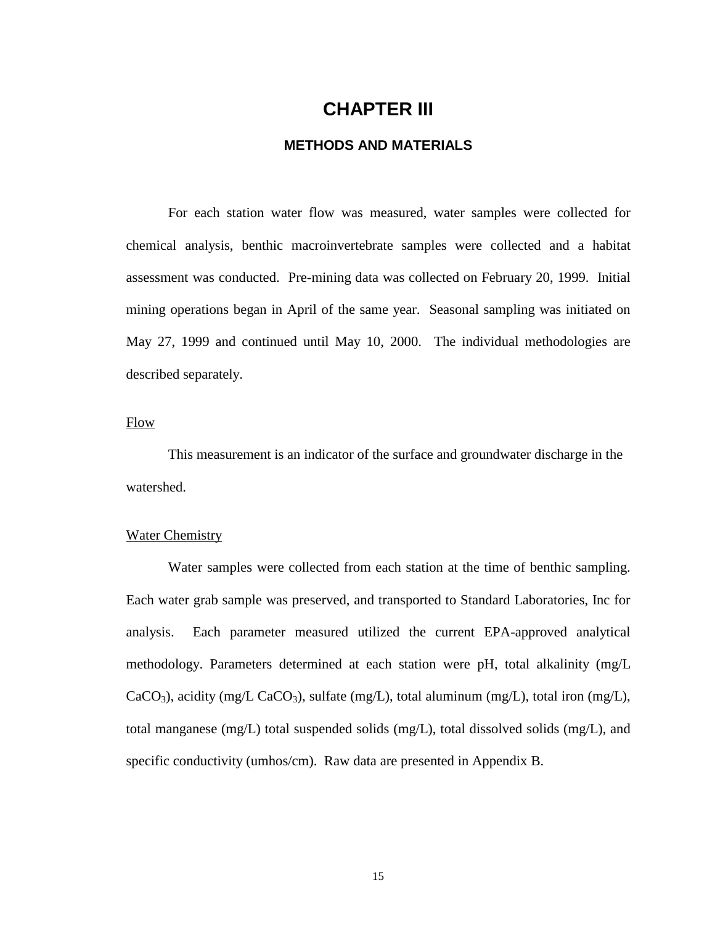## **CHAPTER III**

#### **METHODS AND MATERIALS**

<span id="page-25-0"></span>For each station water flow was measured, water samples were collected for chemical analysis, benthic macroinvertebrate samples were collected and a habitat assessment was conducted. Pre-mining data was collected on February 20, 1999. Initial mining operations began in April of the same year. Seasonal sampling was initiated on May 27, 1999 and continued until May 10, 2000. The individual methodologies are described separately.

#### Flow

 This measurement is an indicator of the surface and groundwater discharge in the watershed.

#### Water Chemistry

 Water samples were collected from each station at the time of benthic sampling. Each water grab sample was preserved, and transported to Standard Laboratories, Inc for analysis. Each parameter measured utilized the current EPA-approved analytical methodology. Parameters determined at each station were pH, total alkalinity (mg/L CaCO<sub>3</sub>), acidity (mg/L CaCO<sub>3</sub>), sulfate (mg/L), total aluminum (mg/L), total iron (mg/L), total manganese (mg/L) total suspended solids (mg/L), total dissolved solids (mg/L), and specific conductivity (umhos/cm). Raw data are presented in [Appendix B.](#page-111-0)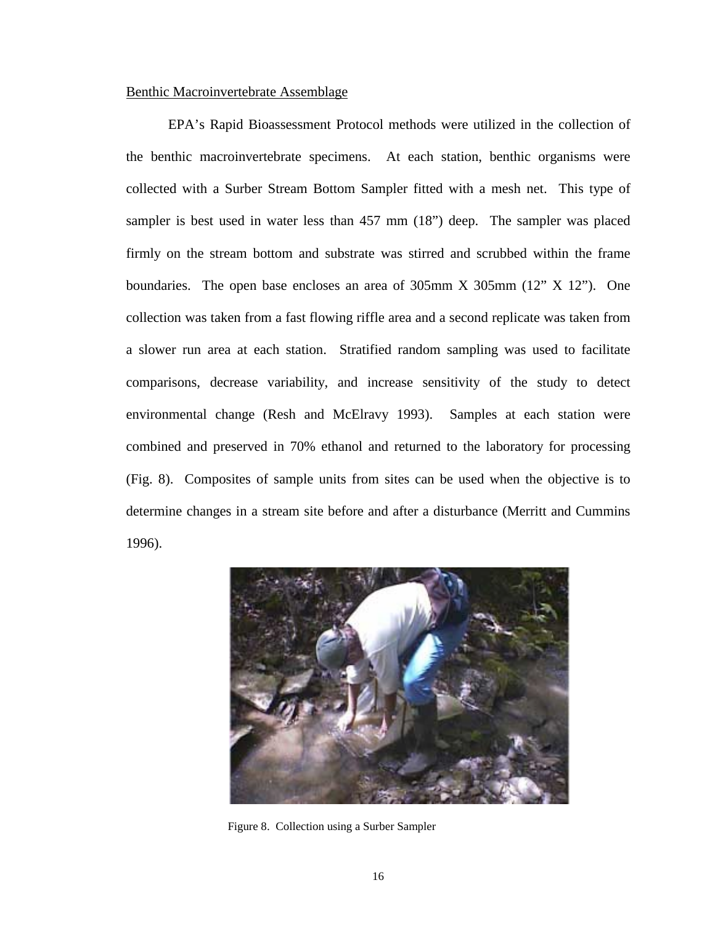#### <span id="page-26-0"></span>Benthic Macroinvertebrate Assemblage

 EPA's Rapid Bioassessment Protocol methods were utilized in the collection of the benthic macroinvertebrate specimens. At each station, benthic organisms were collected with a Surber Stream Bottom Sampler fitted with a mesh net. This type of sampler is best used in water less than 457 mm (18") deep. The sampler was placed firmly on the stream bottom and substrate was stirred and scrubbed within the frame boundaries. The open base encloses an area of 305mm X 305mm (12" X 12"). One collection was taken from a fast flowing riffle area and a second replicate was taken from a slower run area at each station. Stratified random sampling was used to facilitate comparisons, decrease variability, and increase sensitivity of the study to detect environmental change (Resh and McElravy 1993). Samples at each station were combined and preserved in 70% ethanol and returned to the laboratory for processing (Fig. 8). Composites of sample units from sites can be used when the objective is to determine changes in a stream site before and after a disturbance (Merritt and Cummins 1996).



Figure 8. Collection using a Surber Sampler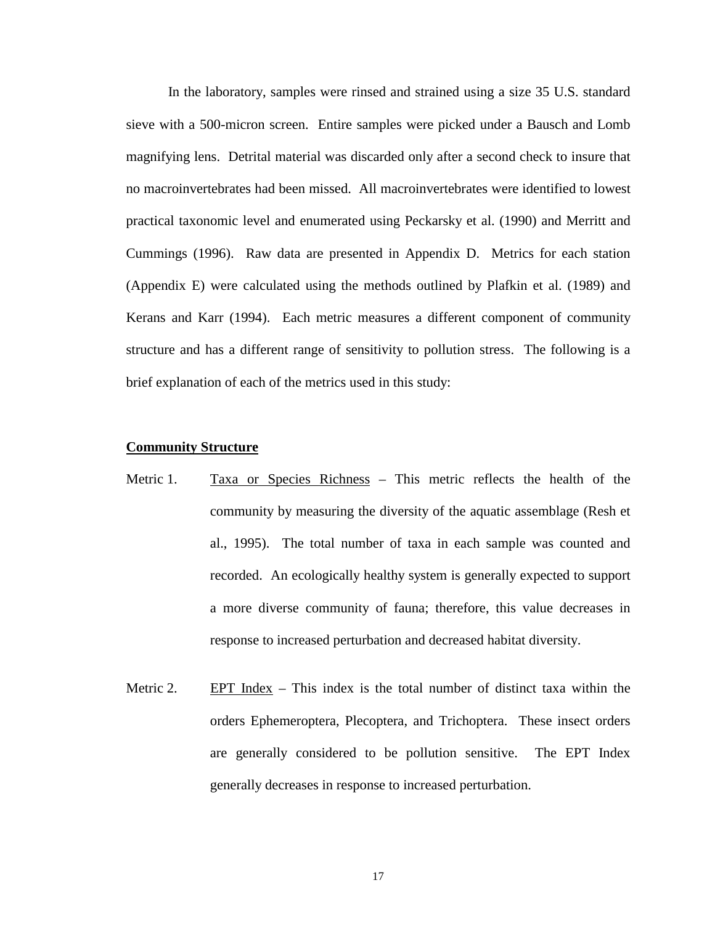In the laboratory, samples were rinsed and strained using a size 35 U.S. standard sieve with a 500-micron screen. Entire samples were picked under a Bausch and Lomb magnifying lens. Detrital material was discarded only after a second check to insure that no macroinvertebrates had been missed. All macroinvertebrates were identified to lowest practical taxonomic level and enumerated using Peckarsky et al. (1990) and Merritt and Cummings (1996). Raw data are presented in [Appendix D.](#page-121-0) Metrics for each station [\(Appendix E\)](#page-146-0) were calculated using the methods outlined by Plafkin et al. (1989) and Kerans and Karr (1994). Each metric measures a different component of community structure and has a different range of sensitivity to pollution stress. The following is a brief explanation of each of the metrics used in this study:

#### **Community Structure**

- Metric 1. Taxa or Species Richness This metric reflects the health of the community by measuring the diversity of the aquatic assemblage (Resh et al., 1995). The total number of taxa in each sample was counted and recorded. An ecologically healthy system is generally expected to support a more diverse community of fauna; therefore, this value decreases in response to increased perturbation and decreased habitat diversity.
- Metric 2. EPT Index This index is the total number of distinct taxa within the orders Ephemeroptera, Plecoptera, and Trichoptera. These insect orders are generally considered to be pollution sensitive. The EPT Index generally decreases in response to increased perturbation.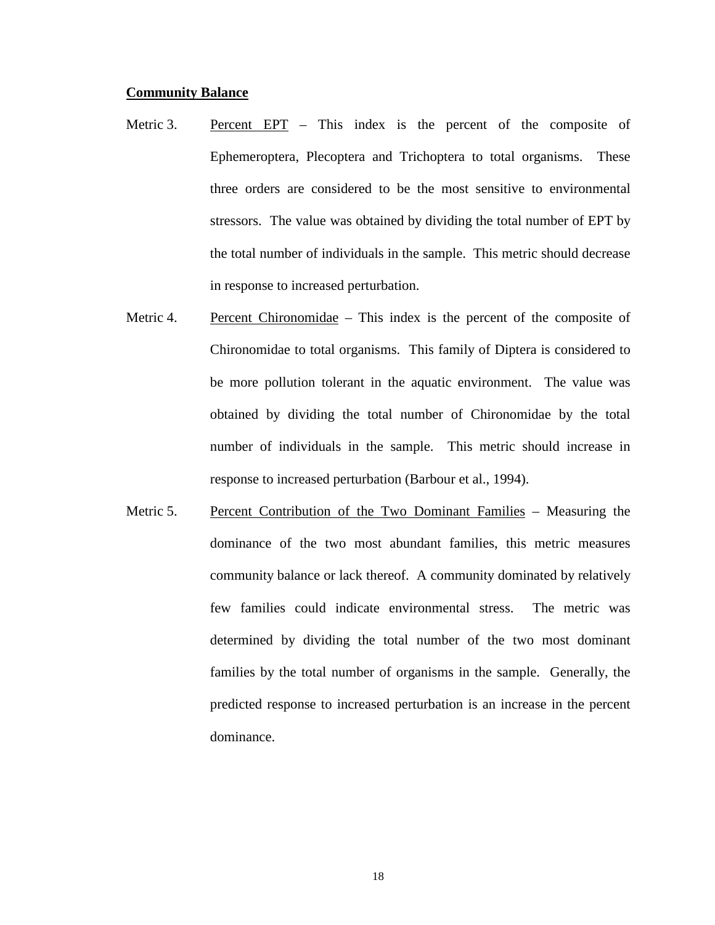#### **Community Balance**

- Metric 3. Percent EPT This index is the percent of the composite of Ephemeroptera, Plecoptera and Trichoptera to total organisms. These three orders are considered to be the most sensitive to environmental stressors. The value was obtained by dividing the total number of EPT by the total number of individuals in the sample. This metric should decrease in response to increased perturbation.
- Metric 4. Percent Chironomidae This index is the percent of the composite of Chironomidae to total organisms. This family of Diptera is considered to be more pollution tolerant in the aquatic environment. The value was obtained by dividing the total number of Chironomidae by the total number of individuals in the sample. This metric should increase in response to increased perturbation (Barbour et al., 1994).
- Metric 5. Percent Contribution of the Two Dominant Families Measuring the dominance of the two most abundant families, this metric measures community balance or lack thereof. A community dominated by relatively few families could indicate environmental stress. The metric was determined by dividing the total number of the two most dominant families by the total number of organisms in the sample. Generally, the predicted response to increased perturbation is an increase in the percent dominance.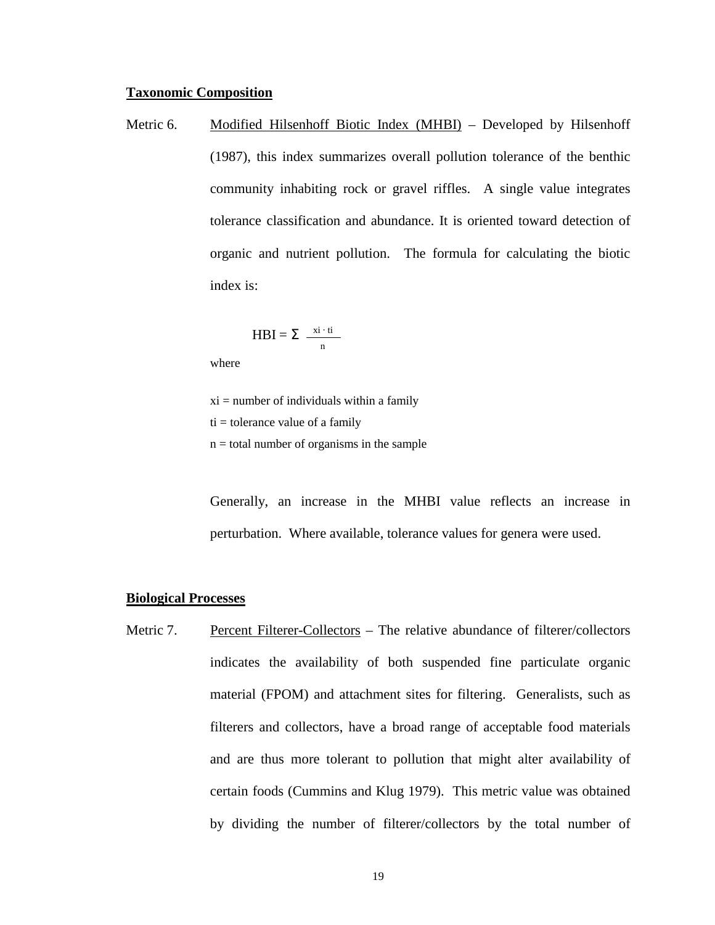#### **Taxonomic Composition**

Metric 6. Modified Hilsenhoff Biotic Index (MHBI) – Developed by Hilsenhoff (1987), this index summarizes overall pollution tolerance of the benthic community inhabiting rock or gravel riffles. A single value integrates tolerance classification and abundance. It is oriented toward detection of organic and nutrient pollution. The formula for calculating the biotic index is:

$$
HBI = \sum \frac{x\mathbf{i} \cdot \mathbf{ti}}{n}
$$

where

 $xi =$  number of individuals within a family

 $ti =$  tolerance value of a family

 $n =$  total number of organisms in the sample

Generally, an increase in the MHBI value reflects an increase in perturbation. Where available, tolerance values for genera were used.

#### **Biological Processes**

Metric 7. Percent Filterer-Collectors – The relative abundance of filterer/collectors indicates the availability of both suspended fine particulate organic material (FPOM) and attachment sites for filtering. Generalists, such as filterers and collectors, have a broad range of acceptable food materials and are thus more tolerant to pollution that might alter availability of certain foods (Cummins and Klug 1979). This metric value was obtained by dividing the number of filterer/collectors by the total number of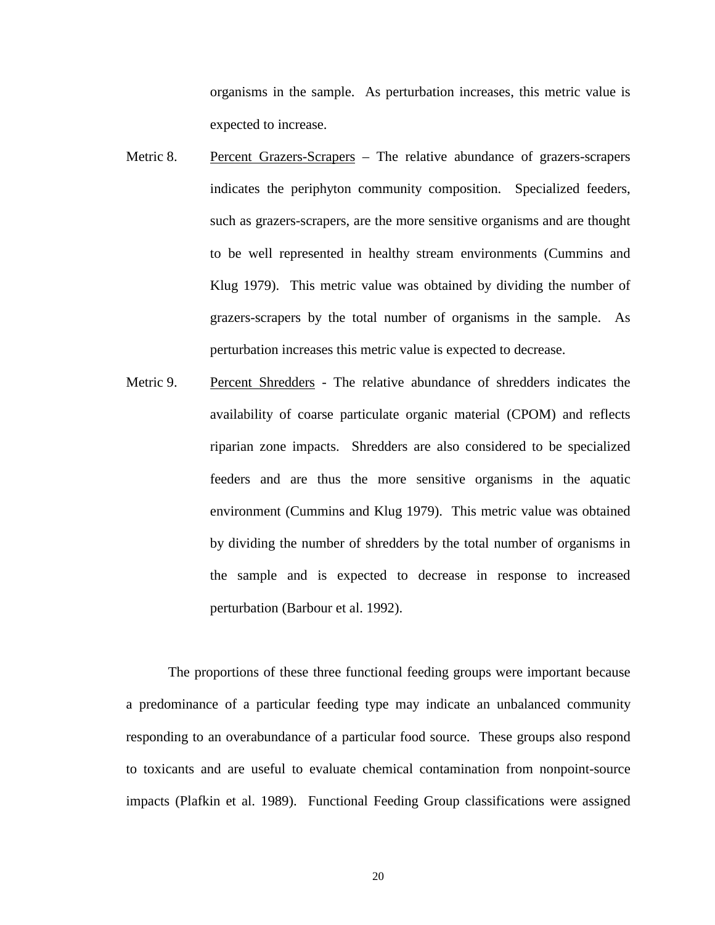organisms in the sample. As perturbation increases, this metric value is expected to increase.

- Metric 8. Percent Grazers-Scrapers The relative abundance of grazers-scrapers indicates the periphyton community composition. Specialized feeders, such as grazers-scrapers, are the more sensitive organisms and are thought to be well represented in healthy stream environments (Cummins and Klug 1979). This metric value was obtained by dividing the number of grazers-scrapers by the total number of organisms in the sample. As perturbation increases this metric value is expected to decrease.
- Metric 9. Percent Shredders The relative abundance of shredders indicates the availability of coarse particulate organic material (CPOM) and reflects riparian zone impacts. Shredders are also considered to be specialized feeders and are thus the more sensitive organisms in the aquatic environment (Cummins and Klug 1979). This metric value was obtained by dividing the number of shredders by the total number of organisms in the sample and is expected to decrease in response to increased perturbation (Barbour et al. 1992).

The proportions of these three functional feeding groups were important because a predominance of a particular feeding type may indicate an unbalanced community responding to an overabundance of a particular food source. These groups also respond to toxicants and are useful to evaluate chemical contamination from nonpoint-source impacts (Plafkin et al. 1989). Functional Feeding Group classifications were assigned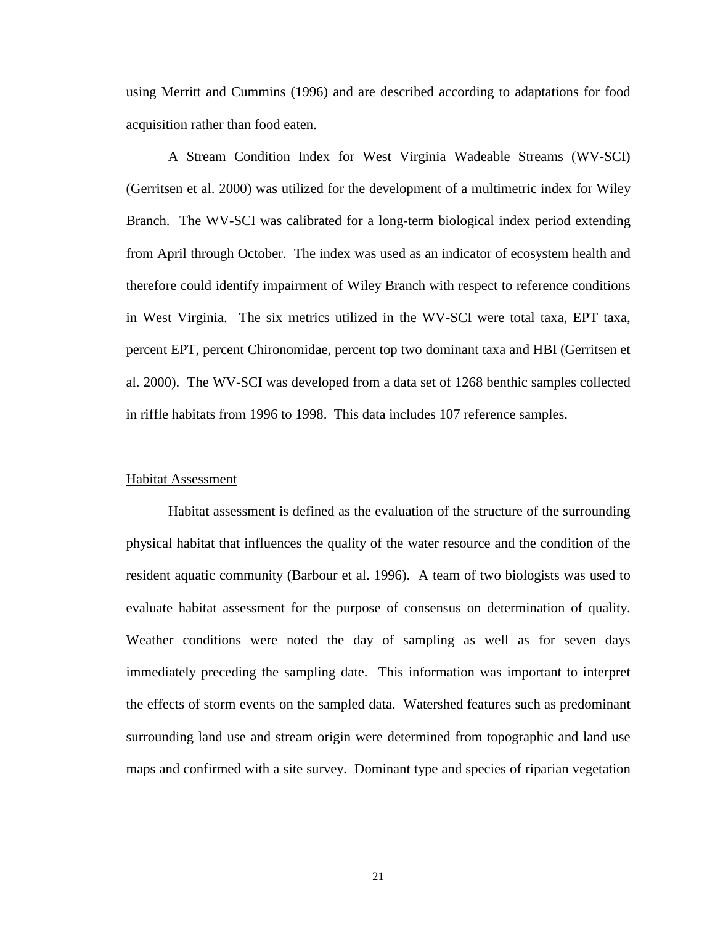<span id="page-31-0"></span>using Merritt and Cummins (1996) and are described according to adaptations for food acquisition rather than food eaten.

A Stream Condition Index for West Virginia Wadeable Streams (WV-SCI) (Gerritsen et al. 2000) was utilized for the development of a multimetric index for Wiley Branch. The WV-SCI was calibrated for a long-term biological index period extending from April through October. The index was used as an indicator of ecosystem health and therefore could identify impairment of Wiley Branch with respect to reference conditions in West Virginia. The six metrics utilized in the WV-SCI were total taxa, EPT taxa, percent EPT, percent Chironomidae, percent top two dominant taxa and HBI (Gerritsen et al. 2000). The WV-SCI was developed from a data set of 1268 benthic samples collected in riffle habitats from 1996 to 1998. This data includes 107 reference samples.

#### Habitat Assessment

Habitat assessment is defined as the evaluation of the structure of the surrounding physical habitat that influences the quality of the water resource and the condition of the resident aquatic community (Barbour et al. 1996). A team of two biologists was used to evaluate habitat assessment for the purpose of consensus on determination of quality. Weather conditions were noted the day of sampling as well as for seven days immediately preceding the sampling date. This information was important to interpret the effects of storm events on the sampled data. Watershed features such as predominant surrounding land use and stream origin were determined from topographic and land use maps and confirmed with a site survey. Dominant type and species of riparian vegetation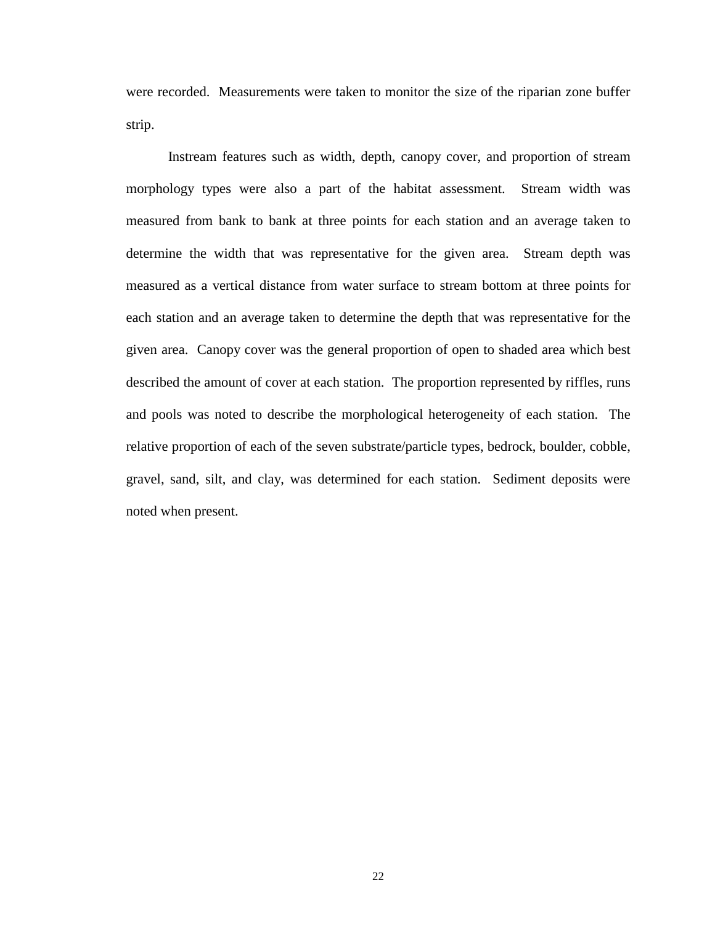were recorded. Measurements were taken to monitor the size of the riparian zone buffer strip.

Instream features such as width, depth, canopy cover, and proportion of stream morphology types were also a part of the habitat assessment. Stream width was measured from bank to bank at three points for each station and an average taken to determine the width that was representative for the given area. Stream depth was measured as a vertical distance from water surface to stream bottom at three points for each station and an average taken to determine the depth that was representative for the given area. Canopy cover was the general proportion of open to shaded area which best described the amount of cover at each station. The proportion represented by riffles, runs and pools was noted to describe the morphological heterogeneity of each station. The relative proportion of each of the seven substrate/particle types, bedrock, boulder, cobble, gravel, sand, silt, and clay, was determined for each station. Sediment deposits were noted when present.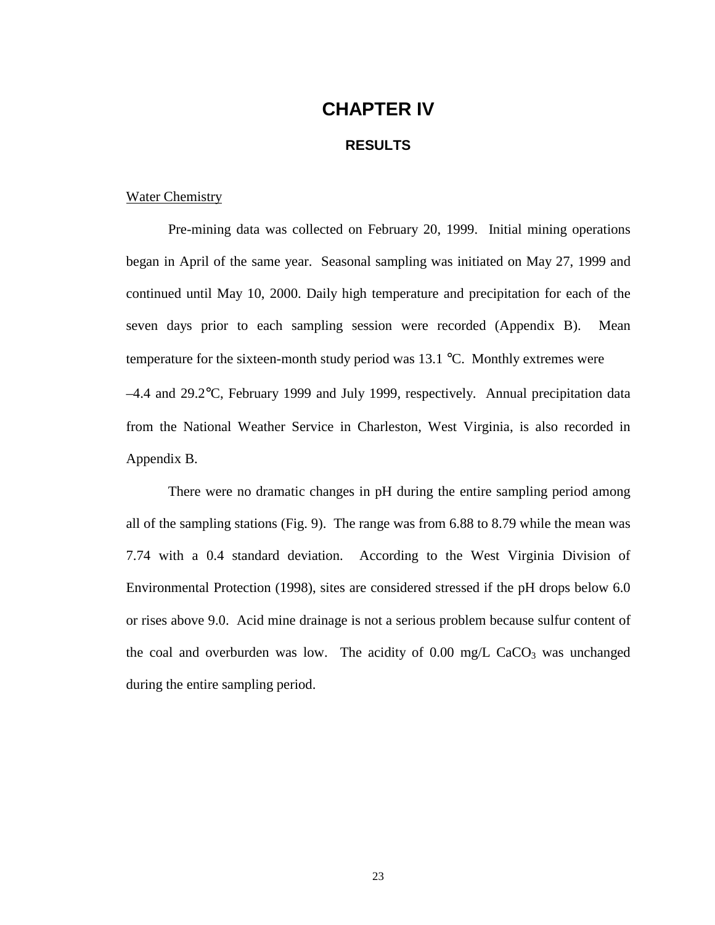### **CHAPTER IV**

#### **RESULTS**

#### <span id="page-33-0"></span>Water Chemistry

Pre-mining data was collected on February 20, 1999. Initial mining operations began in April of the same year. Seasonal sampling was initiated on May 27, 1999 and continued until May 10, 2000. Daily high temperature and precipitation for each of the seven days prior to each sampling session were recorded [\(Appendix B\).](#page-111-0) Mean temperature for the sixteen-month study period was 13.1 °C. Monthly extremes were –4.4 and 29.2°C, February 1999 and July 1999, respectively. Annual precipitation data from the National Weather Service in Charleston, West Virginia, is also recorded in [Appendix B.](#page-111-0)

There were no dramatic changes in pH during the entire sampling period among all of the sampling stations (Fig. 9). The range was from 6.88 to 8.79 while the mean was 7.74 with a 0.4 standard deviation. According to the West Virginia Division of Environmental Protection (1998), sites are considered stressed if the pH drops below 6.0 or rises above 9.0. Acid mine drainage is not a serious problem because sulfur content of the coal and overburden was low. The acidity of  $0.00 \text{ mg/L } CaCO<sub>3</sub>$  was unchanged during the entire sampling period.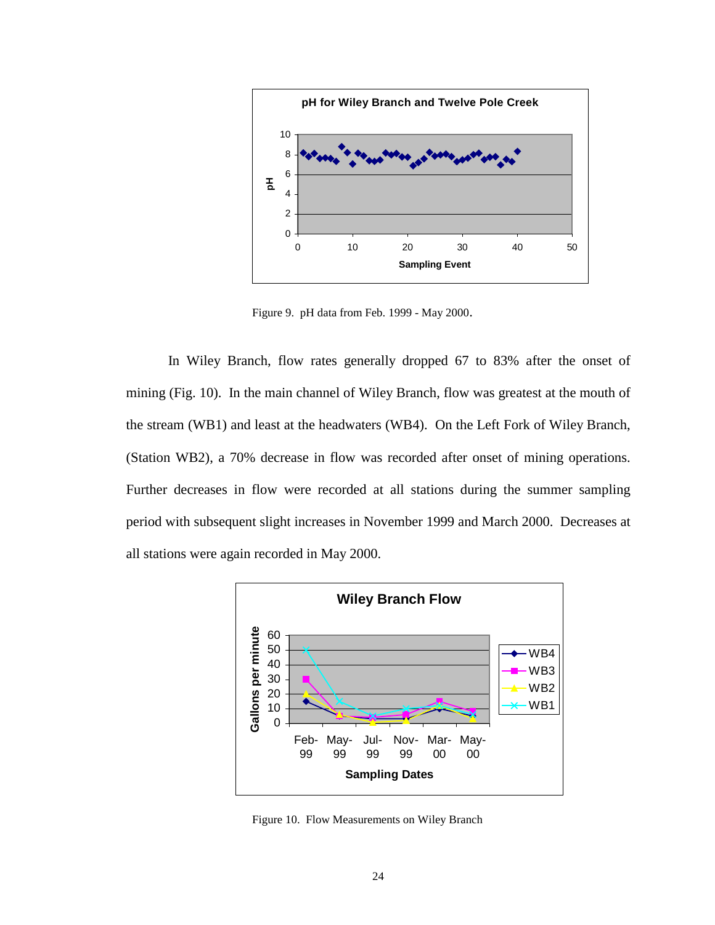

Figure 9. pH data from Feb. 1999 - May 2000.

In Wiley Branch, flow rates generally dropped 67 to 83% after the onset of mining (Fig. 10). In the main channel of Wiley Branch, flow was greatest at the mouth of the stream (WB1) and least at the headwaters (WB4). On the Left Fork of Wiley Branch, (Station WB2), a 70% decrease in flow was recorded after onset of mining operations. Further decreases in flow were recorded at all stations during the summer sampling period with subsequent slight increases in November 1999 and March 2000. Decreases at all stations were again recorded in May 2000.



Figure 10. Flow Measurements on Wiley Branch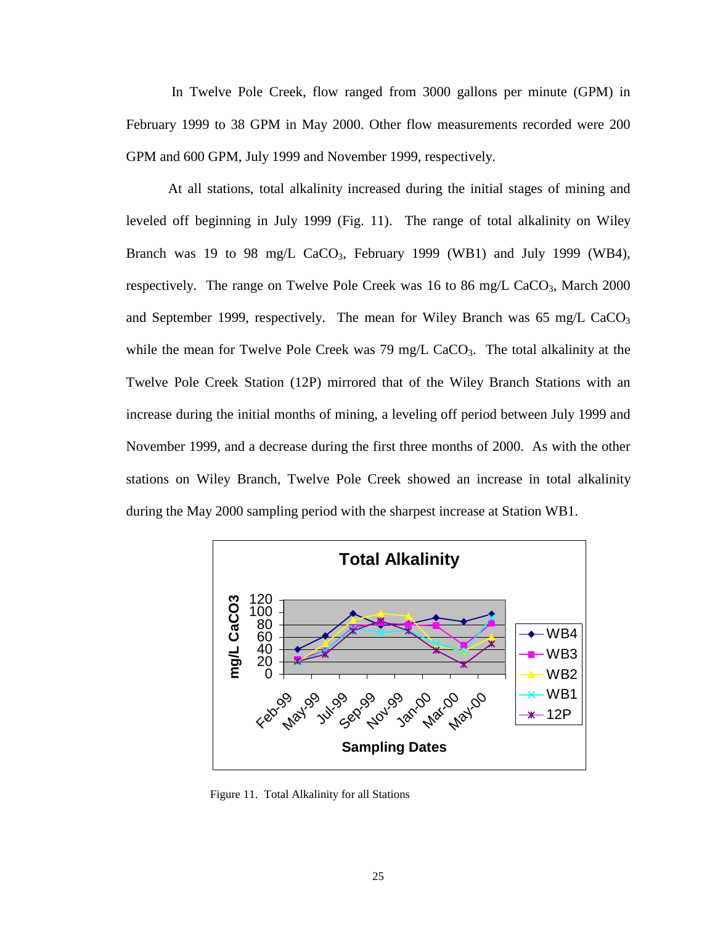In Twelve Pole Creek, flow ranged from 3000 gallons per minute (GPM) in February 1999 to 38 GPM in May 2000. Other flow measurements recorded were 200 GPM and 600 GPM, July 1999 and November 1999, respectively.

At all stations, total alkalinity increased during the initial stages of mining and leveled off beginning in July 1999 (Fig. 11). The range of total alkalinity on Wiley Branch was 19 to 98 mg/L CaCO<sub>3</sub>, February 1999 (WB1) and July 1999 (WB4), respectively. The range on Twelve Pole Creek was 16 to 86 mg/L CaCO<sub>3</sub>, March 2000 and September 1999, respectively. The mean for Wiley Branch was  $65 \text{ mg/L } CaCO<sub>3</sub>$ while the mean for Twelve Pole Creek was  $79 \text{ mg/L } CaCO<sub>3</sub>$ . The total alkalinity at the Twelve Pole Creek Station (12P) mirrored that of the Wiley Branch Stations with an increase during the initial months of mining, a leveling off period between July 1999 and November 1999, and a decrease during the first three months of 2000. As with the other stations on Wiley Branch, Twelve Pole Creek showed an increase in total alkalinity during the May 2000 sampling period with the sharpest increase at Station WB1.



Figure 11. Total Alkalinity for all Stations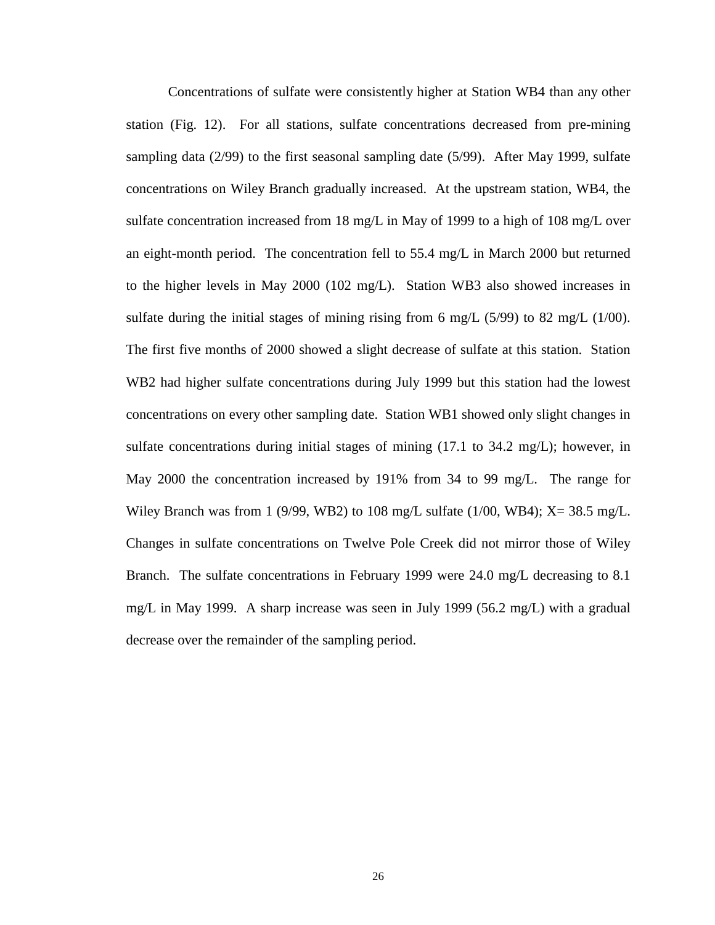Concentrations of sulfate were consistently higher at Station WB4 than any other station (Fig. 12). For all stations, sulfate concentrations decreased from pre-mining sampling data (2/99) to the first seasonal sampling date (5/99). After May 1999, sulfate concentrations on Wiley Branch gradually increased. At the upstream station, WB4, the sulfate concentration increased from 18 mg/L in May of 1999 to a high of 108 mg/L over an eight-month period. The concentration fell to 55.4 mg/L in March 2000 but returned to the higher levels in May 2000 (102 mg/L). Station WB3 also showed increases in sulfate during the initial stages of mining rising from 6 mg/L (5/99) to 82 mg/L (1/00). The first five months of 2000 showed a slight decrease of sulfate at this station. Station WB2 had higher sulfate concentrations during July 1999 but this station had the lowest concentrations on every other sampling date. Station WB1 showed only slight changes in sulfate concentrations during initial stages of mining  $(17.1 \text{ to } 34.2 \text{ mg/L})$ ; however, in May 2000 the concentration increased by 191% from 34 to 99 mg/L. The range for Wiley Branch was from 1 (9/99, WB2) to 108 mg/L sulfate (1/00, WB4);  $X = 38.5$  mg/L. Changes in sulfate concentrations on Twelve Pole Creek did not mirror those of Wiley Branch. The sulfate concentrations in February 1999 were 24.0 mg/L decreasing to 8.1 mg/L in May 1999. A sharp increase was seen in July 1999 (56.2 mg/L) with a gradual decrease over the remainder of the sampling period.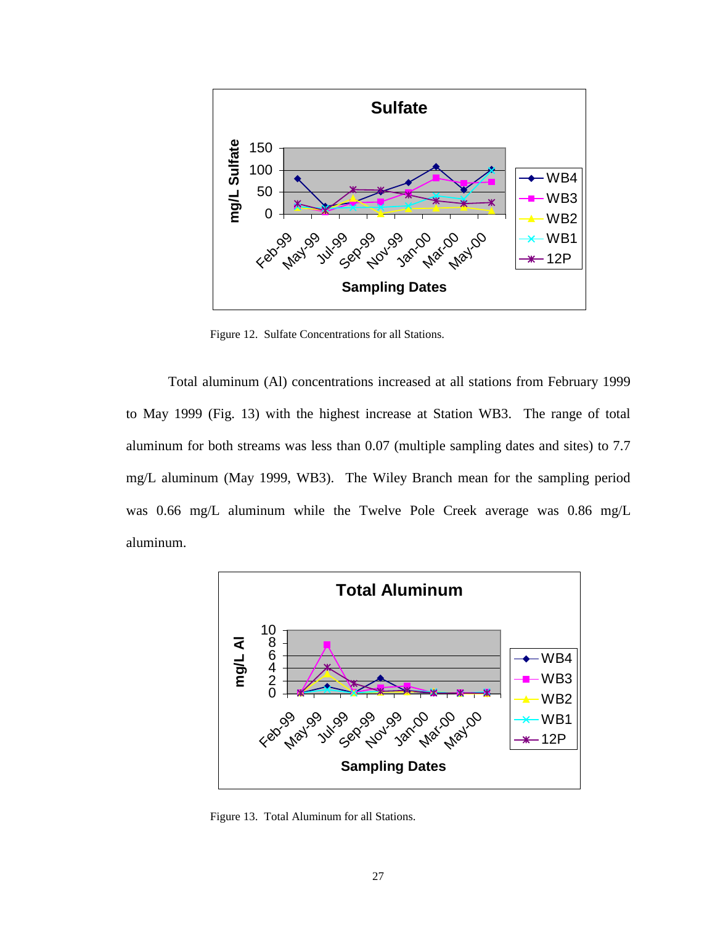

Figure 12. Sulfate Concentrations for all Stations.

Total aluminum (Al) concentrations increased at all stations from February 1999 to May 1999 (Fig. 13) with the highest increase at Station WB3. The range of total aluminum for both streams was less than 0.07 (multiple sampling dates and sites) to 7.7 mg/L aluminum (May 1999, WB3). The Wiley Branch mean for the sampling period was 0.66 mg/L aluminum while the Twelve Pole Creek average was 0.86 mg/L aluminum.



Figure 13. Total Aluminum for all Stations.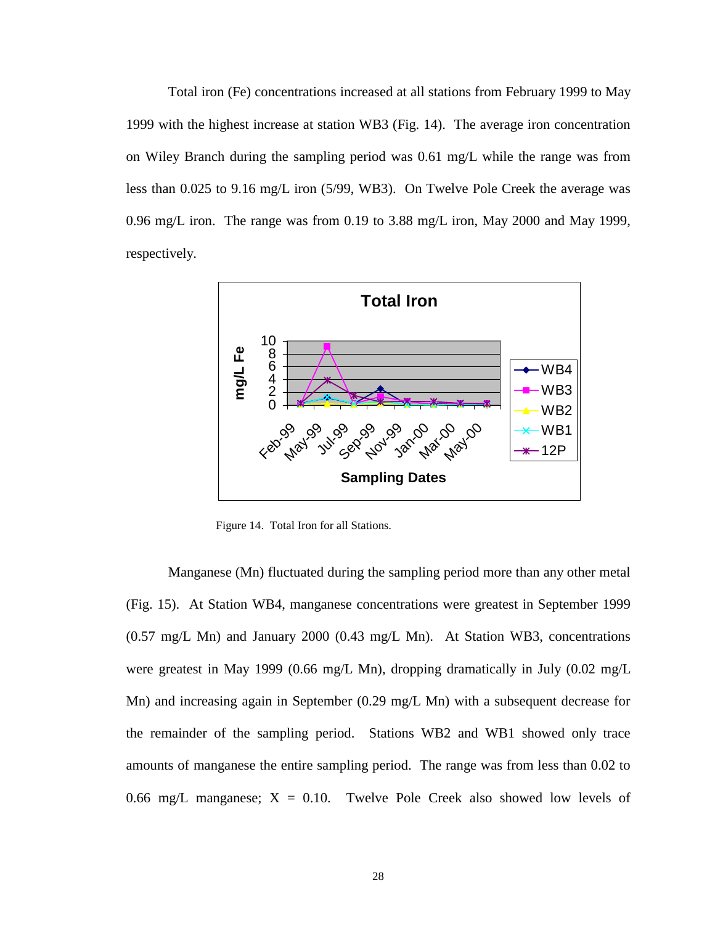Total iron (Fe) concentrations increased at all stations from February 1999 to May 1999 with the highest increase at station WB3 (Fig. 14). The average iron concentration on Wiley Branch during the sampling period was 0.61 mg/L while the range was from less than 0.025 to 9.16 mg/L iron (5/99, WB3). On Twelve Pole Creek the average was 0.96 mg/L iron. The range was from 0.19 to 3.88 mg/L iron, May 2000 and May 1999, respectively.



Figure 14. Total Iron for all Stations.

Manganese (Mn) fluctuated during the sampling period more than any other metal (Fig. 15). At Station WB4, manganese concentrations were greatest in September 1999 (0.57 mg/L Mn) and January 2000 (0.43 mg/L Mn). At Station WB3, concentrations were greatest in May 1999 (0.66 mg/L Mn), dropping dramatically in July (0.02 mg/L Mn) and increasing again in September (0.29 mg/L Mn) with a subsequent decrease for the remainder of the sampling period. Stations WB2 and WB1 showed only trace amounts of manganese the entire sampling period. The range was from less than 0.02 to 0.66 mg/L manganese;  $X = 0.10$ . Twelve Pole Creek also showed low levels of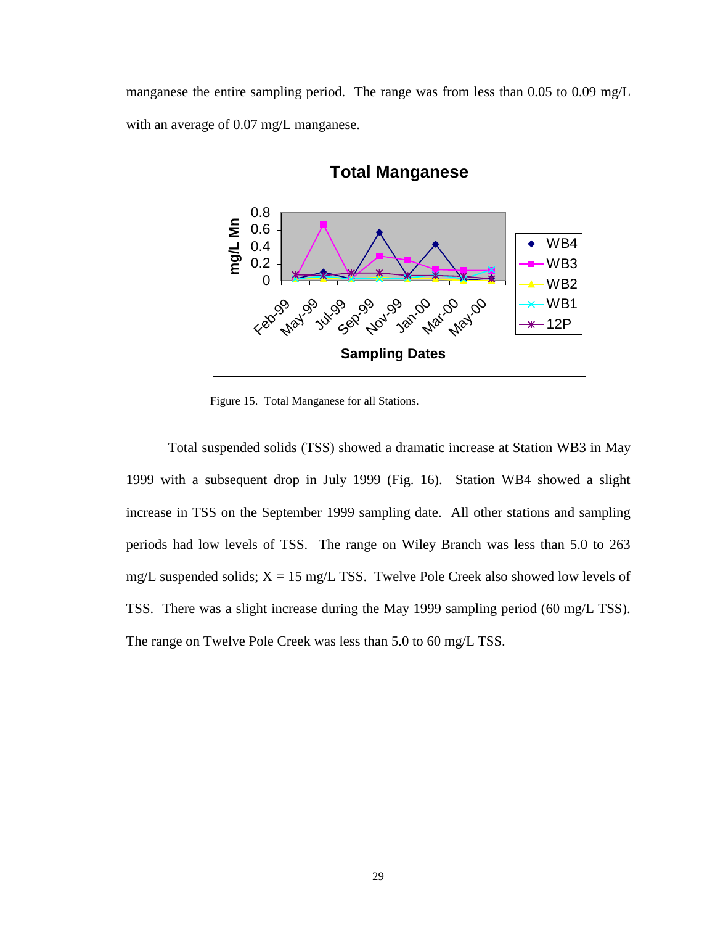manganese the entire sampling period. The range was from less than 0.05 to 0.09 mg/L with an average of 0.07 mg/L manganese.



Figure 15. Total Manganese for all Stations.

Total suspended solids (TSS) showed a dramatic increase at Station WB3 in May 1999 with a subsequent drop in July 1999 (Fig. 16). Station WB4 showed a slight increase in TSS on the September 1999 sampling date. All other stations and sampling periods had low levels of TSS. The range on Wiley Branch was less than 5.0 to 263 mg/L suspended solids;  $X = 15$  mg/L TSS. Twelve Pole Creek also showed low levels of TSS. There was a slight increase during the May 1999 sampling period (60 mg/L TSS). The range on Twelve Pole Creek was less than 5.0 to 60 mg/L TSS.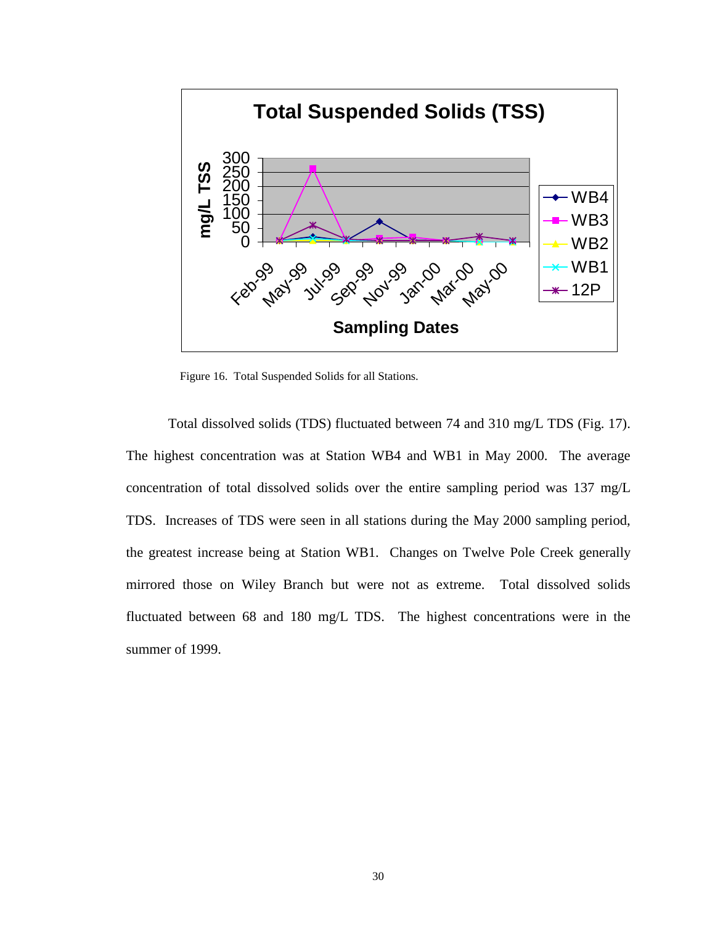

Figure 16. Total Suspended Solids for all Stations.

Total dissolved solids (TDS) fluctuated between 74 and 310 mg/L TDS (Fig. 17). The highest concentration was at Station WB4 and WB1 in May 2000. The average concentration of total dissolved solids over the entire sampling period was 137 mg/L TDS. Increases of TDS were seen in all stations during the May 2000 sampling period, the greatest increase being at Station WB1. Changes on Twelve Pole Creek generally mirrored those on Wiley Branch but were not as extreme. Total dissolved solids fluctuated between 68 and 180 mg/L TDS. The highest concentrations were in the summer of 1999.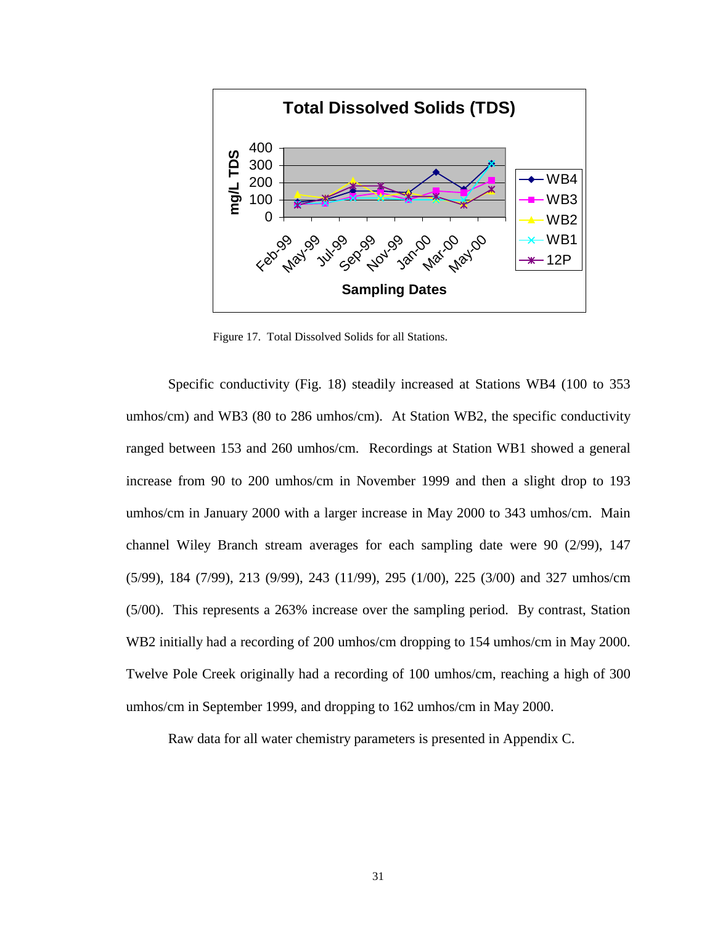

Figure 17. Total Dissolved Solids for all Stations.

Specific conductivity (Fig. 18) steadily increased at Stations WB4 (100 to 353 umhos/cm) and WB3 (80 to 286 umhos/cm). At Station WB2, the specific conductivity ranged between 153 and 260 umhos/cm. Recordings at Station WB1 showed a general increase from 90 to 200 umhos/cm in November 1999 and then a slight drop to 193 umhos/cm in January 2000 with a larger increase in May 2000 to 343 umhos/cm. Main channel Wiley Branch stream averages for each sampling date were 90 (2/99), 147 (5/99), 184 (7/99), 213 (9/99), 243 (11/99), 295 (1/00), 225 (3/00) and 327 umhos/cm (5/00). This represents a 263% increase over the sampling period. By contrast, Station WB2 initially had a recording of 200 umhos/cm dropping to 154 umhos/cm in May 2000. Twelve Pole Creek originally had a recording of 100 umhos/cm, reaching a high of 300 umhos/cm in September 1999, and dropping to 162 umhos/cm in May 2000.

Raw data for all water chemistry parameters is presented in [Appendix C.](#page-116-0)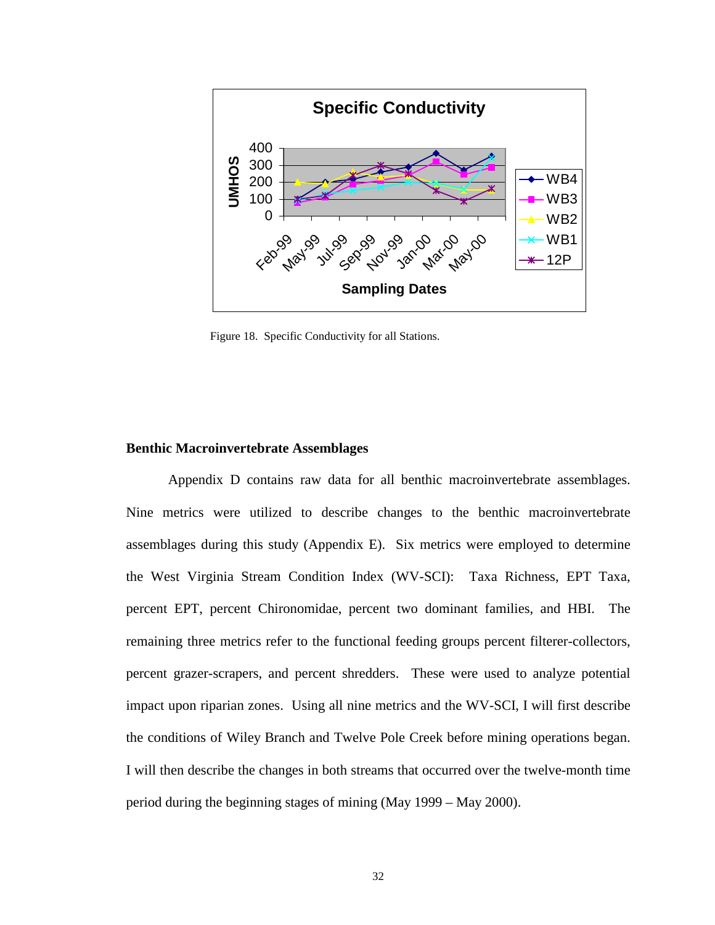

Figure 18. Specific Conductivity for all Stations.

#### **Benthic Macroinvertebrate Assemblages**

 [Appendix D](#page-121-0) contains raw data for all benthic macroinvertebrate assemblages. Nine metrics were utilized to describe changes to the benthic macroinvertebrate assemblages during this study [\(Appendix E\).](#page-146-0) Six metrics were employed to determine the West Virginia Stream Condition Index (WV-SCI): Taxa Richness, EPT Taxa, percent EPT, percent Chironomidae, percent two dominant families, and HBI. The remaining three metrics refer to the functional feeding groups percent filterer-collectors, percent grazer-scrapers, and percent shredders. These were used to analyze potential impact upon riparian zones. Using all nine metrics and the WV-SCI, I will first describe the conditions of Wiley Branch and Twelve Pole Creek before mining operations began. I will then describe the changes in both streams that occurred over the twelve-month time period during the beginning stages of mining (May 1999 – May 2000).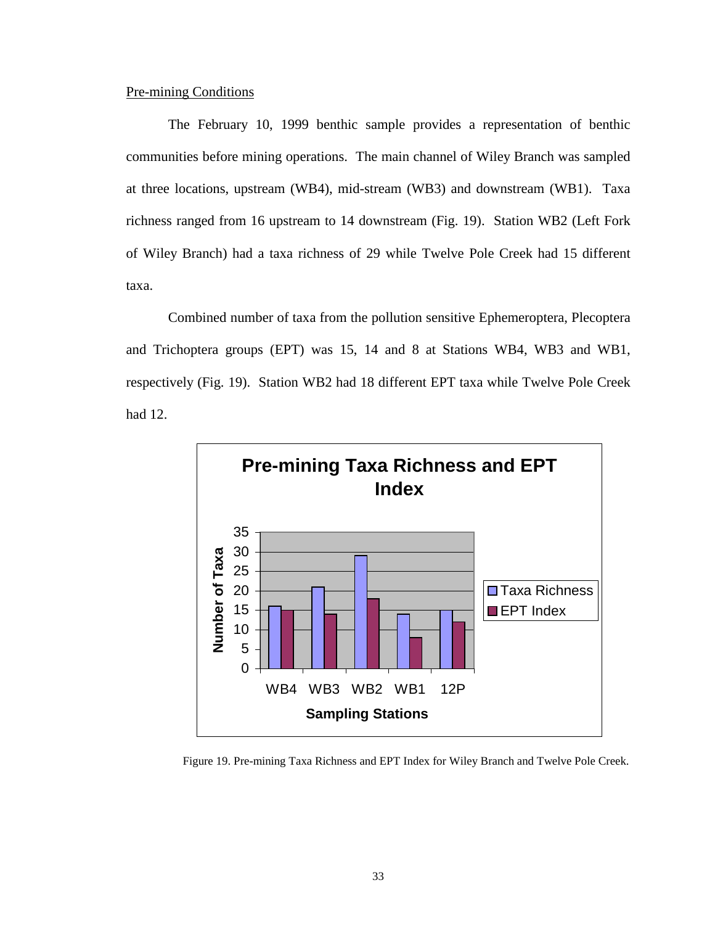# Pre-mining Conditions

The February 10, 1999 benthic sample provides a representation of benthic communities before mining operations. The main channel of Wiley Branch was sampled at three locations, upstream (WB4), mid-stream (WB3) and downstream (WB1). Taxa richness ranged from 16 upstream to 14 downstream (Fig. 19). Station WB2 (Left Fork of Wiley Branch) had a taxa richness of 29 while Twelve Pole Creek had 15 different taxa.

Combined number of taxa from the pollution sensitive Ephemeroptera, Plecoptera and Trichoptera groups (EPT) was 15, 14 and 8 at Stations WB4, WB3 and WB1, respectively (Fig. 19). Station WB2 had 18 different EPT taxa while Twelve Pole Creek had 12.



Figure 19. Pre-mining Taxa Richness and EPT Index for Wiley Branch and Twelve Pole Creek.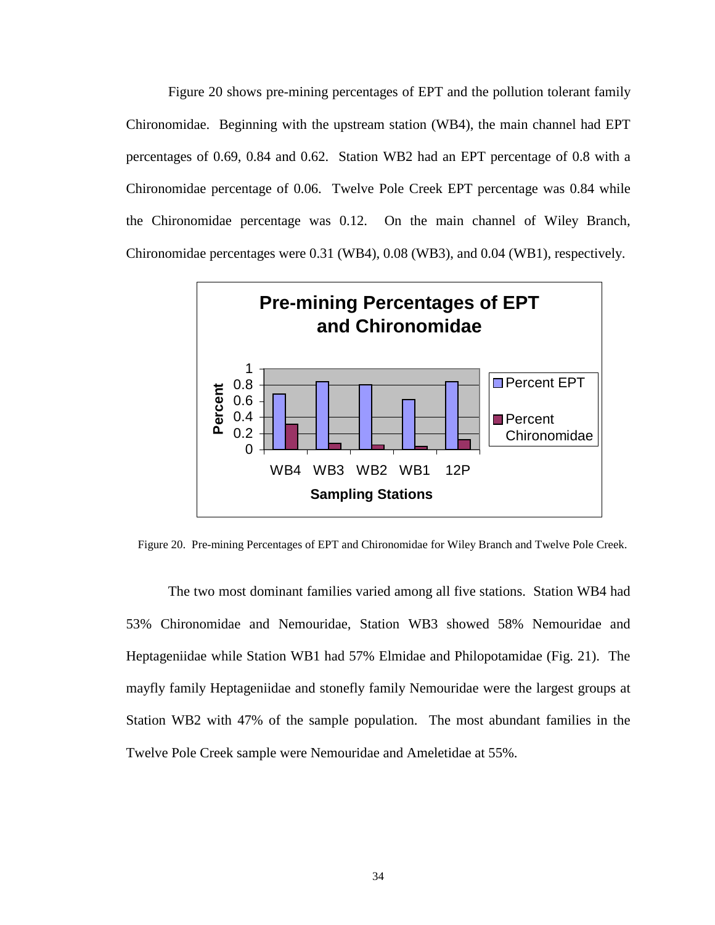Figure 20 shows pre-mining percentages of EPT and the pollution tolerant family Chironomidae. Beginning with the upstream station (WB4), the main channel had EPT percentages of 0.69, 0.84 and 0.62. Station WB2 had an EPT percentage of 0.8 with a Chironomidae percentage of 0.06. Twelve Pole Creek EPT percentage was 0.84 while the Chironomidae percentage was 0.12. On the main channel of Wiley Branch, Chironomidae percentages were 0.31 (WB4), 0.08 (WB3), and 0.04 (WB1), respectively.



Figure 20. Pre-mining Percentages of EPT and Chironomidae for Wiley Branch and Twelve Pole Creek.

The two most dominant families varied among all five stations. Station WB4 had 53% Chironomidae and Nemouridae, Station WB3 showed 58% Nemouridae and Heptageniidae while Station WB1 had 57% Elmidae and Philopotamidae (Fig. 21). The mayfly family Heptageniidae and stonefly family Nemouridae were the largest groups at Station WB2 with 47% of the sample population. The most abundant families in the Twelve Pole Creek sample were Nemouridae and Ameletidae at 55%.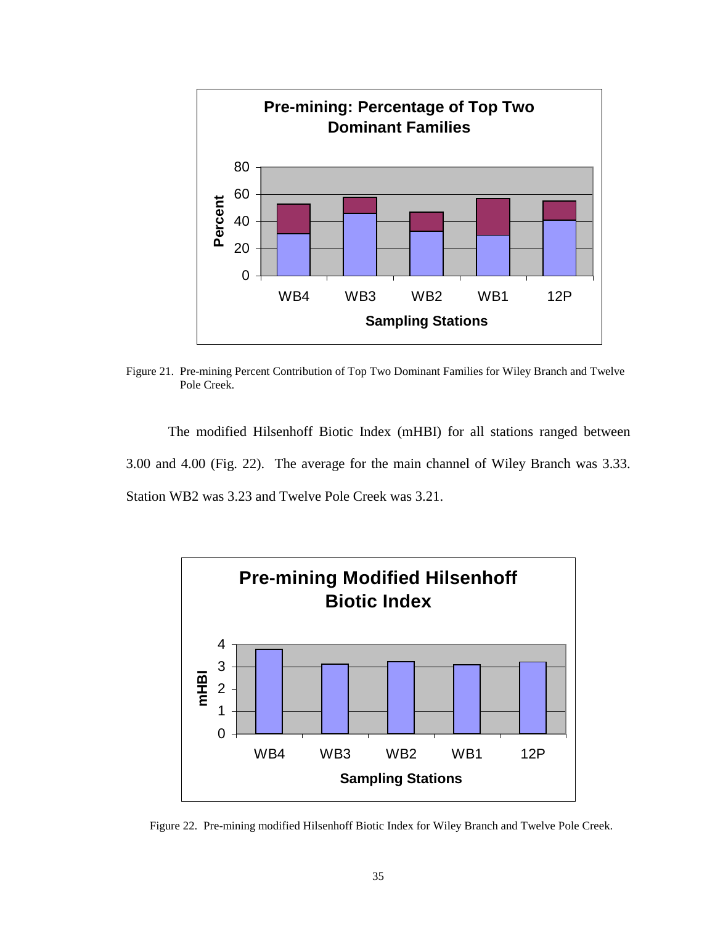

Figure 21. Pre-mining Percent Contribution of Top Two Dominant Families for Wiley Branch and Twelve Pole Creek.

The modified Hilsenhoff Biotic Index (mHBI) for all stations ranged between 3.00 and 4.00 (Fig. 22). The average for the main channel of Wiley Branch was 3.33. Station WB2 was 3.23 and Twelve Pole Creek was 3.21.



Figure 22. Pre-mining modified Hilsenhoff Biotic Index for Wiley Branch and Twelve Pole Creek.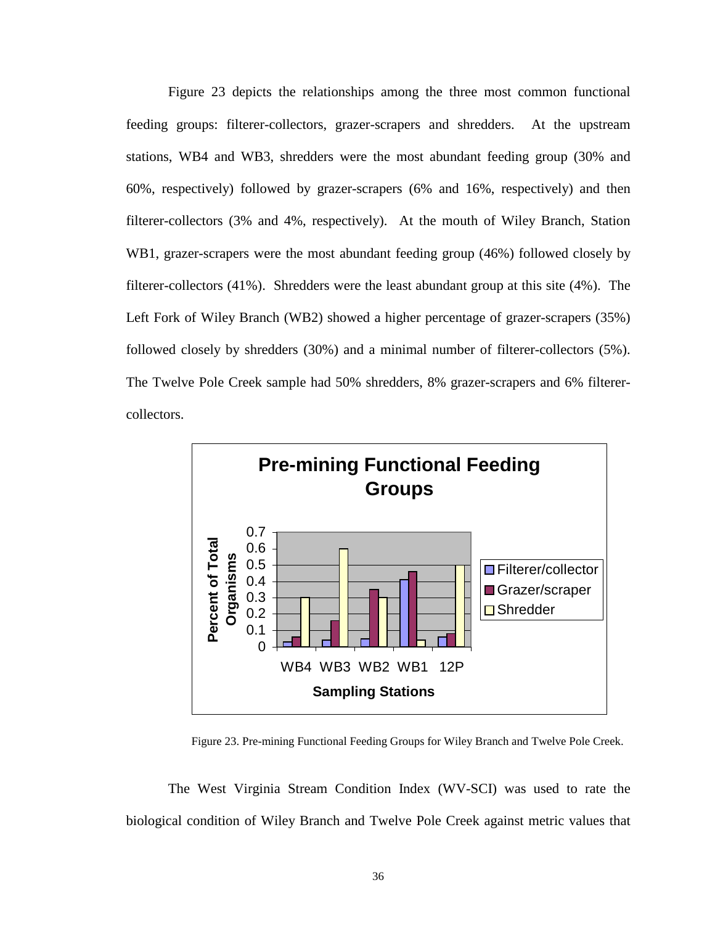Figure 23 depicts the relationships among the three most common functional feeding groups: filterer-collectors, grazer-scrapers and shredders. At the upstream stations, WB4 and WB3, shredders were the most abundant feeding group (30% and 60%, respectively) followed by grazer-scrapers (6% and 16%, respectively) and then filterer-collectors (3% and 4%, respectively). At the mouth of Wiley Branch, Station WB1, grazer-scrapers were the most abundant feeding group (46%) followed closely by filterer-collectors (41%). Shredders were the least abundant group at this site (4%). The Left Fork of Wiley Branch (WB2) showed a higher percentage of grazer-scrapers (35%) followed closely by shredders (30%) and a minimal number of filterer-collectors (5%). The Twelve Pole Creek sample had 50% shredders, 8% grazer-scrapers and 6% filterercollectors.



Figure 23. Pre-mining Functional Feeding Groups for Wiley Branch and Twelve Pole Creek.

The West Virginia Stream Condition Index (WV-SCI) was used to rate the biological condition of Wiley Branch and Twelve Pole Creek against metric values that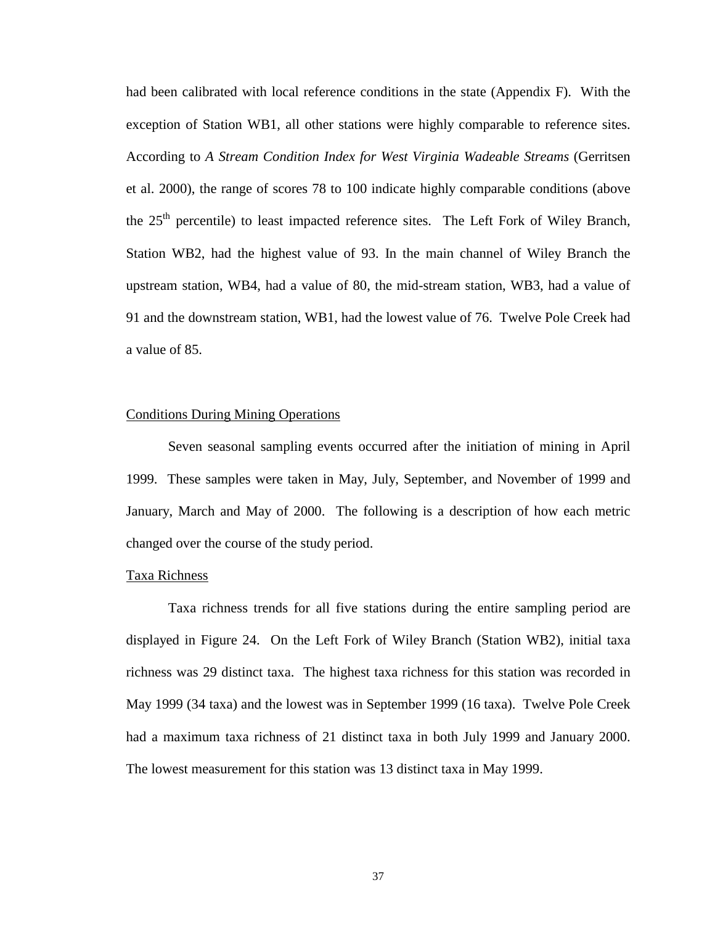had been calibrated with local reference conditions in the state (Appendix F). With the exception of Station WB1, all other stations were highly comparable to reference sites. According to *A Stream Condition Index for West Virginia Wadeable Streams* (Gerritsen et al. 2000), the range of scores 78 to 100 indicate highly comparable conditions (above the 25<sup>th</sup> percentile) to least impacted reference sites. The Left Fork of Wiley Branch, Station WB2, had the highest value of 93. In the main channel of Wiley Branch the upstream station, WB4, had a value of 80, the mid-stream station, WB3, had a value of 91 and the downstream station, WB1, had the lowest value of 76. Twelve Pole Creek had a value of 85.

#### Conditions During Mining Operations

 Seven seasonal sampling events occurred after the initiation of mining in April 1999. These samples were taken in May, July, September, and November of 1999 and January, March and May of 2000. The following is a description of how each metric changed over the course of the study period.

#### Taxa Richness

 Taxa richness trends for all five stations during the entire sampling period are displayed in Figure 24. On the Left Fork of Wiley Branch (Station WB2), initial taxa richness was 29 distinct taxa. The highest taxa richness for this station was recorded in May 1999 (34 taxa) and the lowest was in September 1999 (16 taxa). Twelve Pole Creek had a maximum taxa richness of 21 distinct taxa in both July 1999 and January 2000. The lowest measurement for this station was 13 distinct taxa in May 1999.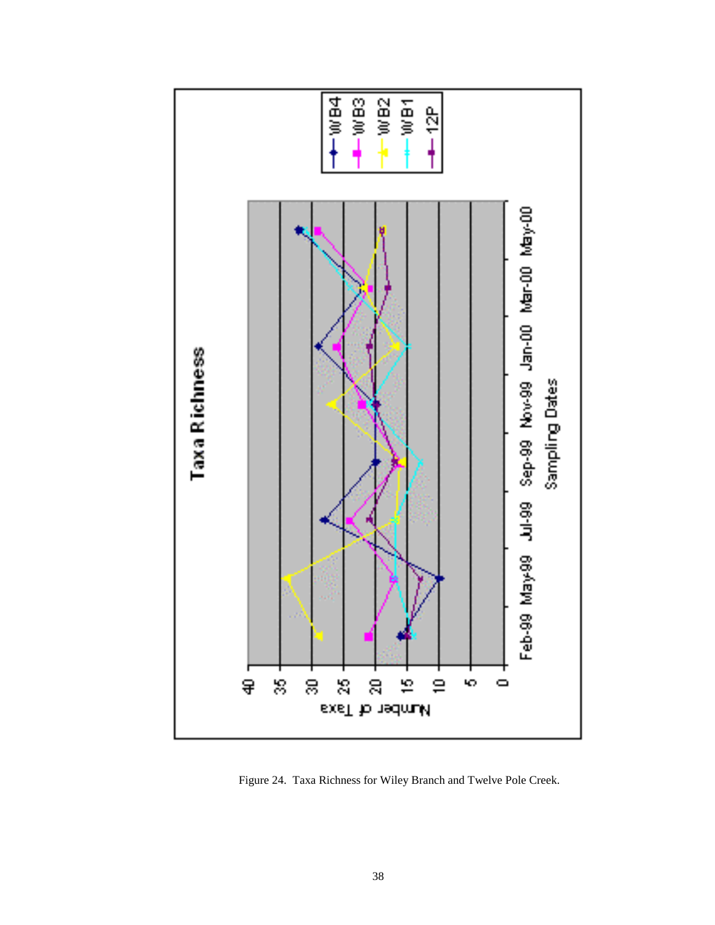

Figure 24. Taxa Richness for Wiley Branch and Twelve Pole Creek.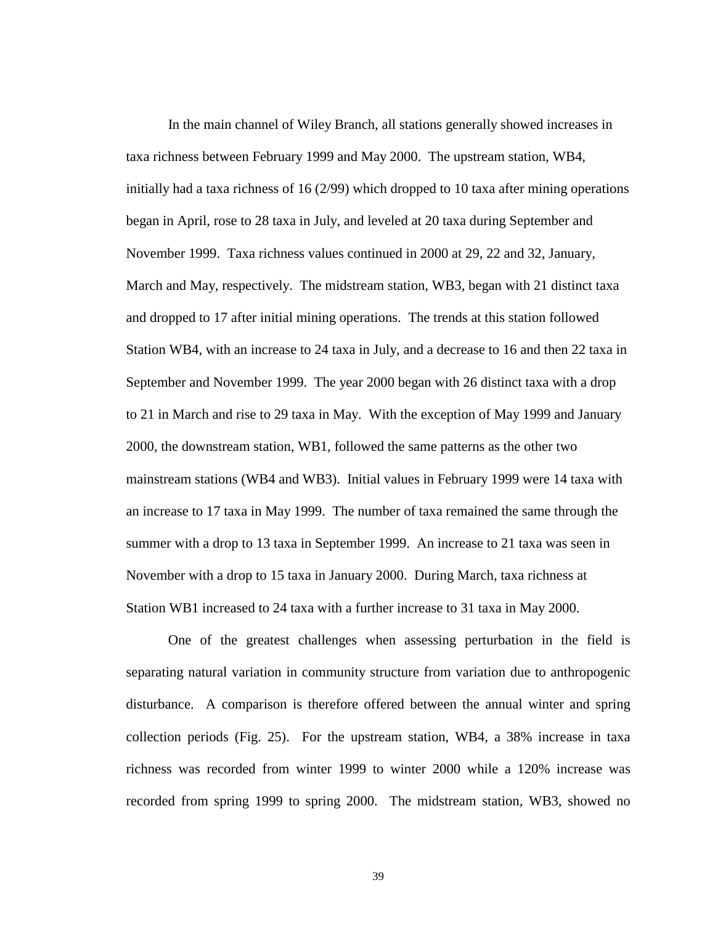In the main channel of Wiley Branch, all stations generally showed increases in taxa richness between February 1999 and May 2000. The upstream station, WB4, initially had a taxa richness of 16 (2/99) which dropped to 10 taxa after mining operations began in April, rose to 28 taxa in July, and leveled at 20 taxa during September and November 1999. Taxa richness values continued in 2000 at 29, 22 and 32, January, March and May, respectively. The midstream station, WB3, began with 21 distinct taxa and dropped to 17 after initial mining operations. The trends at this station followed Station WB4, with an increase to 24 taxa in July, and a decrease to 16 and then 22 taxa in September and November 1999. The year 2000 began with 26 distinct taxa with a drop to 21 in March and rise to 29 taxa in May. With the exception of May 1999 and January 2000, the downstream station, WB1, followed the same patterns as the other two mainstream stations (WB4 and WB3). Initial values in February 1999 were 14 taxa with an increase to 17 taxa in May 1999. The number of taxa remained the same through the summer with a drop to 13 taxa in September 1999. An increase to 21 taxa was seen in November with a drop to 15 taxa in January 2000. During March, taxa richness at Station WB1 increased to 24 taxa with a further increase to 31 taxa in May 2000.

One of the greatest challenges when assessing perturbation in the field is separating natural variation in community structure from variation due to anthropogenic disturbance. A comparison is therefore offered between the annual winter and spring collection periods (Fig. 25). For the upstream station, WB4, a 38% increase in taxa richness was recorded from winter 1999 to winter 2000 while a 120% increase was recorded from spring 1999 to spring 2000. The midstream station, WB3, showed no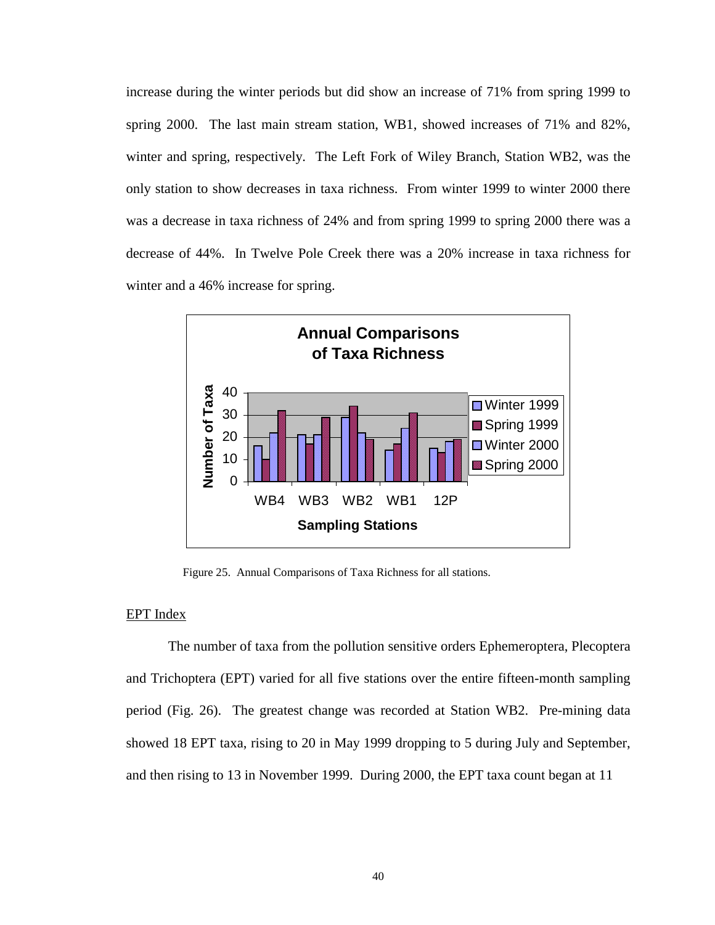increase during the winter periods but did show an increase of 71% from spring 1999 to spring 2000. The last main stream station, WB1, showed increases of 71% and 82%, winter and spring, respectively. The Left Fork of Wiley Branch, Station WB2, was the only station to show decreases in taxa richness. From winter 1999 to winter 2000 there was a decrease in taxa richness of 24% and from spring 1999 to spring 2000 there was a decrease of 44%. In Twelve Pole Creek there was a 20% increase in taxa richness for winter and a 46% increase for spring.



Figure 25. Annual Comparisons of Taxa Richness for all stations.

#### EPT Index

 The number of taxa from the pollution sensitive orders Ephemeroptera, Plecoptera and Trichoptera (EPT) varied for all five stations over the entire fifteen-month sampling period (Fig. 26). The greatest change was recorded at Station WB2. Pre-mining data showed 18 EPT taxa, rising to 20 in May 1999 dropping to 5 during July and September, and then rising to 13 in November 1999. During 2000, the EPT taxa count began at 11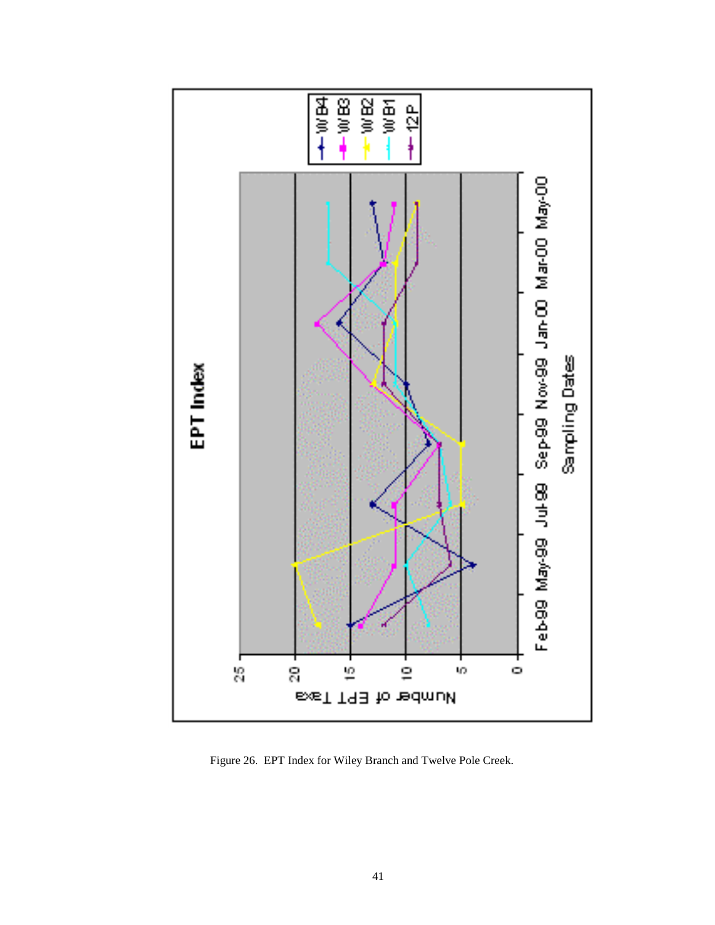

Figure 26. EPT Index for Wiley Branch and Twelve Pole Creek.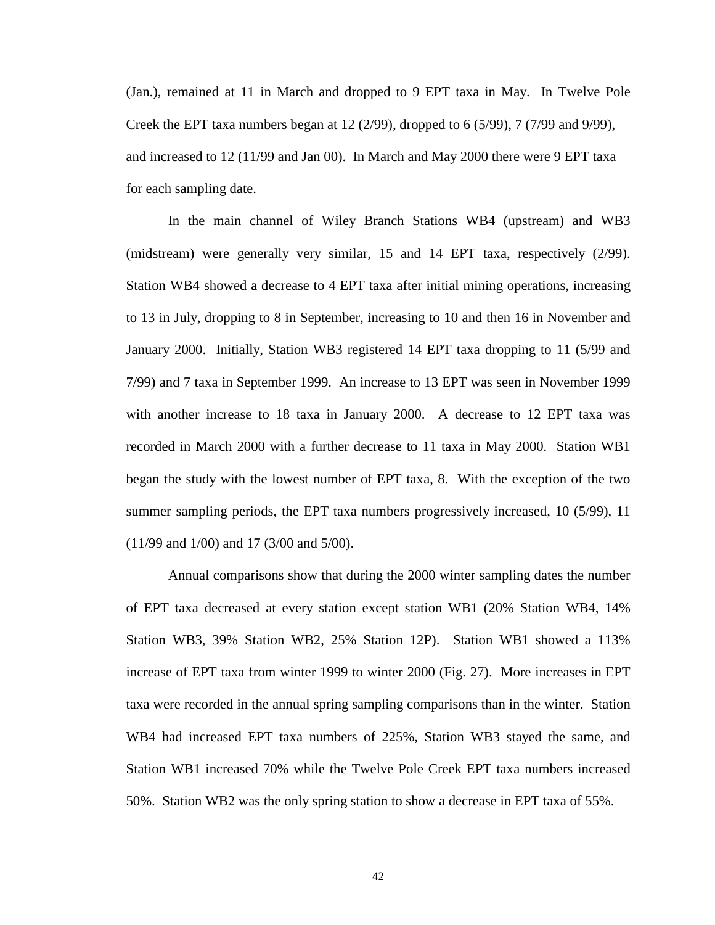(Jan.), remained at 11 in March and dropped to 9 EPT taxa in May. In Twelve Pole Creek the EPT taxa numbers began at 12 (2/99), dropped to 6 (5/99), 7 (7/99 and 9/99), and increased to 12 (11/99 and Jan 00). In March and May 2000 there were 9 EPT taxa for each sampling date.

 In the main channel of Wiley Branch Stations WB4 (upstream) and WB3 (midstream) were generally very similar, 15 and 14 EPT taxa, respectively (2/99). Station WB4 showed a decrease to 4 EPT taxa after initial mining operations, increasing to 13 in July, dropping to 8 in September, increasing to 10 and then 16 in November and January 2000. Initially, Station WB3 registered 14 EPT taxa dropping to 11 (5/99 and 7/99) and 7 taxa in September 1999. An increase to 13 EPT was seen in November 1999 with another increase to 18 taxa in January 2000. A decrease to 12 EPT taxa was recorded in March 2000 with a further decrease to 11 taxa in May 2000. Station WB1 began the study with the lowest number of EPT taxa, 8. With the exception of the two summer sampling periods, the EPT taxa numbers progressively increased, 10 (5/99), 11 (11/99 and 1/00) and 17 (3/00 and 5/00).

Annual comparisons show that during the 2000 winter sampling dates the number of EPT taxa decreased at every station except station WB1 (20% Station WB4, 14% Station WB3, 39% Station WB2, 25% Station 12P). Station WB1 showed a 113% increase of EPT taxa from winter 1999 to winter 2000 (Fig. 27). More increases in EPT taxa were recorded in the annual spring sampling comparisons than in the winter. Station WB4 had increased EPT taxa numbers of 225%, Station WB3 stayed the same, and Station WB1 increased 70% while the Twelve Pole Creek EPT taxa numbers increased 50%. Station WB2 was the only spring station to show a decrease in EPT taxa of 55%.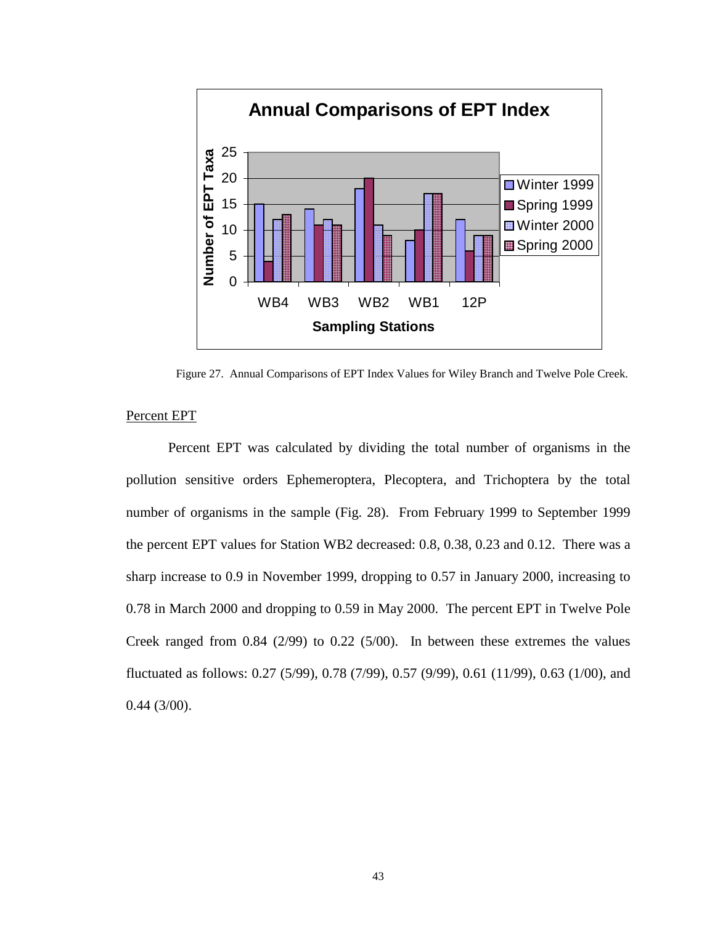

Figure 27. Annual Comparisons of EPT Index Values for Wiley Branch and Twelve Pole Creek.

#### Percent EPT

 Percent EPT was calculated by dividing the total number of organisms in the pollution sensitive orders Ephemeroptera, Plecoptera, and Trichoptera by the total number of organisms in the sample (Fig. 28). From February 1999 to September 1999 the percent EPT values for Station WB2 decreased: 0.8, 0.38, 0.23 and 0.12. There was a sharp increase to 0.9 in November 1999, dropping to 0.57 in January 2000, increasing to 0.78 in March 2000 and dropping to 0.59 in May 2000. The percent EPT in Twelve Pole Creek ranged from 0.84 (2/99) to 0.22 (5/00). In between these extremes the values fluctuated as follows: 0.27 (5/99), 0.78 (7/99), 0.57 (9/99), 0.61 (11/99), 0.63 (1/00), and 0.44 (3/00).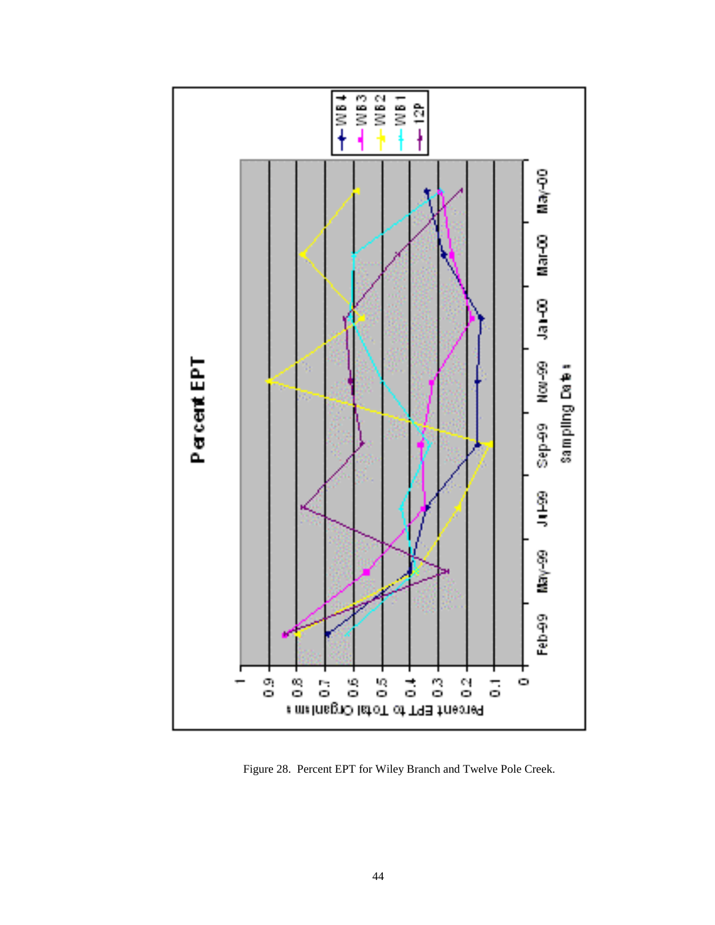

Figure 28. Percent EPT for Wiley Branch and Twelve Pole Creek.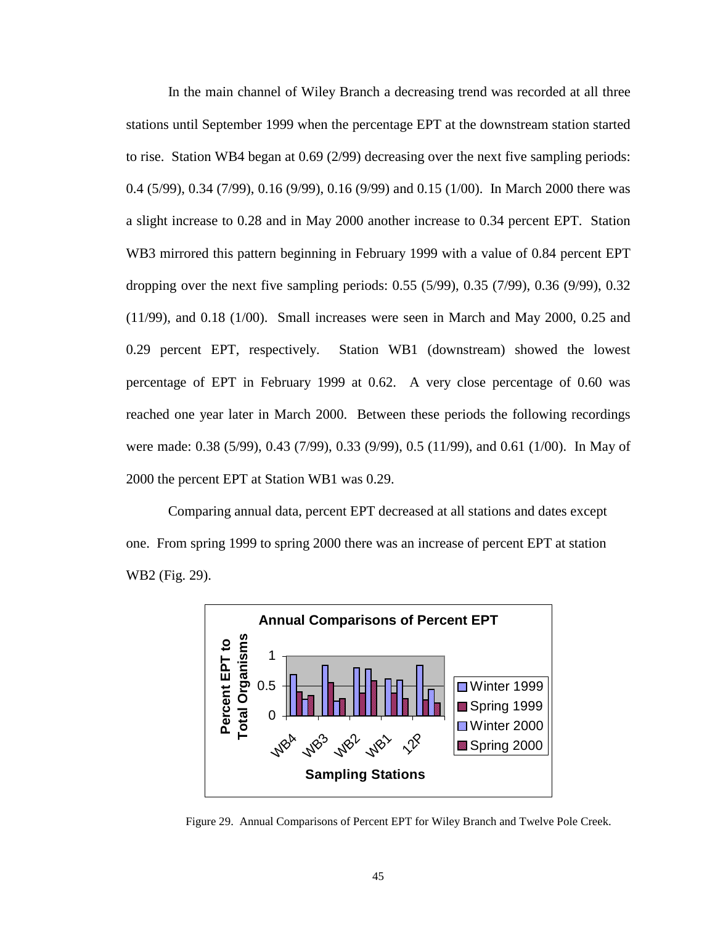In the main channel of Wiley Branch a decreasing trend was recorded at all three stations until September 1999 when the percentage EPT at the downstream station started to rise. Station WB4 began at 0.69 (2/99) decreasing over the next five sampling periods: 0.4 (5/99), 0.34 (7/99), 0.16 (9/99), 0.16 (9/99) and 0.15 (1/00). In March 2000 there was a slight increase to 0.28 and in May 2000 another increase to 0.34 percent EPT. Station WB3 mirrored this pattern beginning in February 1999 with a value of 0.84 percent EPT dropping over the next five sampling periods: 0.55 (5/99), 0.35 (7/99), 0.36 (9/99), 0.32 (11/99), and 0.18 (1/00). Small increases were seen in March and May 2000, 0.25 and 0.29 percent EPT, respectively. Station WB1 (downstream) showed the lowest percentage of EPT in February 1999 at 0.62. A very close percentage of 0.60 was reached one year later in March 2000. Between these periods the following recordings were made: 0.38 (5/99), 0.43 (7/99), 0.33 (9/99), 0.5 (11/99), and 0.61 (1/00). In May of 2000 the percent EPT at Station WB1 was 0.29.

Comparing annual data, percent EPT decreased at all stations and dates except one. From spring 1999 to spring 2000 there was an increase of percent EPT at station WB2 (Fig. 29).



Figure 29. Annual Comparisons of Percent EPT for Wiley Branch and Twelve Pole Creek.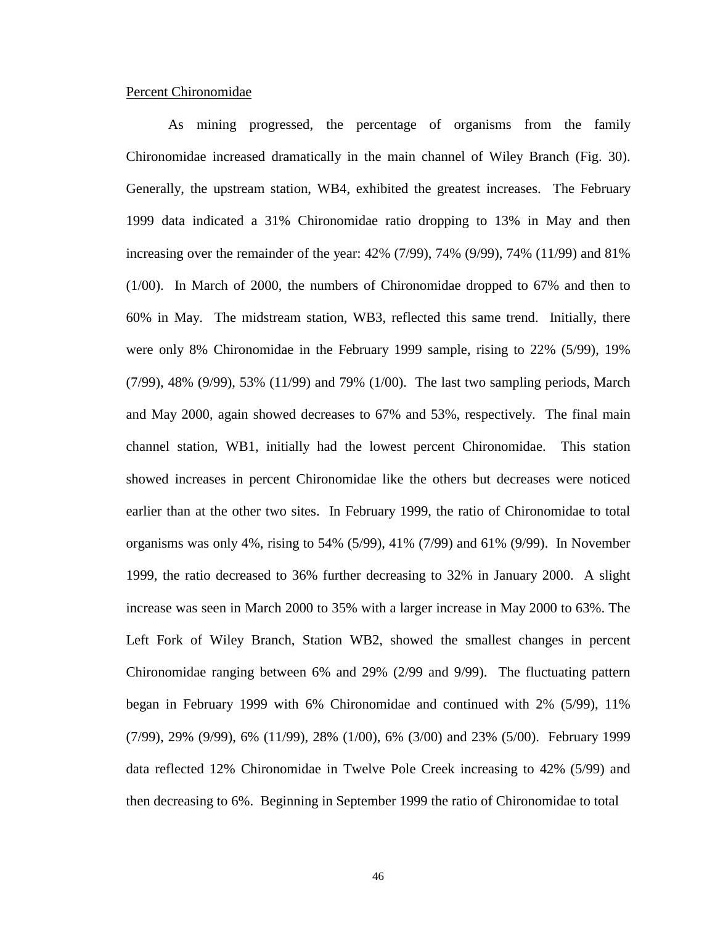#### Percent Chironomidae

As mining progressed, the percentage of organisms from the family Chironomidae increased dramatically in the main channel of Wiley Branch (Fig. 30). Generally, the upstream station, WB4, exhibited the greatest increases. The February 1999 data indicated a 31% Chironomidae ratio dropping to 13% in May and then increasing over the remainder of the year: 42% (7/99), 74% (9/99), 74% (11/99) and 81% (1/00). In March of 2000, the numbers of Chironomidae dropped to 67% and then to 60% in May. The midstream station, WB3, reflected this same trend. Initially, there were only 8% Chironomidae in the February 1999 sample, rising to 22% (5/99), 19% (7/99), 48% (9/99), 53% (11/99) and 79% (1/00). The last two sampling periods, March and May 2000, again showed decreases to 67% and 53%, respectively. The final main channel station, WB1, initially had the lowest percent Chironomidae. This station showed increases in percent Chironomidae like the others but decreases were noticed earlier than at the other two sites. In February 1999, the ratio of Chironomidae to total organisms was only 4%, rising to 54% (5/99), 41% (7/99) and 61% (9/99). In November 1999, the ratio decreased to 36% further decreasing to 32% in January 2000. A slight increase was seen in March 2000 to 35% with a larger increase in May 2000 to 63%. The Left Fork of Wiley Branch, Station WB2, showed the smallest changes in percent Chironomidae ranging between 6% and 29% (2/99 and 9/99). The fluctuating pattern began in February 1999 with 6% Chironomidae and continued with 2% (5/99), 11% (7/99), 29% (9/99), 6% (11/99), 28% (1/00), 6% (3/00) and 23% (5/00). February 1999 data reflected 12% Chironomidae in Twelve Pole Creek increasing to 42% (5/99) and then decreasing to 6%. Beginning in September 1999 the ratio of Chironomidae to total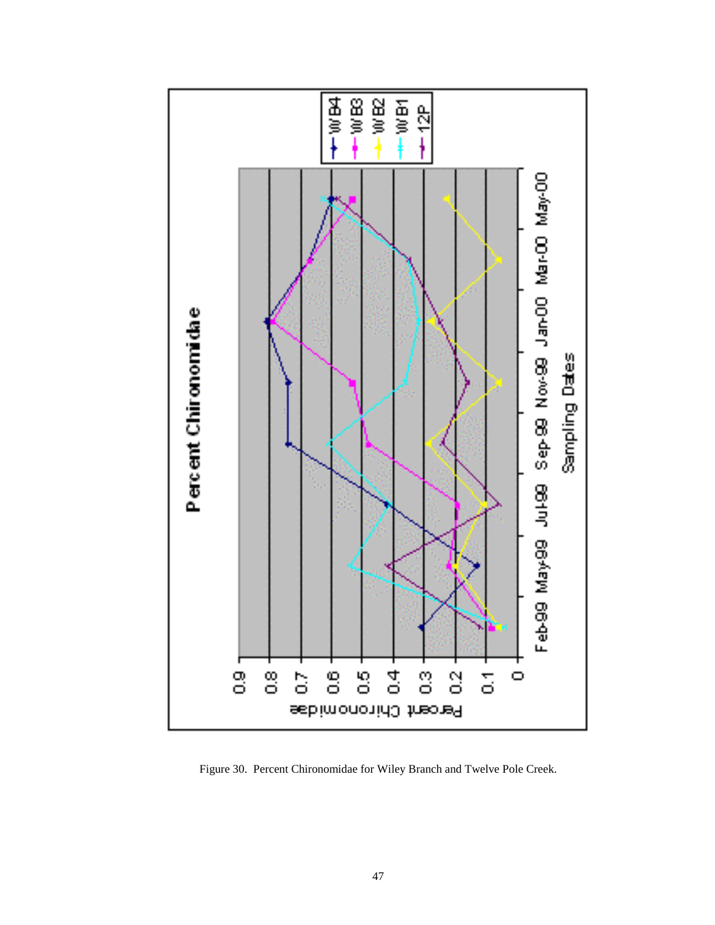

Figure 30. Percent Chironomidae for Wiley Branch and Twelve Pole Creek.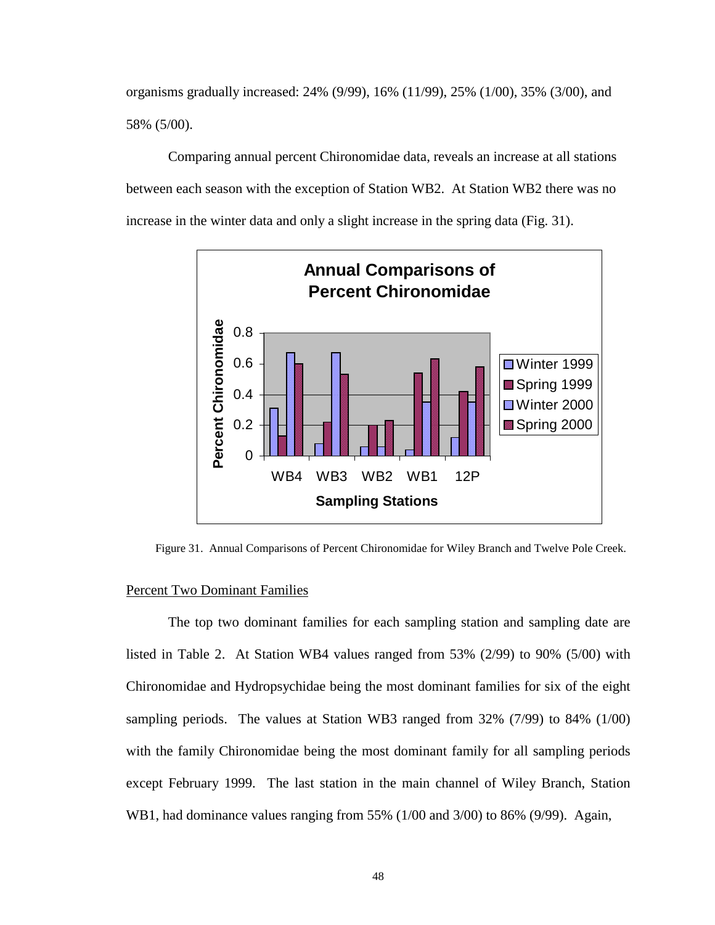organisms gradually increased: 24% (9/99), 16% (11/99), 25% (1/00), 35% (3/00), and 58% (5/00).

Comparing annual percent Chironomidae data, reveals an increase at all stations between each season with the exception of Station WB2. At Station WB2 there was no increase in the winter data and only a slight increase in the spring data (Fig. 31).



Figure 31. Annual Comparisons of Percent Chironomidae for Wiley Branch and Twelve Pole Creek.

## Percent Two Dominant Families

 The top two dominant families for each sampling station and sampling date are listed in Table 2. At Station WB4 values ranged from 53% (2/99) to 90% (5/00) with Chironomidae and Hydropsychidae being the most dominant families for six of the eight sampling periods. The values at Station WB3 ranged from 32% (7/99) to 84% (1/00) with the family Chironomidae being the most dominant family for all sampling periods except February 1999. The last station in the main channel of Wiley Branch, Station WB1, had dominance values ranging from 55% (1/00 and 3/00) to 86% (9/99). Again,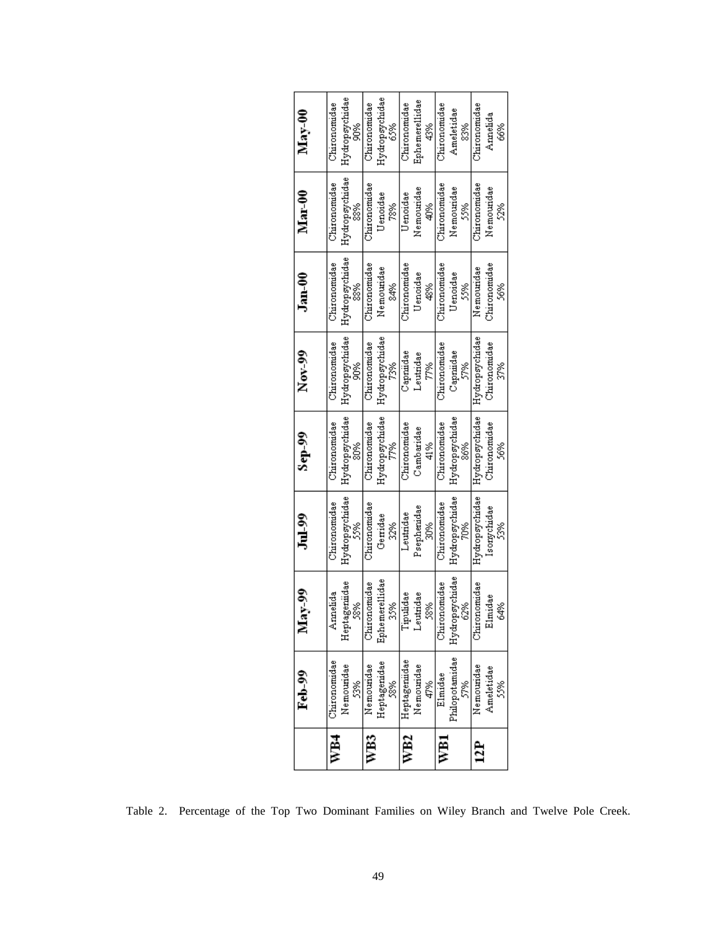|     | Feb-99          | Š                    |                       |                       |                      |              |                      |                       |
|-----|-----------------|----------------------|-----------------------|-----------------------|----------------------|--------------|----------------------|-----------------------|
|     |                 | $\frac{8}{2}$        | Jul 99                | $Sep-99$              | Nov $99$             |              | Jam <sub>00</sub>    | Mar-00                |
| WB4 | Chironomidae    | Amelida              | Chironomidae          | Chironomidae          | Chironomidae         |              | Chiromomidae         | Chironomidae          |
|     | Nemouridae<br>ž | Heptagernidae<br>58% | Hydropsychidae<br>\$% | Hydropsychidae<br>20% | Hydropsychidae<br>å0 |              | Hydropsychidae<br>88 | Hydropsychidae<br>888 |
| WB3 | Nemouridae      | Chironomidae         | Chironomidae          | Chironomidae          | Chironomidae         |              | Chironomdae          | Chironomudae          |
|     | Heptagenidae    | Ephemerellidae       | Gerridae              | Hydropsychidae        | Hydropsychidae       |              | Nemouridae           | Uenoidae              |
|     | 58%             | 35%                  | 32%                   | 77%                   | T3%                  | sas<br>S     |                      | 78%                   |
| WB2 | Heptagernidae   | Tipulidae            | Leutndae              | Chironomidae          | Capmidae             | Chironomidae |                      | Uenoidae              |
|     | Nemouridae      | Leutridae            | Psephendae            | Cambaridae            | Leutridae            | Uenoidae     |                      | Nemoundae             |
|     | 47%             | 58%                  | 30%                   | 41%<br>स              | 77%                  | \$           |                      | \$<br>Q               |
| WB1 | Elmidae         | Chironomidae         | Chironomidae          | Chironomidae          | Chironomidae         | Chironomdae  |                      | Chironomidae          |
|     | Philopotamidae  | Hydropsychidae       | Hydropsychidae        | Hydropsychidae        | Capmidae             | Uenoidae     |                      | Nemouridae            |
|     | 57%             | 62%                  | ŽO%                   | 86%                   | 57%                  | 55%          |                      | Š%                    |
| 12P | Nemouridae      | Chironomidae         | Hydropsychidae        | Hydropsychidae        | Hydropsychidae       | Nemouridae   |                      | Chironomidae          |
|     | Ameletidae      | Elmidae              | Isonychidae           | Chironomidae          | Chironomidae         | Chironomidae |                      | Nemouridae            |
|     | 586             | 64%                  | ž                     | 56%                   | s<br>S               | 36%          |                      | Š.                    |

Table 2. Percentage of the Top Two Dominant Families on Wiley Branch and Twelve Pole Creek.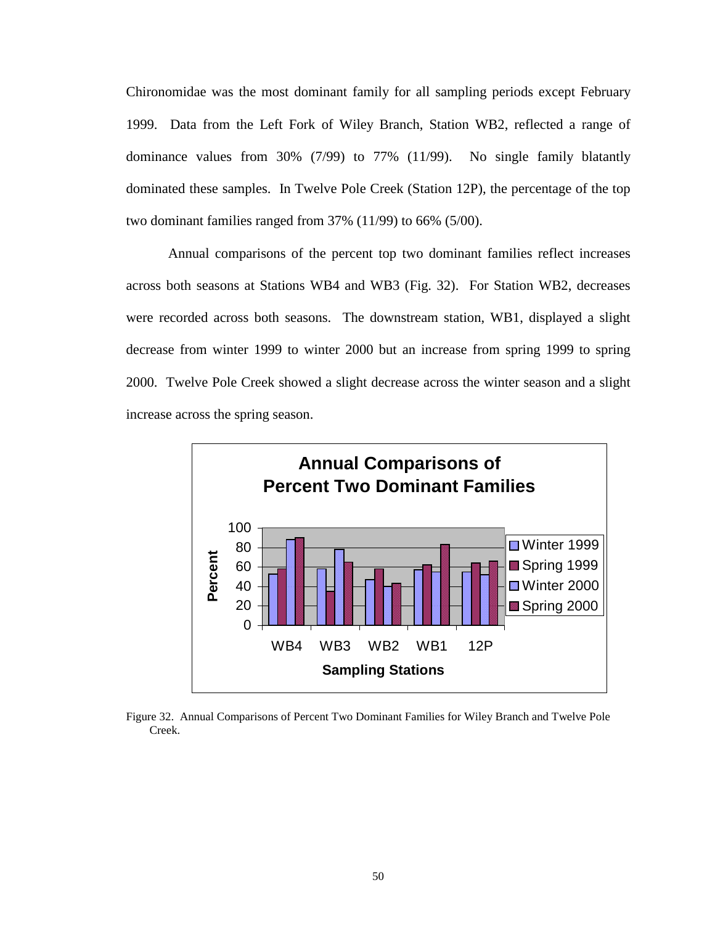Chironomidae was the most dominant family for all sampling periods except February 1999. Data from the Left Fork of Wiley Branch, Station WB2, reflected a range of dominance values from 30% (7/99) to 77% (11/99). No single family blatantly dominated these samples. In Twelve Pole Creek (Station 12P), the percentage of the top two dominant families ranged from 37% (11/99) to 66% (5/00).

 Annual comparisons of the percent top two dominant families reflect increases across both seasons at Stations WB4 and WB3 (Fig. 32). For Station WB2, decreases were recorded across both seasons. The downstream station, WB1, displayed a slight decrease from winter 1999 to winter 2000 but an increase from spring 1999 to spring 2000. Twelve Pole Creek showed a slight decrease across the winter season and a slight increase across the spring season.



Figure 32. Annual Comparisons of Percent Two Dominant Families for Wiley Branch and Twelve Pole Creek.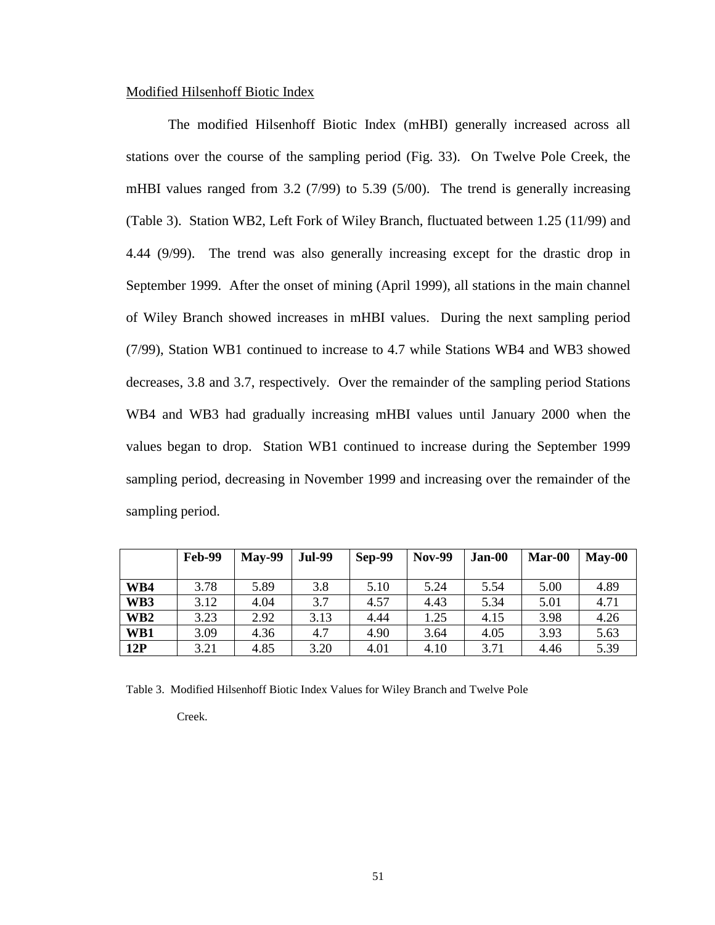## Modified Hilsenhoff Biotic Index

The modified Hilsenhoff Biotic Index (mHBI) generally increased across all stations over the course of the sampling period (Fig. 33). On Twelve Pole Creek, the mHBI values ranged from 3.2 (7/99) to 5.39 (5/00). The trend is generally increasing (Table 3). Station WB2, Left Fork of Wiley Branch, fluctuated between 1.25 (11/99) and 4.44 (9/99). The trend was also generally increasing except for the drastic drop in September 1999. After the onset of mining (April 1999), all stations in the main channel of Wiley Branch showed increases in mHBI values. During the next sampling period (7/99), Station WB1 continued to increase to 4.7 while Stations WB4 and WB3 showed decreases, 3.8 and 3.7, respectively. Over the remainder of the sampling period Stations WB4 and WB3 had gradually increasing mHBI values until January 2000 when the values began to drop. Station WB1 continued to increase during the September 1999 sampling period, decreasing in November 1999 and increasing over the remainder of the sampling period.

|                 | <b>Feb-99</b> | <b>May-99</b> | <b>Jul-99</b> | <b>Sep-99</b> | <b>Nov-99</b> | Jan-00 | Mar-00 | $May-00$ |
|-----------------|---------------|---------------|---------------|---------------|---------------|--------|--------|----------|
| WB4             | 3.78          | 5.89          | 3.8           | 5.10          | 5.24          | 5.54   | 5.00   | 4.89     |
| WB3             | 3.12          | 4.04          | 3.7           | 4.57          | 4.43          | 5.34   | 5.01   | 4.71     |
| WB <sub>2</sub> | 3.23          | 2.92          | 3.13          | 4.44          | 1.25          | 4.15   | 3.98   | 4.26     |
| WB1             | 3.09          | 4.36          | 4.7           | 4.90          | 3.64          | 4.05   | 3.93   | 5.63     |
| 12P             | 3.21          | 4.85          | 3.20          | 4.01          | 4.10          | 3.71   | 4.46   | 5.39     |

Table 3. Modified Hilsenhoff Biotic Index Values for Wiley Branch and Twelve Pole

Creek.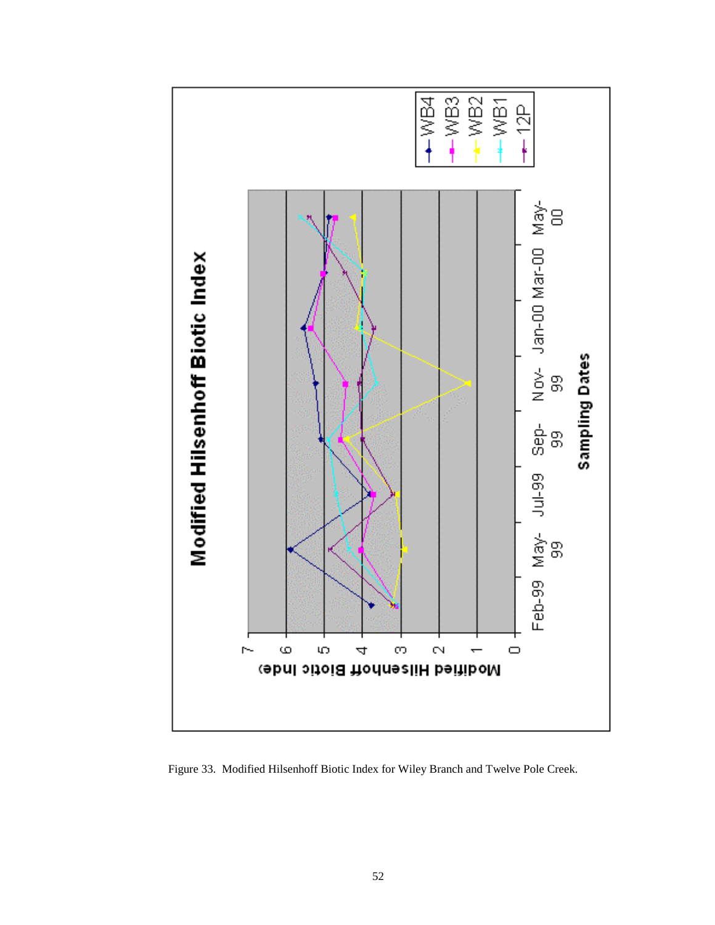

Figure 33. Modified Hilsenhoff Biotic Index for Wiley Branch and Twelve Pole Creek.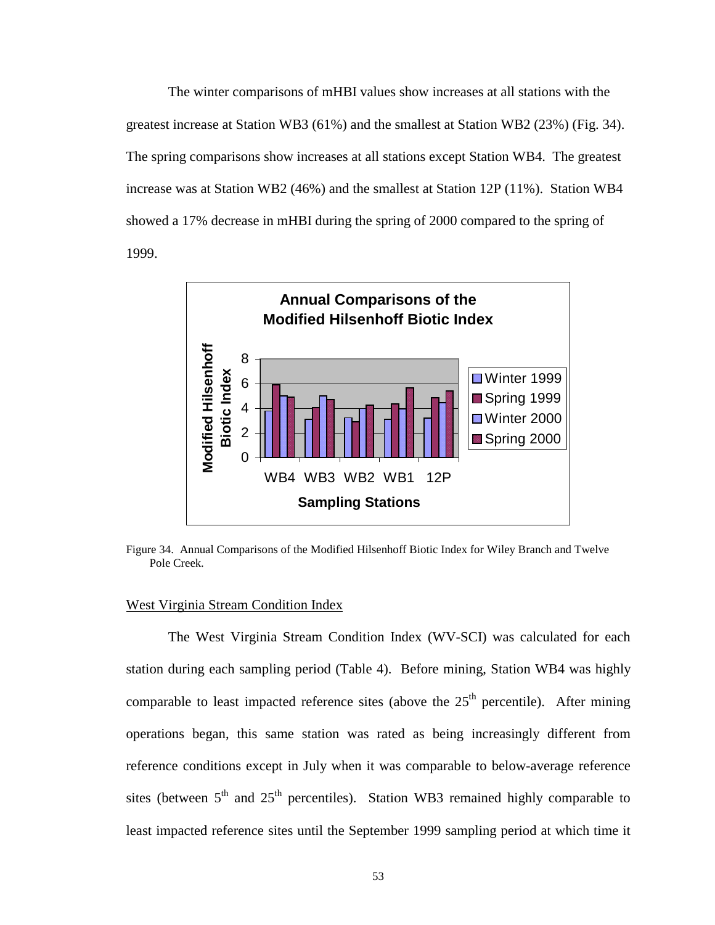The winter comparisons of mHBI values show increases at all stations with the greatest increase at Station WB3 (61%) and the smallest at Station WB2 (23%) (Fig. 34). The spring comparisons show increases at all stations except Station WB4. The greatest increase was at Station WB2 (46%) and the smallest at Station 12P (11%). Station WB4 showed a 17% decrease in mHBI during the spring of 2000 compared to the spring of 1999.



Figure 34. Annual Comparisons of the Modified Hilsenhoff Biotic Index for Wiley Branch and Twelve Pole Creek.

## West Virginia Stream Condition Index

The West Virginia Stream Condition Index (WV-SCI) was calculated for each station during each sampling period (Table 4). Before mining, Station WB4 was highly comparable to least impacted reference sites (above the  $25<sup>th</sup>$  percentile). After mining operations began, this same station was rated as being increasingly different from reference conditions except in July when it was comparable to below-average reference sites (between  $5<sup>th</sup>$  and  $25<sup>th</sup>$  percentiles). Station WB3 remained highly comparable to least impacted reference sites until the September 1999 sampling period at which time it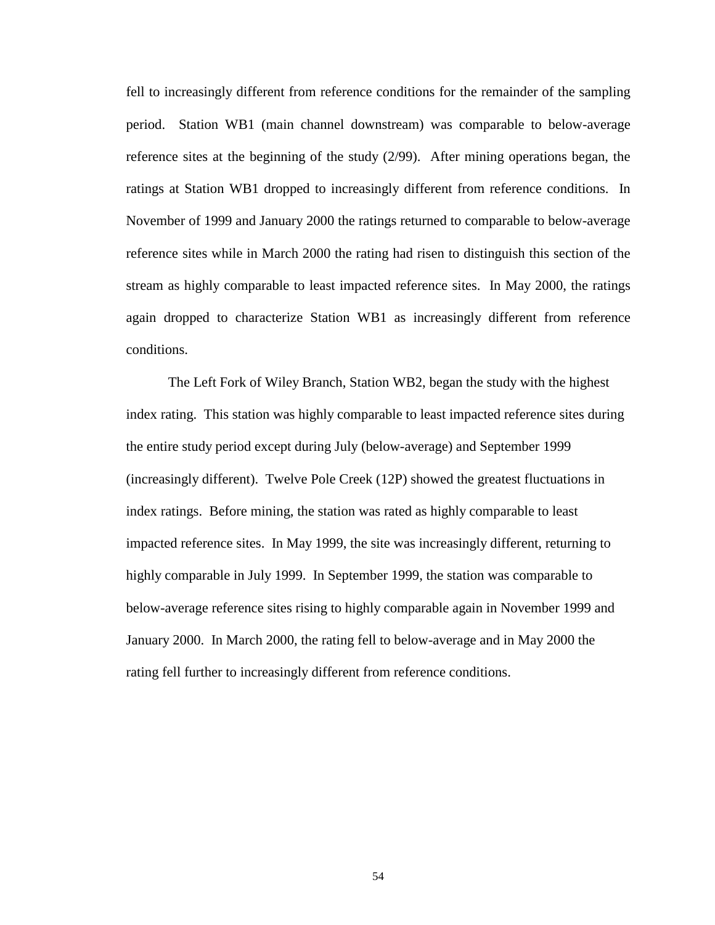fell to increasingly different from reference conditions for the remainder of the sampling period. Station WB1 (main channel downstream) was comparable to below-average reference sites at the beginning of the study (2/99). After mining operations began, the ratings at Station WB1 dropped to increasingly different from reference conditions. In November of 1999 and January 2000 the ratings returned to comparable to below-average reference sites while in March 2000 the rating had risen to distinguish this section of the stream as highly comparable to least impacted reference sites. In May 2000, the ratings again dropped to characterize Station WB1 as increasingly different from reference conditions.

The Left Fork of Wiley Branch, Station WB2, began the study with the highest index rating. This station was highly comparable to least impacted reference sites during the entire study period except during July (below-average) and September 1999 (increasingly different). Twelve Pole Creek (12P) showed the greatest fluctuations in index ratings. Before mining, the station was rated as highly comparable to least impacted reference sites. In May 1999, the site was increasingly different, returning to highly comparable in July 1999. In September 1999, the station was comparable to below-average reference sites rising to highly comparable again in November 1999 and January 2000. In March 2000, the rating fell to below-average and in May 2000 the rating fell further to increasingly different from reference conditions.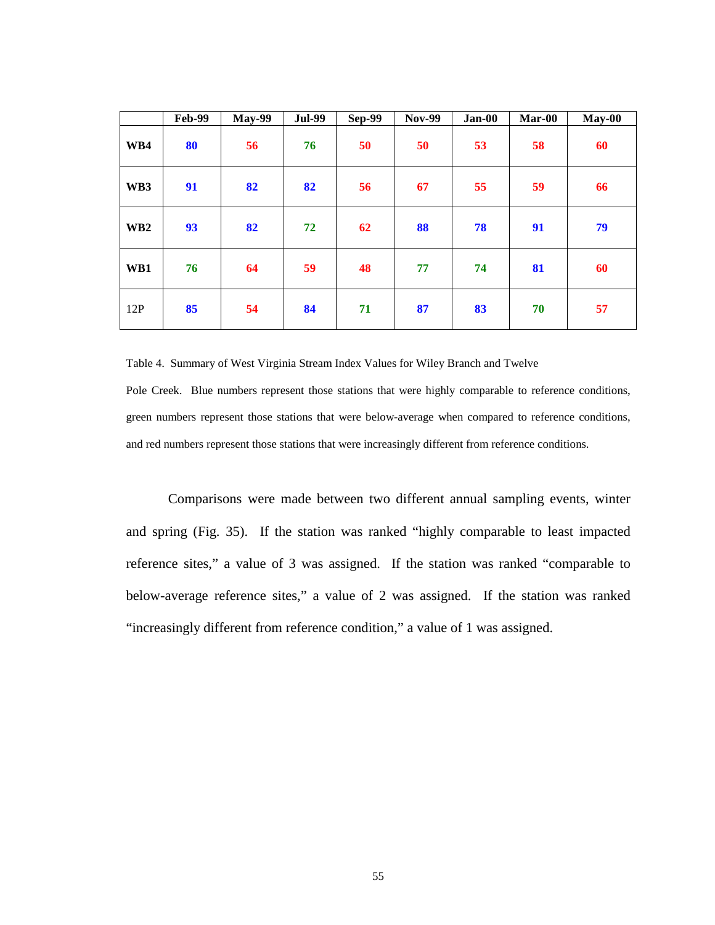|                 | <b>Feb-99</b> | <b>May-99</b> | <b>Jul-99</b> | <b>Sep-99</b> | <b>Nov-99</b> | $Jan-00$ | Mar-00 | $May-00$ |
|-----------------|---------------|---------------|---------------|---------------|---------------|----------|--------|----------|
| WB4             | 80            | 56            | 76            | 50            | 50            | 53       | 58     | 60       |
| WB3             | 91            | 82            | 82            | 56            | 67            | 55       | 59     | 66       |
| WB <sub>2</sub> | 93            | 82            | 72            | 62            | 88            | 78       | 91     | 79       |
| WB1             | 76            | 64            | 59            | 48            | 77            | 74       | 81     | 60       |
| 12P             | 85            | 54            | 84            | 71            | 87            | 83       | 70     | 57       |

Table 4. Summary of West Virginia Stream Index Values for Wiley Branch and Twelve

Pole Creek. Blue numbers represent those stations that were highly comparable to reference conditions, green numbers represent those stations that were below-average when compared to reference conditions, and red numbers represent those stations that were increasingly different from reference conditions.

Comparisons were made between two different annual sampling events, winter and spring (Fig. 35). If the station was ranked "highly comparable to least impacted reference sites," a value of 3 was assigned. If the station was ranked "comparable to below-average reference sites," a value of 2 was assigned. If the station was ranked "increasingly different from reference condition," a value of 1 was assigned.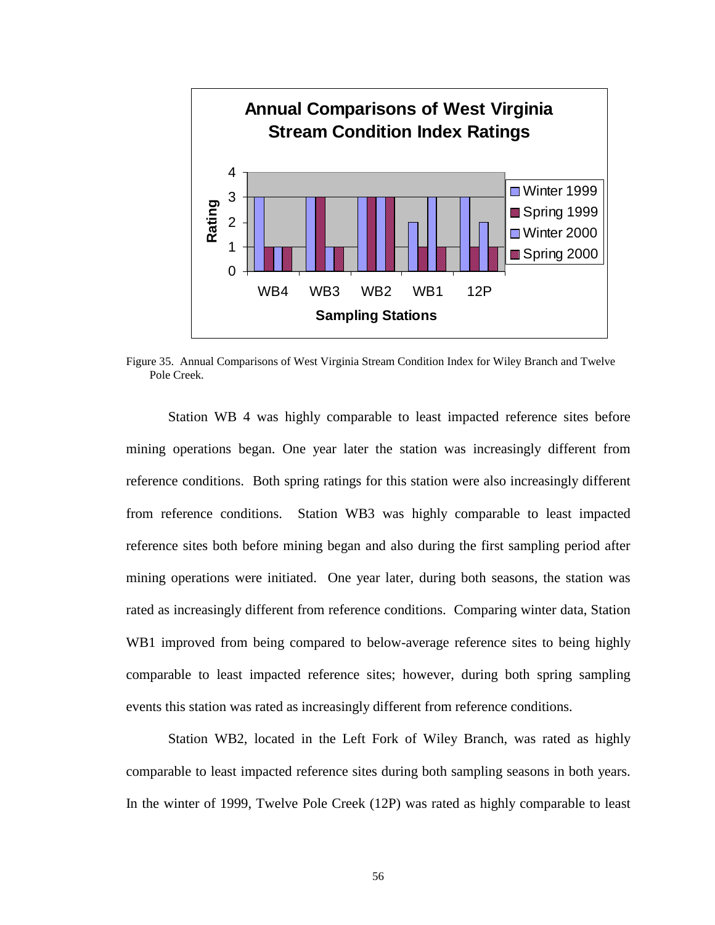

Figure 35. Annual Comparisons of West Virginia Stream Condition Index for Wiley Branch and Twelve Pole Creek.

Station WB 4 was highly comparable to least impacted reference sites before mining operations began. One year later the station was increasingly different from reference conditions. Both spring ratings for this station were also increasingly different from reference conditions. Station WB3 was highly comparable to least impacted reference sites both before mining began and also during the first sampling period after mining operations were initiated. One year later, during both seasons, the station was rated as increasingly different from reference conditions. Comparing winter data, Station WB1 improved from being compared to below-average reference sites to being highly comparable to least impacted reference sites; however, during both spring sampling events this station was rated as increasingly different from reference conditions.

 Station WB2, located in the Left Fork of Wiley Branch, was rated as highly comparable to least impacted reference sites during both sampling seasons in both years. In the winter of 1999, Twelve Pole Creek (12P) was rated as highly comparable to least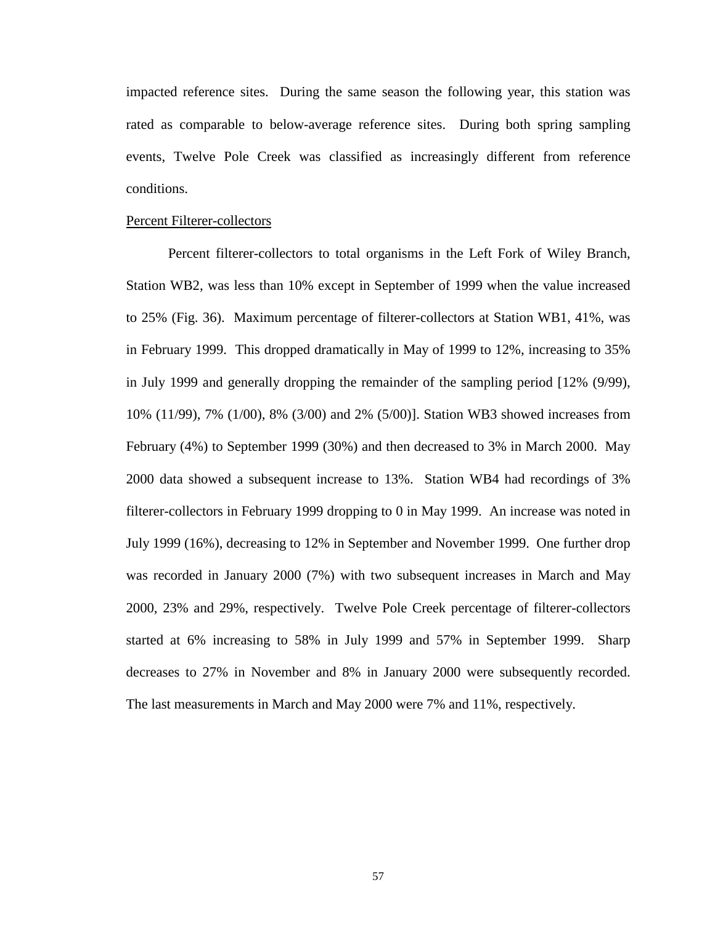impacted reference sites. During the same season the following year, this station was rated as comparable to below-average reference sites. During both spring sampling events, Twelve Pole Creek was classified as increasingly different from reference conditions.

#### Percent Filterer-collectors

 Percent filterer-collectors to total organisms in the Left Fork of Wiley Branch, Station WB2, was less than 10% except in September of 1999 when the value increased to 25% (Fig. 36). Maximum percentage of filterer-collectors at Station WB1, 41%, was in February 1999. This dropped dramatically in May of 1999 to 12%, increasing to 35% in July 1999 and generally dropping the remainder of the sampling period [12% (9/99), 10% (11/99), 7% (1/00), 8% (3/00) and 2% (5/00)]. Station WB3 showed increases from February (4%) to September 1999 (30%) and then decreased to 3% in March 2000. May 2000 data showed a subsequent increase to 13%. Station WB4 had recordings of 3% filterer-collectors in February 1999 dropping to 0 in May 1999. An increase was noted in July 1999 (16%), decreasing to 12% in September and November 1999. One further drop was recorded in January 2000 (7%) with two subsequent increases in March and May 2000, 23% and 29%, respectively. Twelve Pole Creek percentage of filterer-collectors started at 6% increasing to 58% in July 1999 and 57% in September 1999. Sharp decreases to 27% in November and 8% in January 2000 were subsequently recorded. The last measurements in March and May 2000 were 7% and 11%, respectively.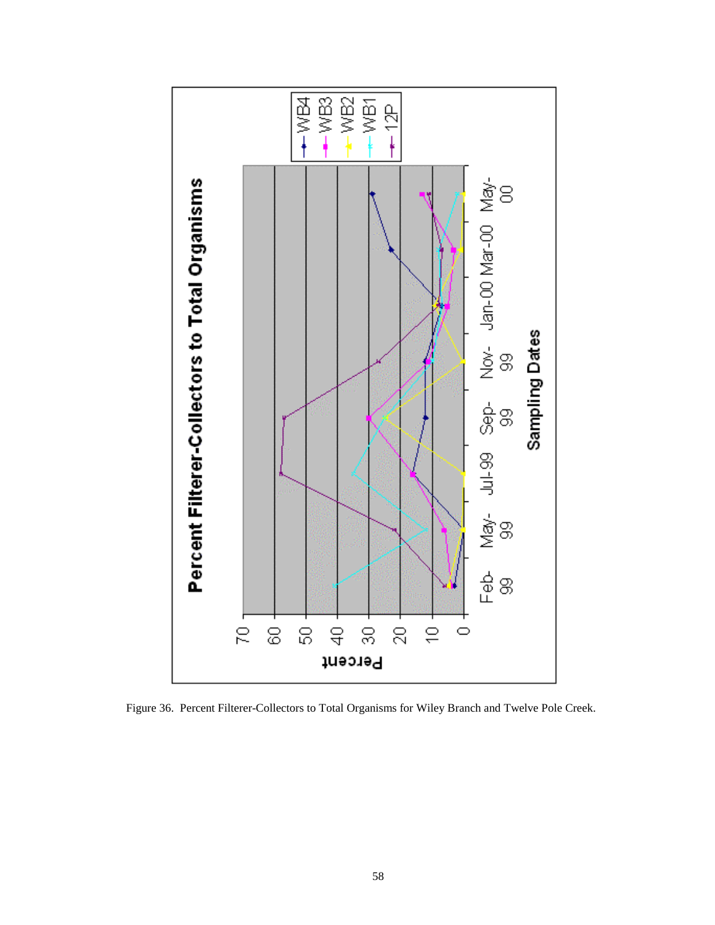

Figure 36. Percent Filterer-Collectors to Total Organisms for Wiley Branch and Twelve Pole Creek.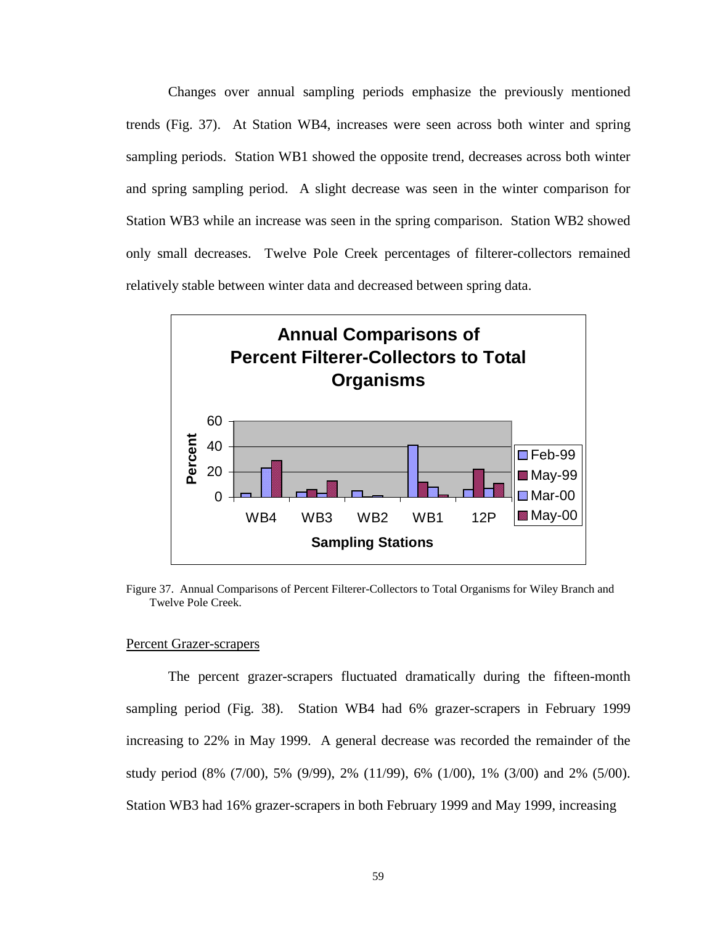Changes over annual sampling periods emphasize the previously mentioned trends (Fig. 37). At Station WB4, increases were seen across both winter and spring sampling periods. Station WB1 showed the opposite trend, decreases across both winter and spring sampling period. A slight decrease was seen in the winter comparison for Station WB3 while an increase was seen in the spring comparison. Station WB2 showed only small decreases. Twelve Pole Creek percentages of filterer-collectors remained relatively stable between winter data and decreased between spring data.



Figure 37. Annual Comparisons of Percent Filterer-Collectors to Total Organisms for Wiley Branch and Twelve Pole Creek.

#### Percent Grazer-scrapers

 The percent grazer-scrapers fluctuated dramatically during the fifteen-month sampling period (Fig. 38). Station WB4 had 6% grazer-scrapers in February 1999 increasing to 22% in May 1999. A general decrease was recorded the remainder of the study period (8% (7/00), 5% (9/99), 2% (11/99), 6% (1/00), 1% (3/00) and 2% (5/00). Station WB3 had 16% grazer-scrapers in both February 1999 and May 1999, increasing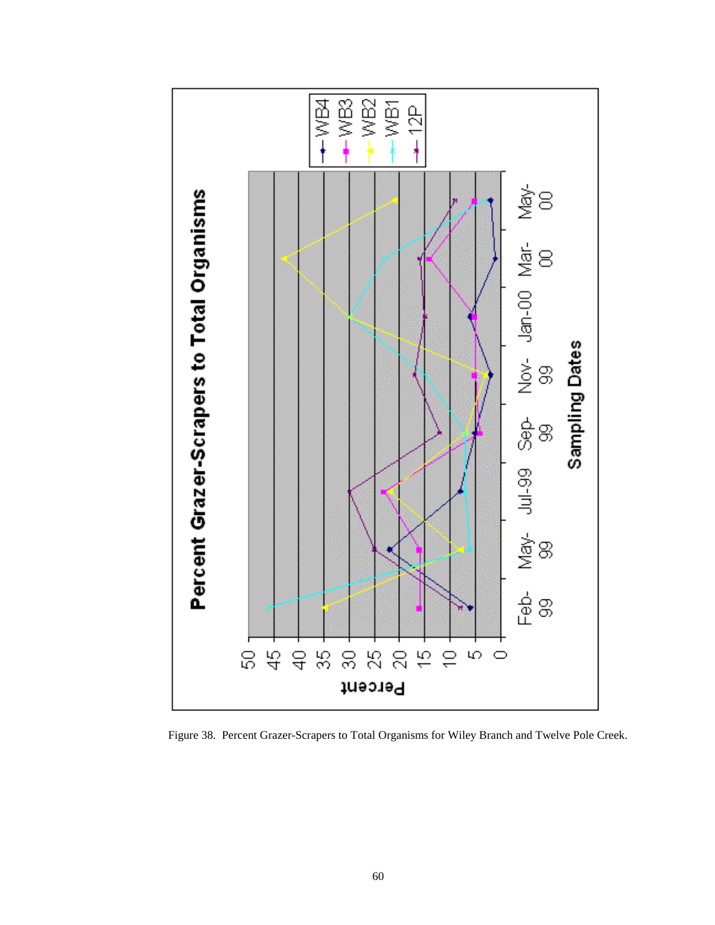

Figure 38. Percent Grazer-Scrapers to Total Organisms for Wiley Branch and Twelve Pole Creek.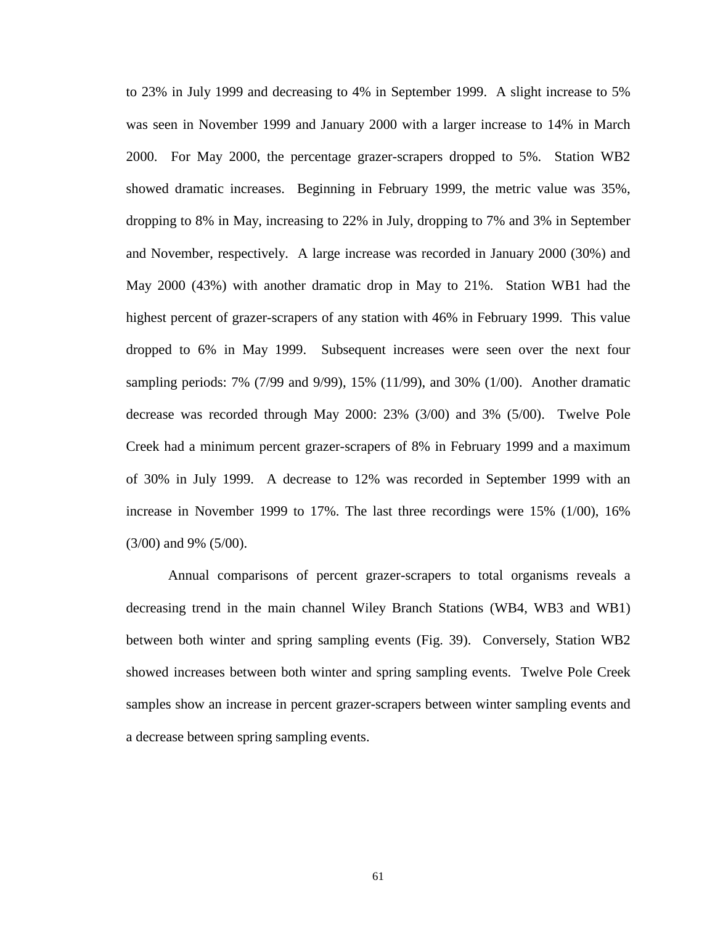to 23% in July 1999 and decreasing to 4% in September 1999. A slight increase to 5% was seen in November 1999 and January 2000 with a larger increase to 14% in March 2000. For May 2000, the percentage grazer-scrapers dropped to 5%. Station WB2 showed dramatic increases. Beginning in February 1999, the metric value was 35%, dropping to 8% in May, increasing to 22% in July, dropping to 7% and 3% in September and November, respectively. A large increase was recorded in January 2000 (30%) and May 2000 (43%) with another dramatic drop in May to 21%. Station WB1 had the highest percent of grazer-scrapers of any station with 46% in February 1999. This value dropped to 6% in May 1999. Subsequent increases were seen over the next four sampling periods: 7% (7/99 and 9/99), 15% (11/99), and 30% (1/00). Another dramatic decrease was recorded through May 2000: 23% (3/00) and 3% (5/00). Twelve Pole Creek had a minimum percent grazer-scrapers of 8% in February 1999 and a maximum of 30% in July 1999. A decrease to 12% was recorded in September 1999 with an increase in November 1999 to 17%. The last three recordings were 15% (1/00), 16% (3/00) and 9% (5/00).

 Annual comparisons of percent grazer-scrapers to total organisms reveals a decreasing trend in the main channel Wiley Branch Stations (WB4, WB3 and WB1) between both winter and spring sampling events (Fig. 39). Conversely, Station WB2 showed increases between both winter and spring sampling events. Twelve Pole Creek samples show an increase in percent grazer-scrapers between winter sampling events and a decrease between spring sampling events.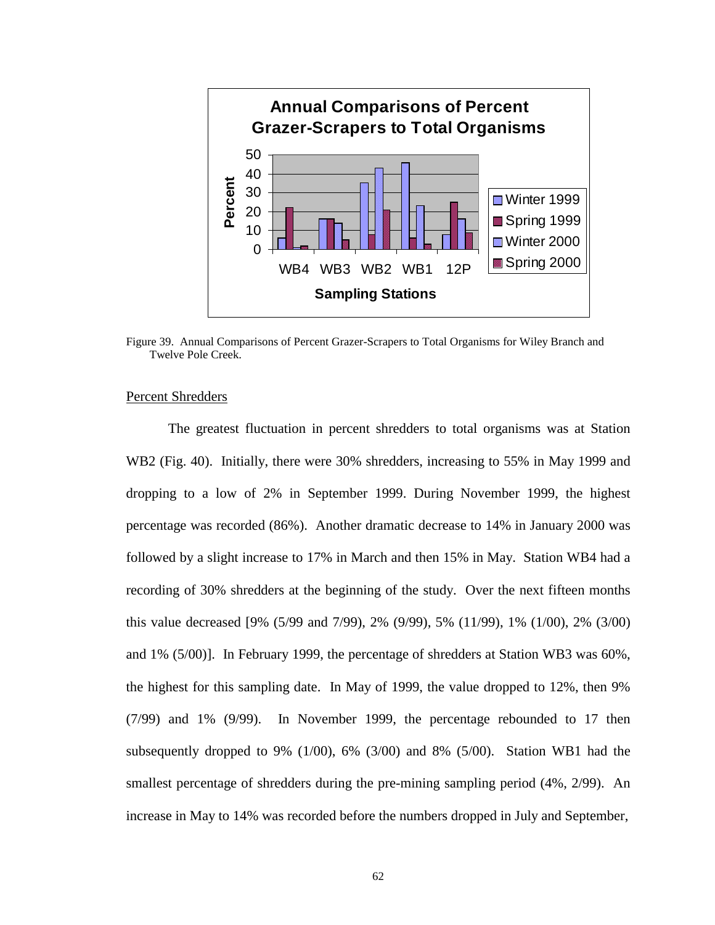

Figure 39. Annual Comparisons of Percent Grazer-Scrapers to Total Organisms for Wiley Branch and Twelve Pole Creek.

#### Percent Shredders

 The greatest fluctuation in percent shredders to total organisms was at Station WB2 (Fig. 40). Initially, there were 30% shredders, increasing to 55% in May 1999 and dropping to a low of 2% in September 1999. During November 1999, the highest percentage was recorded (86%). Another dramatic decrease to 14% in January 2000 was followed by a slight increase to 17% in March and then 15% in May. Station WB4 had a recording of 30% shredders at the beginning of the study. Over the next fifteen months this value decreased [9% (5/99 and 7/99), 2% (9/99), 5% (11/99), 1% (1/00), 2% (3/00) and 1% (5/00)]. In February 1999, the percentage of shredders at Station WB3 was 60%, the highest for this sampling date. In May of 1999, the value dropped to 12%, then 9% (7/99) and 1% (9/99). In November 1999, the percentage rebounded to 17 then subsequently dropped to 9% (1/00), 6% (3/00) and 8% (5/00). Station WB1 had the smallest percentage of shredders during the pre-mining sampling period (4%, 2/99). An increase in May to 14% was recorded before the numbers dropped in July and September,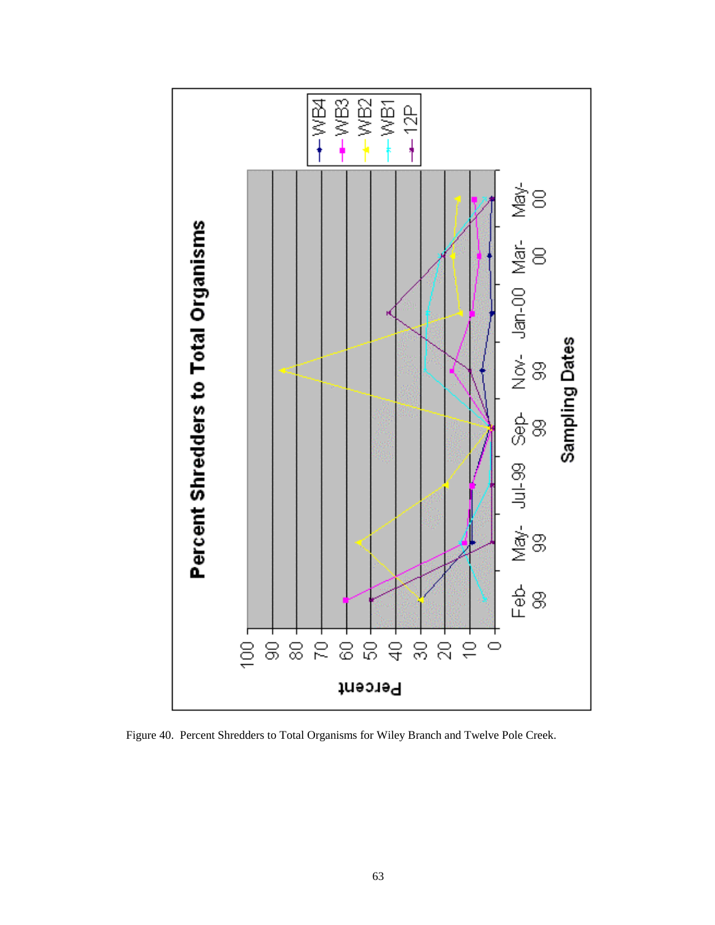

Figure 40. Percent Shredders to Total Organisms for Wiley Branch and Twelve Pole Creek.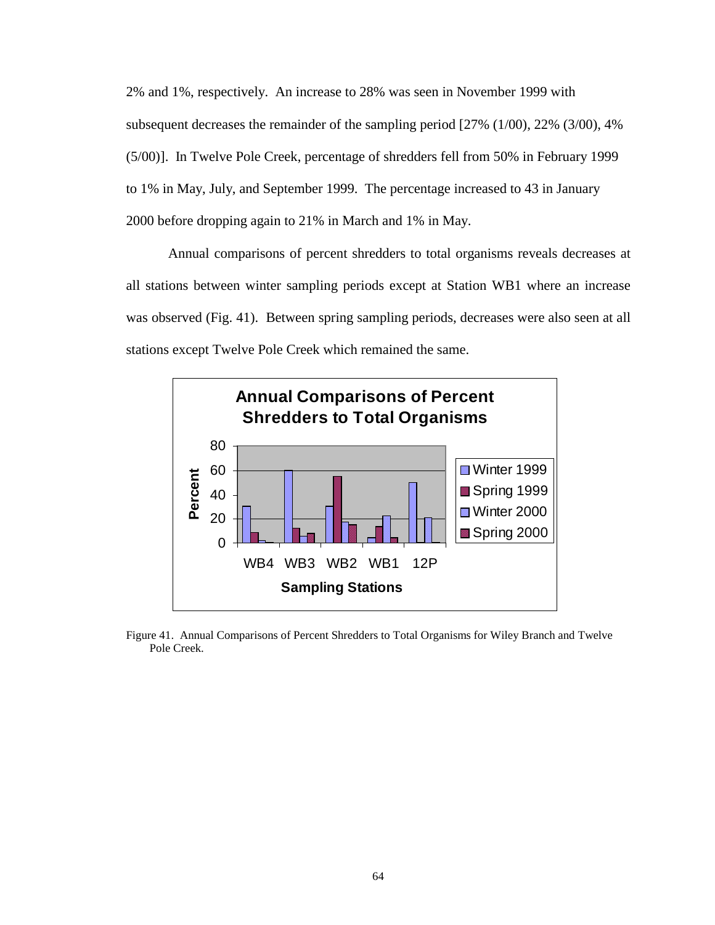2% and 1%, respectively. An increase to 28% was seen in November 1999 with subsequent decreases the remainder of the sampling period [27% (1/00), 22% (3/00), 4% (5/00)]. In Twelve Pole Creek, percentage of shredders fell from 50% in February 1999 to 1% in May, July, and September 1999. The percentage increased to 43 in January 2000 before dropping again to 21% in March and 1% in May.

Annual comparisons of percent shredders to total organisms reveals decreases at all stations between winter sampling periods except at Station WB1 where an increase was observed (Fig. 41). Between spring sampling periods, decreases were also seen at all stations except Twelve Pole Creek which remained the same.



Figure 41. Annual Comparisons of Percent Shredders to Total Organisms for Wiley Branch and Twelve Pole Creek.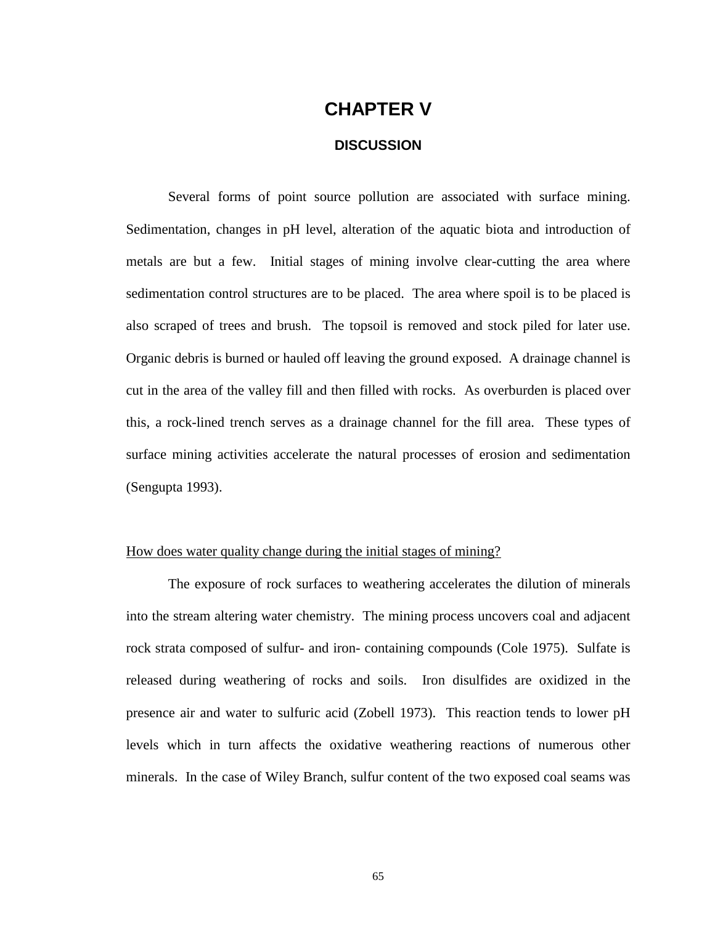## **CHAPTER V**

#### **DISCUSSION**

Several forms of point source pollution are associated with surface mining. Sedimentation, changes in pH level, alteration of the aquatic biota and introduction of metals are but a few. Initial stages of mining involve clear-cutting the area where sedimentation control structures are to be placed. The area where spoil is to be placed is also scraped of trees and brush. The topsoil is removed and stock piled for later use. Organic debris is burned or hauled off leaving the ground exposed. A drainage channel is cut in the area of the valley fill and then filled with rocks. As overburden is placed over this, a rock-lined trench serves as a drainage channel for the fill area. These types of surface mining activities accelerate the natural processes of erosion and sedimentation (Sengupta 1993).

#### How does water quality change during the initial stages of mining?

The exposure of rock surfaces to weathering accelerates the dilution of minerals into the stream altering water chemistry. The mining process uncovers coal and adjacent rock strata composed of sulfur- and iron- containing compounds (Cole 1975). Sulfate is released during weathering of rocks and soils. Iron disulfides are oxidized in the presence air and water to sulfuric acid (Zobell 1973). This reaction tends to lower pH levels which in turn affects the oxidative weathering reactions of numerous other minerals. In the case of Wiley Branch, sulfur content of the two exposed coal seams was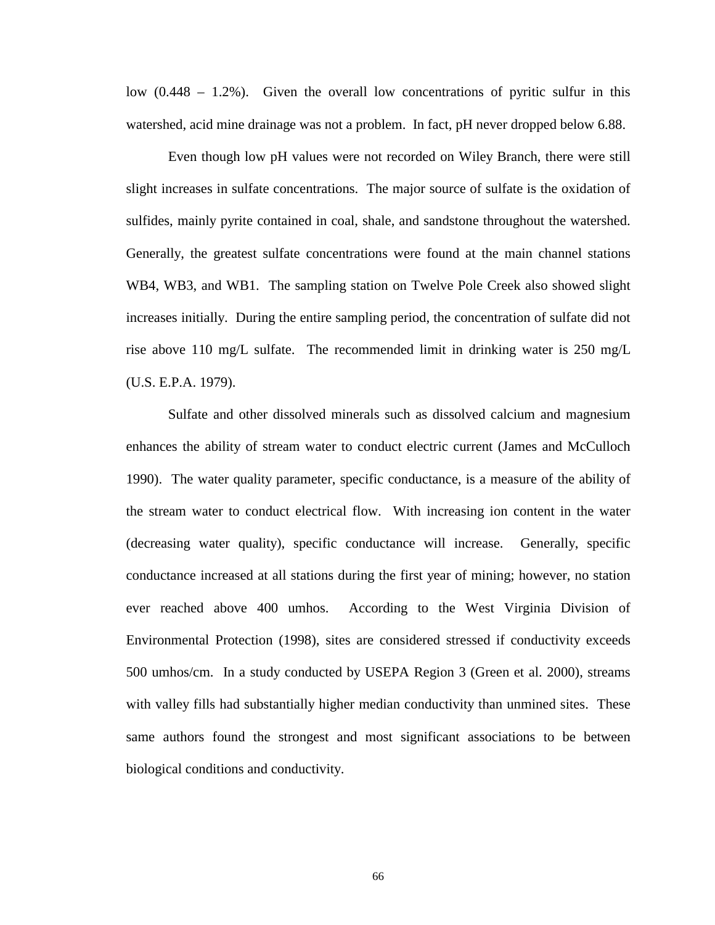low  $(0.448 - 1.2\%)$ . Given the overall low concentrations of pyritic sulfur in this watershed, acid mine drainage was not a problem. In fact, pH never dropped below 6.88.

Even though low pH values were not recorded on Wiley Branch, there were still slight increases in sulfate concentrations. The major source of sulfate is the oxidation of sulfides, mainly pyrite contained in coal, shale, and sandstone throughout the watershed. Generally, the greatest sulfate concentrations were found at the main channel stations WB4, WB3, and WB1. The sampling station on Twelve Pole Creek also showed slight increases initially. During the entire sampling period, the concentration of sulfate did not rise above 110 mg/L sulfate. The recommended limit in drinking water is 250 mg/L (U.S. E.P.A. 1979).

Sulfate and other dissolved minerals such as dissolved calcium and magnesium enhances the ability of stream water to conduct electric current (James and McCulloch 1990). The water quality parameter, specific conductance, is a measure of the ability of the stream water to conduct electrical flow. With increasing ion content in the water (decreasing water quality), specific conductance will increase. Generally, specific conductance increased at all stations during the first year of mining; however, no station ever reached above 400 umhos. According to the West Virginia Division of Environmental Protection (1998), sites are considered stressed if conductivity exceeds 500 umhos/cm. In a study conducted by USEPA Region 3 (Green et al. 2000), streams with valley fills had substantially higher median conductivity than unmined sites. These same authors found the strongest and most significant associations to be between biological conditions and conductivity.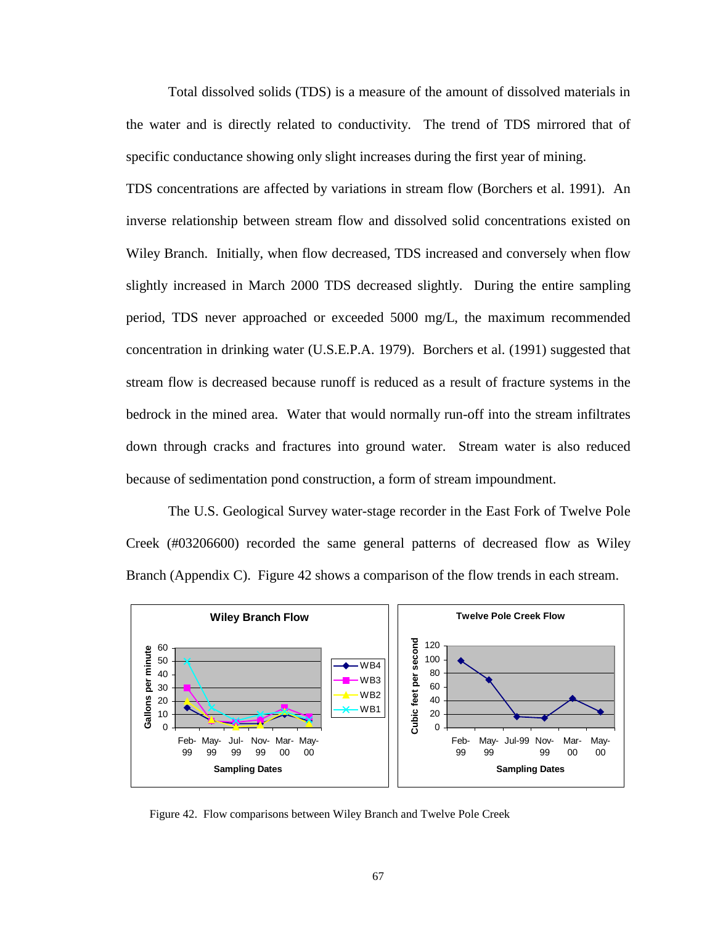Total dissolved solids (TDS) is a measure of the amount of dissolved materials in the water and is directly related to conductivity. The trend of TDS mirrored that of specific conductance showing only slight increases during the first year of mining.

TDS concentrations are affected by variations in stream flow (Borchers et al. 1991). An inverse relationship between stream flow and dissolved solid concentrations existed on Wiley Branch. Initially, when flow decreased, TDS increased and conversely when flow slightly increased in March 2000 TDS decreased slightly. During the entire sampling period, TDS never approached or exceeded 5000 mg/L, the maximum recommended concentration in drinking water (U.S.E.P.A. 1979). Borchers et al. (1991) suggested that stream flow is decreased because runoff is reduced as a result of fracture systems in the bedrock in the mined area. Water that would normally run-off into the stream infiltrates down through cracks and fractures into ground water. Stream water is also reduced because of sedimentation pond construction, a form of stream impoundment.

The U.S. Geological Survey water-stage recorder in the East Fork of Twelve Pole Creek (#03206600) recorded the same general patterns of decreased flow as Wiley Branch [\(Appendix C\).](#page-120-0) Figure 42 shows a comparison of the flow trends in each stream.



Figure 42. Flow comparisons between Wiley Branch and Twelve Pole Creek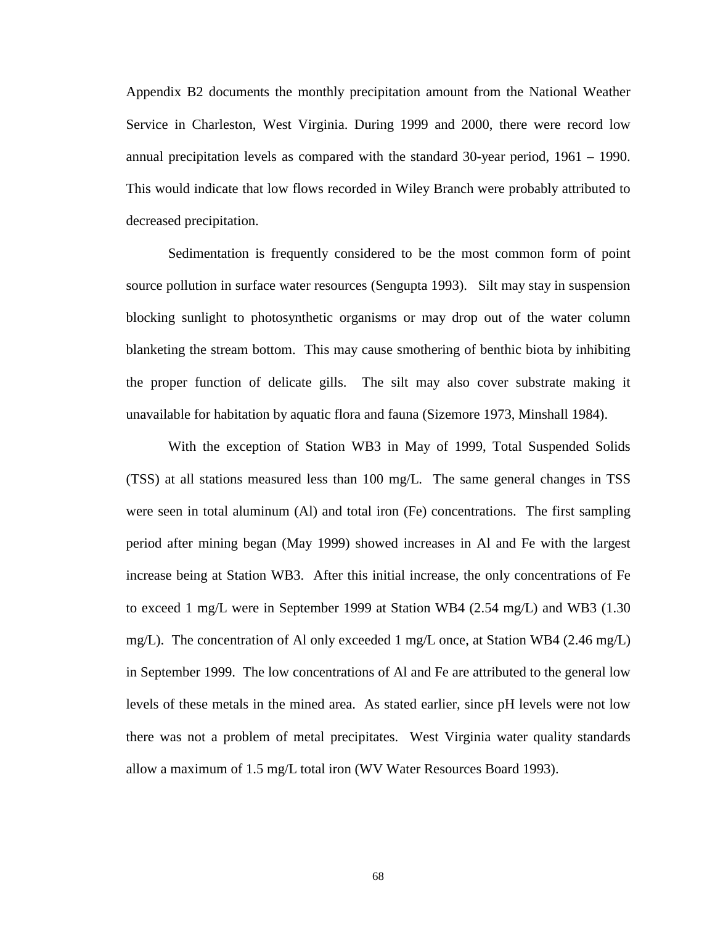[Appendix B2](#page-115-0) documents the monthly precipitation amount from the National Weather Service in Charleston, West Virginia. During 1999 and 2000, there were record low annual precipitation levels as compared with the standard 30-year period, 1961 – 1990. This would indicate that low flows recorded in Wiley Branch were probably attributed to decreased precipitation.

Sedimentation is frequently considered to be the most common form of point source pollution in surface water resources (Sengupta 1993). Silt may stay in suspension blocking sunlight to photosynthetic organisms or may drop out of the water column blanketing the stream bottom. This may cause smothering of benthic biota by inhibiting the proper function of delicate gills. The silt may also cover substrate making it unavailable for habitation by aquatic flora and fauna (Sizemore 1973, Minshall 1984).

With the exception of Station WB3 in May of 1999, Total Suspended Solids (TSS) at all stations measured less than 100 mg/L. The same general changes in TSS were seen in total aluminum (Al) and total iron (Fe) concentrations. The first sampling period after mining began (May 1999) showed increases in Al and Fe with the largest increase being at Station WB3. After this initial increase, the only concentrations of Fe to exceed 1 mg/L were in September 1999 at Station WB4 (2.54 mg/L) and WB3 (1.30 mg/L). The concentration of Al only exceeded 1 mg/L once, at Station WB4 (2.46 mg/L) in September 1999. The low concentrations of Al and Fe are attributed to the general low levels of these metals in the mined area. As stated earlier, since pH levels were not low there was not a problem of metal precipitates. West Virginia water quality standards allow a maximum of 1.5 mg/L total iron (WV Water Resources Board 1993).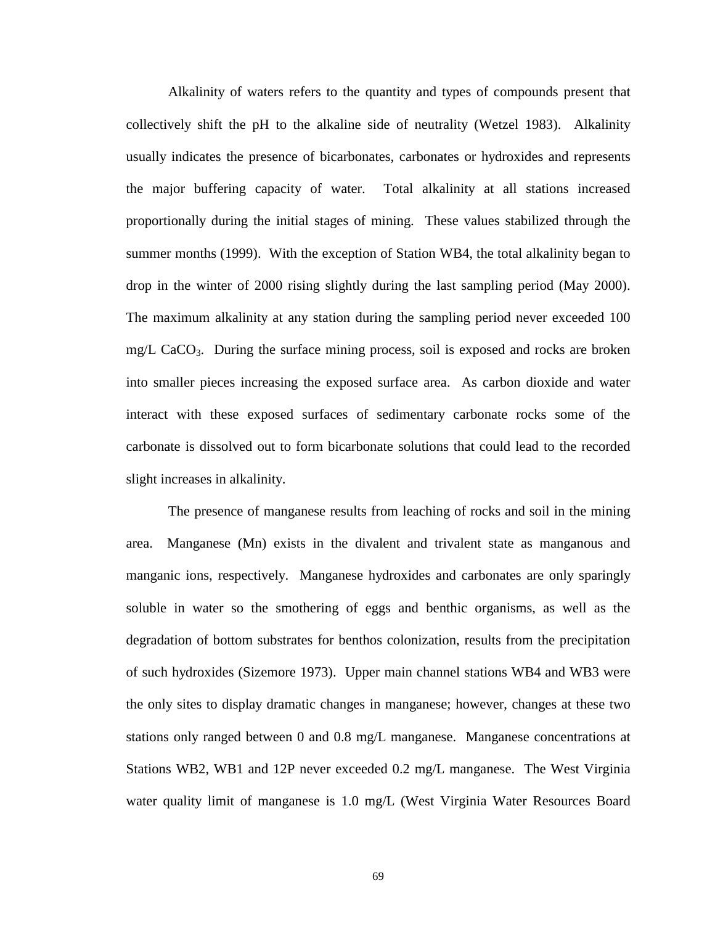Alkalinity of waters refers to the quantity and types of compounds present that collectively shift the pH to the alkaline side of neutrality (Wetzel 1983). Alkalinity usually indicates the presence of bicarbonates, carbonates or hydroxides and represents the major buffering capacity of water. Total alkalinity at all stations increased proportionally during the initial stages of mining. These values stabilized through the summer months (1999). With the exception of Station WB4, the total alkalinity began to drop in the winter of 2000 rising slightly during the last sampling period (May 2000). The maximum alkalinity at any station during the sampling period never exceeded 100  $mg/L$  CaCO<sub>3</sub>. During the surface mining process, soil is exposed and rocks are broken into smaller pieces increasing the exposed surface area. As carbon dioxide and water interact with these exposed surfaces of sedimentary carbonate rocks some of the carbonate is dissolved out to form bicarbonate solutions that could lead to the recorded slight increases in alkalinity.

The presence of manganese results from leaching of rocks and soil in the mining area. Manganese (Mn) exists in the divalent and trivalent state as manganous and manganic ions, respectively. Manganese hydroxides and carbonates are only sparingly soluble in water so the smothering of eggs and benthic organisms, as well as the degradation of bottom substrates for benthos colonization, results from the precipitation of such hydroxides (Sizemore 1973). Upper main channel stations WB4 and WB3 were the only sites to display dramatic changes in manganese; however, changes at these two stations only ranged between 0 and 0.8 mg/L manganese. Manganese concentrations at Stations WB2, WB1 and 12P never exceeded 0.2 mg/L manganese. The West Virginia water quality limit of manganese is 1.0 mg/L (West Virginia Water Resources Board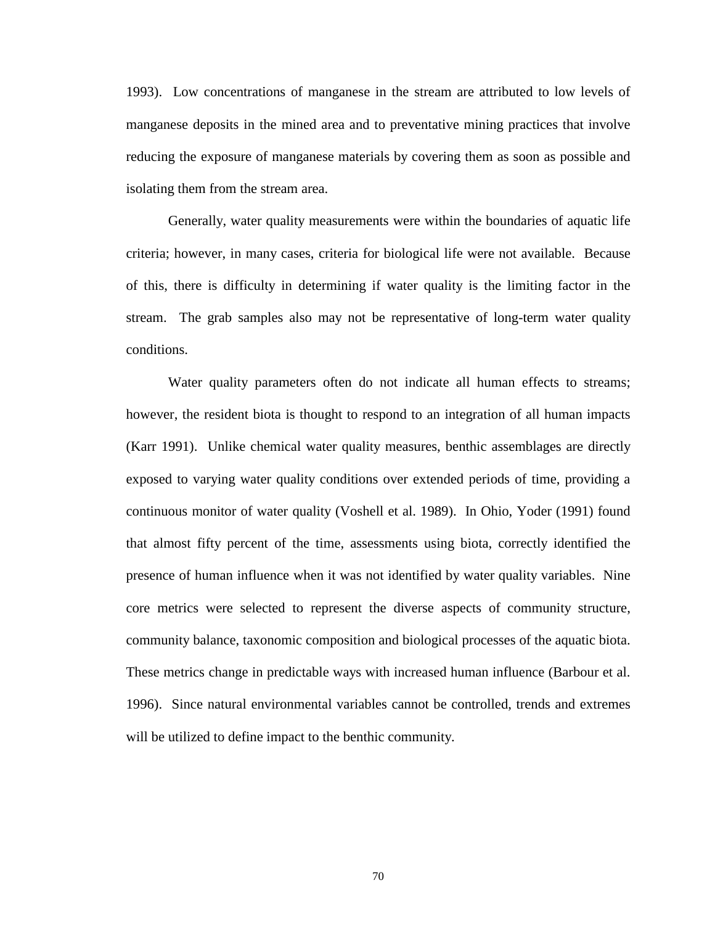1993). Low concentrations of manganese in the stream are attributed to low levels of manganese deposits in the mined area and to preventative mining practices that involve reducing the exposure of manganese materials by covering them as soon as possible and isolating them from the stream area.

Generally, water quality measurements were within the boundaries of aquatic life criteria; however, in many cases, criteria for biological life were not available. Because of this, there is difficulty in determining if water quality is the limiting factor in the stream. The grab samples also may not be representative of long-term water quality conditions.

Water quality parameters often do not indicate all human effects to streams; however, the resident biota is thought to respond to an integration of all human impacts (Karr 1991). Unlike chemical water quality measures, benthic assemblages are directly exposed to varying water quality conditions over extended periods of time, providing a continuous monitor of water quality (Voshell et al. 1989). In Ohio, Yoder (1991) found that almost fifty percent of the time, assessments using biota, correctly identified the presence of human influence when it was not identified by water quality variables. Nine core metrics were selected to represent the diverse aspects of community structure, community balance, taxonomic composition and biological processes of the aquatic biota. These metrics change in predictable ways with increased human influence (Barbour et al. 1996). Since natural environmental variables cannot be controlled, trends and extremes will be utilized to define impact to the benthic community.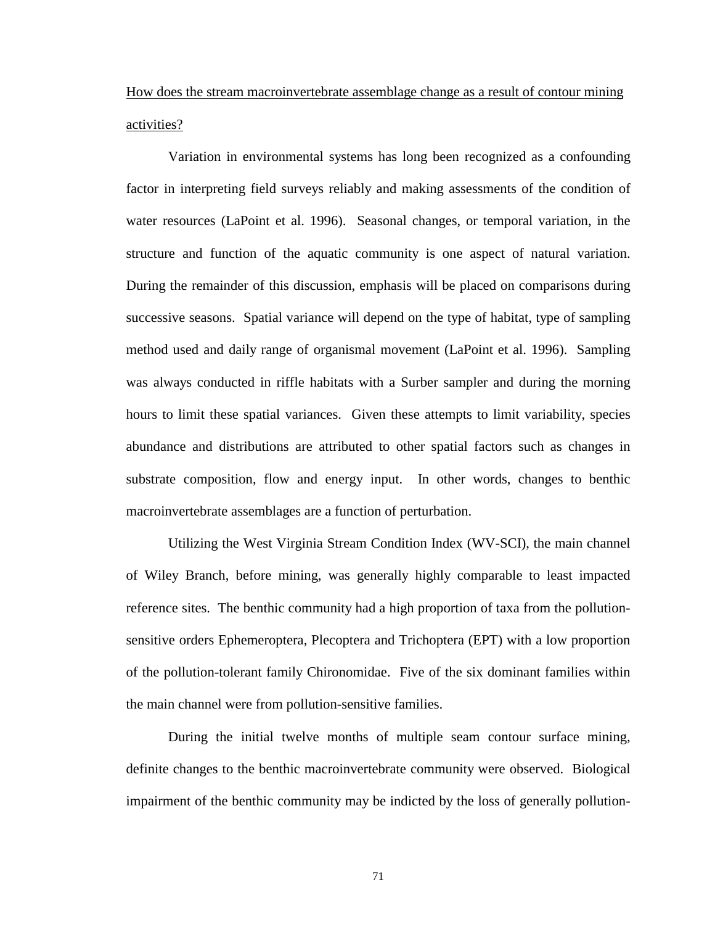How does the stream macroinvertebrate assemblage change as a result of contour mining activities?

Variation in environmental systems has long been recognized as a confounding factor in interpreting field surveys reliably and making assessments of the condition of water resources (LaPoint et al. 1996). Seasonal changes, or temporal variation, in the structure and function of the aquatic community is one aspect of natural variation. During the remainder of this discussion, emphasis will be placed on comparisons during successive seasons. Spatial variance will depend on the type of habitat, type of sampling method used and daily range of organismal movement (LaPoint et al. 1996). Sampling was always conducted in riffle habitats with a Surber sampler and during the morning hours to limit these spatial variances. Given these attempts to limit variability, species abundance and distributions are attributed to other spatial factors such as changes in substrate composition, flow and energy input. In other words, changes to benthic macroinvertebrate assemblages are a function of perturbation.

Utilizing the West Virginia Stream Condition Index (WV-SCI), the main channel of Wiley Branch, before mining, was generally highly comparable to least impacted reference sites. The benthic community had a high proportion of taxa from the pollutionsensitive orders Ephemeroptera, Plecoptera and Trichoptera (EPT) with a low proportion of the pollution-tolerant family Chironomidae. Five of the six dominant families within the main channel were from pollution-sensitive families.

During the initial twelve months of multiple seam contour surface mining, definite changes to the benthic macroinvertebrate community were observed.Biological impairment of the benthic community may be indicted by the loss of generally pollution-

71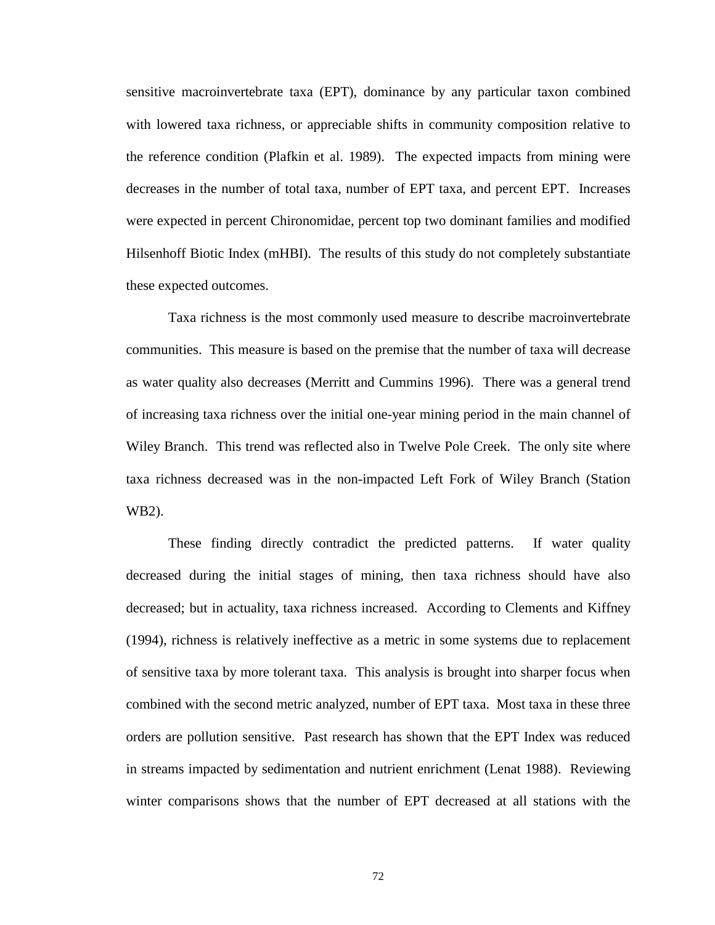sensitive macroinvertebrate taxa (EPT), dominance by any particular taxon combined with lowered taxa richness, or appreciable shifts in community composition relative to the reference condition (Plafkin et al. 1989). The expected impacts from mining were decreases in the number of total taxa, number of EPT taxa, and percent EPT. Increases were expected in percent Chironomidae, percent top two dominant families and modified Hilsenhoff Biotic Index (mHBI). The results of this study do not completely substantiate these expected outcomes.

Taxa richness is the most commonly used measure to describe macroinvertebrate communities. This measure is based on the premise that the number of taxa will decrease as water quality also decreases (Merritt and Cummins 1996). There was a general trend of increasing taxa richness over the initial one-year mining period in the main channel of Wiley Branch. This trend was reflected also in Twelve Pole Creek. The only site where taxa richness decreased was in the non-impacted Left Fork of Wiley Branch (Station WB2).

These finding directly contradict the predicted patterns. If water quality decreased during the initial stages of mining, then taxa richness should have also decreased; but in actuality, taxa richness increased. According to Clements and Kiffney (1994), richness is relatively ineffective as a metric in some systems due to replacement of sensitive taxa by more tolerant taxa. This analysis is brought into sharper focus when combined with the second metric analyzed, number of EPT taxa. Most taxa in these three orders are pollution sensitive. Past research has shown that the EPT Index was reduced in streams impacted by sedimentation and nutrient enrichment (Lenat 1988). Reviewing winter comparisons shows that the number of EPT decreased at all stations with the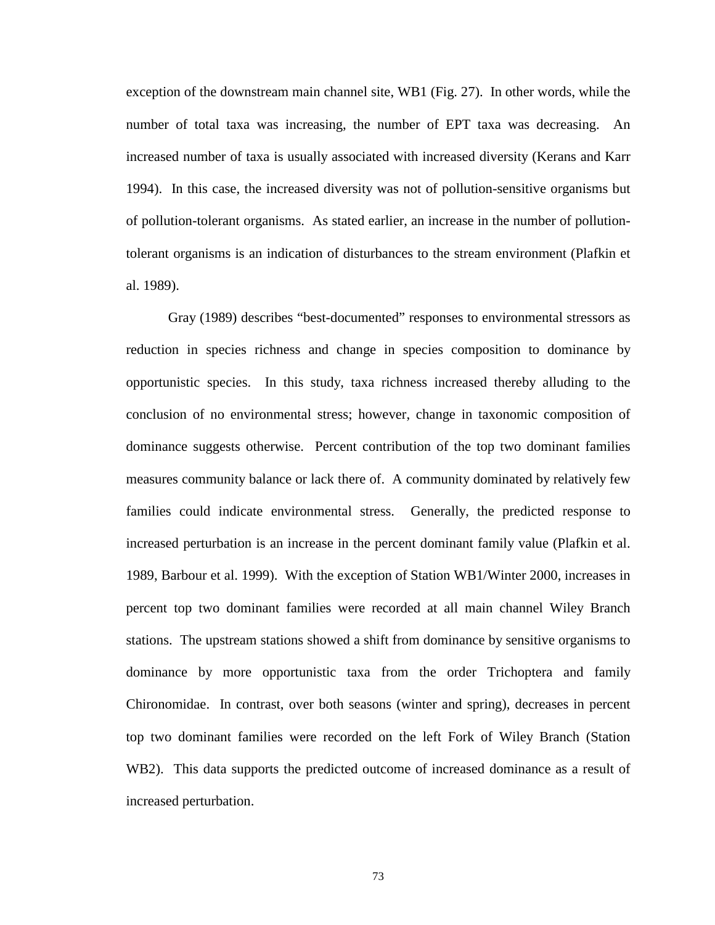exception of the downstream main channel site, WB1 (Fig. 27). In other words, while the number of total taxa was increasing, the number of EPT taxa was decreasing. An increased number of taxa is usually associated with increased diversity (Kerans and Karr 1994). In this case, the increased diversity was not of pollution-sensitive organisms but of pollution-tolerant organisms. As stated earlier, an increase in the number of pollutiontolerant organisms is an indication of disturbances to the stream environment (Plafkin et al. 1989).

Gray (1989) describes "best-documented" responses to environmental stressors as reduction in species richness and change in species composition to dominance by opportunistic species. In this study, taxa richness increased thereby alluding to the conclusion of no environmental stress; however, change in taxonomic composition of dominance suggests otherwise. Percent contribution of the top two dominant families measures community balance or lack there of. A community dominated by relatively few families could indicate environmental stress. Generally, the predicted response to increased perturbation is an increase in the percent dominant family value (Plafkin et al. 1989, Barbour et al. 1999). With the exception of Station WB1/Winter 2000, increases in percent top two dominant families were recorded at all main channel Wiley Branch stations. The upstream stations showed a shift from dominance by sensitive organisms to dominance by more opportunistic taxa from the order Trichoptera and family Chironomidae. In contrast, over both seasons (winter and spring), decreases in percent top two dominant families were recorded on the left Fork of Wiley Branch (Station WB2). This data supports the predicted outcome of increased dominance as a result of increased perturbation.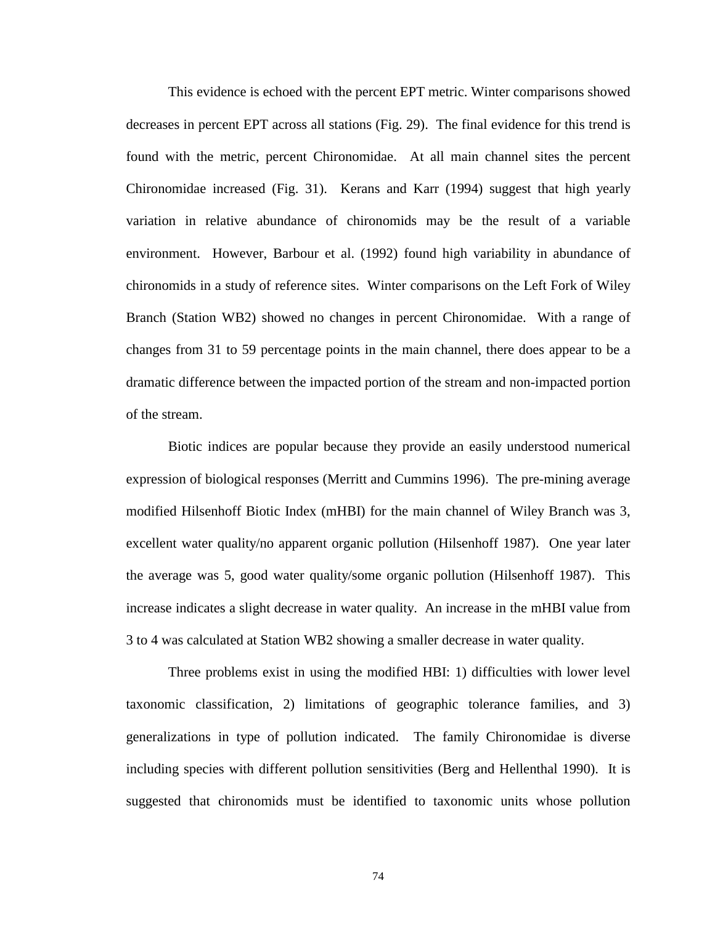This evidence is echoed with the percent EPT metric. Winter comparisons showed decreases in percent EPT across all stations (Fig. 29). The final evidence for this trend is found with the metric, percent Chironomidae. At all main channel sites the percent Chironomidae increased (Fig. 31). Kerans and Karr (1994) suggest that high yearly variation in relative abundance of chironomids may be the result of a variable environment. However, Barbour et al. (1992) found high variability in abundance of chironomids in a study of reference sites. Winter comparisons on the Left Fork of Wiley Branch (Station WB2) showed no changes in percent Chironomidae. With a range of changes from 31 to 59 percentage points in the main channel, there does appear to be a dramatic difference between the impacted portion of the stream and non-impacted portion of the stream.

Biotic indices are popular because they provide an easily understood numerical expression of biological responses (Merritt and Cummins 1996). The pre-mining average modified Hilsenhoff Biotic Index (mHBI) for the main channel of Wiley Branch was 3, excellent water quality/no apparent organic pollution (Hilsenhoff 1987). One year later the average was 5, good water quality/some organic pollution (Hilsenhoff 1987). This increase indicates a slight decrease in water quality. An increase in the mHBI value from 3 to 4 was calculated at Station WB2 showing a smaller decrease in water quality.

Three problems exist in using the modified HBI: 1) difficulties with lower level taxonomic classification, 2) limitations of geographic tolerance families, and 3) generalizations in type of pollution indicated. The family Chironomidae is diverse including species with different pollution sensitivities (Berg and Hellenthal 1990). It is suggested that chironomids must be identified to taxonomic units whose pollution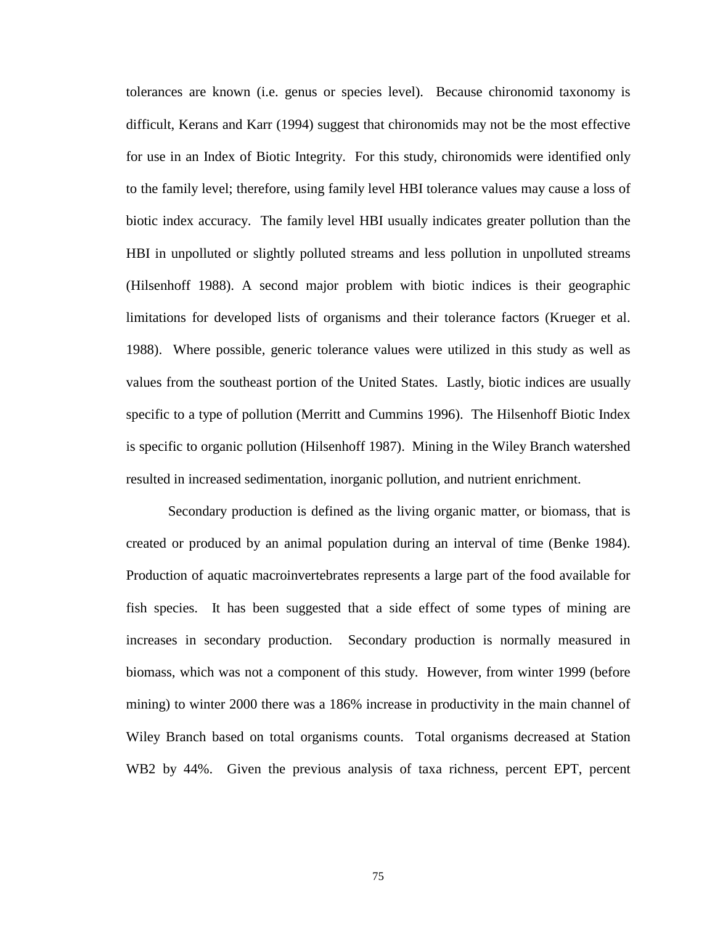tolerances are known (i.e. genus or species level). Because chironomid taxonomy is difficult, Kerans and Karr (1994) suggest that chironomids may not be the most effective for use in an Index of Biotic Integrity. For this study, chironomids were identified only to the family level; therefore, using family level HBI tolerance values may cause a loss of biotic index accuracy. The family level HBI usually indicates greater pollution than the HBI in unpolluted or slightly polluted streams and less pollution in unpolluted streams (Hilsenhoff 1988). A second major problem with biotic indices is their geographic limitations for developed lists of organisms and their tolerance factors (Krueger et al. 1988). Where possible, generic tolerance values were utilized in this study as well as values from the southeast portion of the United States. Lastly, biotic indices are usually specific to a type of pollution (Merritt and Cummins 1996). The Hilsenhoff Biotic Index is specific to organic pollution (Hilsenhoff 1987). Mining in the Wiley Branch watershed resulted in increased sedimentation, inorganic pollution, and nutrient enrichment.

Secondary production is defined as the living organic matter, or biomass, that is created or produced by an animal population during an interval of time (Benke 1984). Production of aquatic macroinvertebrates represents a large part of the food available for fish species. It has been suggested that a side effect of some types of mining are increases in secondary production. Secondary production is normally measured in biomass, which was not a component of this study. However, from winter 1999 (before mining) to winter 2000 there was a 186% increase in productivity in the main channel of Wiley Branch based on total organisms counts. Total organisms decreased at Station WB2 by 44%. Given the previous analysis of taxa richness, percent EPT, percent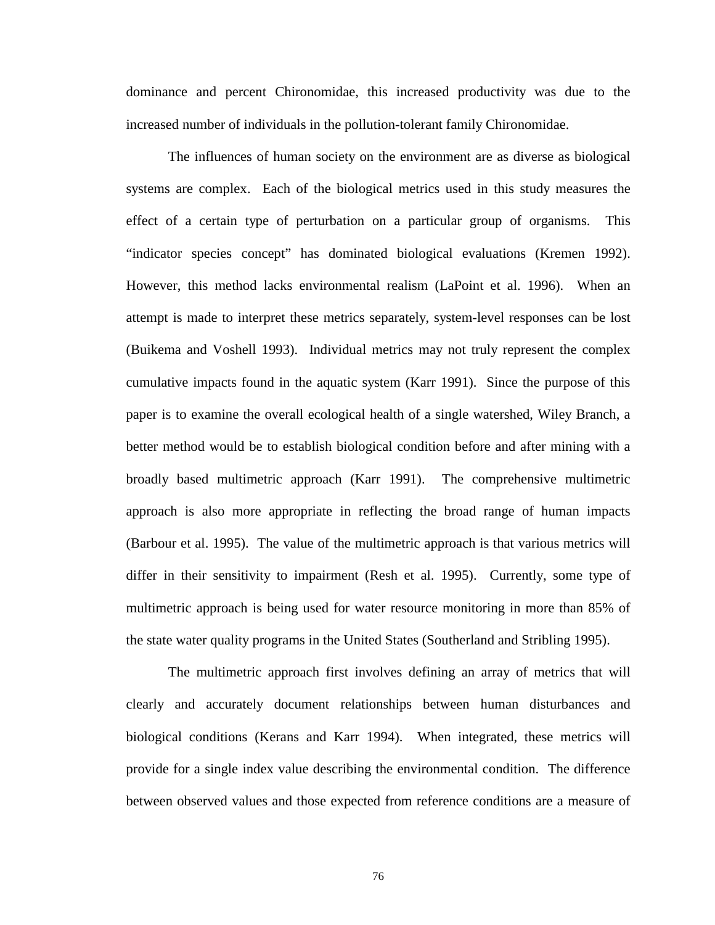dominance and percent Chironomidae, this increased productivity was due to the increased number of individuals in the pollution-tolerant family Chironomidae.

The influences of human society on the environment are as diverse as biological systems are complex. Each of the biological metrics used in this study measures the effect of a certain type of perturbation on a particular group of organisms. This "indicator species concept" has dominated biological evaluations (Kremen 1992). However, this method lacks environmental realism (LaPoint et al. 1996). When an attempt is made to interpret these metrics separately, system-level responses can be lost (Buikema and Voshell 1993). Individual metrics may not truly represent the complex cumulative impacts found in the aquatic system (Karr 1991). Since the purpose of this paper is to examine the overall ecological health of a single watershed, Wiley Branch, a better method would be to establish biological condition before and after mining with a broadly based multimetric approach (Karr 1991). The comprehensive multimetric approach is also more appropriate in reflecting the broad range of human impacts (Barbour et al. 1995). The value of the multimetric approach is that various metrics will differ in their sensitivity to impairment (Resh et al. 1995). Currently, some type of multimetric approach is being used for water resource monitoring in more than 85% of the state water quality programs in the United States (Southerland and Stribling 1995).

The multimetric approach first involves defining an array of metrics that will clearly and accurately document relationships between human disturbances and biological conditions (Kerans and Karr 1994). When integrated, these metrics will provide for a single index value describing the environmental condition. The difference between observed values and those expected from reference conditions are a measure of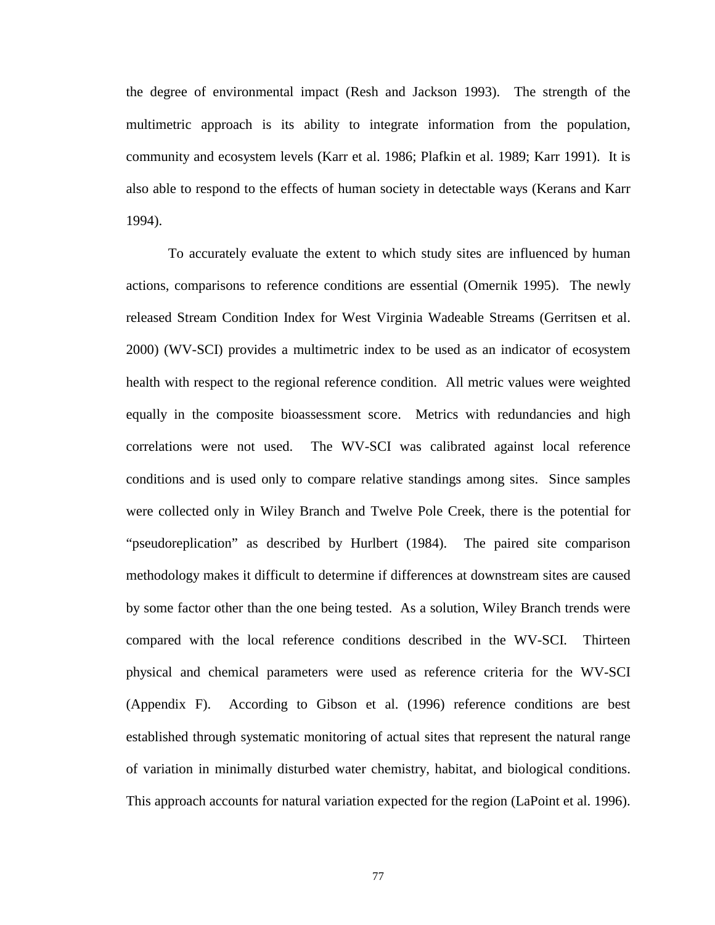the degree of environmental impact (Resh and Jackson 1993). The strength of the multimetric approach is its ability to integrate information from the population, community and ecosystem levels (Karr et al. 1986; Plafkin et al. 1989; Karr 1991). It is also able to respond to the effects of human society in detectable ways (Kerans and Karr 1994).

To accurately evaluate the extent to which study sites are influenced by human actions, comparisons to reference conditions are essential (Omernik 1995). The newly released Stream Condition Index for West Virginia Wadeable Streams (Gerritsen et al. 2000) (WV-SCI) provides a multimetric index to be used as an indicator of ecosystem health with respect to the regional reference condition. All metric values were weighted equally in the composite bioassessment score. Metrics with redundancies and high correlations were not used. The WV-SCI was calibrated against local reference conditions and is used only to compare relative standings among sites. Since samples were collected only in Wiley Branch and Twelve Pole Creek, there is the potential for "pseudoreplication" as described by Hurlbert (1984). The paired site comparison methodology makes it difficult to determine if differences at downstream sites are caused by some factor other than the one being tested. As a solution, Wiley Branch trends were compared with the local reference conditions described in the WV-SCI. Thirteen physical and chemical parameters were used as reference criteria for the WV-SCI [\(Appendix F\).](#page-151-0) According to Gibson et al. (1996) reference conditions are best established through systematic monitoring of actual sites that represent the natural range of variation in minimally disturbed water chemistry, habitat, and biological conditions. This approach accounts for natural variation expected for the region (LaPoint et al. 1996).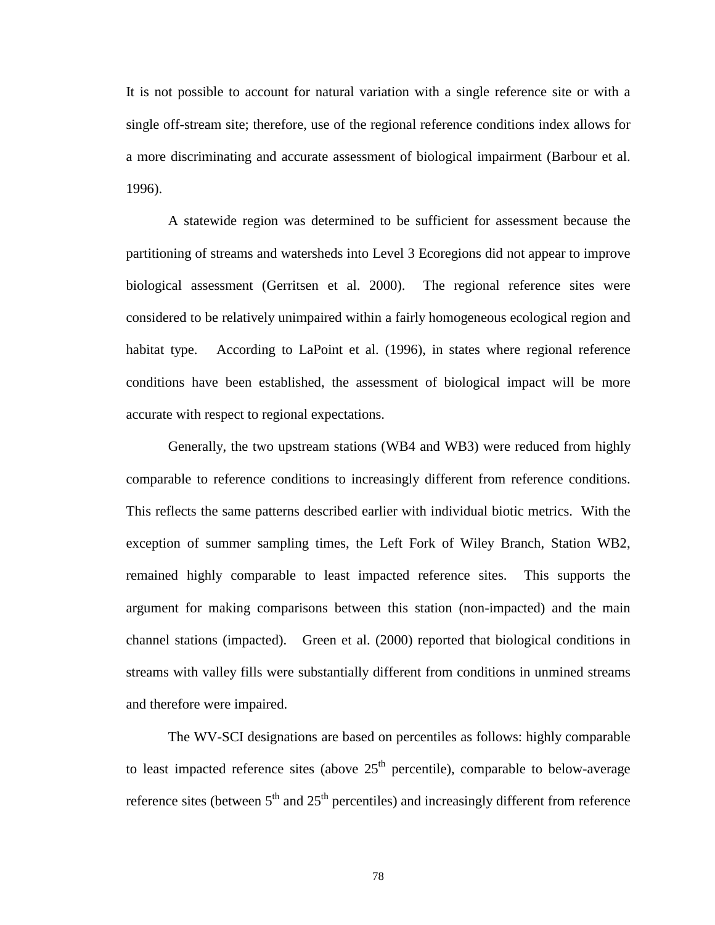It is not possible to account for natural variation with a single reference site or with a single off-stream site; therefore, use of the regional reference conditions index allows for a more discriminating and accurate assessment of biological impairment (Barbour et al. 1996).

A statewide region was determined to be sufficient for assessment because the partitioning of streams and watersheds into Level 3 Ecoregions did not appear to improve biological assessment (Gerritsen et al. 2000). The regional reference sites were considered to be relatively unimpaired within a fairly homogeneous ecological region and habitat type. According to LaPoint et al. (1996), in states where regional reference conditions have been established, the assessment of biological impact will be more accurate with respect to regional expectations.

Generally, the two upstream stations (WB4 and WB3) were reduced from highly comparable to reference conditions to increasingly different from reference conditions. This reflects the same patterns described earlier with individual biotic metrics. With the exception of summer sampling times, the Left Fork of Wiley Branch, Station WB2, remained highly comparable to least impacted reference sites. This supports the argument for making comparisons between this station (non-impacted) and the main channel stations (impacted). Green et al. (2000) reported that biological conditions in streams with valley fills were substantially different from conditions in unmined streams and therefore were impaired.

The WV-SCI designations are based on percentiles as follows: highly comparable to least impacted reference sites (above  $25<sup>th</sup>$  percentile), comparable to below-average reference sites (between  $5<sup>th</sup>$  and  $25<sup>th</sup>$  percentiles) and increasingly different from reference

78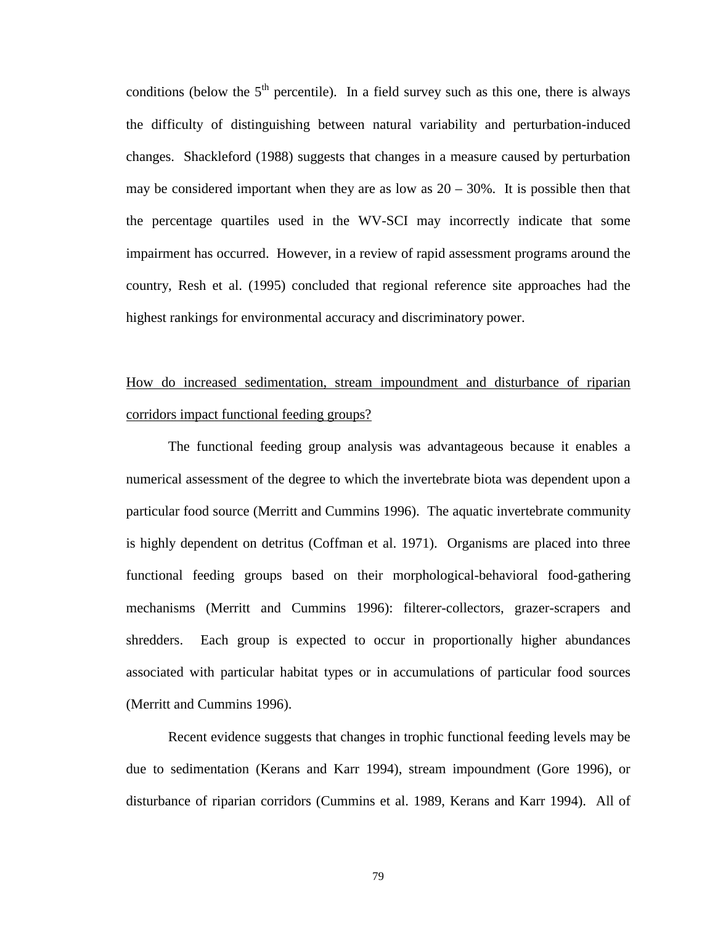conditions (below the  $5<sup>th</sup>$  percentile). In a field survey such as this one, there is always the difficulty of distinguishing between natural variability and perturbation-induced changes. Shackleford (1988) suggests that changes in a measure caused by perturbation may be considered important when they are as low as  $20 - 30\%$ . It is possible then that the percentage quartiles used in the WV-SCI may incorrectly indicate that some impairment has occurred. However, in a review of rapid assessment programs around the country, Resh et al. (1995) concluded that regional reference site approaches had the highest rankings for environmental accuracy and discriminatory power.

# How do increased sedimentation, stream impoundment and disturbance of riparian corridors impact functional feeding groups?

The functional feeding group analysis was advantageous because it enables a numerical assessment of the degree to which the invertebrate biota was dependent upon a particular food source (Merritt and Cummins 1996). The aquatic invertebrate community is highly dependent on detritus (Coffman et al. 1971). Organisms are placed into three functional feeding groups based on their morphological-behavioral food-gathering mechanisms (Merritt and Cummins 1996): filterer-collectors, grazer-scrapers and shredders. Each group is expected to occur in proportionally higher abundances associated with particular habitat types or in accumulations of particular food sources (Merritt and Cummins 1996).

Recent evidence suggests that changes in trophic functional feeding levels may be due to sedimentation (Kerans and Karr 1994), stream impoundment (Gore 1996), or disturbance of riparian corridors (Cummins et al. 1989, Kerans and Karr 1994). All of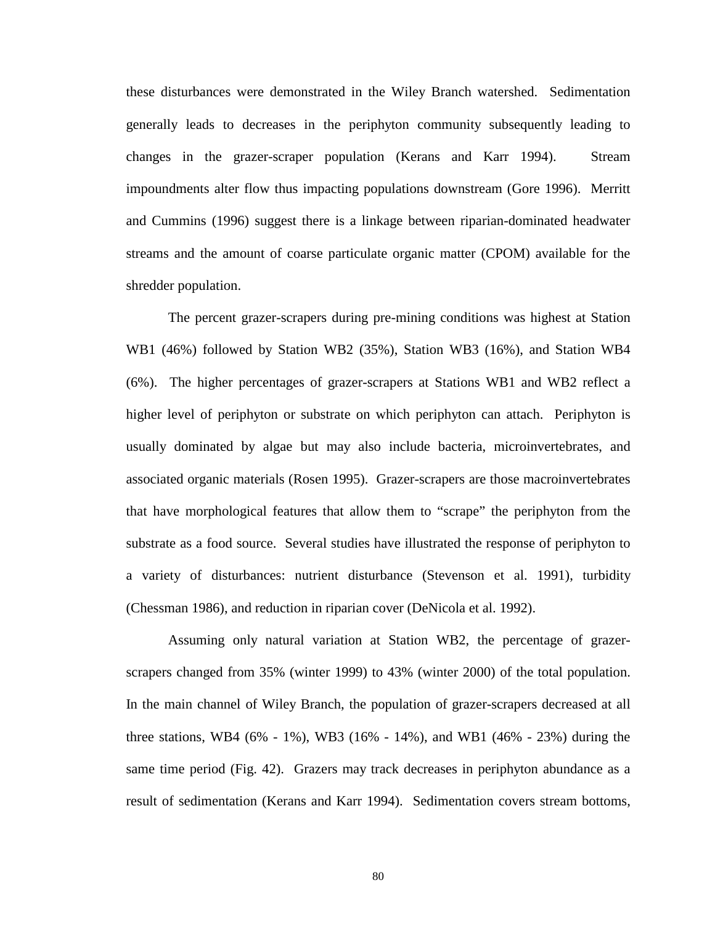these disturbances were demonstrated in the Wiley Branch watershed. Sedimentation generally leads to decreases in the periphyton community subsequently leading to changes in the grazer-scraper population (Kerans and Karr 1994). Stream impoundments alter flow thus impacting populations downstream (Gore 1996). Merritt and Cummins (1996) suggest there is a linkage between riparian-dominated headwater streams and the amount of coarse particulate organic matter (CPOM) available for the shredder population.

The percent grazer-scrapers during pre-mining conditions was highest at Station WB1 (46%) followed by Station WB2 (35%), Station WB3 (16%), and Station WB4 (6%). The higher percentages of grazer-scrapers at Stations WB1 and WB2 reflect a higher level of periphyton or substrate on which periphyton can attach. Periphyton is usually dominated by algae but may also include bacteria, microinvertebrates, and associated organic materials (Rosen 1995). Grazer-scrapers are those macroinvertebrates that have morphological features that allow them to "scrape" the periphyton from the substrate as a food source. Several studies have illustrated the response of periphyton to a variety of disturbances: nutrient disturbance (Stevenson et al. 1991), turbidity (Chessman 1986), and reduction in riparian cover (DeNicola et al. 1992).

Assuming only natural variation at Station WB2, the percentage of grazerscrapers changed from 35% (winter 1999) to 43% (winter 2000) of the total population. In the main channel of Wiley Branch, the population of grazer-scrapers decreased at all three stations, WB4 (6% - 1%), WB3 (16% - 14%), and WB1 (46% - 23%) during the same time period (Fig. 42). Grazers may track decreases in periphyton abundance as a result of sedimentation (Kerans and Karr 1994). Sedimentation covers stream bottoms,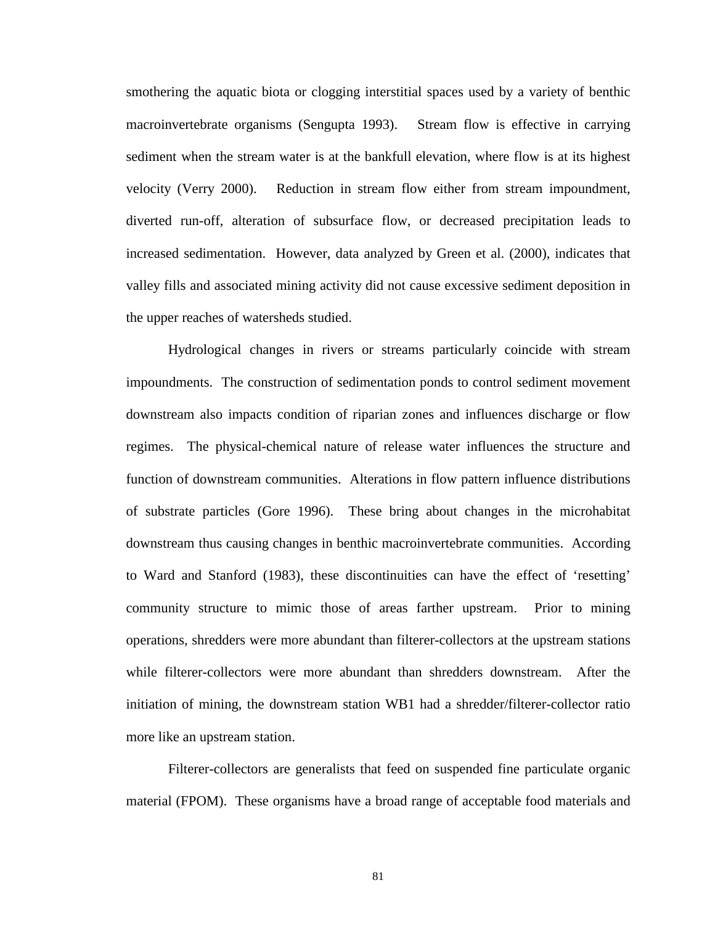smothering the aquatic biota or clogging interstitial spaces used by a variety of benthic macroinvertebrate organisms (Sengupta 1993). Stream flow is effective in carrying sediment when the stream water is at the bankfull elevation, where flow is at its highest velocity (Verry 2000). Reduction in stream flow either from stream impoundment, diverted run-off, alteration of subsurface flow, or decreased precipitation leads to increased sedimentation. However, data analyzed by Green et al. (2000), indicates that valley fills and associated mining activity did not cause excessive sediment deposition in the upper reaches of watersheds studied.

Hydrological changes in rivers or streams particularly coincide with stream impoundments. The construction of sedimentation ponds to control sediment movement downstream also impacts condition of riparian zones and influences discharge or flow regimes. The physical-chemical nature of release water influences the structure and function of downstream communities. Alterations in flow pattern influence distributions of substrate particles (Gore 1996). These bring about changes in the microhabitat downstream thus causing changes in benthic macroinvertebrate communities. According to Ward and Stanford (1983), these discontinuities can have the effect of 'resetting' community structure to mimic those of areas farther upstream. Prior to mining operations, shredders were more abundant than filterer-collectors at the upstream stations while filterer-collectors were more abundant than shredders downstream. After the initiation of mining, the downstream station WB1 had a shredder/filterer-collector ratio more like an upstream station.

Filterer-collectors are generalists that feed on suspended fine particulate organic material (FPOM). These organisms have a broad range of acceptable food materials and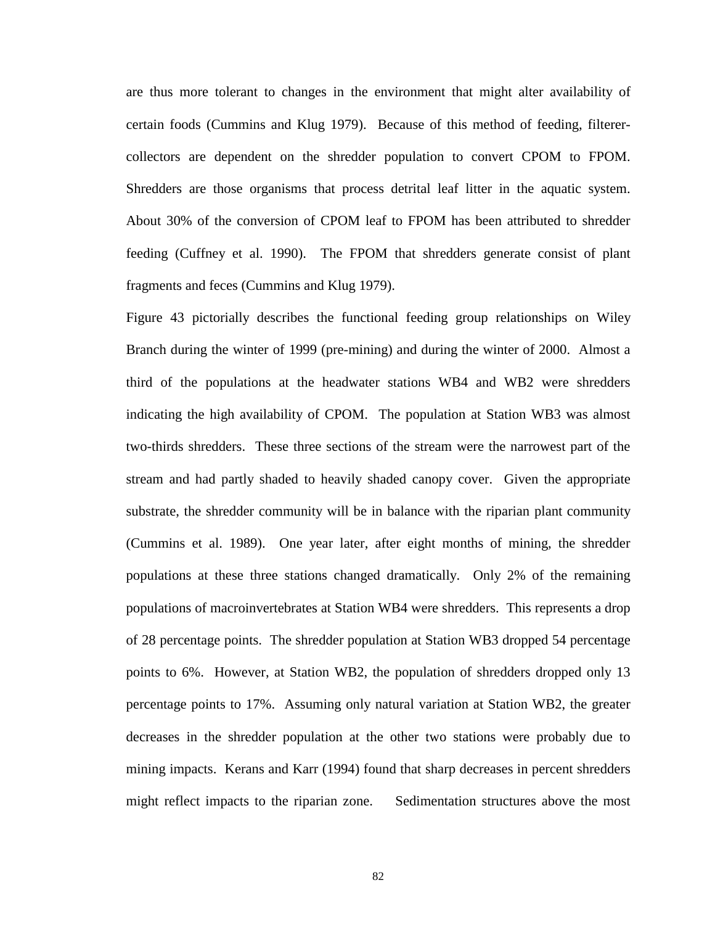are thus more tolerant to changes in the environment that might alter availability of certain foods (Cummins and Klug 1979). Because of this method of feeding, filterercollectors are dependent on the shredder population to convert CPOM to FPOM. Shredders are those organisms that process detrital leaf litter in the aquatic system. About 30% of the conversion of CPOM leaf to FPOM has been attributed to shredder feeding (Cuffney et al. 1990). The FPOM that shredders generate consist of plant fragments and feces (Cummins and Klug 1979).

Figure 43 pictorially describes the functional feeding group relationships on Wiley Branch during the winter of 1999 (pre-mining) and during the winter of 2000. Almost a third of the populations at the headwater stations WB4 and WB2 were shredders indicating the high availability of CPOM. The population at Station WB3 was almost two-thirds shredders. These three sections of the stream were the narrowest part of the stream and had partly shaded to heavily shaded canopy cover. Given the appropriate substrate, the shredder community will be in balance with the riparian plant community (Cummins et al. 1989). One year later, after eight months of mining, the shredder populations at these three stations changed dramatically. Only 2% of the remaining populations of macroinvertebrates at Station WB4 were shredders. This represents a drop of 28 percentage points. The shredder population at Station WB3 dropped 54 percentage points to 6%. However, at Station WB2, the population of shredders dropped only 13 percentage points to 17%. Assuming only natural variation at Station WB2, the greater decreases in the shredder population at the other two stations were probably due to mining impacts. Kerans and Karr (1994) found that sharp decreases in percent shredders might reflect impacts to the riparian zone.Sedimentation structures above the most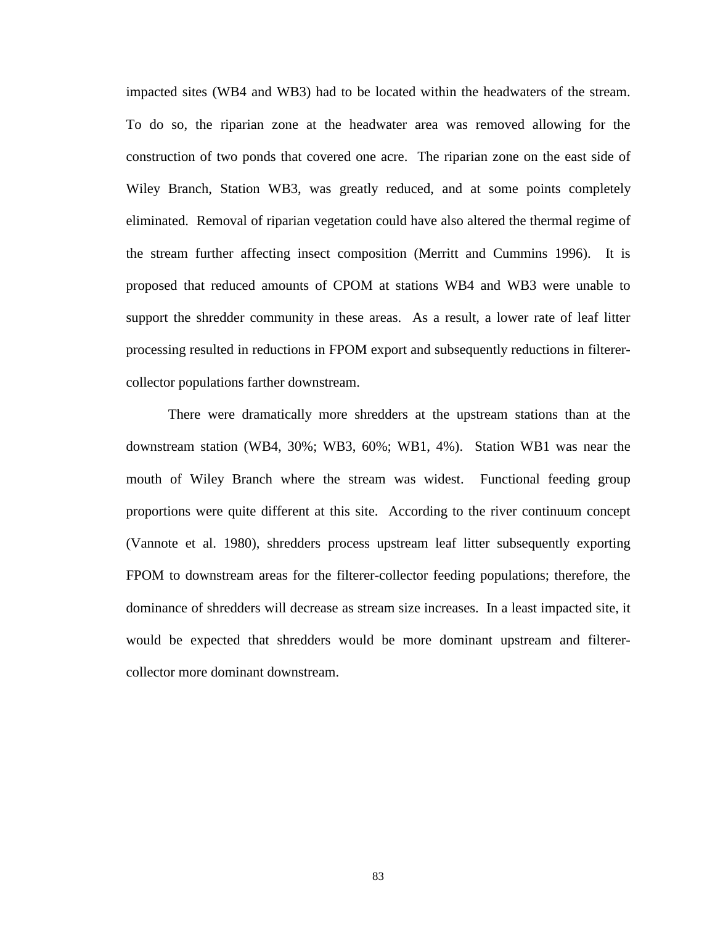impacted sites (WB4 and WB3) had to be located within the headwaters of the stream. To do so, the riparian zone at the headwater area was removed allowing for the construction of two ponds that covered one acre. The riparian zone on the east side of Wiley Branch, Station WB3, was greatly reduced, and at some points completely eliminated. Removal of riparian vegetation could have also altered the thermal regime of the stream further affecting insect composition (Merritt and Cummins 1996). It is proposed that reduced amounts of CPOM at stations WB4 and WB3 were unable to support the shredder community in these areas. As a result, a lower rate of leaf litter processing resulted in reductions in FPOM export and subsequently reductions in filterercollector populations farther downstream.

There were dramatically more shredders at the upstream stations than at the downstream station (WB4, 30%; WB3, 60%; WB1, 4%). Station WB1 was near the mouth of Wiley Branch where the stream was widest. Functional feeding group proportions were quite different at this site. According to the river continuum concept (Vannote et al. 1980), shredders process upstream leaf litter subsequently exporting FPOM to downstream areas for the filterer-collector feeding populations; therefore, the dominance of shredders will decrease as stream size increases. In a least impacted site, it would be expected that shredders would be more dominant upstream and filterercollector more dominant downstream.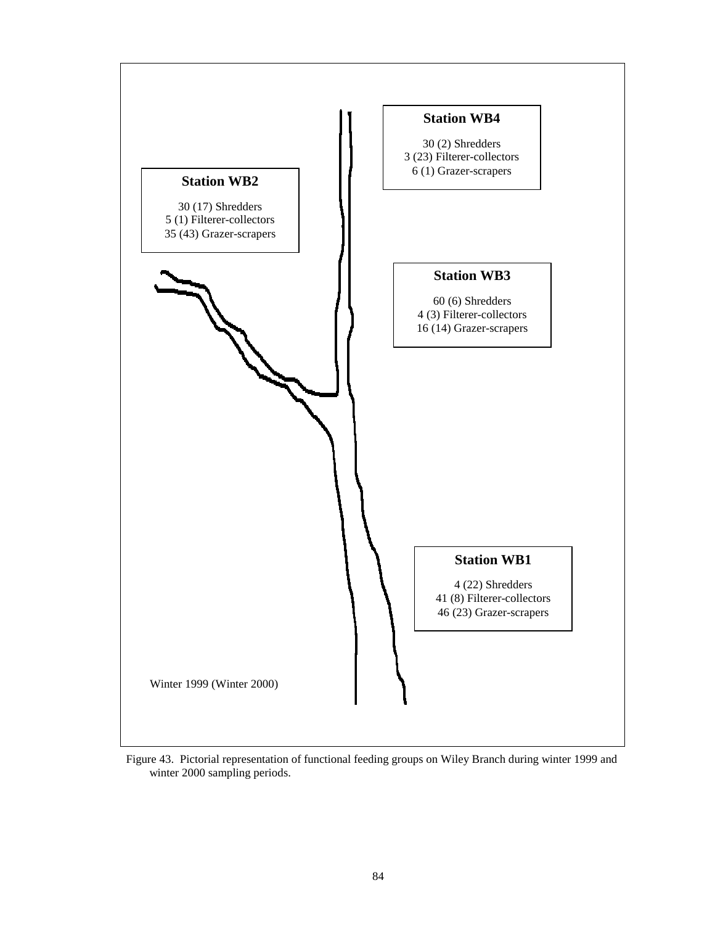

Figure 43. Pictorial representation of functional feeding groups on Wiley Branch during winter 1999 and winter 2000 sampling periods.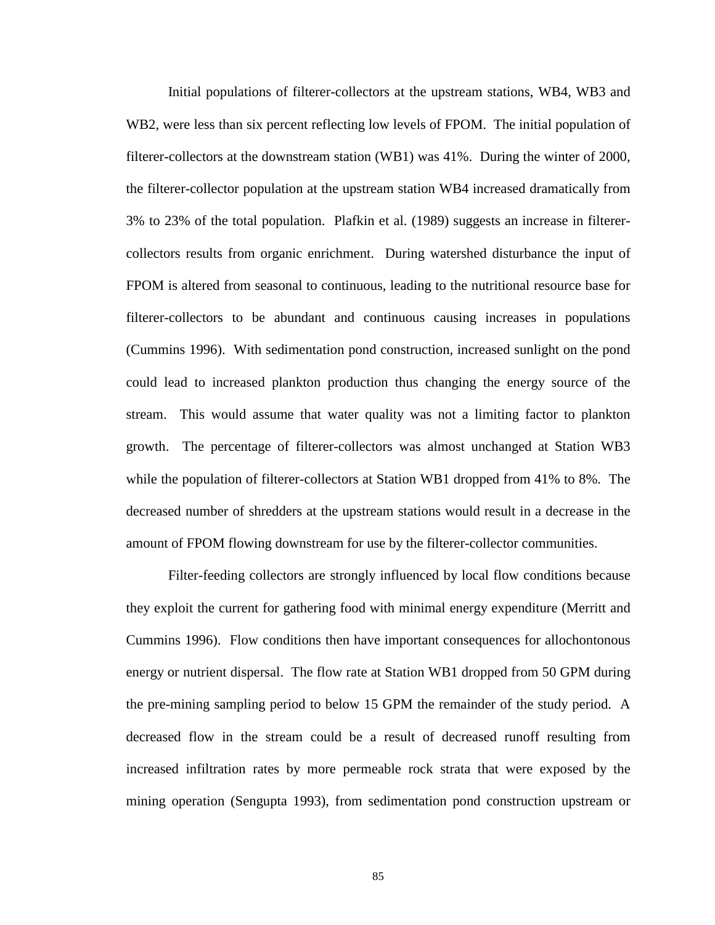Initial populations of filterer-collectors at the upstream stations, WB4, WB3 and WB2, were less than six percent reflecting low levels of FPOM. The initial population of filterer-collectors at the downstream station (WB1) was 41%. During the winter of 2000, the filterer-collector population at the upstream station WB4 increased dramatically from 3% to 23% of the total population. Plafkin et al. (1989) suggests an increase in filterercollectors results from organic enrichment. During watershed disturbance the input of FPOM is altered from seasonal to continuous, leading to the nutritional resource base for filterer-collectors to be abundant and continuous causing increases in populations (Cummins 1996). With sedimentation pond construction, increased sunlight on the pond could lead to increased plankton production thus changing the energy source of the stream. This would assume that water quality was not a limiting factor to plankton growth. The percentage of filterer-collectors was almost unchanged at Station WB3 while the population of filterer-collectors at Station WB1 dropped from 41% to 8%. The decreased number of shredders at the upstream stations would result in a decrease in the amount of FPOM flowing downstream for use by the filterer-collector communities.

Filter-feeding collectors are strongly influenced by local flow conditions because they exploit the current for gathering food with minimal energy expenditure (Merritt and Cummins 1996). Flow conditions then have important consequences for allochontonous energy or nutrient dispersal. The flow rate at Station WB1 dropped from 50 GPM during the pre-mining sampling period to below 15 GPM the remainder of the study period. A decreased flow in the stream could be a result of decreased runoff resulting from increased infiltration rates by more permeable rock strata that were exposed by the mining operation (Sengupta 1993), from sedimentation pond construction upstream or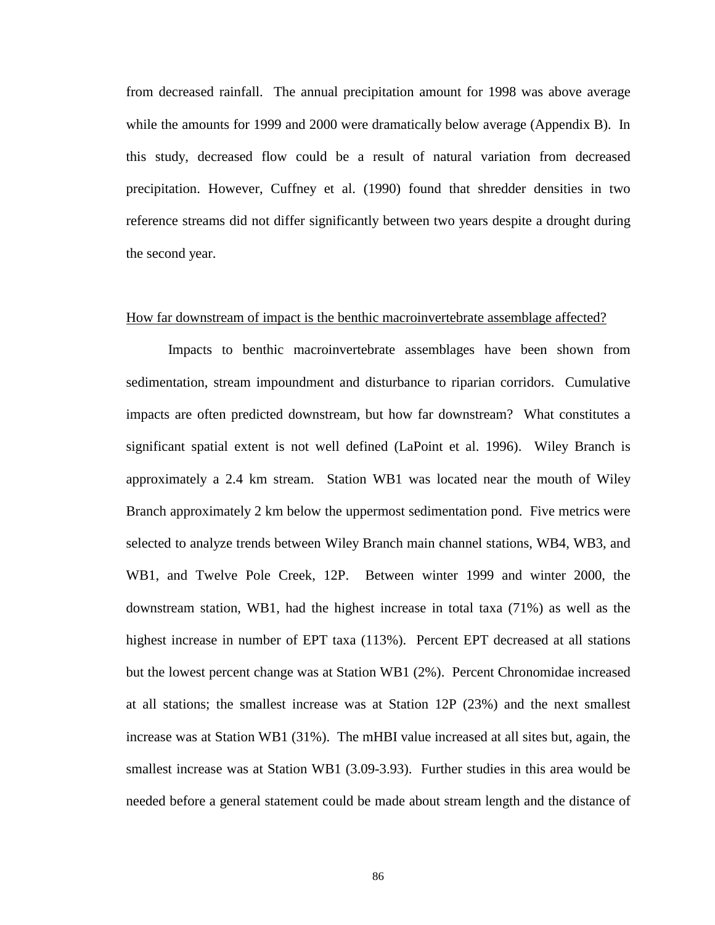from decreased rainfall. The annual precipitation amount for 1998 was above average while the amounts for 1999 and 2000 were dramatically below average (Appendix B). In this study, decreased flow could be a result of natural variation from decreased precipitation. However, Cuffney et al. (1990) found that shredder densities in two reference streams did not differ significantly between two years despite a drought during the second year.

#### How far downstream of impact is the benthic macroinvertebrate assemblage affected?

Impacts to benthic macroinvertebrate assemblages have been shown from sedimentation, stream impoundment and disturbance to riparian corridors. Cumulative impacts are often predicted downstream, but how far downstream? What constitutes a significant spatial extent is not well defined (LaPoint et al. 1996). Wiley Branch is approximately a 2.4 km stream. Station WB1 was located near the mouth of Wiley Branch approximately 2 km below the uppermost sedimentation pond. Five metrics were selected to analyze trends between Wiley Branch main channel stations, WB4, WB3, and WB1, and Twelve Pole Creek, 12P. Between winter 1999 and winter 2000, the downstream station, WB1, had the highest increase in total taxa (71%) as well as the highest increase in number of EPT taxa (113%). Percent EPT decreased at all stations but the lowest percent change was at Station WB1 (2%). Percent Chronomidae increased at all stations; the smallest increase was at Station 12P (23%) and the next smallest increase was at Station WB1 (31%). The mHBI value increased at all sites but, again, the smallest increase was at Station WB1 (3.09-3.93). Further studies in this area would be needed before a general statement could be made about stream length and the distance of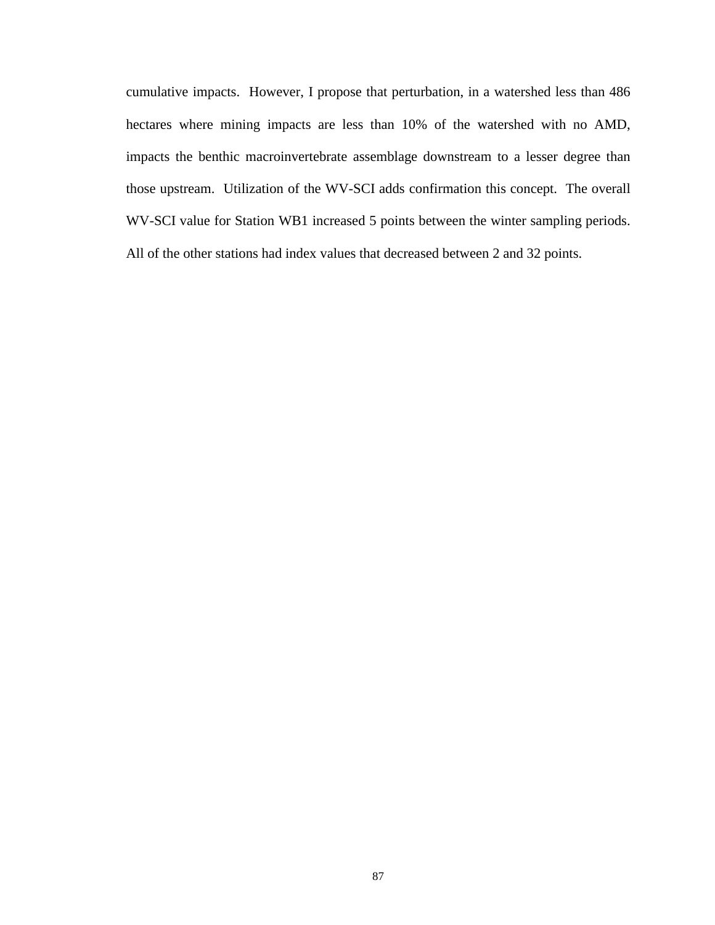cumulative impacts. However, I propose that perturbation, in a watershed less than 486 hectares where mining impacts are less than 10% of the watershed with no AMD, impacts the benthic macroinvertebrate assemblage downstream to a lesser degree than those upstream. Utilization of the WV-SCI adds confirmation this concept. The overall WV-SCI value for Station WB1 increased 5 points between the winter sampling periods. All of the other stations had index values that decreased between 2 and 32 points.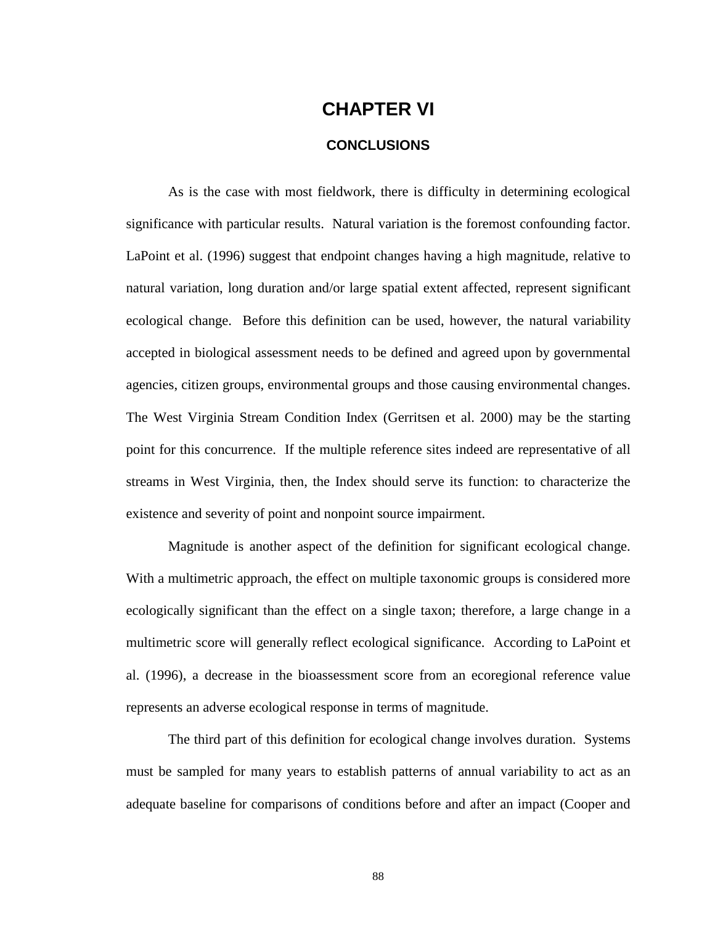# **CHAPTER VI**

#### **CONCLUSIONS**

As is the case with most fieldwork, there is difficulty in determining ecological significance with particular results. Natural variation is the foremost confounding factor. LaPoint et al. (1996) suggest that endpoint changes having a high magnitude, relative to natural variation, long duration and/or large spatial extent affected, represent significant ecological change. Before this definition can be used, however, the natural variability accepted in biological assessment needs to be defined and agreed upon by governmental agencies, citizen groups, environmental groups and those causing environmental changes. The West Virginia Stream Condition Index (Gerritsen et al. 2000) may be the starting point for this concurrence. If the multiple reference sites indeed are representative of all streams in West Virginia, then, the Index should serve its function: to characterize the existence and severity of point and nonpoint source impairment.

Magnitude is another aspect of the definition for significant ecological change. With a multimetric approach, the effect on multiple taxonomic groups is considered more ecologically significant than the effect on a single taxon; therefore, a large change in a multimetric score will generally reflect ecological significance. According to LaPoint et al. (1996), a decrease in the bioassessment score from an ecoregional reference value represents an adverse ecological response in terms of magnitude.

The third part of this definition for ecological change involves duration. Systems must be sampled for many years to establish patterns of annual variability to act as an adequate baseline for comparisons of conditions before and after an impact (Cooper and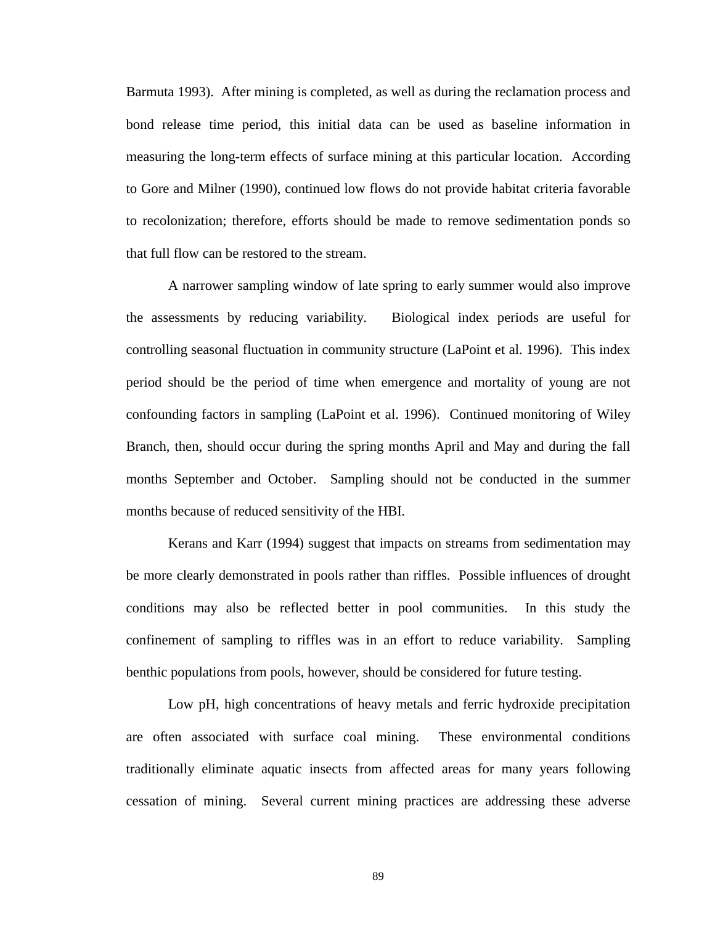Barmuta 1993). After mining is completed, as well as during the reclamation process and bond release time period, this initial data can be used as baseline information in measuring the long-term effects of surface mining at this particular location. According to Gore and Milner (1990), continued low flows do not provide habitat criteria favorable to recolonization; therefore, efforts should be made to remove sedimentation ponds so that full flow can be restored to the stream.

A narrower sampling window of late spring to early summer would also improve the assessments by reducing variability. Biological index periods are useful for controlling seasonal fluctuation in community structure (LaPoint et al. 1996). This index period should be the period of time when emergence and mortality of young are not confounding factors in sampling (LaPoint et al. 1996). Continued monitoring of Wiley Branch, then, should occur during the spring months April and May and during the fall months September and October. Sampling should not be conducted in the summer months because of reduced sensitivity of the HBI.

Kerans and Karr (1994) suggest that impacts on streams from sedimentation may be more clearly demonstrated in pools rather than riffles. Possible influences of drought conditions may also be reflected better in pool communities. In this study the confinement of sampling to riffles was in an effort to reduce variability. Sampling benthic populations from pools, however, should be considered for future testing.

Low pH, high concentrations of heavy metals and ferric hydroxide precipitation are often associated with surface coal mining. These environmental conditions traditionally eliminate aquatic insects from affected areas for many years following cessation of mining. Several current mining practices are addressing these adverse

89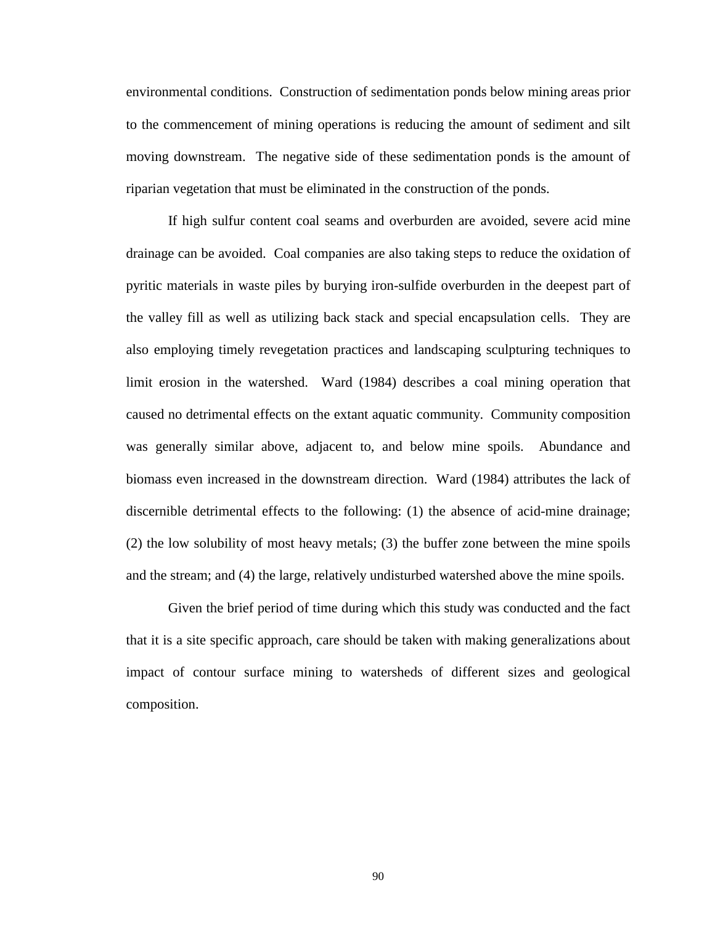environmental conditions. Construction of sedimentation ponds below mining areas prior to the commencement of mining operations is reducing the amount of sediment and silt moving downstream. The negative side of these sedimentation ponds is the amount of riparian vegetation that must be eliminated in the construction of the ponds.

If high sulfur content coal seams and overburden are avoided, severe acid mine drainage can be avoided. Coal companies are also taking steps to reduce the oxidation of pyritic materials in waste piles by burying iron-sulfide overburden in the deepest part of the valley fill as well as utilizing back stack and special encapsulation cells. They are also employing timely revegetation practices and landscaping sculpturing techniques to limit erosion in the watershed. Ward (1984) describes a coal mining operation that caused no detrimental effects on the extant aquatic community. Community composition was generally similar above, adjacent to, and below mine spoils. Abundance and biomass even increased in the downstream direction. Ward (1984) attributes the lack of discernible detrimental effects to the following: (1) the absence of acid-mine drainage; (2) the low solubility of most heavy metals; (3) the buffer zone between the mine spoils and the stream; and (4) the large, relatively undisturbed watershed above the mine spoils.

Given the brief period of time during which this study was conducted and the fact that it is a site specific approach, care should be taken with making generalizations about impact of contour surface mining to watersheds of different sizes and geological composition.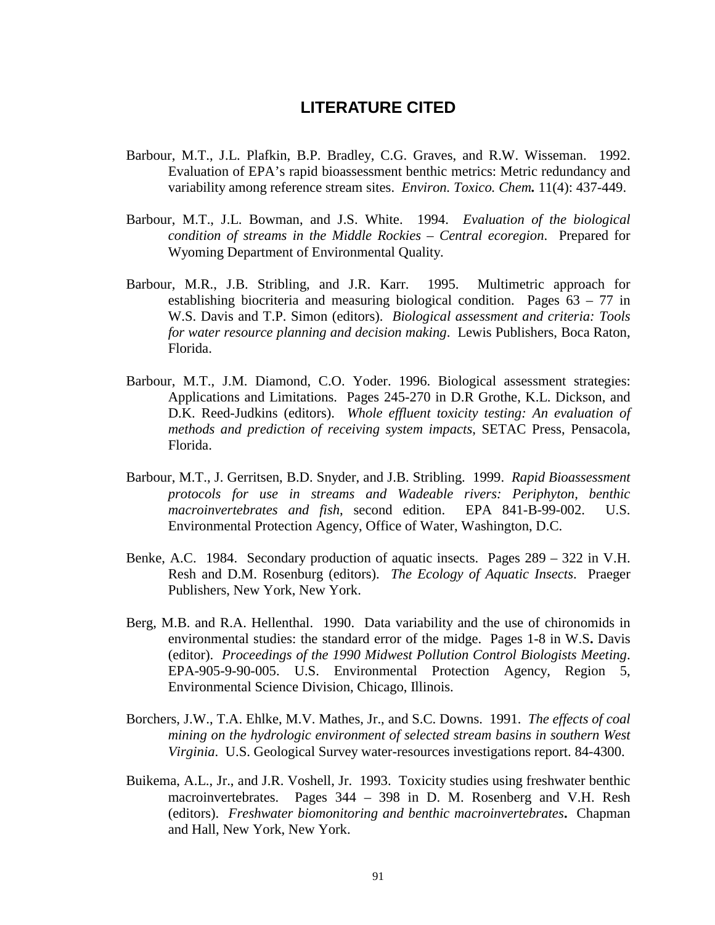### **LITERATURE CITED**

- Barbour, M.T., J.L. Plafkin, B.P. Bradley, C.G. Graves, and R.W. Wisseman. 1992. Evaluation of EPA's rapid bioassessment benthic metrics: Metric redundancy and variability among reference stream sites. *Environ. Toxico. Chem.* 11(4): 437-449.
- Barbour, M.T., J.L. Bowman, and J.S. White. 1994.*Evaluation of the biological condition of streams in the Middle Rockies – Central ecoregion*. Prepared for Wyoming Department of Environmental Quality.
- Barbour, M.R., J.B. Stribling, and J.R. Karr. 1995. Multimetric approach for establishing biocriteria and measuring biological condition. Pages 63 – 77 in W.S. Davis and T.P. Simon (editors).*Biological assessment and criteria: Tools for water resource planning and decision making*. Lewis Publishers, Boca Raton, Florida.
- Barbour, M.T., J.M. Diamond, C.O. Yoder. 1996. Biological assessment strategies: Applications and Limitations. Pages 245-270 in D.R Grothe, K.L. Dickson, and D.K. Reed-Judkins (editors).*Whole effluent toxicity testing: An evaluation of methods and prediction of receiving system impacts*, SETAC Press, Pensacola, Florida.
- Barbour, M.T., J. Gerritsen, B.D. Snyder, and J.B. Stribling. 1999.*Rapid Bioassessment protocols for use in streams and Wadeable rivers: Periphyton, benthic macroinvertebrates and fish*, second edition. EPA 841-B-99-002. U.S. Environmental Protection Agency, Office of Water, Washington, D.C.
- Benke, A.C. 1984. Secondary production of aquatic insects. Pages 289 322 in V.H. Resh and D.M. Rosenburg (editors).*The Ecology of Aquatic Insects*. Praeger Publishers, New York, New York.
- Berg, M.B. and R.A. Hellenthal. 1990. Data variability and the use of chironomids in environmental studies: the standard error of the midge. Pages 1-8 in W.S**.** Davis (editor).*Proceedings of the 1990 Midwest Pollution Control Biologists Meeting*. EPA-905-9-90-005. U.S. Environmental Protection Agency, Region 5, Environmental Science Division, Chicago, Illinois.
- Borchers, J.W., T.A. Ehlke, M.V. Mathes, Jr., and S.C. Downs. 1991.*The effects of coal mining on the hydrologic environment of selected stream basins in southern West Virginia*. U.S. Geological Survey water-resources investigations report. 84-4300.
- Buikema, A.L., Jr., and J.R. Voshell, Jr. 1993. Toxicity studies using freshwater benthic macroinvertebrates. Pages 344 – 398 in D. M. Rosenberg and V.H. Resh (editors).*Freshwater biomonitoring and benthic macroinvertebrates***.** Chapman and Hall, New York, New York.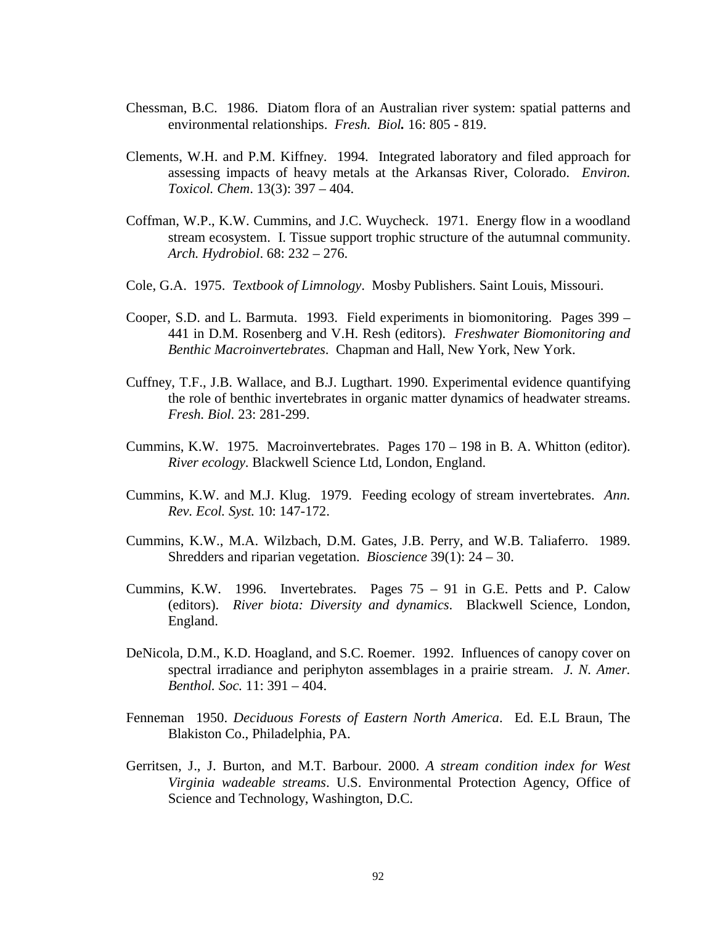- Chessman, B.C. 1986. Diatom flora of an Australian river system: spatial patterns and environmental relationships.*Fresh. Biol.* 16: 805 - 819.
- Clements, W.H. and P.M. Kiffney. 1994. Integrated laboratory and filed approach for assessing impacts of heavy metals at the Arkansas River, Colorado.*Environ. Toxicol. Chem*. 13(3): 397 – 404.
- Coffman, W.P., K.W. Cummins, and J.C. Wuycheck. 1971. Energy flow in a woodland stream ecosystem. I. Tissue support trophic structure of the autumnal community. *Arch. Hydrobiol*. 68: 232 – 276.
- Cole, G.A. 1975.*Textbook of Limnology*. Mosby Publishers. Saint Louis, Missouri.
- Cooper, S.D. and L. Barmuta. 1993. Field experiments in biomonitoring. Pages 399 441 in D.M. Rosenberg and V.H. Resh (editors).*Freshwater Biomonitoring and Benthic Macroinvertebrates*. Chapman and Hall, New York, New York.
- Cuffney, T.F., J.B. Wallace, and B.J. Lugthart. 1990. Experimental evidence quantifying the role of benthic invertebrates in organic matter dynamics of headwater streams. *Fresh. Biol.* 23: 281-299.
- Cummins, K.W. 1975. Macroinvertebrates. Pages 170 198 in B. A. Whitton (editor). *River ecology*. Blackwell Science Ltd, London, England.
- Cummins, K.W. and M.J. Klug. 1979. Feeding ecology of stream invertebrates. *Ann. Rev. Ecol. Syst.* 10: 147-172.
- Cummins, K.W., M.A. Wilzbach, D.M. Gates, J.B. Perry, and W.B. Taliaferro. 1989. Shredders and riparian vegetation. *Bioscience* 39(1): 24 – 30.
- Cummins, K.W. 1996. Invertebrates. Pages 75 91 in G.E. Petts and P. Calow (editors). *River biota: Diversity and dynamics*. Blackwell Science, London, England.
- DeNicola, D.M., K.D. Hoagland, and S.C. Roemer. 1992. Influences of canopy cover on spectral irradiance and periphyton assemblages in a prairie stream. *J. N. Amer. Benthol. Soc.* 11: 391 – 404.
- Fenneman 1950. *Deciduous Forests of Eastern North America*. Ed. E.L Braun, The Blakiston Co., Philadelphia, PA.
- Gerritsen, J., J. Burton, and M.T. Barbour. 2000. *A stream condition index for West Virginia wadeable streams*. U.S. Environmental Protection Agency, Office of Science and Technology, Washington, D.C.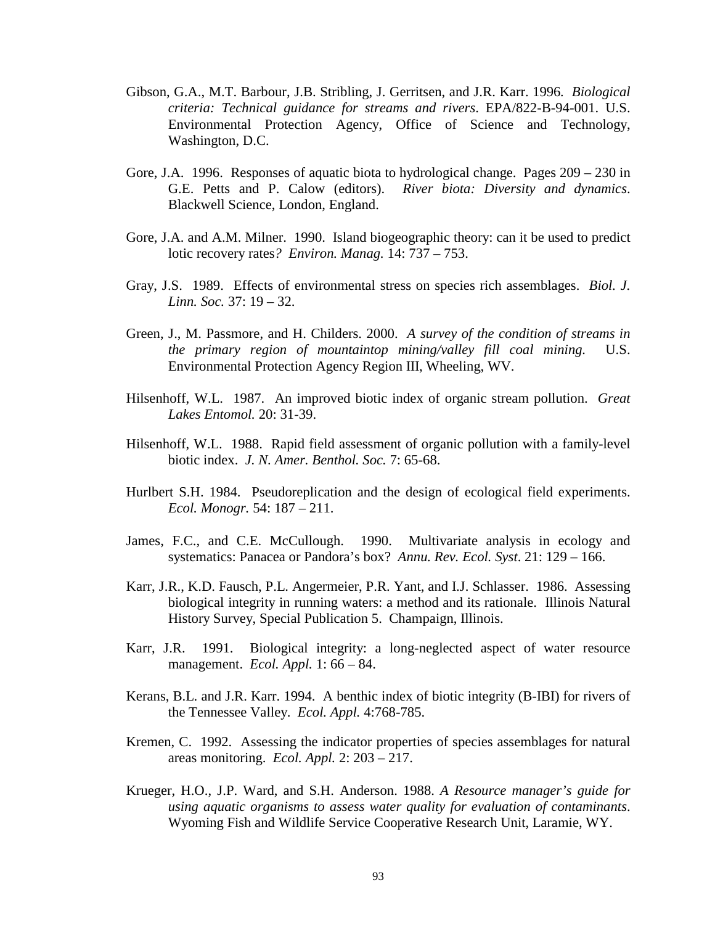- Gibson, G.A., M.T. Barbour, J.B. Stribling, J. Gerritsen, and J.R. Karr. 1996*. Biological criteria: Technical guidance for streams and rivers*. EPA/822-B-94-001. U.S. Environmental Protection Agency, Office of Science and Technology, Washington, D.C.
- Gore, J.A. 1996. Responses of aquatic biota to hydrological change. Pages 209 230 in G.E. Petts and P. Calow (editors). *River biota: Diversity and dynamics*. Blackwell Science, London, England.
- Gore, J.A. and A.M. Milner. 1990. Island biogeographic theory: can it be used to predict lotic recovery rates*? Environ. Manag.* 14: 737 – 753.
- Gray, J.S. 1989. Effects of environmental stress on species rich assemblages. *Biol. J. Linn. Soc.* 37: 19 – 32.
- Green, J., M. Passmore, and H. Childers. 2000. *A survey of the condition of streams in the primary region of mountaintop mining/valley fill coal mining.* U.S. Environmental Protection Agency Region III, Wheeling, WV.
- Hilsenhoff, W.L. 1987. An improved biotic index of organic stream pollution. *Great Lakes Entomol.* 20: 31-39.
- Hilsenhoff, W.L. 1988. Rapid field assessment of organic pollution with a family-level biotic index. *J. N. Amer. Benthol. Soc.* 7: 65-68.
- Hurlbert S.H. 1984. Pseudoreplication and the design of ecological field experiments. *Ecol. Monogr.* 54: 187 – 211.
- James, F.C., and C.E. McCullough. 1990. Multivariate analysis in ecology and systematics: Panacea or Pandora's box? *Annu. Rev. Ecol. Syst*. 21: 129 – 166.
- Karr, J.R., K.D. Fausch, P.L. Angermeier, P.R. Yant, and I.J. Schlasser. 1986. Assessing biological integrity in running waters: a method and its rationale. Illinois Natural History Survey, Special Publication 5. Champaign, Illinois.
- Karr, J.R. 1991. Biological integrity: a long-neglected aspect of water resource management. *Ecol. Appl.* 1: 66 – 84.
- Kerans, B.L. and J.R. Karr. 1994. A benthic index of biotic integrity (B-IBI) for rivers of the Tennessee Valley. *Ecol. Appl.* 4:768-785.
- Kremen, C. 1992. Assessing the indicator properties of species assemblages for natural areas monitoring. *Ecol. Appl.* 2: 203 – 217.
- Krueger, H.O., J.P. Ward, and S.H. Anderson. 1988. *A Resource manager's guide for using aquatic organisms to assess water quality for evaluation of contaminants*. Wyoming Fish and Wildlife Service Cooperative Research Unit, Laramie, WY.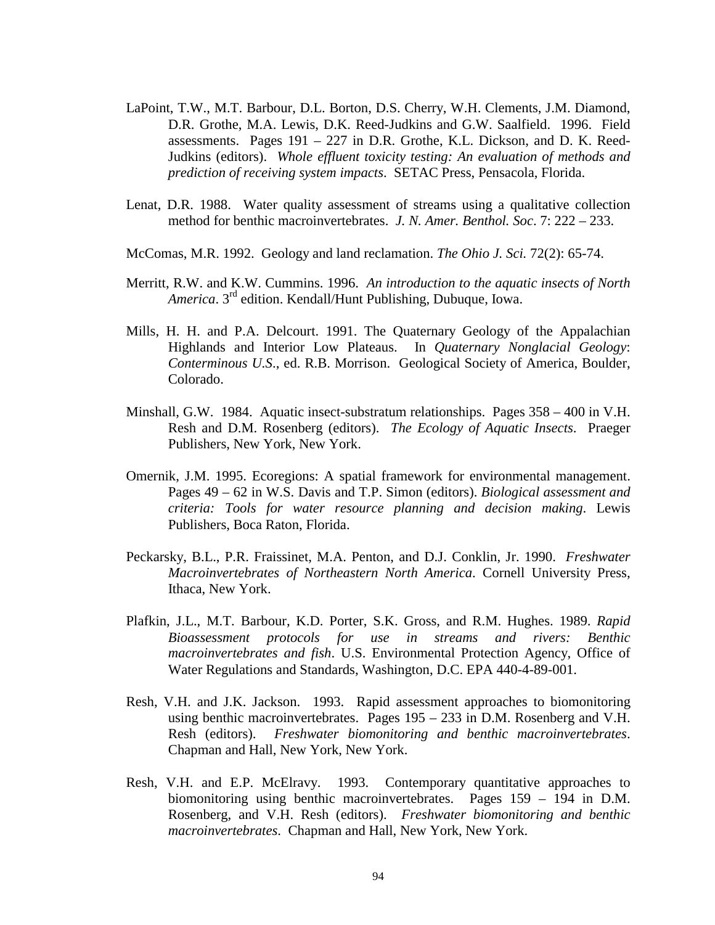- LaPoint, T.W., M.T. Barbour, D.L. Borton, D.S. Cherry, W.H. Clements, J.M. Diamond, D.R. Grothe, M.A. Lewis, D.K. Reed-Judkins and G.W. Saalfield. 1996. Field assessments. Pages 191 – 227 in D.R. Grothe, K.L. Dickson, and D. K. Reed-Judkins (editors). *Whole effluent toxicity testing: An evaluation of methods and prediction of receiving system impacts*. SETAC Press, Pensacola, Florida.
- Lenat, D.R. 1988. Water quality assessment of streams using a qualitative collection method for benthic macroinvertebrates. *J. N. Amer. Benthol. Soc*. 7: 222 – 233.
- McComas, M.R. 1992. Geology and land reclamation. *The Ohio J. Sci.* 72(2): 65-74.
- Merritt, R.W. and K.W. Cummins. 1996. *An introduction to the aquatic insects of North America*. 3rd edition. Kendall/Hunt Publishing, Dubuque, Iowa.
- Mills, H. H. and P.A. Delcourt. 1991. The Quaternary Geology of the Appalachian Highlands and Interior Low Plateaus. In *Quaternary Nonglacial Geology*: *Conterminous U.S*., ed. R.B. Morrison. Geological Society of America, Boulder, Colorado.
- Minshall, G.W. 1984. Aquatic insect-substratum relationships. Pages 358 400 in V.H. Resh and D.M. Rosenberg (editors). *The Ecology of Aquatic Insects*. Praeger Publishers, New York, New York.
- Omernik, J.M. 1995. Ecoregions: A spatial framework for environmental management. Pages 49 – 62 in W.S. Davis and T.P. Simon (editors). *Biological assessment and criteria: Tools for water resource planning and decision making*. Lewis Publishers, Boca Raton, Florida.
- Peckarsky, B.L., P.R. Fraissinet, M.A. Penton, and D.J. Conklin, Jr. 1990. *Freshwater Macroinvertebrates of Northeastern North America*. Cornell University Press, Ithaca, New York.
- Plafkin, J.L., M.T. Barbour, K.D. Porter, S.K. Gross, and R.M. Hughes. 1989. *Rapid Bioassessment protocols for use in streams and rivers: Benthic macroinvertebrates and fish*. U.S. Environmental Protection Agency, Office of Water Regulations and Standards, Washington, D.C. EPA 440-4-89-001.
- Resh, V.H. and J.K. Jackson. 1993. Rapid assessment approaches to biomonitoring using benthic macroinvertebrates. Pages 195 – 233 in D.M. Rosenberg and V.H. Resh (editors). *Freshwater biomonitoring and benthic macroinvertebrates*. Chapman and Hall, New York, New York.
- Resh, V.H. and E.P. McElravy. 1993. Contemporary quantitative approaches to biomonitoring using benthic macroinvertebrates. Pages 159 – 194 in D.M. Rosenberg, and V.H. Resh (editors). *Freshwater biomonitoring and benthic macroinvertebrates*. Chapman and Hall, New York, New York.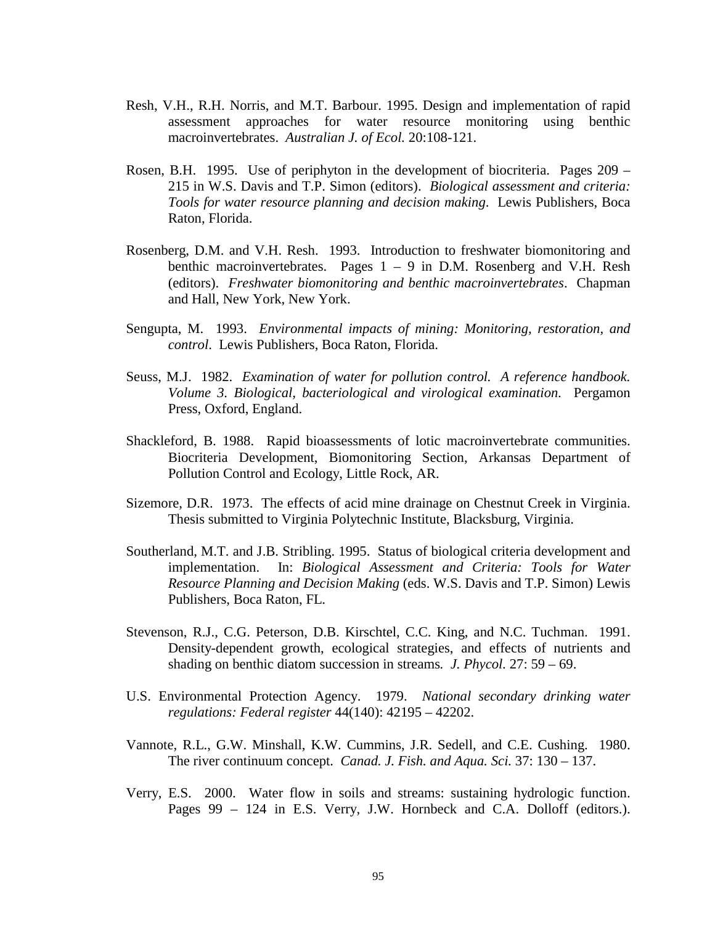- Resh, V.H., R.H. Norris, and M.T. Barbour. 1995. Design and implementation of rapid assessment approaches for water resource monitoring using benthic macroinvertebrates. *Australian J. of Ecol.* 20:108-121.
- Rosen, B.H. 1995. Use of periphyton in the development of biocriteria. Pages 209 215 in W.S. Davis and T.P. Simon (editors). *Biological assessment and criteria: Tools for water resource planning and decision making*. Lewis Publishers, Boca Raton, Florida.
- Rosenberg, D.M. and V.H. Resh. 1993. Introduction to freshwater biomonitoring and benthic macroinvertebrates. Pages  $1 - 9$  in D.M. Rosenberg and V.H. Resh (editors). *Freshwater biomonitoring and benthic macroinvertebrates*. Chapman and Hall, New York, New York.
- Sengupta, M. 1993. *Environmental impacts of mining: Monitoring, restoration, and control*. Lewis Publishers, Boca Raton, Florida.
- Seuss, M.J. 1982. *Examination of water for pollution control. A reference handbook. Volume 3. Biological, bacteriological and virological examination*. Pergamon Press, Oxford, England.
- Shackleford, B. 1988. Rapid bioassessments of lotic macroinvertebrate communities. Biocriteria Development, Biomonitoring Section, Arkansas Department of Pollution Control and Ecology, Little Rock, AR.
- Sizemore, D.R. 1973. The effects of acid mine drainage on Chestnut Creek in Virginia. Thesis submitted to Virginia Polytechnic Institute, Blacksburg, Virginia.
- Southerland, M.T. and J.B. Stribling. 1995. Status of biological criteria development and implementation. In: *Biological Assessment and Criteria: Tools for Water Resource Planning and Decision Making* (eds. W.S. Davis and T.P. Simon) Lewis Publishers, Boca Raton, FL.
- Stevenson, R.J., C.G. Peterson, D.B. Kirschtel, C.C. King, and N.C. Tuchman. 1991. Density-dependent growth, ecological strategies, and effects of nutrients and shading on benthic diatom succession in streams*. J. Phycol.* 27: 59 – 69.
- U.S. Environmental Protection Agency. 1979. *National secondary drinking water regulations: Federal register* 44(140): 42195 – 42202.
- Vannote, R.L., G.W. Minshall, K.W. Cummins, J.R. Sedell, and C.E. Cushing. 1980. The river continuum concept. *Canad. J. Fish. and Aqua. Sci.* 37: 130 – 137.
- Verry, E.S. 2000. Water flow in soils and streams: sustaining hydrologic function. Pages 99 – 124 in E.S. Verry, J.W. Hornbeck and C.A. Dolloff (editors.).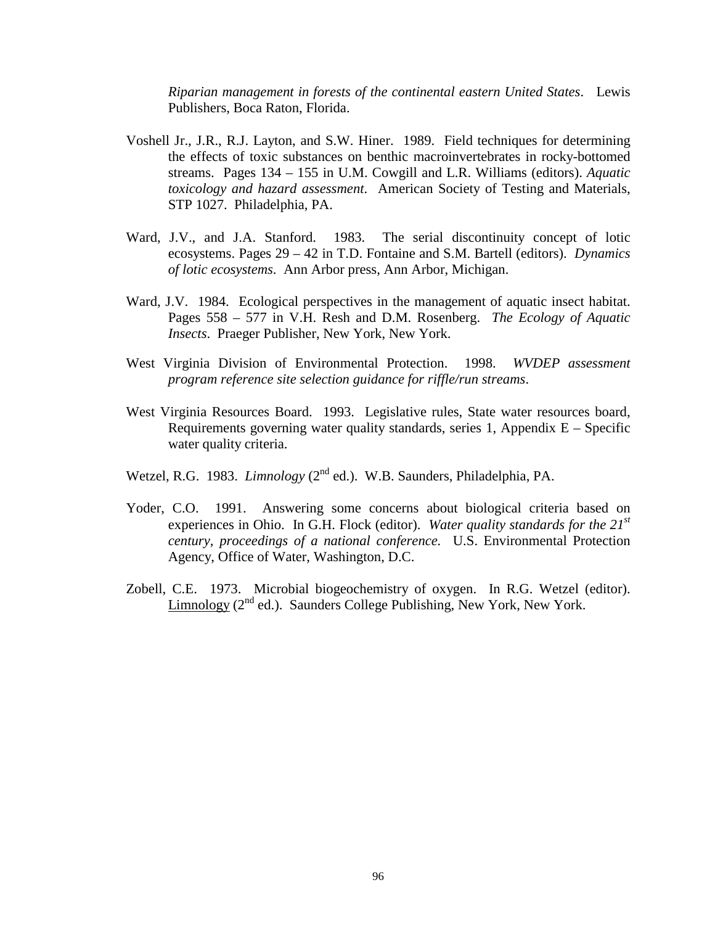*Riparian management in forests of the continental eastern United States*. Lewis Publishers, Boca Raton, Florida.

- Voshell Jr., J.R., R.J. Layton, and S.W. Hiner. 1989. Field techniques for determining the effects of toxic substances on benthic macroinvertebrates in rocky-bottomed streams. Pages 134 – 155 in U.M. Cowgill and L.R. Williams (editors). *Aquatic toxicology and hazard assessment*. American Society of Testing and Materials, STP 1027. Philadelphia, PA.
- Ward, J.V., and J.A. Stanford. 1983. The serial discontinuity concept of lotic ecosystems. Pages 29 – 42 in T.D. Fontaine and S.M. Bartell (editors). *Dynamics of lotic ecosystems*. Ann Arbor press, Ann Arbor, Michigan.
- Ward, J.V. 1984. Ecological perspectives in the management of aquatic insect habitat. Pages 558 – 577 in V.H. Resh and D.M. Rosenberg. *The Ecology of Aquatic Insects*. Praeger Publisher, New York, New York.
- West Virginia Division of Environmental Protection. 1998. *WVDEP assessment program reference site selection guidance for riffle/run streams*.
- West Virginia Resources Board. 1993. Legislative rules, State water resources board, Requirements governing water quality standards, series 1, Appendix  $E -$  Specific water quality criteria.
- Wetzel, R.G. 1983. *Limnology* (2<sup>nd</sup> ed.). W.B. Saunders, Philadelphia, PA.
- Yoder, C.O. 1991. Answering some concerns about biological criteria based on experiences in Ohio. In G.H. Flock (editor). *Water quality standards for the 21st century, proceedings of a national conference.* U.S. Environmental Protection Agency, Office of Water, Washington, D.C.
- Zobell, C.E. 1973. Microbial biogeochemistry of oxygen. In R.G. Wetzel (editor). Limnology  $(2^{nd}$  ed.). Saunders College Publishing, New York, New York.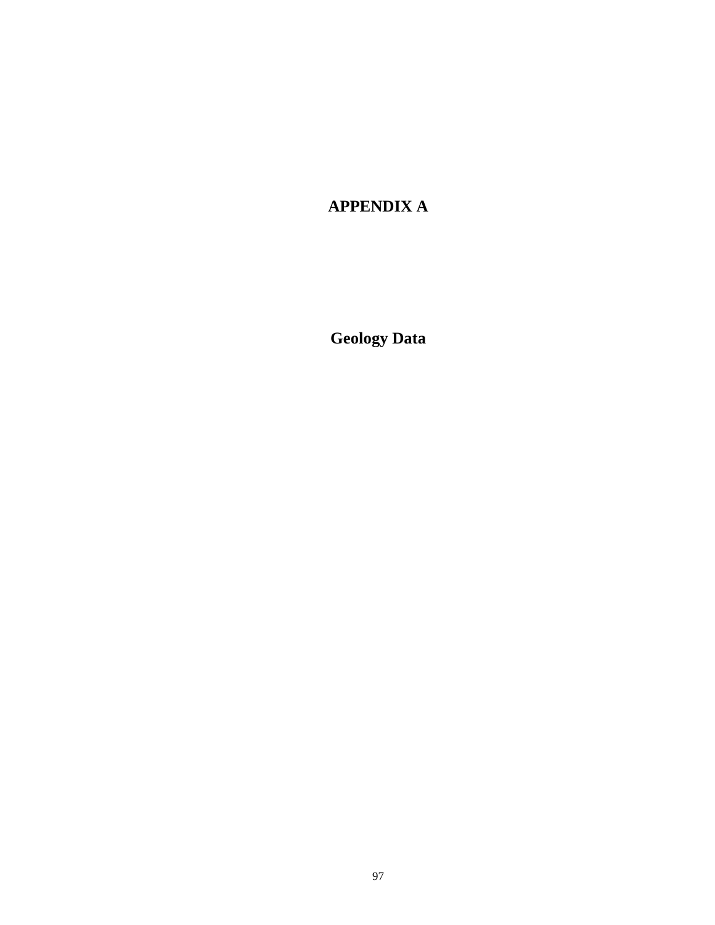## **APPENDIX A**

**Geology Data**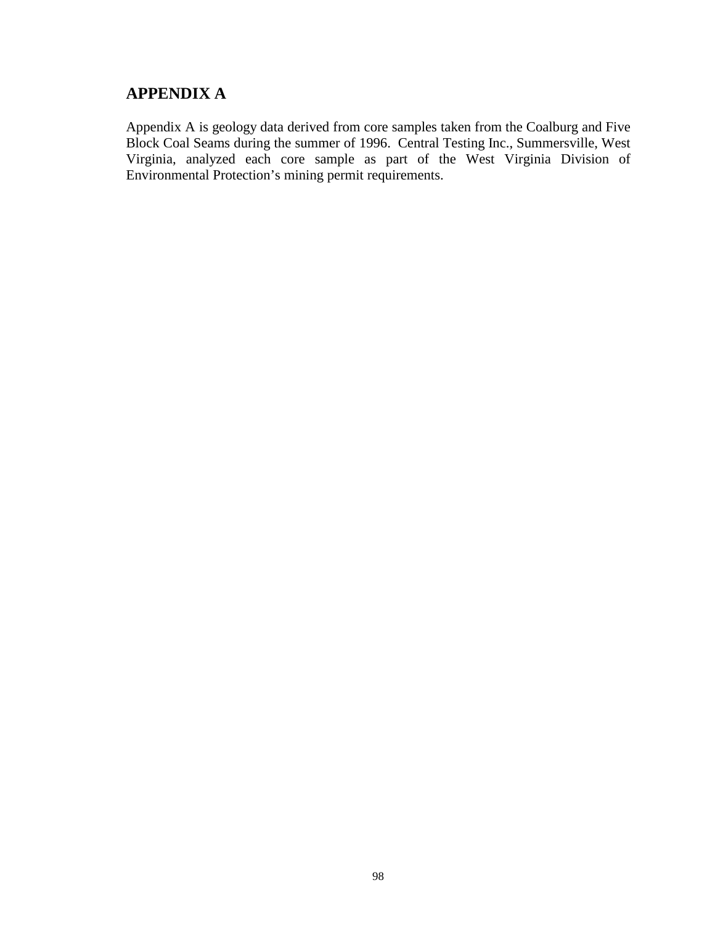## **APPENDIX A**

Appendix A is geology data derived from core samples taken from the Coalburg and Five Block Coal Seams during the summer of 1996. Central Testing Inc., Summersville, West Virginia, analyzed each core sample as part of the West Virginia Division of Environmental Protection's mining permit requirements.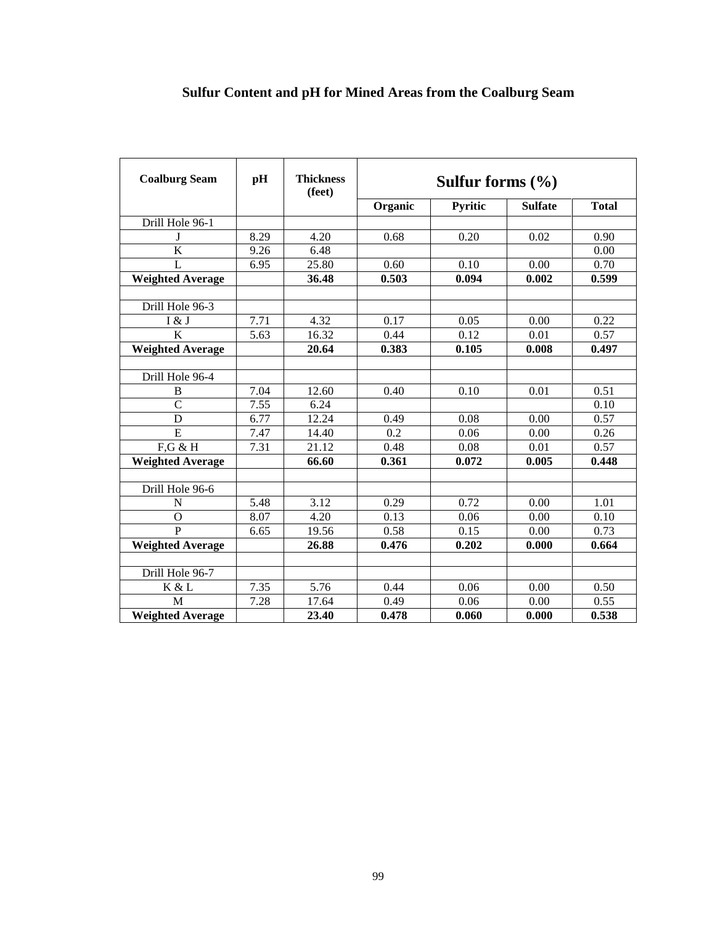| <b>Coalburg Seam</b>    | pH                | <b>Thickness</b><br>(feet) | Sulfur forms $(\% )$ |         |                |              |  |  |  |  |
|-------------------------|-------------------|----------------------------|----------------------|---------|----------------|--------------|--|--|--|--|
|                         |                   |                            | Organic              | Pyritic | <b>Sulfate</b> | <b>Total</b> |  |  |  |  |
| Drill Hole 96-1         |                   |                            |                      |         |                |              |  |  |  |  |
| J                       | 8.29              | 4.20                       | 0.68                 | 0.20    | 0.02           | 0.90         |  |  |  |  |
| $\overline{\mathbf{K}}$ | 9.26              | 6.48                       |                      |         |                | 0.00         |  |  |  |  |
| $\mathbf{L}$            | 6.95              | 25.80                      | 0.60                 | 0.10    | 0.00           | 0.70         |  |  |  |  |
| <b>Weighted Average</b> |                   | 36.48                      | 0.503                | 0.094   | 0.002          | 0.599        |  |  |  |  |
|                         |                   |                            |                      |         |                |              |  |  |  |  |
| Drill Hole 96-3         |                   |                            |                      |         |                |              |  |  |  |  |
| I & J                   | 7.71              | 4.32                       | 0.17                 | 0.05    | 0.00           | 0.22         |  |  |  |  |
| $\overline{\rm K}$      | $\overline{5.63}$ | 16.32                      | 0.44                 | 0.12    | 0.01           | 0.57         |  |  |  |  |
| <b>Weighted Average</b> |                   | 20.64                      | 0.383                | 0.105   | 0.008          | 0.497        |  |  |  |  |
|                         |                   |                            |                      |         |                |              |  |  |  |  |
| Drill Hole 96-4         |                   |                            |                      |         |                |              |  |  |  |  |
| B                       | 7.04              | 12.60                      | 0.40                 | 0.10    | 0.01           | 0.51         |  |  |  |  |
| $\overline{C}$          | 7.55              | 6.24                       |                      |         |                | 0.10         |  |  |  |  |
| D                       | 6.77              | 12.24                      | 0.49                 | 0.08    | 0.00           | 0.57         |  |  |  |  |
| $\overline{E}$          | 7.47              | 14.40                      | $\overline{0.2}$     | 0.06    | 0.00           | 0.26         |  |  |  |  |
| $F,G \& H$              | $\overline{7}.31$ | 21.12                      | 0.48                 | 0.08    | 0.01           | 0.57         |  |  |  |  |
| <b>Weighted Average</b> |                   | 66.60                      | 0.361                | 0.072   | 0.005          | 0.448        |  |  |  |  |
|                         |                   |                            |                      |         |                |              |  |  |  |  |
| Drill Hole 96-6         |                   |                            |                      |         |                |              |  |  |  |  |
| N                       | 5.48              | 3.12                       | 0.29                 | 0.72    | 0.00           | 1.01         |  |  |  |  |
| $\mathbf O$             | 8.07              | 4.20                       | 0.13                 | 0.06    | 0.00           | 0.10         |  |  |  |  |
| $\overline{P}$          | 6.65              | 19.56                      | 0.58                 | 0.15    | 0.00           | 0.73         |  |  |  |  |
| <b>Weighted Average</b> |                   | 26.88                      | 0.476                | 0.202   | 0.000          | 0.664        |  |  |  |  |
|                         |                   |                            |                      |         |                |              |  |  |  |  |
| Drill Hole 96-7         |                   |                            |                      |         |                |              |  |  |  |  |
| K & L                   | 7.35              | 5.76                       | 0.44                 | 0.06    | 0.00           | 0.50         |  |  |  |  |
| $\overline{\mathbf{M}}$ | 7.28              | 17.64                      | 0.49                 | 0.06    | 0.00           | 0.55         |  |  |  |  |
| <b>Weighted Average</b> |                   | 23.40                      | 0.478                | 0.060   | 0.000          | 0.538        |  |  |  |  |

# **Sulfur Content and pH for Mined Areas from the Coalburg Seam**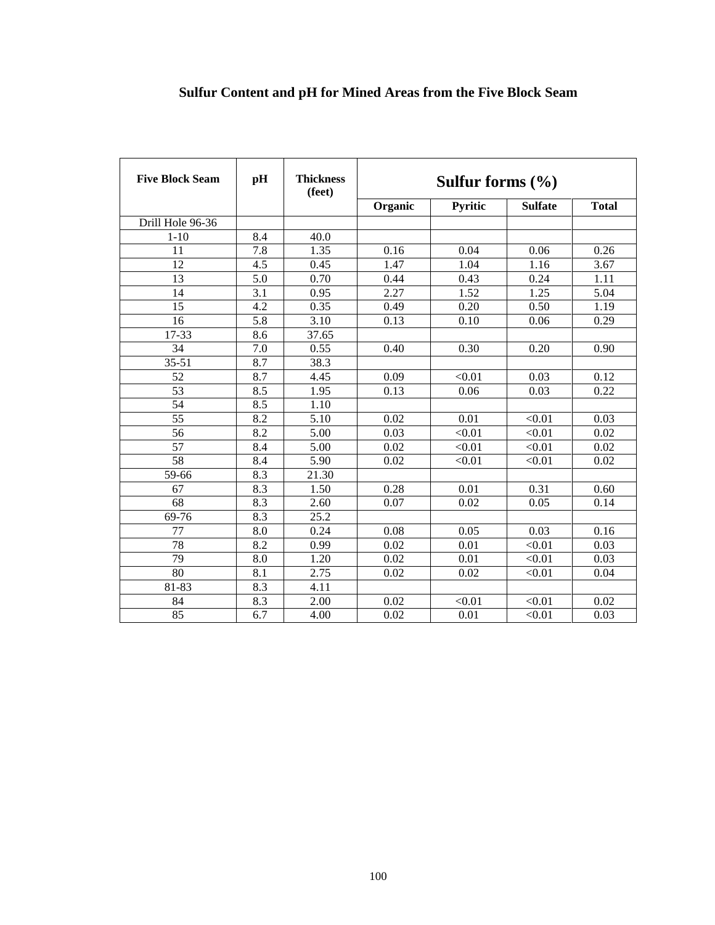# **Sulfur Content and pH for Mined Areas from the Five Block Seam**

| <b>Five Block Seam</b> | pH               | <b>Thickness</b><br>(feet) | Sulfur forms $(\% )$ |                   |                |                   |  |  |
|------------------------|------------------|----------------------------|----------------------|-------------------|----------------|-------------------|--|--|
|                        |                  |                            | Organic              | Pyritic           | <b>Sulfate</b> | <b>Total</b>      |  |  |
| Drill Hole 96-36       |                  |                            |                      |                   |                |                   |  |  |
| $1 - 10$               | 8.4              | 40.0                       |                      |                   |                |                   |  |  |
| 11                     | 7.8              | 1.35                       | 0.16                 | 0.04              | 0.06           | 0.26              |  |  |
| 12                     | 4.5              | 0.45                       | 1.47                 | 1.04              | 1.16           | 3.67              |  |  |
| $\overline{13}$        | $\overline{5.0}$ | 0.70                       | 0.44                 | 0.43              | 0.24           | 1.11              |  |  |
| 14                     | 3.1              | 0.95                       | 2.27                 | 1.52              | 1.25           | $\overline{5.04}$ |  |  |
| 15                     | 4.2              | 0.35                       | 0.49                 | 0.20              | 0.50           | 1.19              |  |  |
| 16                     | 5.8              | 3.10                       | 0.13                 | 0.10              | 0.06           | 0.29              |  |  |
| 17-33                  | 8.6              | 37.65                      |                      |                   |                |                   |  |  |
| 34                     | 7.0              | 0.55                       | 0.40                 | 0.30              | 0.20           | 0.90              |  |  |
| $35 - 51$              | 8.7              | 38.3                       |                      |                   |                |                   |  |  |
| 52                     | 8.7              | 4.45                       | 0.09                 | < 0.01            | 0.03           | 0.12              |  |  |
| 53                     | 8.5              | 1.95                       | 0.13                 | 0.06              | 0.03           | 0.22              |  |  |
| 54                     | $\overline{8.5}$ | 1.10                       |                      |                   |                |                   |  |  |
| $\overline{55}$        | 8.2              | 5.10                       | 0.02                 | 0.01              | < 0.01         | 0.03              |  |  |
| $\overline{56}$        | 8.2              | 5.00                       | 0.03                 | < 0.01            | < 0.01         | 0.02              |  |  |
| $\overline{57}$        | 8.4              | 5.00                       | 0.02                 | $\sqrt{0.01}$     | $\sqrt{0.01}$  | $\overline{0.02}$ |  |  |
| $\overline{58}$        | 8.4              | 5.90                       | 0.02                 | < 0.01            | < 0.01         | 0.02              |  |  |
| 59-66                  | 8.3              | 21.30                      |                      |                   |                |                   |  |  |
| 67                     | 8.3              | 1.50                       | 0.28                 | 0.01              | 0.31           | 0.60              |  |  |
| 68                     | 8.3              | 2.60                       | 0.07                 | 0.02              | 0.05           | 0.14              |  |  |
| 69-76                  | 8.3              | 25.2                       |                      |                   |                |                   |  |  |
| $\overline{77}$        | 8.0              | 0.24                       | 0.08                 | 0.05              | 0.03           | 0.16              |  |  |
| 78                     | 8.2              | 0.99                       | 0.02                 | 0.01              | < 0.01         | 0.03              |  |  |
| $\overline{79}$        | 8.0              | 1.20                       | 0.02                 | 0.01              | < 0.01         | 0.03              |  |  |
| 80                     | 8.1              | 2.75                       | 0.02                 | 0.02              | < 0.01         | 0.04              |  |  |
| $81 - 83$              | 8.3              | 4.11                       |                      |                   |                |                   |  |  |
| 84                     | 8.3              | 2.00                       | 0.02                 | < 0.01            | < 0.01         | 0.02              |  |  |
| 85                     | 6.7              | 4.00                       | 0.02                 | $\overline{0.01}$ | < 0.01         | 0.03              |  |  |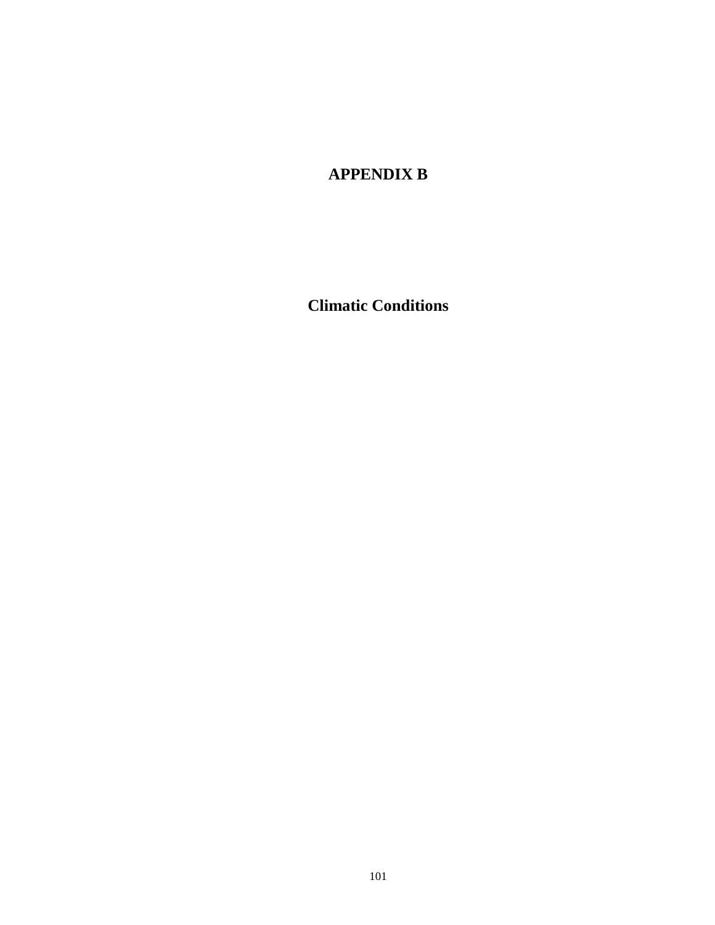# **APPENDIX B**

**Climatic Conditions**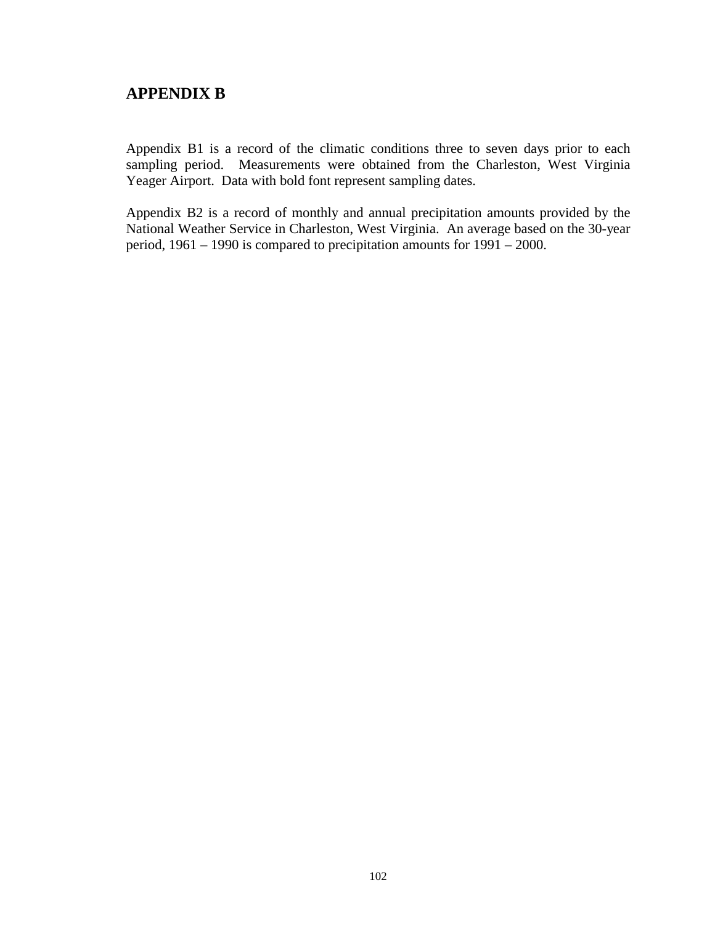## **APPENDIX B**

Appendix B1 is a record of the climatic conditions three to seven days prior to each sampling period. Measurements were obtained from the Charleston, West Virginia Yeager Airport. Data with bold font represent sampling dates.

Appendix B2 is a record of monthly and annual precipitation amounts provided by the National Weather Service in Charleston, West Virginia. An average based on the 30-year period, 1961 – 1990 is compared to precipitation amounts for 1991 – 2000.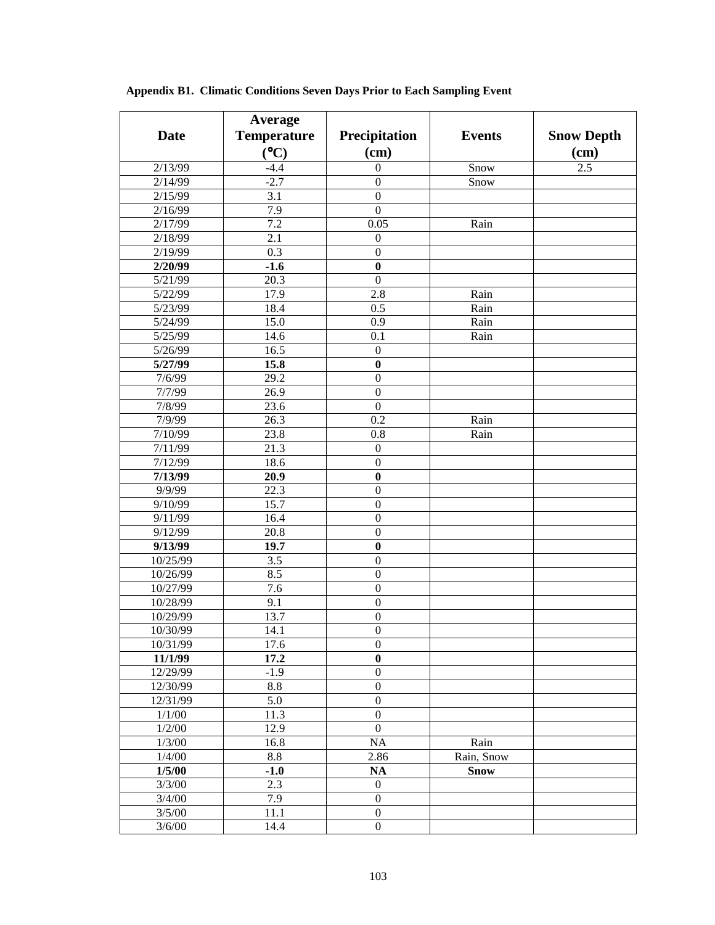|             | Average            |                  |               |                   |
|-------------|--------------------|------------------|---------------|-------------------|
| <b>Date</b> | <b>Temperature</b> | Precipitation    | <b>Events</b> | <b>Snow Depth</b> |
|             | (C)                | (cm)             |               | $(cm)$            |
| 2/13/99     | $-4.4$             | $\boldsymbol{0}$ | Snow          | 2.5               |
| 2/14/99     | $-2.7$             | $\boldsymbol{0}$ | Snow          |                   |
| 2/15/99     | 3.1                | $\boldsymbol{0}$ |               |                   |
| 2/16/99     | 7.9                | $\boldsymbol{0}$ |               |                   |
| 2/17/99     | 7.2                | 0.05             | Rain          |                   |
| 2/18/99     | 2.1                | $\boldsymbol{0}$ |               |                   |
| 2/19/99     | 0.3                | $\boldsymbol{0}$ |               |                   |
| 2/20/99     | $-1.6$             | $\bf{0}$         |               |                   |
| 5/21/99     | 20.3               | $\boldsymbol{0}$ |               |                   |
| 5/22/99     | 17.9               | 2.8              | Rain          |                   |
| 5/23/99     | 18.4               | 0.5              | Rain          |                   |
| 5/24/99     | 15.0               | 0.9              | Rain          |                   |
| 5/25/99     | 14.6               | 0.1              | Rain          |                   |
| 5/26/99     | 16.5               | $\boldsymbol{0}$ |               |                   |
| 5/27/99     | 15.8               | $\bf{0}$         |               |                   |
| 7/6/99      | 29.2               | $\boldsymbol{0}$ |               |                   |
| 7/7/99      | 26.9               | $\boldsymbol{0}$ |               |                   |
| 7/8/99      | 23.6               | $\boldsymbol{0}$ |               |                   |
| 7/9/99      | 26.3               | 0.2              | Rain          |                   |
| 7/10/99     | 23.8               | 0.8              | Rain          |                   |
| 7/11/99     | 21.3               | $\boldsymbol{0}$ |               |                   |
| 7/12/99     | 18.6               | $\boldsymbol{0}$ |               |                   |
| 7/13/99     | 20.9               | $\bf{0}$         |               |                   |
| 9/9/99      | 22.3               | $\boldsymbol{0}$ |               |                   |
| 9/10/99     | 15.7               | $\boldsymbol{0}$ |               |                   |
| 9/11/99     | 16.4               | $\boldsymbol{0}$ |               |                   |
| 9/12/99     | 20.8               | $\boldsymbol{0}$ |               |                   |
| 9/13/99     | 19.7               | $\bf{0}$         |               |                   |
| 10/25/99    | 3.5                | $\boldsymbol{0}$ |               |                   |
| 10/26/99    | 8.5                | $\boldsymbol{0}$ |               |                   |
| 10/27/99    | 7.6                | $\boldsymbol{0}$ |               |                   |
| 10/28/99    | 9.1                | $\boldsymbol{0}$ |               |                   |
| 10/29/99    | 13.7               | $\boldsymbol{0}$ |               |                   |
| 10/30/99    | 14.1               | $\boldsymbol{0}$ |               |                   |
| 10/31/99    | 17.6               | $\boldsymbol{0}$ |               |                   |
| 11/1/99     | 17.2               | $\boldsymbol{0}$ |               |                   |
| 12/29/99    | $-1.9$             | $\boldsymbol{0}$ |               |                   |
| 12/30/99    | 8.8                | $\boldsymbol{0}$ |               |                   |
| 12/31/99    | 5.0                | $\boldsymbol{0}$ |               |                   |
| 1/1/00      | 11.3               | $\boldsymbol{0}$ |               |                   |
| 1/2/00      | 12.9               | $\boldsymbol{0}$ |               |                   |
| 1/3/00      | 16.8               | NA               | Rain          |                   |
| 1/4/00      | 8.8                | 2.86             | Rain, Snow    |                   |
| 1/5/00      | $-1.0$             | <b>NA</b>        | <b>Snow</b>   |                   |
| 3/3/00      | 2.3                | $\boldsymbol{0}$ |               |                   |
| 3/4/00      | 7.9                | $\boldsymbol{0}$ |               |                   |
| 3/5/00      | 11.1               | $\boldsymbol{0}$ |               |                   |
| 3/6/00      | 14.4               | $\boldsymbol{0}$ |               |                   |

**Appendix B1. Climatic Conditions Seven Days Prior to Each Sampling Event**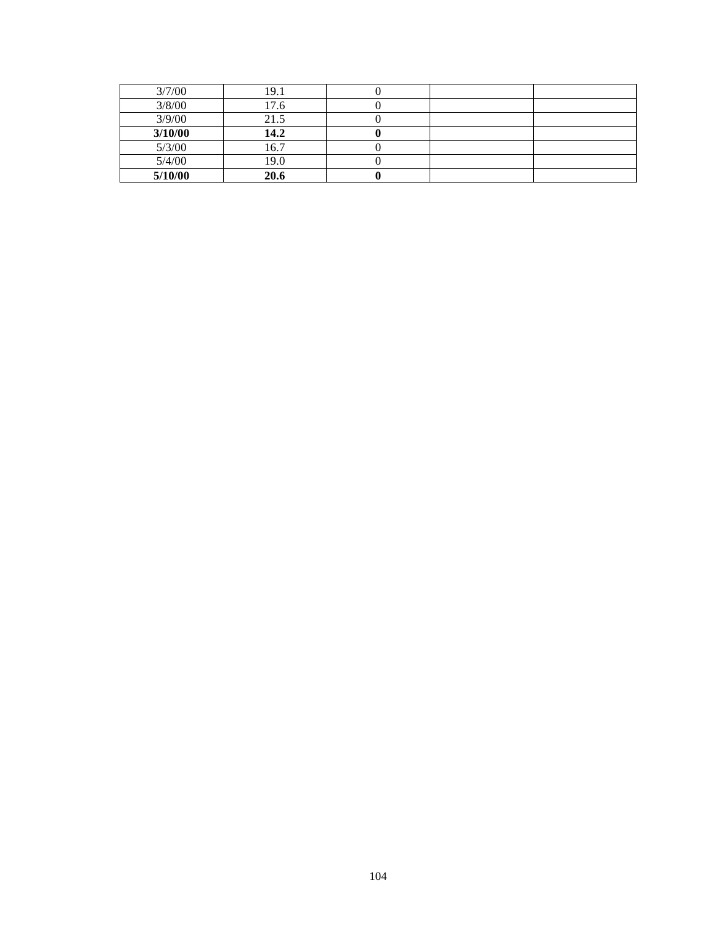| 3/7/00  | 19.1 |  |  |
|---------|------|--|--|
| 3/8/00  | 17.6 |  |  |
| 3/9/00  | 21.5 |  |  |
| 3/10/00 | 14.2 |  |  |
| 5/3/00  | 16.7 |  |  |
| 5/4/00  | 19.0 |  |  |
| 5/10/00 | 20.6 |  |  |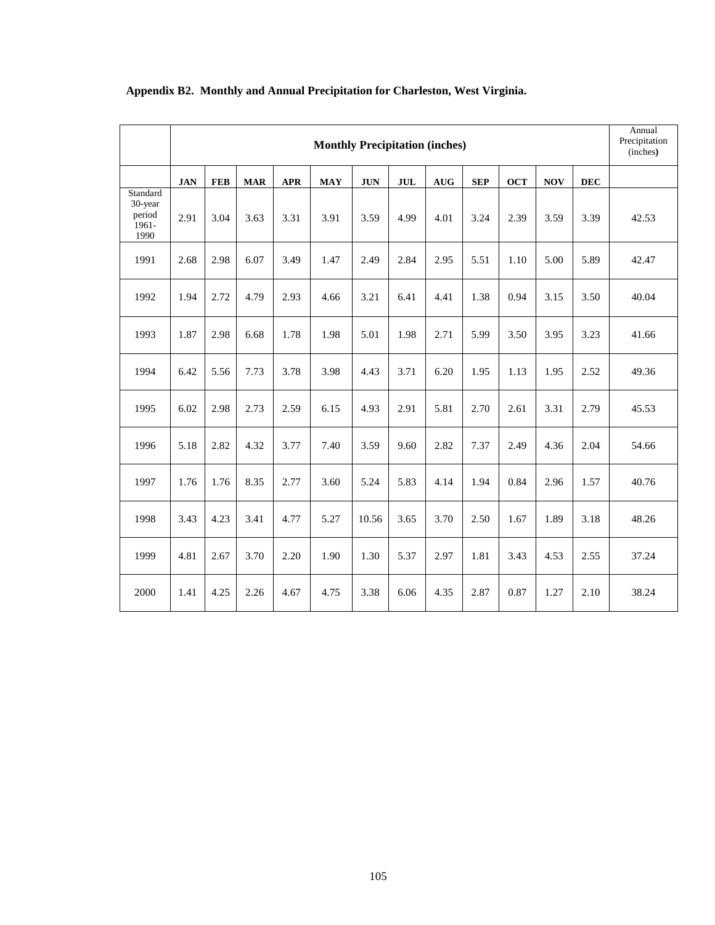|                                                |            |            |            |            | <b>Monthly Precipitation (inches)</b> |            |      |            |            |            |            |            | Annual<br>Precipitation<br>(inches) |
|------------------------------------------------|------------|------------|------------|------------|---------------------------------------|------------|------|------------|------------|------------|------------|------------|-------------------------------------|
|                                                | <b>JAN</b> | <b>FEB</b> | <b>MAR</b> | <b>APR</b> | <b>MAY</b>                            | <b>JUN</b> | JUL  | <b>AUG</b> | <b>SEP</b> | <b>OCT</b> | <b>NOV</b> | <b>DEC</b> |                                     |
| Standard<br>30-year<br>period<br>1961-<br>1990 | 2.91       | 3.04       | 3.63       | 3.31       | 3.91                                  | 3.59       | 4.99 | 4.01       | 3.24       | 2.39       | 3.59       | 3.39       | 42.53                               |
| 1991                                           | 2.68       | 2.98       | 6.07       | 3.49       | 1.47                                  | 2.49       | 2.84 | 2.95       | 5.51       | 1.10       | 5.00       | 5.89       | 42.47                               |
| 1992                                           | 1.94       | 2.72       | 4.79       | 2.93       | 4.66                                  | 3.21       | 6.41 | 4.41       | 1.38       | 0.94       | 3.15       | 3.50       | 40.04                               |
| 1993                                           | 1.87       | 2.98       | 6.68       | 1.78       | 1.98                                  | 5.01       | 1.98 | 2.71       | 5.99       | 3.50       | 3.95       | 3.23       | 41.66                               |
| 1994                                           | 6.42       | 5.56       | 7.73       | 3.78       | 3.98                                  | 4.43       | 3.71 | 6.20       | 1.95       | 1.13       | 1.95       | 2.52       | 49.36                               |
| 1995                                           | 6.02       | 2.98       | 2.73       | 2.59       | 6.15                                  | 4.93       | 2.91 | 5.81       | 2.70       | 2.61       | 3.31       | 2.79       | 45.53                               |
| 1996                                           | 5.18       | 2.82       | 4.32       | 3.77       | 7.40                                  | 3.59       | 9.60 | 2.82       | 7.37       | 2.49       | 4.36       | 2.04       | 54.66                               |
| 1997                                           | 1.76       | 1.76       | 8.35       | 2.77       | 3.60                                  | 5.24       | 5.83 | 4.14       | 1.94       | 0.84       | 2.96       | 1.57       | 40.76                               |
| 1998                                           | 3.43       | 4.23       | 3.41       | 4.77       | 5.27                                  | 10.56      | 3.65 | 3.70       | 2.50       | 1.67       | 1.89       | 3.18       | 48.26                               |
| 1999                                           | 4.81       | 2.67       | 3.70       | 2.20       | 1.90                                  | 1.30       | 5.37 | 2.97       | 1.81       | 3.43       | 4.53       | 2.55       | 37.24                               |
| 2000                                           | 1.41       | 4.25       | 2.26       | 4.67       | 4.75                                  | 3.38       | 6.06 | 4.35       | 2.87       | 0.87       | 1.27       | 2.10       | 38.24                               |

### **Appendix B2. Monthly and Annual Precipitation for Charleston, West Virginia.**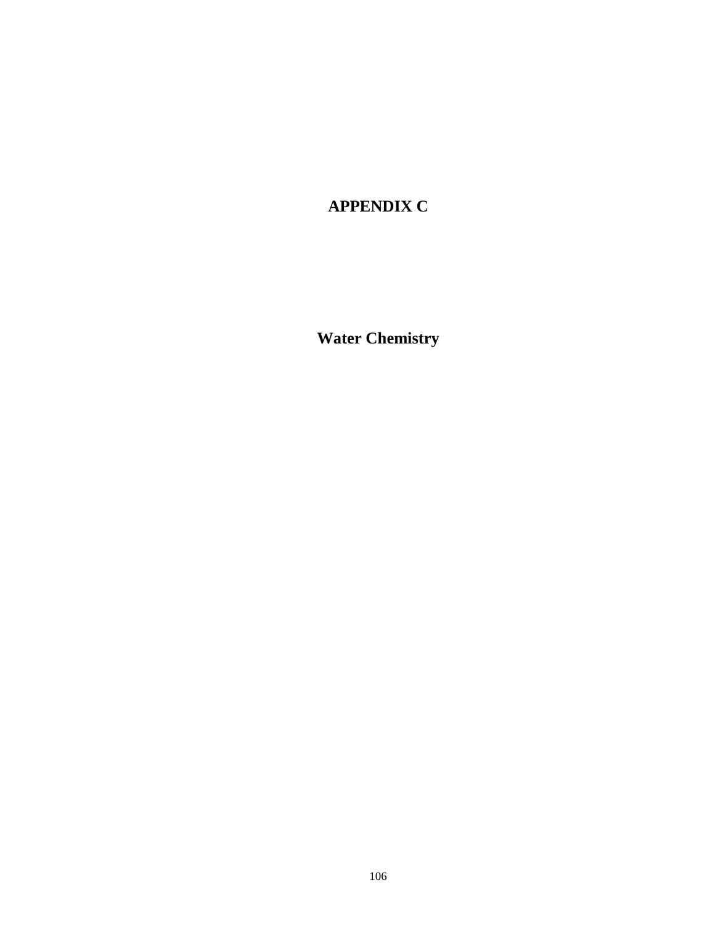# **APPENDIX C**

**Water Chemistry**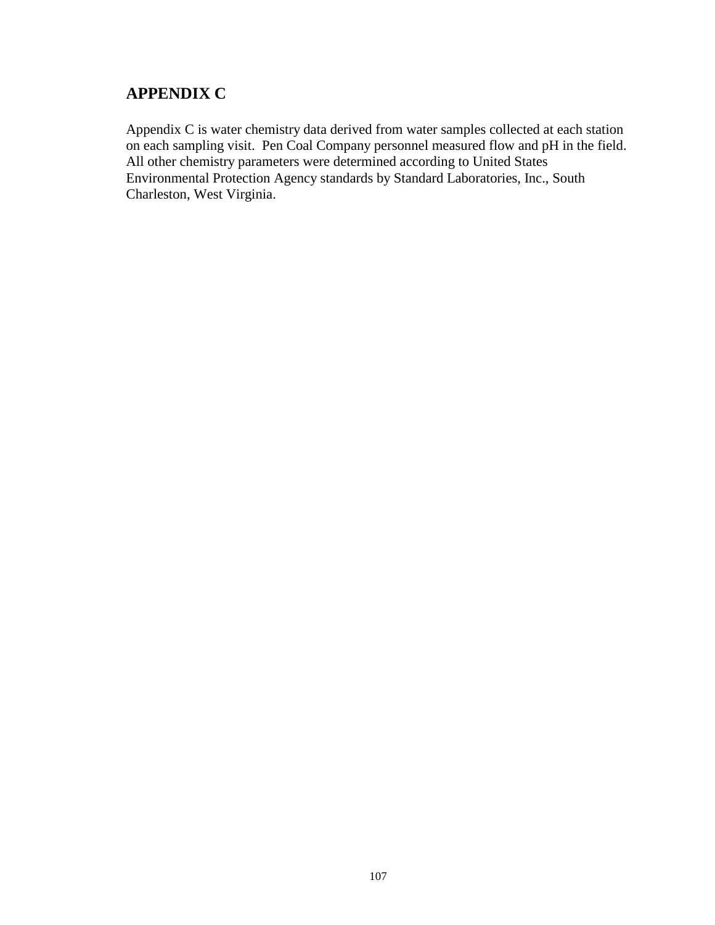# **APPENDIX C**

Appendix C is water chemistry data derived from water samples collected at each station on each sampling visit. Pen Coal Company personnel measured flow and pH in the field. All other chemistry parameters were determined according to United States Environmental Protection Agency standards by Standard Laboratories, Inc., South Charleston, West Virginia.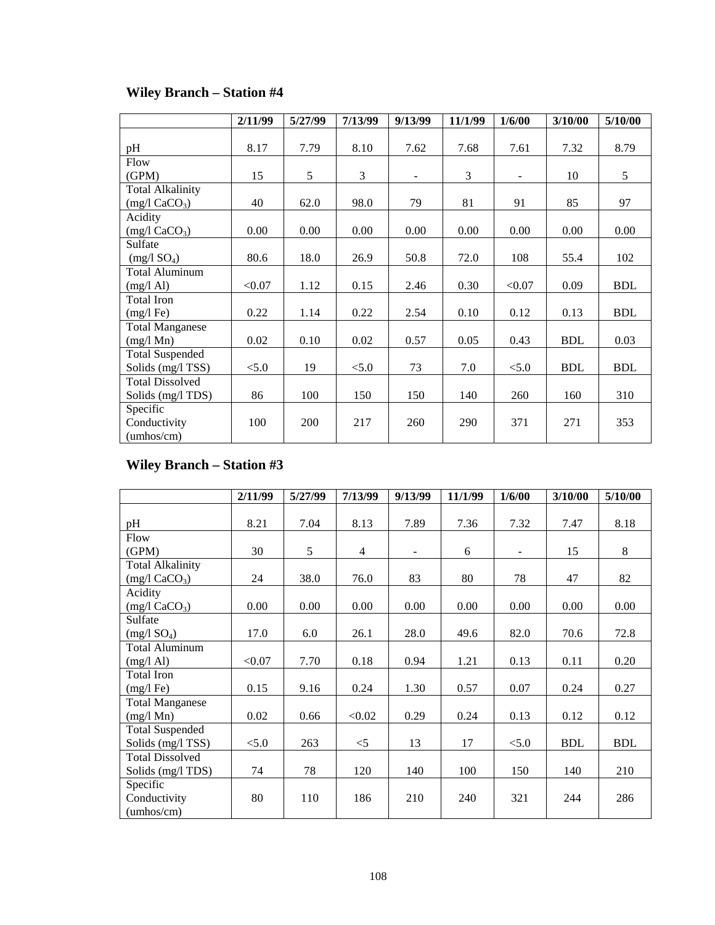|                              | 2/11/99 | 5/27/99 | 7/13/99 | 9/13/99 | 11/1/99 | 1/6/00                   | 3/10/00    | 5/10/00    |
|------------------------------|---------|---------|---------|---------|---------|--------------------------|------------|------------|
|                              |         |         |         |         |         |                          |            |            |
| pH                           | 8.17    | 7.79    | 8.10    | 7.62    | 7.68    | 7.61                     | 7.32       | 8.79       |
| Flow                         |         |         |         |         |         |                          |            |            |
| (GPM)                        | 15      | 5       | 3       | $\sim$  | 3       | $\overline{\phantom{a}}$ | 10         | 5          |
| <b>Total Alkalinity</b>      |         |         |         |         |         |                          |            |            |
| $(mg/l)$ CaCO <sub>3</sub> ) | 40      | 62.0    | 98.0    | 79      | 81      | 91                       | 85         | 97         |
| Acidity                      |         |         |         |         |         |                          |            |            |
| $(mg/l)$ CaCO <sub>3</sub> ) | 0.00    | 0.00    | 0.00    | 0.00    | 0.00    | 0.00                     | 0.00       | 0.00       |
| Sulfate                      |         |         |         |         |         |                          |            |            |
| (mg/1 SO <sub>4</sub> )      | 80.6    | 18.0    | 26.9    | 50.8    | 72.0    | 108                      | 55.4       | 102        |
| <b>Total Aluminum</b>        |         |         |         |         |         |                          |            |            |
| $(mg/l \text{ Al})$          | < 0.07  | 1.12    | 0.15    | 2.46    | 0.30    | < 0.07                   | 0.09       | <b>BDL</b> |
| Total Iron                   |         |         |         |         |         |                          |            |            |
| $(mg/l \nFe)$                | 0.22    | 1.14    | 0.22    | 2.54    | 0.10    | 0.12                     | 0.13       | <b>BDL</b> |
| <b>Total Manganese</b>       |         |         |         |         |         |                          |            |            |
| $(mg/l \ Mn)$                | 0.02    | 0.10    | 0.02    | 0.57    | 0.05    | 0.43                     | <b>BDL</b> | 0.03       |
| <b>Total Suspended</b>       |         |         |         |         |         |                          |            |            |
| Solids (mg/l TSS)            | < 5.0   | 19      | < 5.0   | 73      | 7.0     | < 5.0                    | <b>BDL</b> | <b>BDL</b> |
| <b>Total Dissolved</b>       |         |         |         |         |         |                          |            |            |
| Solids (mg/l TDS)            | 86      | 100     | 150     | 150     | 140     | 260                      | 160        | 310        |
| Specific                     |         |         |         |         |         |                          |            |            |
| Conductivity                 | 100     | 200     | 217     | 260     | 290     | 371                      | 271        | 353        |
| (umbos/cm)                   |         |         |         |         |         |                          |            |            |

# **Wiley Branch – Station #4**

# **Wiley Branch – Station #3**

|                              | 2/11/99 | 5/27/99 | 7/13/99        | 9/13/99        | 11/1/99 | 1/6/00                   | 3/10/00    | 5/10/00    |
|------------------------------|---------|---------|----------------|----------------|---------|--------------------------|------------|------------|
|                              |         |         |                |                |         |                          |            |            |
| pH                           | 8.21    | 7.04    | 8.13           | 7.89           | 7.36    | 7.32                     | 7.47       | 8.18       |
| Flow                         |         |         |                |                |         |                          |            |            |
| (GPM)                        | 30      | 5       | $\overline{4}$ | $\blacksquare$ | 6       | $\overline{\phantom{a}}$ | 15         | 8          |
| <b>Total Alkalinity</b>      |         |         |                |                |         |                          |            |            |
| $(mg/l)$ CaCO <sub>3</sub> ) | 24      | 38.0    | 76.0           | 83             | 80      | 78                       | 47         | 82         |
| Acidity                      |         |         |                |                |         |                          |            |            |
| (mg/1 CaCO <sub>3</sub> )    | 0.00    | 0.00    | 0.00           | 0.00           | 0.00    | 0.00                     | 0.00       | 0.00       |
| Sulfate                      |         |         |                |                |         |                          |            |            |
| (mg/1 SO <sub>4</sub> )      | 17.0    | 6.0     | 26.1           | 28.0           | 49.6    | 82.0                     | 70.6       | 72.8       |
| <b>Total Aluminum</b>        |         |         |                |                |         |                          |            |            |
| $(mg/l \text{ Al})$          | < 0.07  | 7.70    | 0.18           | 0.94           | 1.21    | 0.13                     | 0.11       | 0.20       |
| Total Iron                   |         |         |                |                |         |                          |            |            |
| $(mg/l \text{Fe})$           | 0.15    | 9.16    | 0.24           | 1.30           | 0.57    | 0.07                     | 0.24       | 0.27       |
| <b>Total Manganese</b>       |         |         |                |                |         |                          |            |            |
| $(mg/l \ Mn)$                | 0.02    | 0.66    | < 0.02         | 0.29           | 0.24    | 0.13                     | 0.12       | 0.12       |
| <b>Total Suspended</b>       |         |         |                |                |         |                          |            |            |
| Solids (mg/l TSS)            | < 5.0   | 263     | $\leq$ 5       | 13             | 17      | < 5.0                    | <b>BDL</b> | <b>BDL</b> |
| <b>Total Dissolved</b>       |         |         |                |                |         |                          |            |            |
| Solids (mg/l TDS)            | 74      | 78      | 120            | 140            | 100     | 150                      | 140        | 210        |
| Specific                     |         |         |                |                |         |                          |            |            |
| Conductivity                 | 80      | 110     | 186            | 210            | 240     | 321                      | 244        | 286        |
| (umbos/cm)                   |         |         |                |                |         |                          |            |            |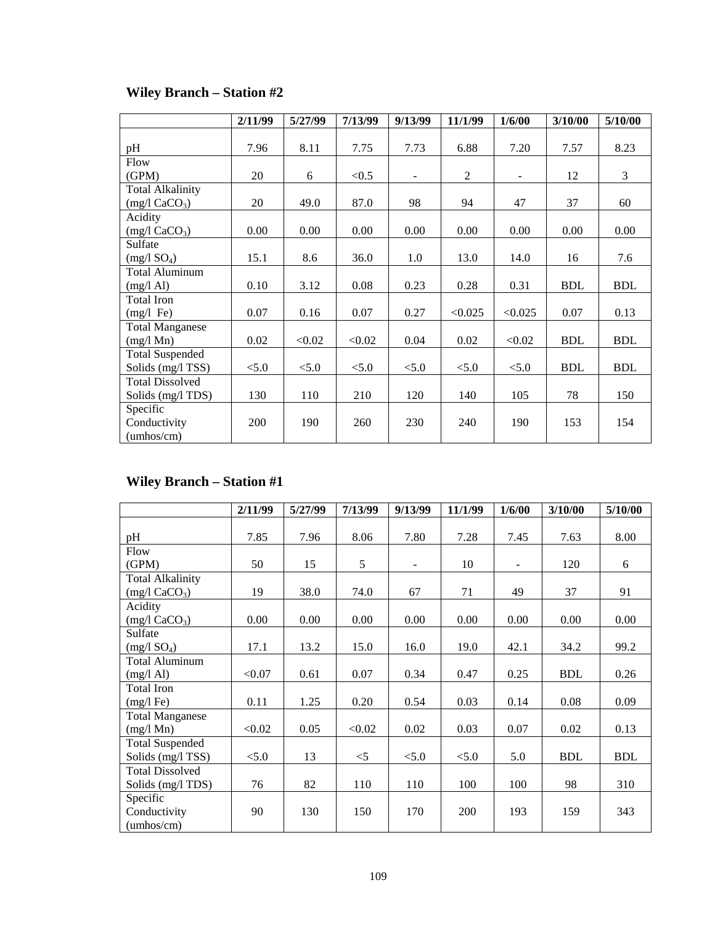|                              | 2/11/99 | 5/27/99 | 7/13/99 | 9/13/99        | 11/1/99 | 1/6/00         | 3/10/00    | 5/10/00    |
|------------------------------|---------|---------|---------|----------------|---------|----------------|------------|------------|
| pH                           | 7.96    | 8.11    | 7.75    | 7.73           | 6.88    | 7.20           | 7.57       | 8.23       |
| Flow                         |         |         |         |                |         |                |            |            |
| (GPM)                        | 20      | 6       | < 0.5   | $\overline{a}$ | 2       | $\overline{a}$ | 12         | 3          |
| <b>Total Alkalinity</b>      |         |         |         |                |         |                |            |            |
| $(mg/l)$ CaCO <sub>3</sub> ) | 20      | 49.0    | 87.0    | 98             | 94      | 47             | 37         | 60         |
| Acidity                      |         |         |         |                |         |                |            |            |
| $(mg/l)$ CaCO <sub>3</sub> ) | 0.00    | 0.00    | 0.00    | 0.00           | 0.00    | 0.00           | 0.00       | 0.00       |
| Sulfate                      |         |         |         |                |         |                |            |            |
| (mg/1 SO <sub>4</sub> )      | 15.1    | 8.6     | 36.0    | 1.0            | 13.0    | 14.0           | 16         | 7.6        |
| <b>Total Aluminum</b>        |         |         |         |                |         |                |            |            |
| (mg/l Al)                    | 0.10    | 3.12    | 0.08    | 0.23           | 0.28    | 0.31           | <b>BDL</b> | <b>BDL</b> |
| Total Iron                   |         |         |         |                |         |                |            |            |
| $(mg/l \text{Fe})$           | 0.07    | 0.16    | 0.07    | 0.27           | < 0.025 | < 0.025        | 0.07       | 0.13       |
| <b>Total Manganese</b>       |         |         |         |                |         |                |            |            |
| $(mg/l \ Mn)$                | 0.02    | < 0.02  | < 0.02  | 0.04           | 0.02    | < 0.02         | <b>BDL</b> | <b>BDL</b> |
| <b>Total Suspended</b>       |         |         |         |                |         |                |            |            |
| Solids (mg/l TSS)            | < 5.0   | < 5.0   | < 5.0   | < 5.0          | < 5.0   | < 5.0          | <b>BDL</b> | <b>BDL</b> |
| <b>Total Dissolved</b>       |         |         |         |                |         |                |            |            |
| Solids (mg/l TDS)            | 130     | 110     | 210     | 120            | 140     | 105            | 78         | 150        |
| Specific                     |         |         |         |                |         |                |            |            |
| Conductivity                 | 200     | 190     | 260     | 230            | 240     | 190            | 153        | 154        |
| (umbos/cm)                   |         |         |         |                |         |                |            |            |

# **Wiley Branch – Station #2**

# **Wiley Branch – Station #1**

|                              | 2/11/99 | 5/27/99 | 7/13/99 | 9/13/99        | 11/1/99 | 1/6/00 | 3/10/00    | 5/10/00    |
|------------------------------|---------|---------|---------|----------------|---------|--------|------------|------------|
|                              |         |         |         |                |         |        |            |            |
| pH                           | 7.85    | 7.96    | 8.06    | 7.80           | 7.28    | 7.45   | 7.63       | 8.00       |
| Flow                         |         |         |         |                |         |        |            |            |
| (GPM)                        | 50      | 15      | 5       | $\overline{a}$ | 10      |        | 120        | 6          |
| <b>Total Alkalinity</b>      |         |         |         |                |         |        |            |            |
| $(mg/l)$ CaCO <sub>3</sub> ) | 19      | 38.0    | 74.0    | 67             | 71      | 49     | 37         | 91         |
| Acidity                      |         |         |         |                |         |        |            |            |
| $(mg/l)$ CaCO <sub>3</sub> ) | 0.00    | 0.00    | 0.00    | 0.00           | 0.00    | 0.00   | 0.00       | 0.00       |
| Sulfate                      |         |         |         |                |         |        |            |            |
| (mg/1 SO <sub>4</sub> )      | 17.1    | 13.2    | 15.0    | 16.0           | 19.0    | 42.1   | 34.2       | 99.2       |
| <b>Total Aluminum</b>        |         |         |         |                |         |        |            |            |
| $(mg/l \text{ Al})$          | < 0.07  | 0.61    | 0.07    | 0.34           | 0.47    | 0.25   | <b>BDL</b> | 0.26       |
| Total Iron                   |         |         |         |                |         |        |            |            |
| $(mg/l \text{Fe})$           | 0.11    | 1.25    | 0.20    | 0.54           | 0.03    | 0.14   | 0.08       | 0.09       |
| <b>Total Manganese</b>       |         |         |         |                |         |        |            |            |
| $(mg/l \ Mn)$                | < 0.02  | 0.05    | < 0.02  | 0.02           | 0.03    | 0.07   | 0.02       | 0.13       |
| <b>Total Suspended</b>       |         |         |         |                |         |        |            |            |
| Solids (mg/l TSS)            | < 5.0   | 13      | $<$ 5   | < 5.0          | < 5.0   | 5.0    | <b>BDL</b> | <b>BDL</b> |
| <b>Total Dissolved</b>       |         |         |         |                |         |        |            |            |
| Solids (mg/l TDS)            | 76      | 82      | 110     | 110            | 100     | 100    | 98         | 310        |
| Specific                     |         |         |         |                |         |        |            |            |
| Conductivity                 | 90      | 130     | 150     | 170            | 200     | 193    | 159        | 343        |
| (umbos/cm)                   |         |         |         |                |         |        |            |            |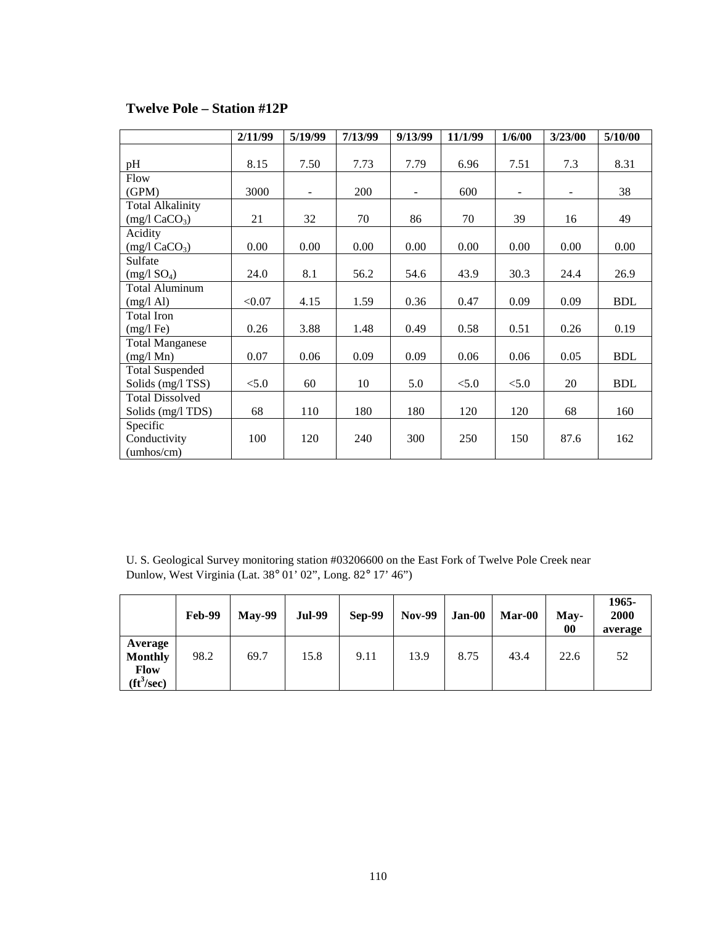|                              | 2/11/99 | 5/19/99                  | 7/13/99 | 9/13/99 | 11/1/99 | 1/6/00 | 3/23/00 | 5/10/00    |
|------------------------------|---------|--------------------------|---------|---------|---------|--------|---------|------------|
|                              |         |                          |         |         |         |        |         |            |
| pH                           | 8.15    | 7.50                     | 7.73    | 7.79    | 6.96    | 7.51   | 7.3     | 8.31       |
| Flow                         |         |                          |         |         |         |        |         |            |
| (GPM)                        | 3000    | $\overline{\phantom{a}}$ | 200     | ÷,      | 600     |        | ٠       | 38         |
| <b>Total Alkalinity</b>      |         |                          |         |         |         |        |         |            |
| $(mg/l)$ CaCO <sub>3</sub> ) | 21      | 32                       | 70      | 86      | 70      | 39     | 16      | 49         |
| Acidity                      |         |                          |         |         |         |        |         |            |
| $(mg/l)$ CaCO <sub>3</sub> ) | 0.00    | 0.00                     | 0.00    | 0.00    | 0.00    | 0.00   | 0.00    | 0.00       |
| Sulfate                      |         |                          |         |         |         |        |         |            |
| (mg/1 SO <sub>4</sub> )      | 24.0    | 8.1                      | 56.2    | 54.6    | 43.9    | 30.3   | 24.4    | 26.9       |
| <b>Total Aluminum</b>        |         |                          |         |         |         |        |         |            |
| $(mg/l \text{ Al})$          | < 0.07  | 4.15                     | 1.59    | 0.36    | 0.47    | 0.09   | 0.09    | <b>BDL</b> |
| <b>Total Iron</b>            |         |                          |         |         |         |        |         |            |
| $(mg/l \text{Fe})$           | 0.26    | 3.88                     | 1.48    | 0.49    | 0.58    | 0.51   | 0.26    | 0.19       |
| <b>Total Manganese</b>       |         |                          |         |         |         |        |         |            |
| $(mg/l \text{ Mn})$          | 0.07    | 0.06                     | 0.09    | 0.09    | 0.06    | 0.06   | 0.05    | <b>BDL</b> |
| <b>Total Suspended</b>       |         |                          |         |         |         |        |         |            |
| Solids (mg/l TSS)            | < 5.0   | 60                       | 10      | 5.0     | < 5.0   | < 5.0  | 20      | <b>BDL</b> |
| <b>Total Dissolved</b>       |         |                          |         |         |         |        |         |            |
| Solids (mg/l TDS)            | 68      | 110                      | 180     | 180     | 120     | 120    | 68      | 160        |
| Specific                     |         |                          |         |         |         |        |         |            |
| Conductivity                 | 100     | 120                      | 240     | 300     | 250     | 150    | 87.6    | 162        |
| (umbos/cm)                   |         |                          |         |         |         |        |         |            |

### **Twelve Pole – Station #12P**

U. S. Geological Survey monitoring station #03206600 on the East Fork of Twelve Pole Creek near Dunlow, West Virginia (Lat. 38° 01' 02", Long. 82° 17' 46")

|                                                                      | <b>Feb-99</b> | $May-99$ | <b>Jul-99</b> | <b>Sep-99</b> | <b>Nov-99</b> | <b>Jan-00</b> | Mar-00 | May-<br>00 | 1965-<br>2000<br>average |
|----------------------------------------------------------------------|---------------|----------|---------------|---------------|---------------|---------------|--------|------------|--------------------------|
| Average<br><b>Monthly</b><br><b>Flow</b><br>$({\rm ft}^3/{\rm sec})$ | 98.2          | 69.7     | 15.8          | 9.11          | 13.9          | 8.75          | 43.4   | 22.6       | 52                       |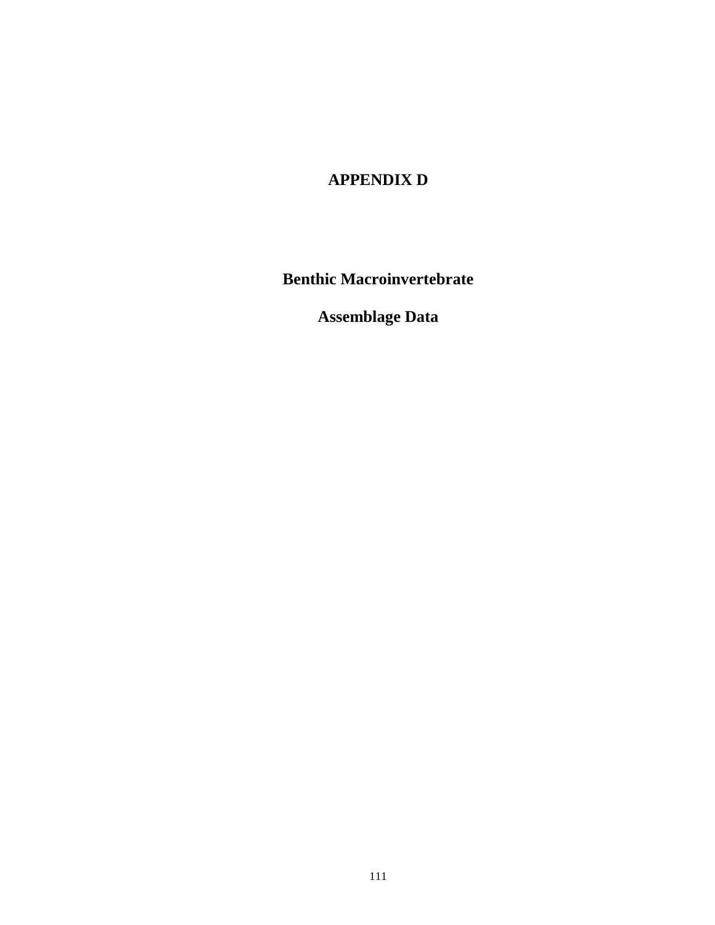# **APPENDIX D**

**Benthic Macroinvertebrate** 

**Assemblage Data**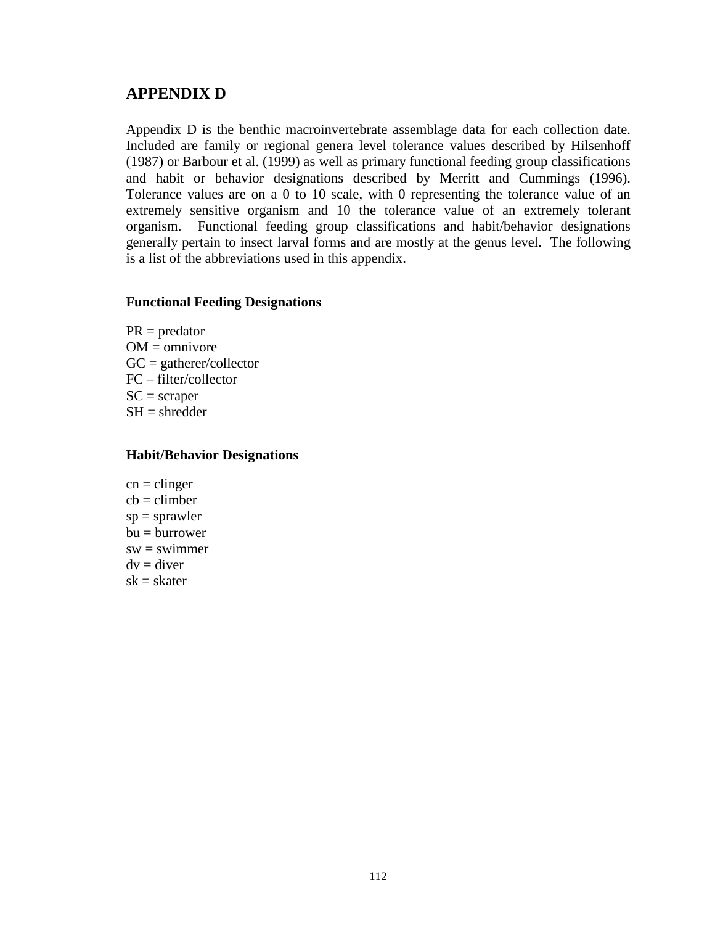### **APPENDIX D**

Appendix D is the benthic macroinvertebrate assemblage data for each collection date. Included are family or regional genera level tolerance values described by Hilsenhoff (1987) or Barbour et al. (1999) as well as primary functional feeding group classifications and habit or behavior designations described by Merritt and Cummings (1996). Tolerance values are on a 0 to 10 scale, with 0 representing the tolerance value of an extremely sensitive organism and 10 the tolerance value of an extremely tolerant organism. Functional feeding group classifications and habit/behavior designations generally pertain to insect larval forms and are mostly at the genus level. The following is a list of the abbreviations used in this appendix.

#### **Functional Feeding Designations**

 $PR = \text{predator}$  $OM =$ omnivore  $GC =$  gatherer/collector FC – filter/collector  $SC = \text{scraper}$  $SH =$ shredder

#### **Habit/Behavior Designations**

 $cn =$ clinger  $cb =$ climber  $sp = sprawler$  $bu = burrower$  $sw = swimmer$  $dv =$ diver  $sk = skater$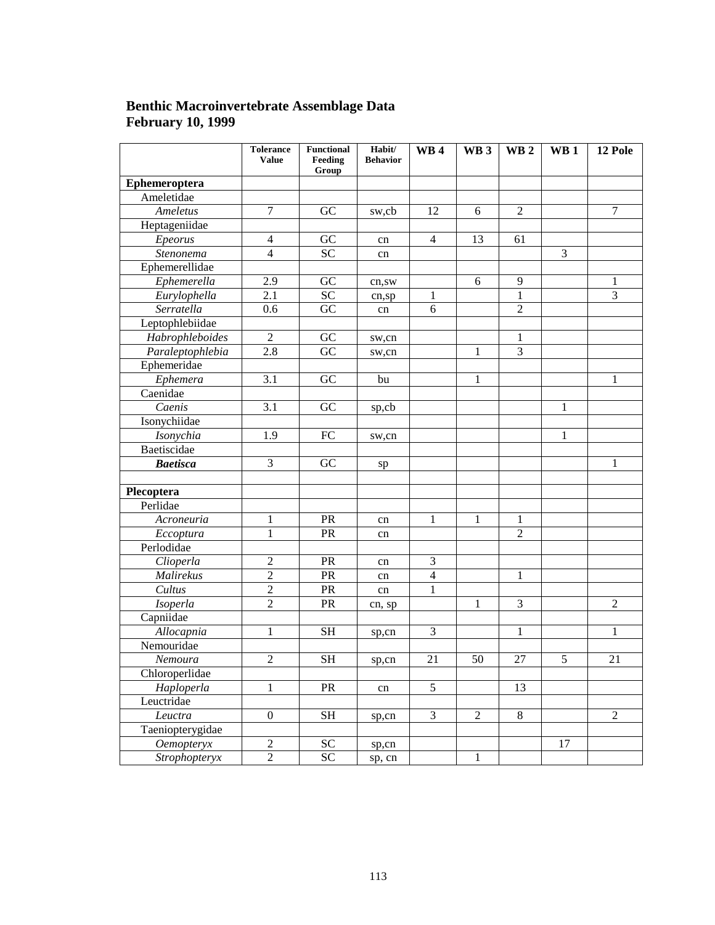### **Benthic Macroinvertebrate Assemblage Data February 10, 1999**

|                  | <b>Tolerance</b><br><b>Value</b> | <b>Functional</b><br>Feeding<br>Group | Habit/<br><b>Behavior</b> | <b>WB4</b>     | WB <sub>3</sub> | WB <sub>2</sub> | WB <sub>1</sub> | 12 Pole        |
|------------------|----------------------------------|---------------------------------------|---------------------------|----------------|-----------------|-----------------|-----------------|----------------|
| Ephemeroptera    |                                  |                                       |                           |                |                 |                 |                 |                |
| Ameletidae       |                                  |                                       |                           |                |                 |                 |                 |                |
| Ameletus         | 7                                | GC                                    | sw,cb                     | 12             | 6               | $\overline{2}$  |                 | $\tau$         |
| Heptageniidae    |                                  |                                       |                           |                |                 |                 |                 |                |
| Epeorus          | 4                                | GC                                    | cn                        | $\overline{4}$ | 13              | 61              |                 |                |
| Stenonema        | $\overline{4}$                   | $\overline{SC}$                       | cn                        |                |                 |                 | 3               |                |
| Ephemerellidae   |                                  |                                       |                           |                |                 |                 |                 |                |
| Ephemerella      | 2.9                              | GC                                    | cn,sw                     |                | 6               | 9               |                 | 1              |
| Eurylophella     | 2.1                              | $\overline{SC}$                       | cn,sp                     | 1              |                 | $\mathbf{1}$    |                 | $\overline{3}$ |
| Serratella       | 0.6                              | $\overline{GC}$                       | cn                        | 6              |                 | $\overline{2}$  |                 |                |
| Leptophlebiidae  |                                  |                                       |                           |                |                 |                 |                 |                |
| Habrophleboides  | 2                                | ${\rm GC}$                            | sw,cn                     |                |                 | 1               |                 |                |
| Paraleptophlebia | 2.8                              | GC                                    | sw,cn                     |                | 1               | 3               |                 |                |
| Ephemeridae      |                                  |                                       |                           |                |                 |                 |                 |                |
| Ephemera         | 3.1                              | GC                                    | bu                        |                | 1               |                 |                 | 1              |
| Caenidae         |                                  |                                       |                           |                |                 |                 |                 |                |
| Caenis           | 3.1                              | GC                                    | sp,cb                     |                |                 |                 | 1               |                |
| Isonychiidae     |                                  |                                       |                           |                |                 |                 |                 |                |
| Isonychia        | 1.9                              | FC                                    | sw,cn                     |                |                 |                 | 1               |                |
| Baetiscidae      |                                  |                                       |                           |                |                 |                 |                 |                |
| <b>Baetisca</b>  | 3                                | GC                                    | sp                        |                |                 |                 |                 | 1              |
|                  |                                  |                                       |                           |                |                 |                 |                 |                |
| Plecoptera       |                                  |                                       |                           |                |                 |                 |                 |                |
| Perlidae         |                                  |                                       |                           |                |                 |                 |                 |                |
| Acroneuria       | 1                                | PR                                    | cn                        | 1              | 1               | 1               |                 |                |
| Eccoptura        | $\mathbf{1}$                     | PR                                    | cn                        |                |                 | $\overline{2}$  |                 |                |
| Perlodidae       |                                  |                                       |                           |                |                 |                 |                 |                |
| Clioperla        | 2                                | PR                                    | cn                        | 3              |                 |                 |                 |                |
| Malirekus        | $\overline{2}$                   | PR                                    | cn                        | $\overline{4}$ |                 | 1               |                 |                |
| Cultus           | $\overline{2}$                   | PR                                    | cn                        | $\mathbf{1}$   |                 |                 |                 |                |
| Isoperla         | $\overline{2}$                   | PR                                    | cn, sp                    |                | 1               | 3               |                 | $\overline{2}$ |
| Capniidae        |                                  |                                       |                           |                |                 |                 |                 |                |
| Allocapnia       | 1                                | <b>SH</b>                             | sp,cn                     | 3              |                 | 1               |                 | 1              |
| Nemouridae       |                                  |                                       |                           |                |                 |                 |                 |                |
| Nemoura          | $\overline{2}$                   | <b>SH</b>                             | sp,cn                     | 21             | 50              | 27              | 5               | 21             |
| Chloroperlidae   |                                  |                                       |                           |                |                 |                 |                 |                |
| Haploperla       | 1                                | PR                                    | cn                        | 5              |                 | 13              |                 |                |
| Leuctridae       |                                  |                                       |                           |                |                 |                 |                 |                |
| Leuctra          | $\boldsymbol{0}$                 | <b>SH</b>                             | sp,cn                     | 3              | $\overline{2}$  | $\,8\,$         |                 | $\overline{2}$ |
| Taeniopterygidae |                                  |                                       |                           |                |                 |                 |                 |                |
| Oemopteryx       | $\overline{2}$                   | <b>SC</b>                             | sp,cn                     |                |                 |                 | 17              |                |
| Strophopteryx    | $\overline{2}$                   | ${\rm SC}$                            | sp, cn                    |                | 1               |                 |                 |                |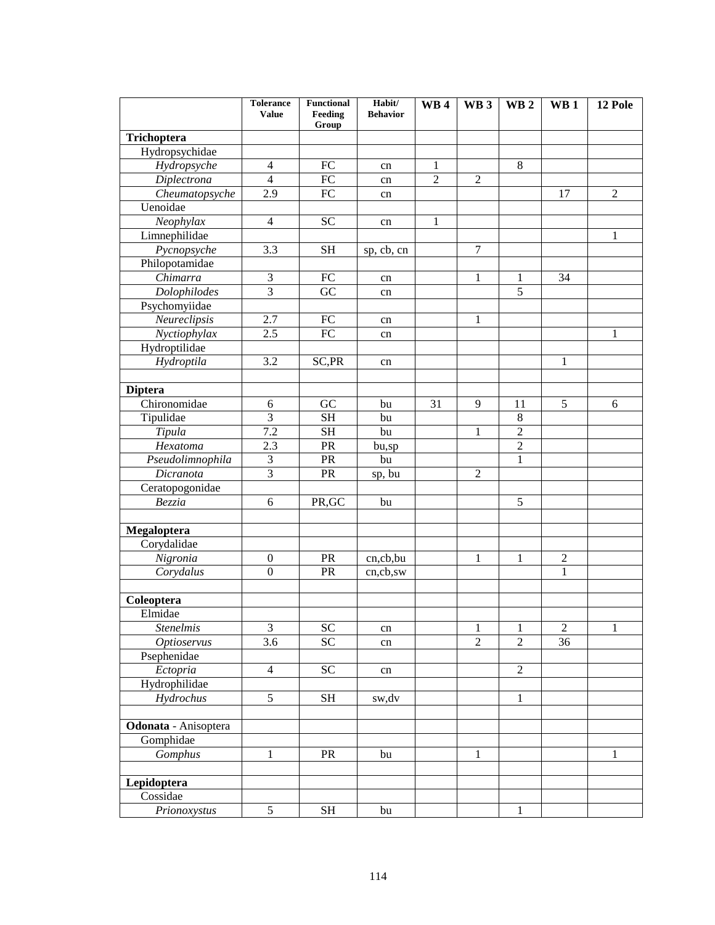|                         | <b>Tolerance</b><br><b>Value</b> | <b>Functional</b><br>Feeding | Habit/<br><b>Behavior</b> | <b>WB4</b>     | WB <sub>3</sub> | WB <sub>2</sub> | WB <sub>1</sub> | 12 Pole        |
|-------------------------|----------------------------------|------------------------------|---------------------------|----------------|-----------------|-----------------|-----------------|----------------|
|                         |                                  | Group                        |                           |                |                 |                 |                 |                |
| Trichoptera             |                                  |                              |                           |                |                 |                 |                 |                |
| Hydropsychidae          |                                  |                              |                           |                |                 |                 |                 |                |
| Hydropsyche             | $\overline{4}$                   | <b>FC</b>                    | cn                        | $\mathbf{1}$   |                 | 8               |                 |                |
| Diplectrona             | $\overline{4}$                   | <b>FC</b>                    | cn                        | $\overline{2}$ | $\overline{2}$  |                 |                 |                |
| Cheumatopsyche          | 2.9                              | FC                           | cn                        |                |                 |                 | 17              | $\overline{2}$ |
| Uenoidae                |                                  |                              |                           |                |                 |                 |                 |                |
| Neophylax               | $\overline{4}$                   | <b>SC</b>                    | cn                        | $\mathbf{1}$   |                 |                 |                 |                |
| Limnephilidae           |                                  |                              |                           |                |                 |                 |                 | 1              |
| Pycnopsyche             | 3.3                              | <b>SH</b>                    | sp, cb, cn                |                | $\overline{7}$  |                 |                 |                |
| Philopotamidae          |                                  |                              |                           |                |                 |                 |                 |                |
| Chimarra                | 3                                | FC                           | cn                        |                | $\mathbf{1}$    | 1               | 34              |                |
| <b>Dolophilodes</b>     | $\overline{3}$                   | $\overline{GC}$              | cn                        |                |                 | $\overline{5}$  |                 |                |
| Psychomyiidae           |                                  |                              |                           |                |                 |                 |                 |                |
| Neureclipsis            | $\overline{2.7}$                 | FC                           | cn                        |                | 1               |                 |                 |                |
| Nyctiophylax            | 2.5                              | <b>FC</b>                    | cn                        |                |                 |                 |                 | 1              |
| Hydroptilidae           |                                  |                              |                           |                |                 |                 |                 |                |
| Hydroptila              | 3.2                              | SC,PR                        | cn                        |                |                 |                 | $\mathbf{1}$    |                |
|                         |                                  |                              |                           |                |                 |                 |                 |                |
| <b>Diptera</b>          |                                  |                              |                           |                |                 |                 |                 |                |
| Chironomidae            | 6                                | GC                           | bu                        | 31             | 9               | 11              | 5               | 6              |
| Tipulidae               | $\overline{3}$                   | <b>SH</b>                    | bu                        |                |                 | 8               |                 |                |
| Tipula                  | 7.2                              | <b>SH</b>                    | bu                        |                | $\mathbf{1}$    | $\overline{2}$  |                 |                |
| Hexatoma                | 2.3                              | PR                           | bu,sp                     |                |                 | $\overline{2}$  |                 |                |
| Pseudolimnophila        | 3                                | PR                           | bu                        |                |                 | $\mathbf{1}$    |                 |                |
| $\overline{Dic}$ ranota | $\overline{3}$                   | PR                           | sp, bu                    |                | $\overline{2}$  |                 |                 |                |
| Ceratopogonidae         |                                  |                              |                           |                |                 |                 |                 |                |
| Bezzia                  | 6                                | PR, GC                       | bu                        |                |                 | 5               |                 |                |
|                         |                                  |                              |                           |                |                 |                 |                 |                |
| Megaloptera             |                                  |                              |                           |                |                 |                 |                 |                |
| Corydalidae             |                                  |                              |                           |                |                 |                 |                 |                |
| Nigronia                | $\boldsymbol{0}$                 | PR                           | cn,cb,bu                  |                | 1               | 1               | $\sqrt{2}$      |                |
| Corydalus               | $\overline{0}$                   | PR                           | cn,cb,sw                  |                |                 |                 | $\mathbf{1}$    |                |
|                         |                                  |                              |                           |                |                 |                 |                 |                |
| Coleoptera              |                                  |                              |                           |                |                 |                 |                 |                |
| Elmidae                 |                                  |                              |                           |                |                 |                 |                 |                |
| <b>Stenelmis</b>        | 3                                | <b>SC</b>                    | cn                        |                | $\mathbf 1$     | $\,1\,$         | $\overline{2}$  | $\mathbf{1}$   |
| <b>Optioservus</b>      | 3.6                              | $\overline{SC}$              | cn                        |                | $\overline{2}$  | $\overline{2}$  | $\overline{36}$ |                |
| Psephenidae             |                                  |                              |                           |                |                 |                 |                 |                |
| Ectopria                | $\overline{4}$                   | <b>SC</b>                    | cn                        |                |                 | $\overline{2}$  |                 |                |
| Hydrophilidae           |                                  |                              |                           |                |                 |                 |                 |                |
| Hydrochus               | 5                                | <b>SH</b>                    | sw,dv                     |                |                 | $\mathbf{1}$    |                 |                |
|                         |                                  |                              |                           |                |                 |                 |                 |                |
| Odonata - Anisoptera    |                                  |                              |                           |                |                 |                 |                 |                |
| Gomphidae               |                                  |                              |                           |                |                 |                 |                 |                |
| Gomphus                 | 1                                | PR                           | bu                        |                | $\mathbf{1}$    |                 |                 | $\mathbf{1}$   |
|                         |                                  |                              |                           |                |                 |                 |                 |                |
| Lepidoptera             |                                  |                              |                           |                |                 |                 |                 |                |
| Cossidae                |                                  |                              |                           |                |                 |                 |                 |                |
| Prionoxystus            | 5                                | $\operatorname{SH}$          | bu                        |                |                 | $\mathbf{1}$    |                 |                |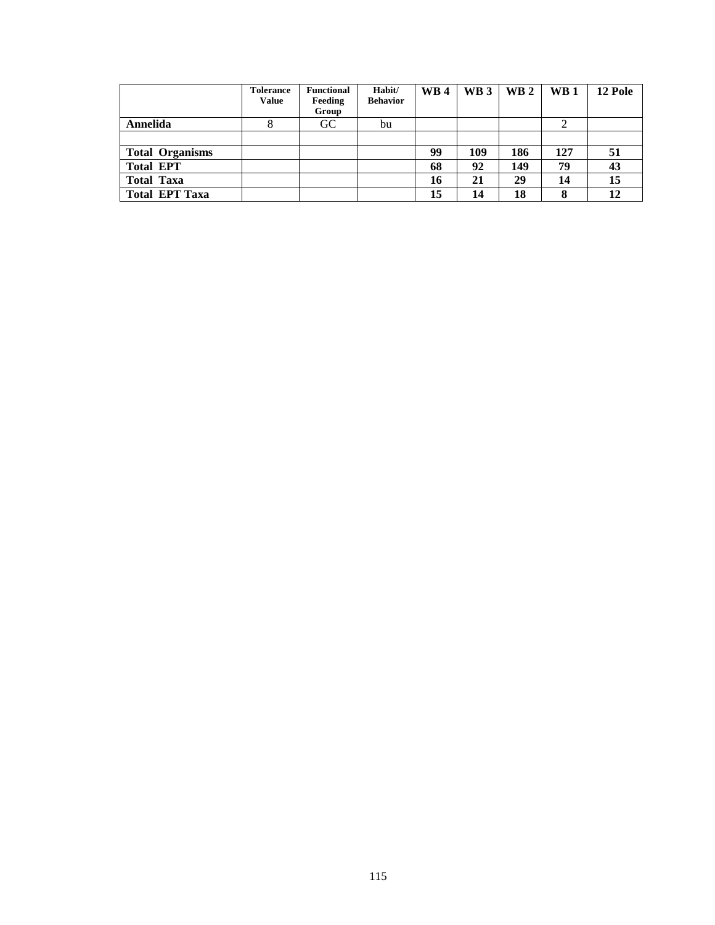|                        | <b>Tolerance</b><br><b>Value</b> | <b>Functional</b><br>Feeding<br>Group | Habit/<br><b>Behavior</b> | <b>WB4</b> | WB <sub>3</sub> | WB 2 | <b>WB</b> 1 | 12 Pole |
|------------------------|----------------------------------|---------------------------------------|---------------------------|------------|-----------------|------|-------------|---------|
| Annelida               |                                  | <b>GC</b>                             | bu                        |            |                 |      |             |         |
|                        |                                  |                                       |                           |            |                 |      |             |         |
| <b>Total Organisms</b> |                                  |                                       |                           | 99         | 109             | 186  | 127         | 51      |
| <b>Total EPT</b>       |                                  |                                       |                           | 68         | 92              | 149  | 79          | 43      |
| <b>Total Taxa</b>      |                                  |                                       |                           | 16         | 21              | 29   | 14          | 15      |
| <b>Total EPT Taxa</b>  |                                  |                                       |                           | 15         |                 | 18   | 8           | 12      |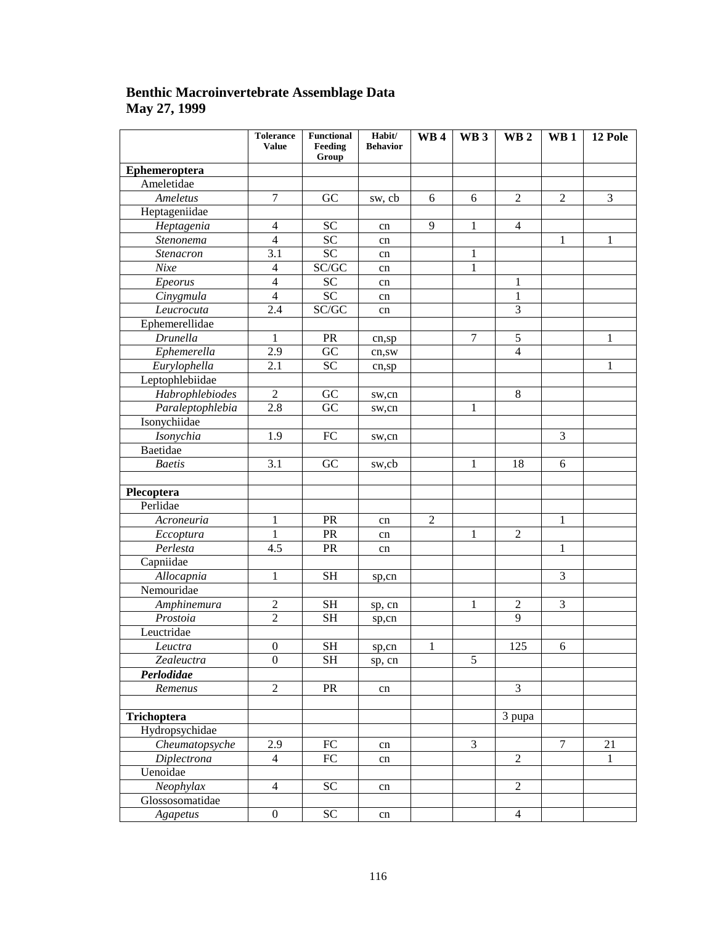### **Benthic Macroinvertebrate Assemblage Data May 27, 1999**

|                    | <b>Tolerance</b><br><b>Value</b>                             | <b>Functional</b><br>Feeding<br>Group | Habit/<br><b>Behavior</b> | <b>WB4</b>     | WB <sub>3</sub> | WB <sub>2</sub> | WB <sub>1</sub> | 12 Pole        |
|--------------------|--------------------------------------------------------------|---------------------------------------|---------------------------|----------------|-----------------|-----------------|-----------------|----------------|
| Ephemeroptera      |                                                              |                                       |                           |                |                 |                 |                 |                |
| Ameletidae         |                                                              |                                       |                           |                |                 |                 |                 |                |
| Ameletus           | 7                                                            | GC                                    | sw, cb                    | 6              | 6               | $\overline{2}$  | $\mathbf{2}$    | $\overline{3}$ |
| Heptageniidae      |                                                              |                                       |                           |                |                 |                 |                 |                |
| Heptagenia         | $\overline{\mathcal{A}}$                                     | <b>SC</b>                             | cn                        | 9              | 1               | $\overline{4}$  |                 |                |
| Stenonema          | $\overline{4}$                                               | <b>SC</b>                             | cn                        |                |                 |                 | 1               | 1              |
| Stenacron          | 3.1                                                          | <b>SC</b>                             | cn                        |                | 1               |                 |                 |                |
| Nixe               | $\overline{\mathcal{A}}$                                     | SC/GC                                 | cn                        |                | $\mathbf{1}$    |                 |                 |                |
| Epeorus            | $\overline{4}$                                               | <b>SC</b>                             | cn                        |                |                 | $\mathbf{1}$    |                 |                |
| Cinygmula          | $\overline{4}$                                               | <b>SC</b>                             | cn                        |                |                 | $\mathbf{1}$    |                 |                |
| Leucrocuta         | 2.4                                                          | SC/GC                                 | cn                        |                |                 | 3               |                 |                |
| Ephemerellidae     |                                                              |                                       |                           |                |                 |                 |                 |                |
| Drunella           | $\mathbf{1}$                                                 | PR                                    | cn,sp                     |                | $\tau$          | 5               |                 | 1              |
| Ephemerella        | 2.9                                                          | GC                                    | cn,sw                     |                |                 | $\overline{4}$  |                 |                |
| Eurylophella       | 2.1                                                          | <b>SC</b>                             | cn,sp                     |                |                 |                 |                 | 1              |
| Leptophlebiidae    |                                                              |                                       |                           |                |                 |                 |                 |                |
| Habrophlebiodes    | $\overline{2}$                                               | GC                                    | sw,cn                     |                |                 | $\,8\,$         |                 |                |
| Paraleptophlebia   | 2.8                                                          | GC                                    | sw,cn                     |                | 1               |                 |                 |                |
| Isonychiidae       |                                                              |                                       |                           |                |                 |                 |                 |                |
| Isonychia          | 1.9                                                          | FC                                    | sw,cn                     |                |                 |                 | 3               |                |
| Baetidae           |                                                              |                                       |                           |                |                 |                 |                 |                |
| <b>Baetis</b>      | 3.1                                                          | GC                                    | sw,cb                     |                | 1               | 18              | 6               |                |
|                    |                                                              |                                       |                           |                |                 |                 |                 |                |
| Plecoptera         |                                                              |                                       |                           |                |                 |                 |                 |                |
| Perlidae           |                                                              |                                       |                           |                |                 |                 |                 |                |
| Acroneuria         | 1                                                            | PR                                    | cn                        | $\overline{2}$ |                 |                 | 1               |                |
| Eccoptura          | 1                                                            | PR                                    | cn                        |                | 1               | $\overline{2}$  |                 |                |
| Perlesta           | 4.5                                                          | PR                                    | cn                        |                |                 |                 | 1               |                |
| Capniidae          |                                                              |                                       |                           |                |                 |                 |                 |                |
| Allocapnia         | $\mathbf{1}$                                                 | <b>SH</b>                             | sp,cn                     |                |                 |                 | 3               |                |
| Nemouridae         |                                                              |                                       |                           |                |                 |                 |                 |                |
| Amphinemura        | $\mathfrak{2}% =\mathfrak{2}\left( \mathfrak{2}\right) ^{2}$ | <b>SH</b>                             | sp, cn                    |                | 1               | $\overline{2}$  | 3               |                |
| Prostoia           | $\overline{2}$                                               | <b>SH</b>                             | sp,cn                     |                |                 | 9               |                 |                |
| Leuctridae         |                                                              |                                       |                           |                |                 |                 |                 |                |
| Leuctra            | $\boldsymbol{0}$                                             | <b>SH</b>                             | sp,cn                     | $\mathbf{1}$   |                 | 125             | 6               |                |
| Zealeuctra         | $\boldsymbol{0}$                                             | <b>SH</b>                             | sp, cn                    |                | 5               |                 |                 |                |
| Perlodidae         |                                                              |                                       |                           |                |                 |                 |                 |                |
| Remenus            | $\overline{2}$                                               | PR                                    | cn                        |                |                 | 3               |                 |                |
|                    |                                                              |                                       |                           |                |                 |                 |                 |                |
| Trichoptera        |                                                              |                                       |                           |                |                 | 3 pupa          |                 |                |
| Hydropsychidae     |                                                              |                                       |                           |                |                 |                 |                 |                |
| Cheumatopsyche     | 2.9                                                          | ${\rm FC}$                            | cn                        |                | $\overline{3}$  |                 | 7               | 21             |
| <b>Diplectrona</b> | $\overline{4}$                                               | FC                                    | cn                        |                |                 | $\overline{2}$  |                 | 1              |
| Uenoidae           |                                                              |                                       |                           |                |                 |                 |                 |                |
| Neophylax          | $\overline{4}$                                               | <b>SC</b>                             | cn                        |                |                 | $\overline{2}$  |                 |                |
| Glossosomatidae    |                                                              |                                       |                           |                |                 |                 |                 |                |
| Agapetus           | $\boldsymbol{0}$                                             | <b>SC</b>                             | cn                        |                |                 | $\overline{4}$  |                 |                |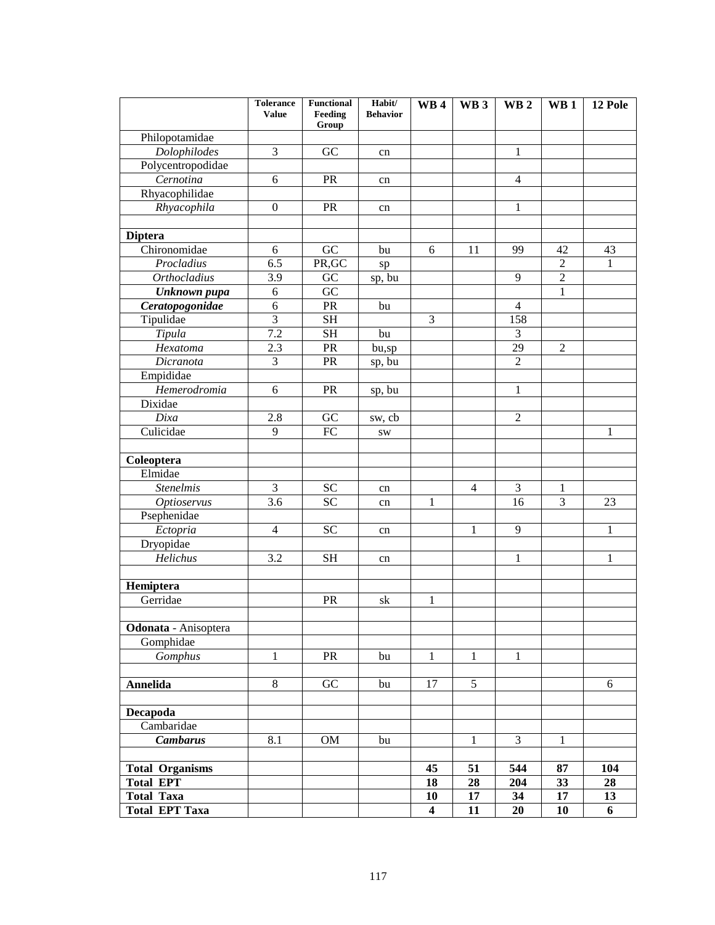|                                | <b>Tolerance</b><br><b>Value</b> | <b>Functional</b><br>Feeding | Habit/<br><b>Behavior</b> | WB <sub>4</sub>         | WB <sub>3</sub> | <b>WB2</b>     | WB <sub>1</sub> | 12 Pole |
|--------------------------------|----------------------------------|------------------------------|---------------------------|-------------------------|-----------------|----------------|-----------------|---------|
|                                |                                  | Group                        |                           |                         |                 |                |                 |         |
| Philopotamidae                 | 3                                |                              |                           |                         |                 |                |                 |         |
| Dolophilodes                   |                                  | GC                           | cn                        |                         |                 | 1              |                 |         |
| Polycentropodidae<br>Cernotina | 6                                | <b>PR</b>                    |                           |                         |                 | $\overline{4}$ |                 |         |
| Rhyacophilidae                 |                                  |                              | cn                        |                         |                 |                |                 |         |
| Rhyacophila                    | $\overline{0}$                   | PR                           |                           |                         |                 | 1              |                 |         |
|                                |                                  |                              | cn                        |                         |                 |                |                 |         |
| <b>Diptera</b>                 |                                  |                              |                           |                         |                 |                |                 |         |
| Chironomidae                   | 6                                | GC                           | bu                        | 6                       | 11              | 99             | 42              | 43      |
| Procladius                     | 6.5                              | PR, GC                       | sp                        |                         |                 |                | $\overline{c}$  | 1       |
| <b>Orthocladius</b>            | 3.9                              | GC                           | sp, bu                    |                         |                 | 9              | $\overline{2}$  |         |
| Unknown pupa                   | 6                                | GC                           |                           |                         |                 |                | 1               |         |
| Ceratopogonidae                | 6                                | PR                           | bu                        |                         |                 | $\overline{4}$ |                 |         |
| Tipulidae                      | 3                                | <b>SH</b>                    |                           | 3                       |                 | 158            |                 |         |
| Tipula                         | 7.2                              | <b>SH</b>                    | bu                        |                         |                 | 3              |                 |         |
| Hexatoma                       | 2.3                              | PR                           | bu,sp                     |                         |                 | 29             | $\overline{2}$  |         |
| Dicranota                      | 3                                | PR                           | sp, bu                    |                         |                 | 2              |                 |         |
| Empididae                      |                                  |                              |                           |                         |                 |                |                 |         |
| Hemerodromia                   | 6                                | PR                           | sp, bu                    |                         |                 | 1              |                 |         |
| Dixidae                        |                                  |                              |                           |                         |                 |                |                 |         |
| Dixa                           | 2.8                              | GC                           | sw, cb                    |                         |                 | $\overline{2}$ |                 |         |
| $\overline{\text{C}}$ ulicidae | 9                                | FC                           | SW                        |                         |                 |                |                 | 1       |
|                                |                                  |                              |                           |                         |                 |                |                 |         |
| Coleoptera                     |                                  |                              |                           |                         |                 |                |                 |         |
| Elmidae                        |                                  |                              |                           |                         |                 |                |                 |         |
| <b>Stenelmis</b>               | 3                                | <b>SC</b>                    | cn                        |                         | $\overline{4}$  | 3              | 1               |         |
| <i><b>Optioservus</b></i>      | 3.6                              | <b>SC</b>                    | cn                        | 1                       |                 | 16             | 3               | 23      |
| Psephenidae                    |                                  |                              |                           |                         |                 |                |                 |         |
| Ectopria                       | $\overline{4}$                   | <b>SC</b>                    | cn                        |                         | 1               | 9              |                 | 1       |
| Dryopidae                      |                                  |                              |                           |                         |                 |                |                 |         |
| Helichus                       | 3.2                              | <b>SH</b>                    | cn                        |                         |                 | 1              |                 | 1       |
|                                |                                  |                              |                           |                         |                 |                |                 |         |
| Hemiptera                      |                                  |                              |                           |                         |                 |                |                 |         |
| Gerridae                       |                                  | PR                           | sk                        | 1                       |                 |                |                 |         |
|                                |                                  |                              |                           |                         |                 |                |                 |         |
| Odonata - Anisoptera           |                                  |                              |                           |                         |                 |                |                 |         |
| Gomphidae                      |                                  |                              |                           |                         |                 |                |                 |         |
| Gomphus                        | 1                                | <b>PR</b>                    | bu                        | $\mathbf{1}$            | 1               | $\mathbf{1}$   |                 |         |
|                                |                                  |                              |                           |                         |                 |                |                 |         |
| <b>Annelida</b>                | 8                                | GC                           | bu                        | 17                      | 5               |                |                 | 6       |
|                                |                                  |                              |                           |                         |                 |                |                 |         |
| Decapoda                       |                                  |                              |                           |                         |                 |                |                 |         |
| Cambaridae                     |                                  |                              |                           |                         |                 |                |                 |         |
| <b>Cambarus</b>                | 8.1                              | <b>OM</b>                    | bu                        |                         | $\mathbf{1}$    | 3              | 1               |         |
| <b>Total Organisms</b>         |                                  |                              |                           | 45                      | 51              | 544            | 87              | 104     |
| <b>Total EPT</b>               |                                  |                              |                           | 18                      | 28              | 204            | 33              | 28      |
| <b>Total Taxa</b>              |                                  |                              |                           | 10                      | 17              | 34             | 17              | 13      |
| <b>Total EPT Taxa</b>          |                                  |                              |                           | $\overline{\mathbf{4}}$ | 11              | 20             | 10              | 6       |
|                                |                                  |                              |                           |                         |                 |                |                 |         |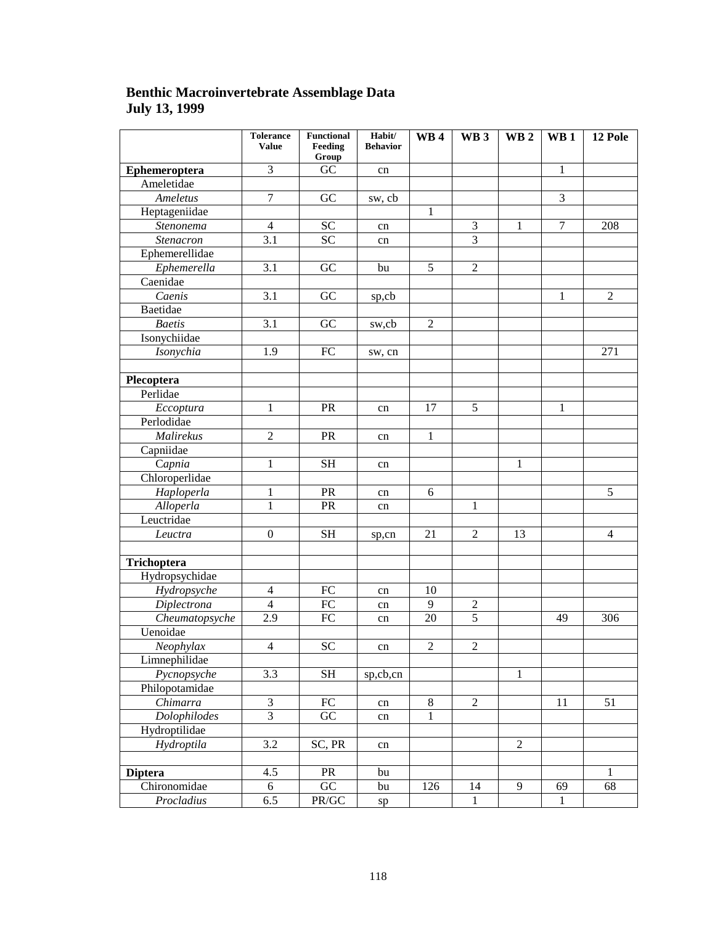### **Benthic Macroinvertebrate Assemblage Data July 13, 1999**

|                     | <b>Tolerance</b><br><b>Value</b> | <b>Functional</b><br>Feeding<br>Group | Habit/<br><b>Behavior</b> | <b>WB4</b>      | WB <sub>3</sub> | WB <sub>2</sub> | WB <sub>1</sub> | 12 Pole        |
|---------------------|----------------------------------|---------------------------------------|---------------------------|-----------------|-----------------|-----------------|-----------------|----------------|
| Ephemeroptera       | 3                                | GC                                    | cn                        |                 |                 |                 | $\mathbf{1}$    |                |
| Ameletidae          |                                  |                                       |                           |                 |                 |                 |                 |                |
| Ameletus            | $\overline{7}$                   | GC                                    | sw, cb                    |                 |                 |                 | $\overline{3}$  |                |
| Heptageniidae       |                                  |                                       |                           | 1               |                 |                 |                 |                |
| Stenonema           | $\overline{4}$                   | <b>SC</b>                             | cn                        |                 | $\overline{3}$  | $\mathbf{1}$    | $\overline{7}$  | 208            |
| Stenacron           | $\overline{3.1}$                 | $\overline{SC}$                       | cn                        |                 | $\overline{3}$  |                 |                 |                |
| Ephemerellidae      |                                  |                                       |                           |                 |                 |                 |                 |                |
| Ephemerella         | $\overline{3.1}$                 | GC                                    | bu                        | $\overline{5}$  | $\overline{2}$  |                 |                 |                |
| Caenidae            |                                  |                                       |                           |                 |                 |                 |                 |                |
| Caenis              | $\overline{3.1}$                 | GC                                    | sp,cb                     |                 |                 |                 | $\mathbf{1}$    | $\overline{2}$ |
| Baetidae            |                                  |                                       |                           |                 |                 |                 |                 |                |
| <b>Baetis</b>       | $\overline{3.1}$                 | GC                                    | sw,cb                     | $\overline{2}$  |                 |                 |                 |                |
| Isonychiidae        |                                  |                                       |                           |                 |                 |                 |                 |                |
| Isonychia           | 1.9                              | ${\rm FC}$                            | sw, cn                    |                 |                 |                 |                 | 271            |
|                     |                                  |                                       |                           |                 |                 |                 |                 |                |
| Plecoptera          |                                  |                                       |                           |                 |                 |                 |                 |                |
| Perlidae            |                                  |                                       |                           |                 |                 |                 |                 |                |
| Eccoptura           | $\mathbf{1}$                     | PR                                    | cn                        | $\overline{17}$ | $\overline{5}$  |                 | $\mathbf{1}$    |                |
| Perlodidae          |                                  |                                       |                           |                 |                 |                 |                 |                |
| Malirekus           | $\overline{2}$                   | PR                                    | cn                        | $\mathbf{1}$    |                 |                 |                 |                |
| Capniidae           |                                  |                                       |                           |                 |                 |                 |                 |                |
| Capnia              | $\mathbf{1}$                     | $\overline{\text{SH}}$                | cn                        |                 |                 | $\mathbf{1}$    |                 |                |
| Chloroperlidae      |                                  |                                       |                           |                 |                 |                 |                 |                |
| Haploperla          | $\mathbf{1}$                     | PR                                    | cn                        | 6               |                 |                 |                 | $\overline{5}$ |
| Alloperla           | $\mathbf{1}$                     | PR                                    | cn                        |                 | $\mathbf{1}$    |                 |                 |                |
| Leuctridae          |                                  |                                       |                           |                 |                 |                 |                 |                |
| Leuctra             | $\boldsymbol{0}$                 | <b>SH</b>                             | sp,cn                     | 21              | $\overline{2}$  | 13              |                 | $\overline{4}$ |
|                     |                                  |                                       |                           |                 |                 |                 |                 |                |
| Trichoptera         |                                  |                                       |                           |                 |                 |                 |                 |                |
| Hydropsychidae      |                                  |                                       |                           |                 |                 |                 |                 |                |
| Hydropsyche         | $\overline{\mathbf{4}}$          | FC                                    | cn                        | 10              |                 |                 |                 |                |
| Diplectrona         | $\overline{4}$                   | ${\rm FC}$                            | cn                        | 9               | $\overline{2}$  |                 |                 |                |
| Cheumatopsyche      | $\overline{2.9}$                 | ${\rm FC}$                            | cn                        | $\overline{20}$ | 5               |                 | 49              | 306            |
| Uenoidae            |                                  |                                       |                           |                 |                 |                 |                 |                |
| Neophylax           | $\overline{4}$                   | <b>SC</b>                             | cn                        | $\overline{2}$  | $\overline{2}$  |                 |                 |                |
| Limnephilidae       |                                  |                                       |                           |                 |                 |                 |                 |                |
| Pycnopsyche         | $\overline{3.3}$                 | $\overline{\text{SH}}$                | sp,cb,cn                  |                 |                 | $\mathbf{1}$    |                 |                |
| Philopotamidae      |                                  |                                       |                           |                 |                 |                 |                 |                |
| Chimarra            | $\overline{3}$                   | ${\rm FC}$                            | cn                        | $\overline{8}$  | $\overline{2}$  |                 | 11              | 51             |
| <b>Dolophilodes</b> | $\overline{3}$                   | $\overline{GC}$                       | cn                        | $\mathbf{1}$    |                 |                 |                 |                |
| Hydroptilidae       |                                  |                                       |                           |                 |                 |                 |                 |                |
| Hydroptila          | $\overline{3.2}$                 | SC, PR                                | cn                        |                 |                 | $\overline{2}$  |                 |                |
|                     |                                  |                                       |                           |                 |                 |                 |                 |                |
| <b>Diptera</b>      | 4.5                              | PR                                    | bu                        |                 |                 |                 |                 | 1              |
| Chironomidae        | 6                                | GC                                    | bu                        | 126             | 14              | 9               | 69              | 68             |
| Procladius          | 6.5                              | PR/GC                                 | ${\rm sp}$                |                 | $\mathbf{1}$    |                 | $\mathbf{1}$    |                |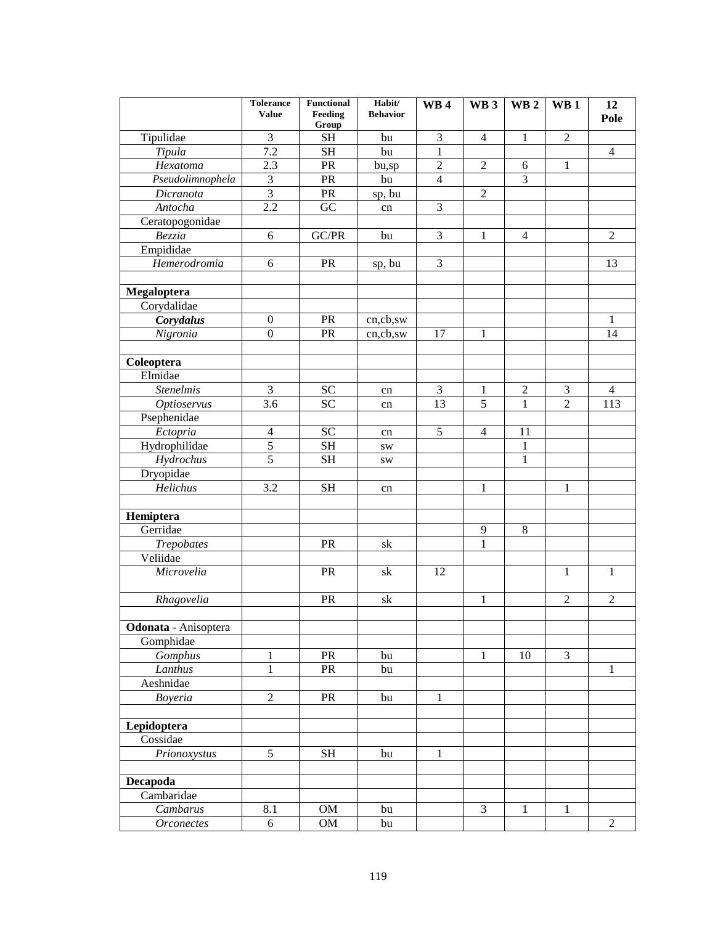| Tipulidae<br>3<br>3<br>$\overline{2}$<br><b>SH</b><br>$\overline{4}$<br>$\mathbf{1}$<br>bu<br>$\overline{7.2}$<br>$\mathbf{1}$<br><b>SH</b><br>Tipula<br>$\overline{4}$<br>bu<br>2.3<br>PR<br>$\overline{2}$<br>Hexatoma<br>$\overline{2}$<br>$\mathbf{1}$<br>bu,sp<br>6<br>$\overline{3}$<br>3<br>Pseudolimnophela<br>PR<br>$\overline{4}$<br>bu<br>$\overline{3}$<br>$\overline{2}$<br>Dicranota<br><b>PR</b><br>sp, bu<br>$\overline{2.2}$<br>GC<br>3<br>Antocha<br>cn<br>Ceratopogonidae<br>Bezzia<br>GC/PR<br>$\overline{2}$<br>6<br>3<br>$\mathbf{1}$<br>$\overline{4}$<br>bu<br>Empididae<br>Hemerodromia<br>6<br>PR<br>3<br>13<br>sp, bu<br>Megaloptera<br>Corydalidae<br>Corydalus<br>$\mathbf{0}$<br>PR<br>1<br>cn,cb,sw<br>$\boldsymbol{0}$<br>14<br>Nigronia<br>PR<br>17<br>$\mathbf{1}$<br>cn,cb,sw<br>Coleoptera<br>Elmidae<br><b>Stenelmis</b><br>3<br>${\rm SC}$<br>$\mathfrak{Z}$<br>$\mathfrak{2}$<br>3<br>1<br>$\overline{4}$<br>cn<br>$\overline{3.6}$<br>$\overline{SC}$<br>$\overline{5}$<br>$\mathbf{1}$<br>$\overline{2}$<br>113<br>13<br><b>Optioservus</b><br>cn<br>Psephenidae<br><b>SC</b><br>Ectopria<br>5<br>$\overline{4}$<br>11<br>$\overline{4}$<br>cn<br>$\overline{5}$<br>Hydrophilidae<br><b>SH</b><br>$\mathbf{1}$<br>SW<br>$\overline{5}$<br>Hydrochus<br>$\mathbf{1}$<br><b>SH</b><br><b>SW</b><br>Dryopidae<br>Helichus<br>3.2<br><b>SH</b><br>$\mathbf{1}$<br>1<br>cn<br>Hemiptera<br>Gerridae<br>9<br>8<br>$\mathbf{1}$<br><b>Trepobates</b><br><b>PR</b><br>sk<br>Veliidae<br>Microvelia<br>$\mathbf{1}$<br>PR<br>sk<br>12<br>$\mathbf{1}$<br>Rhagovelia<br>$\overline{2}$<br>PR<br>${\rm sk}$<br>$\overline{2}$<br>1<br>Odonata - Anisoptera<br>Gomphidae<br>Gomphus<br>$\overline{3}$<br>PR<br>$\mathbf{1}$<br>bu<br>$\mathbf{1}$<br>10<br>Lanthus<br>1<br>PR<br>$\mathbf{1}$<br>bu<br>Aeshnidae<br>Boyeria<br>$\overline{2}$<br>PR<br>$\mathbf{1}$<br>bu<br>Lepidoptera<br>Cossidae<br>5<br><b>SH</b><br>Prionoxystus<br>bu<br>$\mathbf{1}$<br>Decapoda<br>Cambaridae<br>$\overline{3}$<br>Cambarus<br>8.1<br>OM<br>$\mathbf{1}$<br>bu<br>1 |            | <b>Tolerance</b><br><b>Value</b> | Functional<br>Feeding<br>Group | Habit/<br><b>Behavior</b> | <b>WB4</b> | WB <sub>3</sub> | WB <sub>2</sub> | $\mathbf{W}\mathbf{B}$ 1 | 12<br>Pole     |
|-------------------------------------------------------------------------------------------------------------------------------------------------------------------------------------------------------------------------------------------------------------------------------------------------------------------------------------------------------------------------------------------------------------------------------------------------------------------------------------------------------------------------------------------------------------------------------------------------------------------------------------------------------------------------------------------------------------------------------------------------------------------------------------------------------------------------------------------------------------------------------------------------------------------------------------------------------------------------------------------------------------------------------------------------------------------------------------------------------------------------------------------------------------------------------------------------------------------------------------------------------------------------------------------------------------------------------------------------------------------------------------------------------------------------------------------------------------------------------------------------------------------------------------------------------------------------------------------------------------------------------------------------------------------------------------------------------------------------------------------------------------------------------------------------------------------------------------------------------------------------------------------------------------------------------------------------------------------------------------------------------------------------------------------------------------------------------------------|------------|----------------------------------|--------------------------------|---------------------------|------------|-----------------|-----------------|--------------------------|----------------|
|                                                                                                                                                                                                                                                                                                                                                                                                                                                                                                                                                                                                                                                                                                                                                                                                                                                                                                                                                                                                                                                                                                                                                                                                                                                                                                                                                                                                                                                                                                                                                                                                                                                                                                                                                                                                                                                                                                                                                                                                                                                                                           |            |                                  |                                |                           |            |                 |                 |                          |                |
|                                                                                                                                                                                                                                                                                                                                                                                                                                                                                                                                                                                                                                                                                                                                                                                                                                                                                                                                                                                                                                                                                                                                                                                                                                                                                                                                                                                                                                                                                                                                                                                                                                                                                                                                                                                                                                                                                                                                                                                                                                                                                           |            |                                  |                                |                           |            |                 |                 |                          |                |
|                                                                                                                                                                                                                                                                                                                                                                                                                                                                                                                                                                                                                                                                                                                                                                                                                                                                                                                                                                                                                                                                                                                                                                                                                                                                                                                                                                                                                                                                                                                                                                                                                                                                                                                                                                                                                                                                                                                                                                                                                                                                                           |            |                                  |                                |                           |            |                 |                 |                          |                |
|                                                                                                                                                                                                                                                                                                                                                                                                                                                                                                                                                                                                                                                                                                                                                                                                                                                                                                                                                                                                                                                                                                                                                                                                                                                                                                                                                                                                                                                                                                                                                                                                                                                                                                                                                                                                                                                                                                                                                                                                                                                                                           |            |                                  |                                |                           |            |                 |                 |                          |                |
|                                                                                                                                                                                                                                                                                                                                                                                                                                                                                                                                                                                                                                                                                                                                                                                                                                                                                                                                                                                                                                                                                                                                                                                                                                                                                                                                                                                                                                                                                                                                                                                                                                                                                                                                                                                                                                                                                                                                                                                                                                                                                           |            |                                  |                                |                           |            |                 |                 |                          |                |
|                                                                                                                                                                                                                                                                                                                                                                                                                                                                                                                                                                                                                                                                                                                                                                                                                                                                                                                                                                                                                                                                                                                                                                                                                                                                                                                                                                                                                                                                                                                                                                                                                                                                                                                                                                                                                                                                                                                                                                                                                                                                                           |            |                                  |                                |                           |            |                 |                 |                          |                |
|                                                                                                                                                                                                                                                                                                                                                                                                                                                                                                                                                                                                                                                                                                                                                                                                                                                                                                                                                                                                                                                                                                                                                                                                                                                                                                                                                                                                                                                                                                                                                                                                                                                                                                                                                                                                                                                                                                                                                                                                                                                                                           |            |                                  |                                |                           |            |                 |                 |                          |                |
|                                                                                                                                                                                                                                                                                                                                                                                                                                                                                                                                                                                                                                                                                                                                                                                                                                                                                                                                                                                                                                                                                                                                                                                                                                                                                                                                                                                                                                                                                                                                                                                                                                                                                                                                                                                                                                                                                                                                                                                                                                                                                           |            |                                  |                                |                           |            |                 |                 |                          |                |
|                                                                                                                                                                                                                                                                                                                                                                                                                                                                                                                                                                                                                                                                                                                                                                                                                                                                                                                                                                                                                                                                                                                                                                                                                                                                                                                                                                                                                                                                                                                                                                                                                                                                                                                                                                                                                                                                                                                                                                                                                                                                                           |            |                                  |                                |                           |            |                 |                 |                          |                |
|                                                                                                                                                                                                                                                                                                                                                                                                                                                                                                                                                                                                                                                                                                                                                                                                                                                                                                                                                                                                                                                                                                                                                                                                                                                                                                                                                                                                                                                                                                                                                                                                                                                                                                                                                                                                                                                                                                                                                                                                                                                                                           |            |                                  |                                |                           |            |                 |                 |                          |                |
|                                                                                                                                                                                                                                                                                                                                                                                                                                                                                                                                                                                                                                                                                                                                                                                                                                                                                                                                                                                                                                                                                                                                                                                                                                                                                                                                                                                                                                                                                                                                                                                                                                                                                                                                                                                                                                                                                                                                                                                                                                                                                           |            |                                  |                                |                           |            |                 |                 |                          |                |
|                                                                                                                                                                                                                                                                                                                                                                                                                                                                                                                                                                                                                                                                                                                                                                                                                                                                                                                                                                                                                                                                                                                                                                                                                                                                                                                                                                                                                                                                                                                                                                                                                                                                                                                                                                                                                                                                                                                                                                                                                                                                                           |            |                                  |                                |                           |            |                 |                 |                          |                |
|                                                                                                                                                                                                                                                                                                                                                                                                                                                                                                                                                                                                                                                                                                                                                                                                                                                                                                                                                                                                                                                                                                                                                                                                                                                                                                                                                                                                                                                                                                                                                                                                                                                                                                                                                                                                                                                                                                                                                                                                                                                                                           |            |                                  |                                |                           |            |                 |                 |                          |                |
|                                                                                                                                                                                                                                                                                                                                                                                                                                                                                                                                                                                                                                                                                                                                                                                                                                                                                                                                                                                                                                                                                                                                                                                                                                                                                                                                                                                                                                                                                                                                                                                                                                                                                                                                                                                                                                                                                                                                                                                                                                                                                           |            |                                  |                                |                           |            |                 |                 |                          |                |
|                                                                                                                                                                                                                                                                                                                                                                                                                                                                                                                                                                                                                                                                                                                                                                                                                                                                                                                                                                                                                                                                                                                                                                                                                                                                                                                                                                                                                                                                                                                                                                                                                                                                                                                                                                                                                                                                                                                                                                                                                                                                                           |            |                                  |                                |                           |            |                 |                 |                          |                |
|                                                                                                                                                                                                                                                                                                                                                                                                                                                                                                                                                                                                                                                                                                                                                                                                                                                                                                                                                                                                                                                                                                                                                                                                                                                                                                                                                                                                                                                                                                                                                                                                                                                                                                                                                                                                                                                                                                                                                                                                                                                                                           |            |                                  |                                |                           |            |                 |                 |                          |                |
|                                                                                                                                                                                                                                                                                                                                                                                                                                                                                                                                                                                                                                                                                                                                                                                                                                                                                                                                                                                                                                                                                                                                                                                                                                                                                                                                                                                                                                                                                                                                                                                                                                                                                                                                                                                                                                                                                                                                                                                                                                                                                           |            |                                  |                                |                           |            |                 |                 |                          |                |
|                                                                                                                                                                                                                                                                                                                                                                                                                                                                                                                                                                                                                                                                                                                                                                                                                                                                                                                                                                                                                                                                                                                                                                                                                                                                                                                                                                                                                                                                                                                                                                                                                                                                                                                                                                                                                                                                                                                                                                                                                                                                                           |            |                                  |                                |                           |            |                 |                 |                          |                |
|                                                                                                                                                                                                                                                                                                                                                                                                                                                                                                                                                                                                                                                                                                                                                                                                                                                                                                                                                                                                                                                                                                                                                                                                                                                                                                                                                                                                                                                                                                                                                                                                                                                                                                                                                                                                                                                                                                                                                                                                                                                                                           |            |                                  |                                |                           |            |                 |                 |                          |                |
|                                                                                                                                                                                                                                                                                                                                                                                                                                                                                                                                                                                                                                                                                                                                                                                                                                                                                                                                                                                                                                                                                                                                                                                                                                                                                                                                                                                                                                                                                                                                                                                                                                                                                                                                                                                                                                                                                                                                                                                                                                                                                           |            |                                  |                                |                           |            |                 |                 |                          |                |
|                                                                                                                                                                                                                                                                                                                                                                                                                                                                                                                                                                                                                                                                                                                                                                                                                                                                                                                                                                                                                                                                                                                                                                                                                                                                                                                                                                                                                                                                                                                                                                                                                                                                                                                                                                                                                                                                                                                                                                                                                                                                                           |            |                                  |                                |                           |            |                 |                 |                          |                |
|                                                                                                                                                                                                                                                                                                                                                                                                                                                                                                                                                                                                                                                                                                                                                                                                                                                                                                                                                                                                                                                                                                                                                                                                                                                                                                                                                                                                                                                                                                                                                                                                                                                                                                                                                                                                                                                                                                                                                                                                                                                                                           |            |                                  |                                |                           |            |                 |                 |                          |                |
|                                                                                                                                                                                                                                                                                                                                                                                                                                                                                                                                                                                                                                                                                                                                                                                                                                                                                                                                                                                                                                                                                                                                                                                                                                                                                                                                                                                                                                                                                                                                                                                                                                                                                                                                                                                                                                                                                                                                                                                                                                                                                           |            |                                  |                                |                           |            |                 |                 |                          |                |
|                                                                                                                                                                                                                                                                                                                                                                                                                                                                                                                                                                                                                                                                                                                                                                                                                                                                                                                                                                                                                                                                                                                                                                                                                                                                                                                                                                                                                                                                                                                                                                                                                                                                                                                                                                                                                                                                                                                                                                                                                                                                                           |            |                                  |                                |                           |            |                 |                 |                          |                |
|                                                                                                                                                                                                                                                                                                                                                                                                                                                                                                                                                                                                                                                                                                                                                                                                                                                                                                                                                                                                                                                                                                                                                                                                                                                                                                                                                                                                                                                                                                                                                                                                                                                                                                                                                                                                                                                                                                                                                                                                                                                                                           |            |                                  |                                |                           |            |                 |                 |                          |                |
|                                                                                                                                                                                                                                                                                                                                                                                                                                                                                                                                                                                                                                                                                                                                                                                                                                                                                                                                                                                                                                                                                                                                                                                                                                                                                                                                                                                                                                                                                                                                                                                                                                                                                                                                                                                                                                                                                                                                                                                                                                                                                           |            |                                  |                                |                           |            |                 |                 |                          |                |
|                                                                                                                                                                                                                                                                                                                                                                                                                                                                                                                                                                                                                                                                                                                                                                                                                                                                                                                                                                                                                                                                                                                                                                                                                                                                                                                                                                                                                                                                                                                                                                                                                                                                                                                                                                                                                                                                                                                                                                                                                                                                                           |            |                                  |                                |                           |            |                 |                 |                          |                |
|                                                                                                                                                                                                                                                                                                                                                                                                                                                                                                                                                                                                                                                                                                                                                                                                                                                                                                                                                                                                                                                                                                                                                                                                                                                                                                                                                                                                                                                                                                                                                                                                                                                                                                                                                                                                                                                                                                                                                                                                                                                                                           |            |                                  |                                |                           |            |                 |                 |                          |                |
|                                                                                                                                                                                                                                                                                                                                                                                                                                                                                                                                                                                                                                                                                                                                                                                                                                                                                                                                                                                                                                                                                                                                                                                                                                                                                                                                                                                                                                                                                                                                                                                                                                                                                                                                                                                                                                                                                                                                                                                                                                                                                           |            |                                  |                                |                           |            |                 |                 |                          |                |
|                                                                                                                                                                                                                                                                                                                                                                                                                                                                                                                                                                                                                                                                                                                                                                                                                                                                                                                                                                                                                                                                                                                                                                                                                                                                                                                                                                                                                                                                                                                                                                                                                                                                                                                                                                                                                                                                                                                                                                                                                                                                                           |            |                                  |                                |                           |            |                 |                 |                          |                |
|                                                                                                                                                                                                                                                                                                                                                                                                                                                                                                                                                                                                                                                                                                                                                                                                                                                                                                                                                                                                                                                                                                                                                                                                                                                                                                                                                                                                                                                                                                                                                                                                                                                                                                                                                                                                                                                                                                                                                                                                                                                                                           |            |                                  |                                |                           |            |                 |                 |                          |                |
|                                                                                                                                                                                                                                                                                                                                                                                                                                                                                                                                                                                                                                                                                                                                                                                                                                                                                                                                                                                                                                                                                                                                                                                                                                                                                                                                                                                                                                                                                                                                                                                                                                                                                                                                                                                                                                                                                                                                                                                                                                                                                           |            |                                  |                                |                           |            |                 |                 |                          |                |
|                                                                                                                                                                                                                                                                                                                                                                                                                                                                                                                                                                                                                                                                                                                                                                                                                                                                                                                                                                                                                                                                                                                                                                                                                                                                                                                                                                                                                                                                                                                                                                                                                                                                                                                                                                                                                                                                                                                                                                                                                                                                                           |            |                                  |                                |                           |            |                 |                 |                          |                |
|                                                                                                                                                                                                                                                                                                                                                                                                                                                                                                                                                                                                                                                                                                                                                                                                                                                                                                                                                                                                                                                                                                                                                                                                                                                                                                                                                                                                                                                                                                                                                                                                                                                                                                                                                                                                                                                                                                                                                                                                                                                                                           |            |                                  |                                |                           |            |                 |                 |                          |                |
|                                                                                                                                                                                                                                                                                                                                                                                                                                                                                                                                                                                                                                                                                                                                                                                                                                                                                                                                                                                                                                                                                                                                                                                                                                                                                                                                                                                                                                                                                                                                                                                                                                                                                                                                                                                                                                                                                                                                                                                                                                                                                           |            |                                  |                                |                           |            |                 |                 |                          |                |
|                                                                                                                                                                                                                                                                                                                                                                                                                                                                                                                                                                                                                                                                                                                                                                                                                                                                                                                                                                                                                                                                                                                                                                                                                                                                                                                                                                                                                                                                                                                                                                                                                                                                                                                                                                                                                                                                                                                                                                                                                                                                                           |            |                                  |                                |                           |            |                 |                 |                          |                |
|                                                                                                                                                                                                                                                                                                                                                                                                                                                                                                                                                                                                                                                                                                                                                                                                                                                                                                                                                                                                                                                                                                                                                                                                                                                                                                                                                                                                                                                                                                                                                                                                                                                                                                                                                                                                                                                                                                                                                                                                                                                                                           |            |                                  |                                |                           |            |                 |                 |                          |                |
|                                                                                                                                                                                                                                                                                                                                                                                                                                                                                                                                                                                                                                                                                                                                                                                                                                                                                                                                                                                                                                                                                                                                                                                                                                                                                                                                                                                                                                                                                                                                                                                                                                                                                                                                                                                                                                                                                                                                                                                                                                                                                           |            |                                  |                                |                           |            |                 |                 |                          |                |
|                                                                                                                                                                                                                                                                                                                                                                                                                                                                                                                                                                                                                                                                                                                                                                                                                                                                                                                                                                                                                                                                                                                                                                                                                                                                                                                                                                                                                                                                                                                                                                                                                                                                                                                                                                                                                                                                                                                                                                                                                                                                                           |            |                                  |                                |                           |            |                 |                 |                          |                |
|                                                                                                                                                                                                                                                                                                                                                                                                                                                                                                                                                                                                                                                                                                                                                                                                                                                                                                                                                                                                                                                                                                                                                                                                                                                                                                                                                                                                                                                                                                                                                                                                                                                                                                                                                                                                                                                                                                                                                                                                                                                                                           |            |                                  |                                |                           |            |                 |                 |                          |                |
|                                                                                                                                                                                                                                                                                                                                                                                                                                                                                                                                                                                                                                                                                                                                                                                                                                                                                                                                                                                                                                                                                                                                                                                                                                                                                                                                                                                                                                                                                                                                                                                                                                                                                                                                                                                                                                                                                                                                                                                                                                                                                           |            |                                  |                                |                           |            |                 |                 |                          |                |
|                                                                                                                                                                                                                                                                                                                                                                                                                                                                                                                                                                                                                                                                                                                                                                                                                                                                                                                                                                                                                                                                                                                                                                                                                                                                                                                                                                                                                                                                                                                                                                                                                                                                                                                                                                                                                                                                                                                                                                                                                                                                                           |            |                                  |                                |                           |            |                 |                 |                          |                |
|                                                                                                                                                                                                                                                                                                                                                                                                                                                                                                                                                                                                                                                                                                                                                                                                                                                                                                                                                                                                                                                                                                                                                                                                                                                                                                                                                                                                                                                                                                                                                                                                                                                                                                                                                                                                                                                                                                                                                                                                                                                                                           |            |                                  |                                |                           |            |                 |                 |                          |                |
|                                                                                                                                                                                                                                                                                                                                                                                                                                                                                                                                                                                                                                                                                                                                                                                                                                                                                                                                                                                                                                                                                                                                                                                                                                                                                                                                                                                                                                                                                                                                                                                                                                                                                                                                                                                                                                                                                                                                                                                                                                                                                           |            |                                  |                                |                           |            |                 |                 |                          |                |
|                                                                                                                                                                                                                                                                                                                                                                                                                                                                                                                                                                                                                                                                                                                                                                                                                                                                                                                                                                                                                                                                                                                                                                                                                                                                                                                                                                                                                                                                                                                                                                                                                                                                                                                                                                                                                                                                                                                                                                                                                                                                                           |            |                                  |                                |                           |            |                 |                 |                          |                |
|                                                                                                                                                                                                                                                                                                                                                                                                                                                                                                                                                                                                                                                                                                                                                                                                                                                                                                                                                                                                                                                                                                                                                                                                                                                                                                                                                                                                                                                                                                                                                                                                                                                                                                                                                                                                                                                                                                                                                                                                                                                                                           |            |                                  |                                |                           |            |                 |                 |                          |                |
|                                                                                                                                                                                                                                                                                                                                                                                                                                                                                                                                                                                                                                                                                                                                                                                                                                                                                                                                                                                                                                                                                                                                                                                                                                                                                                                                                                                                                                                                                                                                                                                                                                                                                                                                                                                                                                                                                                                                                                                                                                                                                           | Orconectes | 6                                | OM                             | bu                        |            |                 |                 |                          | $\overline{2}$ |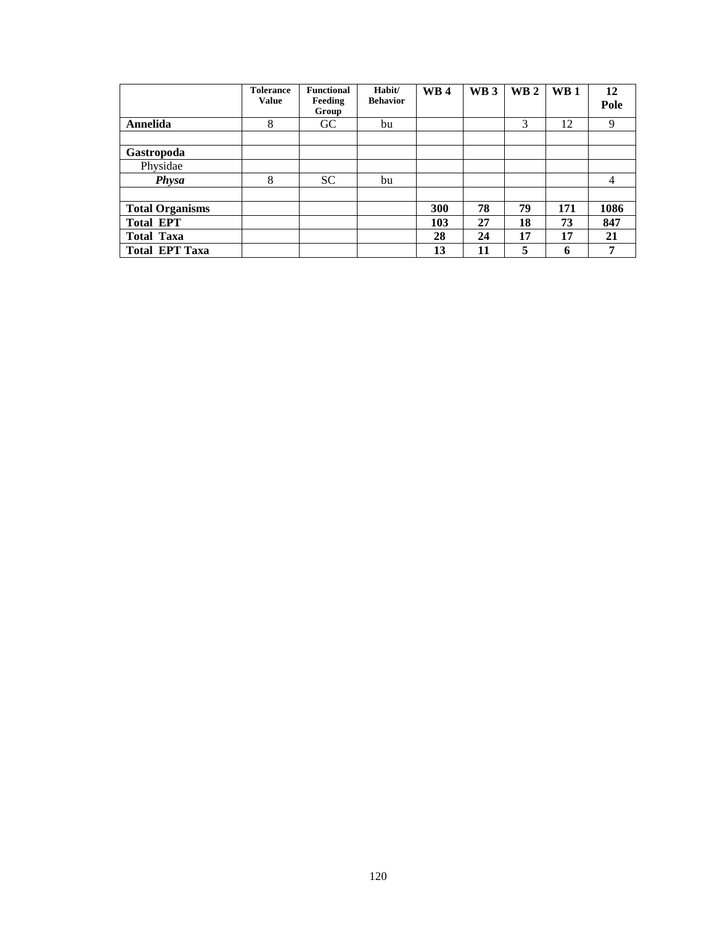|                        | <b>Tolerance</b><br><b>Value</b> | <b>Functional</b><br>Feeding<br>Group | Habit/<br><b>Behavior</b> | <b>WB4</b> | WB <sub>3</sub> | <b>WB2</b> | $\mathbf{W}\mathbf{B}$ 1 | 12<br>Pole |
|------------------------|----------------------------------|---------------------------------------|---------------------------|------------|-----------------|------------|--------------------------|------------|
| Annelida               | 8                                | GC                                    | bu                        |            |                 | 3          | 12                       | 9          |
|                        |                                  |                                       |                           |            |                 |            |                          |            |
| Gastropoda             |                                  |                                       |                           |            |                 |            |                          |            |
| Physidae               |                                  |                                       |                           |            |                 |            |                          |            |
| <b>Physa</b>           | 8                                | <b>SC</b>                             | bu                        |            |                 |            |                          | 4          |
|                        |                                  |                                       |                           |            |                 |            |                          |            |
| <b>Total Organisms</b> |                                  |                                       |                           | 300        | 78              | 79         | 171                      | 1086       |
| <b>Total EPT</b>       |                                  |                                       |                           | 103        | 27              | 18         | 73                       | 847        |
| <b>Total Taxa</b>      |                                  |                                       |                           | 28         | 24              | 17         | 17                       | 21         |
| <b>Total EPT Taxa</b>  |                                  |                                       |                           | 13         | 11              | 5          | 6                        | 7          |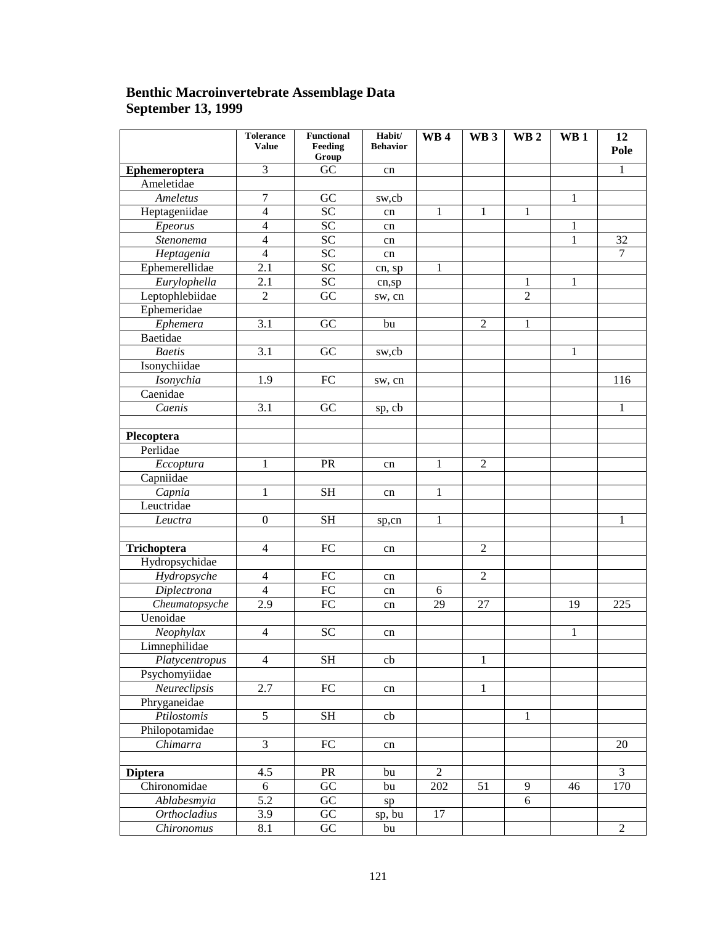### **Benthic Macroinvertebrate Assemblage Data September 13, 1999**

|                     | <b>Tolerance</b><br><b>Value</b> | <b>Functional</b><br>Feeding<br>Group | Habit/<br><b>Behavior</b> | <b>WB4</b>      | WB <sub>3</sub> | WB <sub>2</sub> | WB <sub>1</sub> | 12<br>Pole      |
|---------------------|----------------------------------|---------------------------------------|---------------------------|-----------------|-----------------|-----------------|-----------------|-----------------|
| Ephemeroptera       | $\overline{3}$                   | $\overline{GC}$                       | cn                        |                 |                 |                 |                 | $\mathbf{1}$    |
| Ameletidae          |                                  |                                       |                           |                 |                 |                 |                 |                 |
| Ameletus            | $\overline{7}$                   | GC                                    | sw,cb                     |                 |                 |                 | 1               |                 |
| Heptageniidae       | $\overline{4}$                   | $\overline{SC}$                       | cn                        | $\mathbf{1}$    | $\mathbf{1}$    | $\mathbf{1}$    |                 |                 |
| Epeorus             | $\overline{4}$                   | SC                                    | cn                        |                 |                 |                 | $\mathbf{1}$    |                 |
| Stenonema           | $\overline{4}$                   | $\overline{SC}$                       | cn                        |                 |                 |                 | 1               | $\overline{32}$ |
| Heptagenia          | $\overline{4}$                   | $\overline{SC}$                       | cn                        |                 |                 |                 |                 | $\overline{7}$  |
| Ephemerellidae      | 2.1                              | $\overline{SC}$                       | cn, sp                    | $\mathbf{1}$    |                 |                 |                 |                 |
| Eurylophella        | 2.1                              | SC                                    | cn,sp                     |                 |                 | $\mathbf{1}$    | $\mathbf{1}$    |                 |
| Leptophlebiidae     | $\overline{c}$                   | $\overline{GC}$                       | sw, cn                    |                 |                 | $\overline{c}$  |                 |                 |
| Ephemeridae         |                                  |                                       |                           |                 |                 |                 |                 |                 |
| Ephemera            | $\overline{3.1}$                 | $\overline{GC}$                       | bu                        |                 | $\overline{2}$  | $\mathbf{1}$    |                 |                 |
| Baetidae            |                                  |                                       |                           |                 |                 |                 |                 |                 |
| <b>Baetis</b>       | $\overline{3.1}$                 | $\overline{GC}$                       | sw,cb                     |                 |                 |                 | $\mathbf{1}$    |                 |
| Isonychiidae        |                                  |                                       |                           |                 |                 |                 |                 |                 |
| Isonychia           | 1.9                              | $\overline{FC}$                       | sw, cn                    |                 |                 |                 |                 | 116             |
| Caenidae            |                                  |                                       |                           |                 |                 |                 |                 |                 |
| Caenis              | $\overline{3.1}$                 | $\overline{GC}$                       | sp, cb                    |                 |                 |                 |                 | $\mathbf{1}$    |
|                     |                                  |                                       |                           |                 |                 |                 |                 |                 |
| Plecoptera          |                                  |                                       |                           |                 |                 |                 |                 |                 |
| Perlidae            |                                  |                                       |                           |                 |                 |                 |                 |                 |
| Eccoptura           | $\mathbbm{1}$                    | PR                                    | cn                        | $\mathbf{1}$    | $\overline{2}$  |                 |                 |                 |
| Capniidae           |                                  |                                       |                           |                 |                 |                 |                 |                 |
| $\overline{Capnia}$ | $\mathbf{1}$                     | $\overline{\text{SH}}$                | cn                        | $\mathbf{1}$    |                 |                 |                 |                 |
| Leuctridae          |                                  |                                       |                           |                 |                 |                 |                 |                 |
| Leuctra             | $\boldsymbol{0}$                 | $\overline{\text{SH}}$                | sp,cn                     | $\mathbf{1}$    |                 |                 |                 | $\mathbf{1}$    |
|                     |                                  |                                       |                           |                 |                 |                 |                 |                 |
| Trichoptera         | $\overline{4}$                   | $\overline{FC}$                       | cn                        |                 | $\overline{2}$  |                 |                 |                 |
| Hydropsychidae      |                                  |                                       |                           |                 |                 |                 |                 |                 |
| Hydropsyche         | $\overline{4}$                   | $\overline{FC}$                       | cn                        |                 | $\overline{2}$  |                 |                 |                 |
| Diplectrona         | $\overline{4}$                   | $\overline{FC}$                       | cn                        | 6               |                 |                 |                 |                 |
| Cheumatopsyche      | $\overline{2.9}$                 | $\overline{FC}$                       | cn                        | $\overline{29}$ | 27              |                 | 19              | 225             |
| Uenoidae            |                                  |                                       |                           |                 |                 |                 |                 |                 |
| Neophylax           | $\overline{4}$                   | $\overline{SC}$                       | cn                        |                 |                 |                 | $\mathbf{1}$    |                 |
| Limnephilidae       |                                  |                                       |                           |                 |                 |                 |                 |                 |
| Platycentropus      | $\overline{4}$                   | <b>SH</b>                             | cb                        |                 | $\mathbf{1}$    |                 |                 |                 |
| Psychomyiidae       |                                  |                                       |                           |                 |                 |                 |                 |                 |
| Neureclipsis        | 2.7                              | $\overline{FC}$                       | cn                        |                 | $\overline{1}$  |                 |                 |                 |
| Phryganeidae        |                                  |                                       |                           |                 |                 |                 |                 |                 |
| Ptilostomis         | $\overline{5}$                   | $\overline{\text{SH}}$                | cb                        |                 |                 | $\mathbf{1}$    |                 |                 |
| Philopotamidae      |                                  |                                       |                           |                 |                 |                 |                 |                 |
| Chimarra            | $\overline{3}$                   | $\overline{FC}$                       | cn                        |                 |                 |                 |                 | 20              |
|                     |                                  |                                       |                           |                 |                 |                 |                 |                 |
| <b>Diptera</b>      | 4.5                              | PR                                    | bu                        | $\overline{2}$  |                 |                 |                 | $\overline{3}$  |
| Chironomidae        | 6                                | $\overline{GC}$                       | bu                        | 202             | 51              | 9               | 46              | 170             |
| Ablabesmyia         | $\overline{5.2}$                 | $\overline{GC}$                       | sp                        |                 |                 | 6               |                 |                 |
| <b>Orthocladius</b> | $\overline{3.9}$                 | $\overline{GC}$                       | sp, bu                    | $\overline{17}$ |                 |                 |                 |                 |
| Chironomus          | $\overline{8}.1$                 | $\overline{GC}$                       | bu                        |                 |                 |                 |                 | $\overline{2}$  |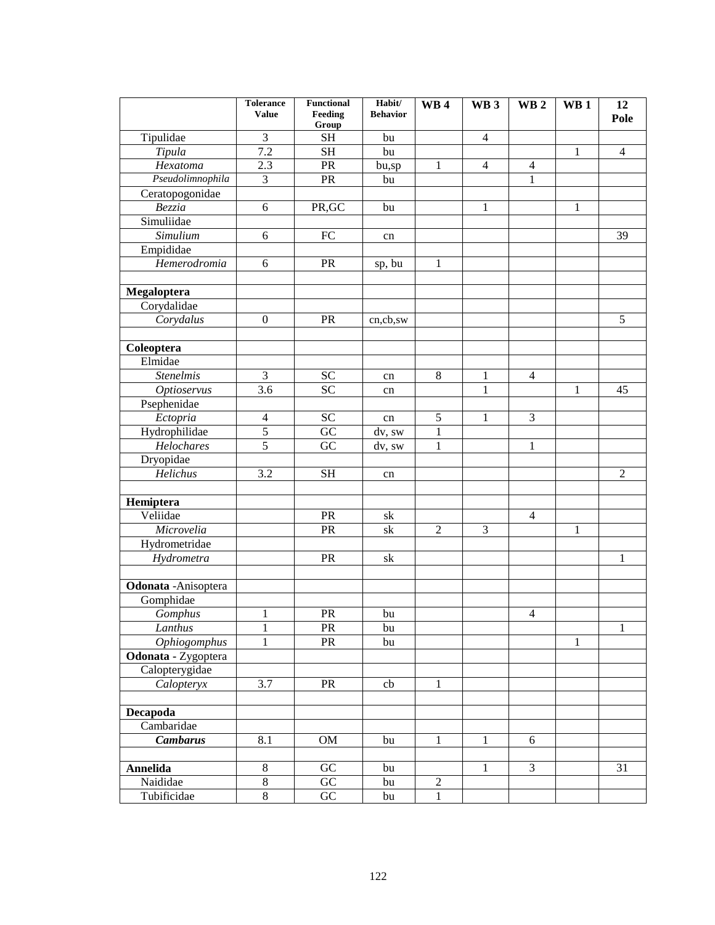|                      | <b>Tolerance</b><br><b>Value</b> | <b>Functional</b><br>Feeding<br>Group | Habit/<br><b>Behavior</b> | WB <sub>4</sub> | WB <sub>3</sub> | <b>WB2</b>     | <b>WB1</b>   | 12<br>Pole     |
|----------------------|----------------------------------|---------------------------------------|---------------------------|-----------------|-----------------|----------------|--------------|----------------|
| Tipulidae            | 3                                | <b>SH</b>                             | bu                        |                 | $\overline{4}$  |                |              |                |
| Tipula               | 7.2                              | <b>SH</b>                             | bu                        |                 |                 |                | 1            | $\overline{4}$ |
| Hexatoma             | 2.3                              | PR                                    | bu,sp                     | 1               | $\overline{4}$  | 4              |              |                |
| Pseudolimnophila     | 3                                | PR                                    | bu                        |                 |                 | 1              |              |                |
| Ceratopogonidae      |                                  |                                       |                           |                 |                 |                |              |                |
| Bezzia               | 6                                | PR, GC                                | bu                        |                 | $\mathbf{1}$    |                | 1            |                |
| Simuliidae           |                                  |                                       |                           |                 |                 |                |              |                |
| Simulium             | 6                                | FC                                    | cn                        |                 |                 |                |              | 39             |
| Empididae            |                                  |                                       |                           |                 |                 |                |              |                |
| Hemerodromia         | 6                                | PR                                    | sp, bu                    | $\mathbf{1}$    |                 |                |              |                |
|                      |                                  |                                       |                           |                 |                 |                |              |                |
| Megaloptera          |                                  |                                       |                           |                 |                 |                |              |                |
| Corydalidae          |                                  |                                       |                           |                 |                 |                |              |                |
| Corydalus            | $\boldsymbol{0}$                 | PR                                    | cn,cb,sw                  |                 |                 |                |              | 5              |
|                      |                                  |                                       |                           |                 |                 |                |              |                |
| Coleoptera           |                                  |                                       |                           |                 |                 |                |              |                |
| Elmidae              |                                  |                                       |                           |                 |                 |                |              |                |
| <b>Stenelmis</b>     | 3                                | <b>SC</b>                             | cn                        | $\,8\,$         | 1               | $\overline{4}$ |              |                |
| <b>Optioservus</b>   | 3.6                              | SC                                    | cn                        |                 | $\mathbf{1}$    |                | 1            | 45             |
| Psephenidae          |                                  |                                       |                           |                 |                 |                |              |                |
| Ectopria             | $\overline{4}$                   | ${\rm SC}$                            | cn                        | 5               | 1               | 3              |              |                |
| Hydrophilidae        | 5                                | GC                                    | dv, sw                    | $\mathbf{1}$    |                 |                |              |                |
| Helochares           | 5                                | GC                                    | dv, sw                    | $\mathbf{1}$    |                 | 1              |              |                |
| Dryopidae            |                                  |                                       |                           |                 |                 |                |              |                |
| Helichus             | 3.2                              | <b>SH</b>                             | cn                        |                 |                 |                |              | $\overline{2}$ |
|                      |                                  |                                       |                           |                 |                 |                |              |                |
| Hemiptera            |                                  |                                       |                           |                 |                 |                |              |                |
| Veliidae             |                                  | PR                                    | sk                        |                 |                 | $\overline{4}$ |              |                |
| Microvelia           |                                  | PR                                    | sk                        | $\overline{2}$  | 3               |                | 1            |                |
| Hydrometridae        |                                  |                                       |                           |                 |                 |                |              |                |
| Hydrometra           |                                  | PR                                    | sk                        |                 |                 |                |              | 1              |
|                      |                                  |                                       |                           |                 |                 |                |              |                |
| Odonata - Anisoptera |                                  |                                       |                           |                 |                 |                |              |                |
| Gomphidae            |                                  |                                       |                           |                 |                 |                |              |                |
| Gomphus              | 1                                | <b>PR</b>                             | bu                        |                 |                 | $\overline{4}$ |              |                |
| Lanthus              | $\mathbf{1}$                     | PR                                    | bu                        |                 |                 |                |              | 1              |
| Ophiogomphus         | 1                                | <b>PR</b>                             | bu                        |                 |                 |                | $\mathbf{1}$ |                |
| Odonata - Zygoptera  |                                  |                                       |                           |                 |                 |                |              |                |
| Calopterygidae       |                                  |                                       |                           |                 |                 |                |              |                |
| Calopteryx           | 3.7                              | PR                                    | cb                        | 1               |                 |                |              |                |
|                      |                                  |                                       |                           |                 |                 |                |              |                |
| Decapoda             |                                  |                                       |                           |                 |                 |                |              |                |
| Cambaridae           |                                  |                                       |                           |                 |                 |                |              |                |
| <b>Cambarus</b>      | 8.1                              | OM                                    | bu                        | 1               | 1               | 6              |              |                |
|                      |                                  |                                       |                           |                 |                 |                |              |                |
| <b>Annelida</b>      | $\,8\,$                          | GC                                    | bu                        |                 | 1               | 3              |              | 31             |
| Naididae             | $\overline{8}$                   | $\overline{GC}$                       | bu                        | $\overline{2}$  |                 |                |              |                |
| Tubificidae          | $\overline{8}$                   | GC                                    | bu                        | $\mathbf{1}$    |                 |                |              |                |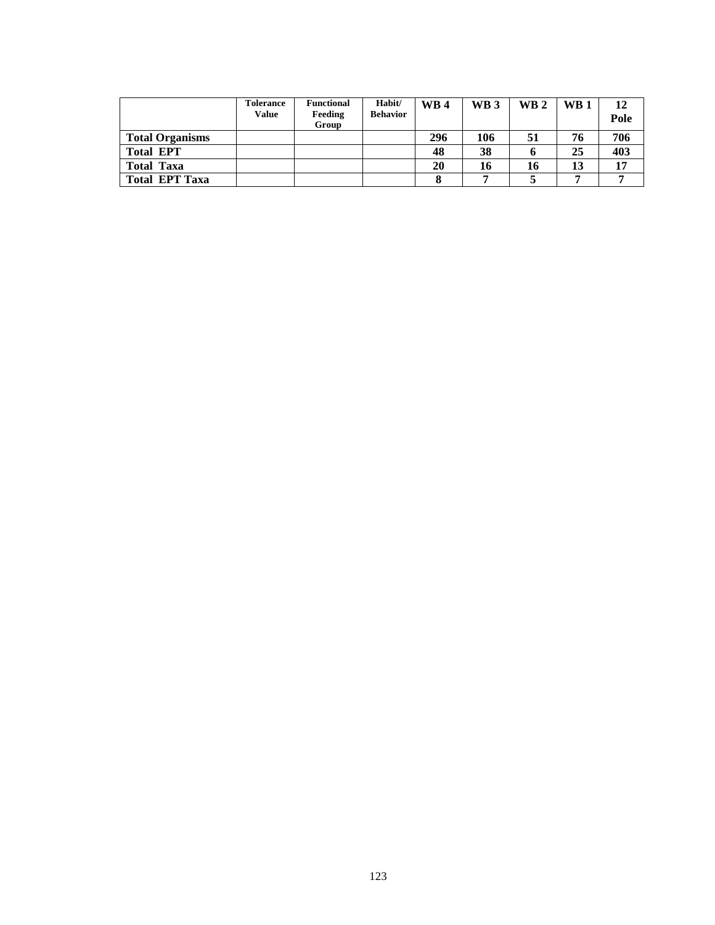|                        | <b>Tolerance</b><br><b>Value</b> | <b>Functional</b><br>Feeding<br>Group | Habit/<br><b>Behavior</b> | <b>WB4</b> | <b>WB3</b> | $\mathbf{W}\mathbf{B}$ 2 | $\mathbf{W}\mathbf{B}$ 1 | 12<br>Pole |
|------------------------|----------------------------------|---------------------------------------|---------------------------|------------|------------|--------------------------|--------------------------|------------|
| <b>Total Organisms</b> |                                  |                                       |                           | 296        | 106        | 51                       | 76                       | 706        |
| <b>Total EPT</b>       |                                  |                                       |                           | 48         | 38         |                          | 25                       | 403        |
| <b>Total Taxa</b>      |                                  |                                       |                           | 20         | 16         | 16                       | 13                       | 17         |
| <b>Total EPT Taxa</b>  |                                  |                                       |                           |            |            |                          |                          |            |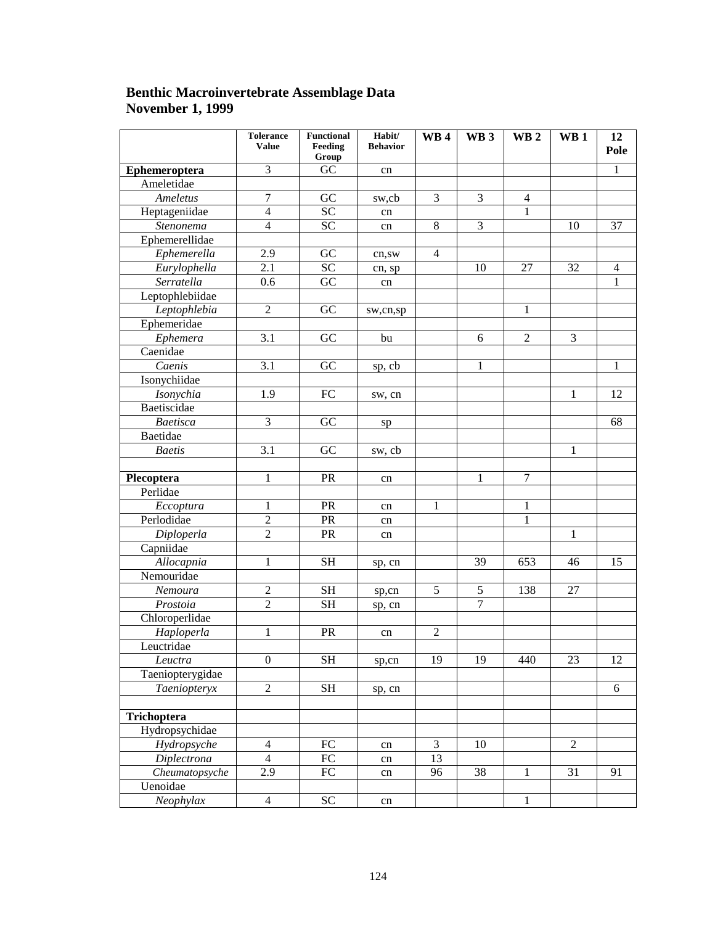### **Benthic Macroinvertebrate Assemblage Data November 1, 1999**

|                               | <b>Tolerance</b><br><b>Value</b> | Functional<br>Feeding<br>Group | Habit/<br><b>Behavior</b> | WB4             | WB <sub>3</sub> | WB <sub>2</sub> | WB <sub>1</sub> | 12<br>Pole     |
|-------------------------------|----------------------------------|--------------------------------|---------------------------|-----------------|-----------------|-----------------|-----------------|----------------|
| Ephemeroptera                 | 3                                | GC                             | cn                        |                 |                 |                 |                 | $\mathbf{1}$   |
| Ameletidae                    |                                  |                                |                           |                 |                 |                 |                 |                |
| Ameletus                      | $\tau$                           | GC                             | sw,cb                     | 3               | 3               | $\overline{4}$  |                 |                |
| Heptageniidae                 | $\overline{4}$                   | <b>SC</b>                      | cn                        |                 |                 | 1               |                 |                |
| Stenonema                     | $\overline{4}$                   | $\overline{SC}$                | cn                        | 8               | 3               |                 | 10              | 37             |
| Ephemerellidae                |                                  |                                |                           |                 |                 |                 |                 |                |
| Ephemerella                   | 2.9                              | GC                             | cn,sw                     | $\overline{4}$  |                 |                 |                 |                |
| Eurylophella                  | 2.1                              | $\overline{SC}$                | cn, sp                    |                 | 10              | 27              | 32              | $\overline{4}$ |
| Serratella                    | 0.6                              | GC                             | cn                        |                 |                 |                 |                 | 1              |
| Leptophlebiidae               |                                  |                                |                           |                 |                 |                 |                 |                |
| Leptophlebia                  | $\overline{2}$                   | GC                             | sw,cn,sp                  |                 |                 | 1               |                 |                |
| Ephemeridae                   |                                  |                                |                           |                 |                 |                 |                 |                |
| Ephemera                      | 3.1                              | GC                             | bu                        |                 | 6               | $\overline{2}$  | 3               |                |
| $\overline{\text{C}}$ aenidae |                                  |                                |                           |                 |                 |                 |                 |                |
| Caenis                        | 3.1                              | GC                             | sp, cb                    |                 | 1               |                 |                 | 1              |
| Isonychiidae                  |                                  |                                |                           |                 |                 |                 |                 |                |
| Isonychia                     | 1.9                              | FC                             | sw, cn                    |                 |                 |                 | 1               | 12             |
| Baetiscidae                   |                                  |                                |                           |                 |                 |                 |                 |                |
| <b>Baetisca</b>               | 3                                | GC                             | sp                        |                 |                 |                 |                 | 68             |
| Baetidae                      |                                  |                                |                           |                 |                 |                 |                 |                |
| <b>Baetis</b>                 | 3.1                              | GC                             | sw, cb                    |                 |                 |                 | 1               |                |
|                               |                                  |                                |                           |                 |                 |                 |                 |                |
| Plecoptera                    | 1                                | PR                             | cn                        |                 | 1               | $\overline{7}$  |                 |                |
| Perlidae                      |                                  |                                |                           |                 |                 |                 |                 |                |
| Eccoptura                     | 1                                | PR                             | cn                        | 1               |                 | 1               |                 |                |
| Perlodidae                    | $\overline{2}$                   | <b>PR</b>                      | cn                        |                 |                 | 1               |                 |                |
| Diploperla                    | $\overline{2}$                   | PR                             | cn                        |                 |                 |                 | 1               |                |
| Capniidae                     |                                  |                                |                           |                 |                 |                 |                 |                |
| Allocapnia                    | 1                                | <b>SH</b>                      | sp, cn                    |                 | 39              | 653             | 46              | 15             |
| Nemouridae                    |                                  |                                |                           |                 |                 |                 |                 |                |
| Nemoura                       | $\overline{2}$                   | <b>SH</b>                      | sp,cn                     | 5               | 5               | 138             | 27              |                |
| Prostoia                      | $\overline{2}$                   | <b>SH</b>                      | sp, cn                    |                 | $\overline{7}$  |                 |                 |                |
| Chloroperlidae                |                                  |                                |                           |                 |                 |                 |                 |                |
| Haploperla                    | 1                                | PR                             | cn                        | $\mathbf{2}$    |                 |                 |                 |                |
| Leuctridae                    |                                  |                                |                           |                 |                 |                 |                 |                |
| Leuctra                       | $\mathbf{0}$                     | <b>SH</b>                      | sp,cn                     | 19              | 19              | 440             | 23              | 12             |
| Taeniopterygidae              |                                  |                                |                           |                 |                 |                 |                 |                |
| Taeniopteryx                  | $\overline{2}$                   | <b>SH</b>                      | sp, cn                    |                 |                 |                 |                 | 6              |
|                               |                                  |                                |                           |                 |                 |                 |                 |                |
| Trichoptera                   |                                  |                                |                           |                 |                 |                 |                 |                |
| Hydropsychidae                |                                  |                                |                           |                 |                 |                 |                 |                |
| Hydropsyche                   | $\overline{4}$                   | FC                             | cn                        | 3               | 10              |                 | 2               |                |
| Diplectrona                   | $\overline{4}$                   | FC                             | cn                        | $\overline{13}$ |                 |                 |                 |                |
| Cheumatopsyche                | 2.9                              | FC                             | cn                        | 96              | 38              | 1               | 31              | 91             |
| Uenoidae                      |                                  |                                |                           |                 |                 |                 |                 |                |
| Neophylax                     | $\overline{4}$                   | $\overline{SC}$                | cn                        |                 |                 | 1               |                 |                |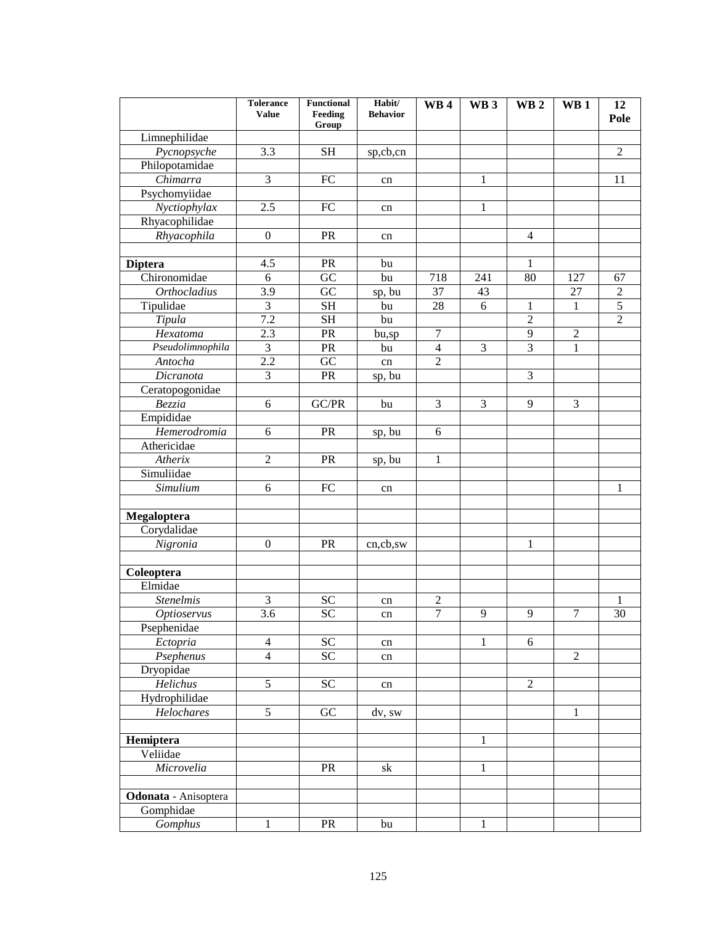|                      | <b>Tolerance</b><br><b>Value</b> | <b>Functional</b><br>Feeding | Habit/<br><b>Behavior</b> | <b>WB4</b>       | WB <sub>3</sub> | WB <sub>2</sub> | WB <sub>1</sub> | 12<br>Pole      |
|----------------------|----------------------------------|------------------------------|---------------------------|------------------|-----------------|-----------------|-----------------|-----------------|
|                      |                                  | Group                        |                           |                  |                 |                 |                 |                 |
| Limnephilidae        |                                  |                              |                           |                  |                 |                 |                 |                 |
| Pycnopsyche          | 3.3                              | <b>SH</b>                    | sp,cb,cn                  |                  |                 |                 |                 | $\overline{2}$  |
| Philopotamidae       |                                  |                              |                           |                  |                 |                 |                 |                 |
| Chimarra             | $\overline{3}$                   | FC                           | cn                        |                  | 1               |                 |                 | 11              |
| Psychomyiidae        |                                  |                              |                           |                  |                 |                 |                 |                 |
| Nyctiophylax         | 2.5                              | FC                           | cn                        |                  | $\mathbf{1}$    |                 |                 |                 |
| Rhyacophilidae       |                                  |                              |                           |                  |                 |                 |                 |                 |
| Rhyacophila          | $\boldsymbol{0}$                 | PR                           | cn                        |                  |                 | $\overline{4}$  |                 |                 |
|                      |                                  |                              |                           |                  |                 |                 |                 |                 |
| <b>Diptera</b>       | 4.5                              | PR                           | bu                        |                  |                 | 1               |                 |                 |
| Chironomidae         | 6                                | $\overline{GC}$              | bu                        | 718              | 241             | 80              | 127             | 67              |
| <b>Orthocladius</b>  | 3.9                              | $\overline{GC}$              | sp, bu                    | $\overline{37}$  | 43              |                 | 27              | $\sqrt{2}$      |
| Tipulidae            | $\overline{3}$                   | <b>SH</b>                    | bu                        | 28               | 6               | $\mathbf{1}$    | $\mathbf{1}$    | $\overline{5}$  |
| Tipula               | 7.2                              | <b>SH</b>                    | bu                        |                  |                 | $\overline{c}$  |                 | $\overline{2}$  |
| Hexatoma             | 2.3                              | PR                           | bu,sp                     | $\tau$           |                 | 9               | $\overline{2}$  |                 |
| Pseudolimnophila     | $\overline{3}$                   | PR                           | bu                        | $\overline{4}$   | $\overline{3}$  | $\overline{3}$  | $\mathbf{1}$    |                 |
| Antocha              | 2.2                              | $\overline{GC}$              | cn                        | $\overline{2}$   |                 |                 |                 |                 |
| Dicranota            | $\overline{3}$                   | PR                           | sp, bu                    |                  |                 | 3               |                 |                 |
| Ceratopogonidae      |                                  |                              |                           |                  |                 |                 |                 |                 |
| Bezzia               | 6                                | GC/PR                        | bu                        | 3                | 3               | 9               | 3               |                 |
| Empididae            |                                  |                              |                           |                  |                 |                 |                 |                 |
| Hemerodromia         | 6                                | PR                           | sp, bu                    | 6                |                 |                 |                 |                 |
| Athericidae          |                                  |                              |                           |                  |                 |                 |                 |                 |
| Atherix              | $\overline{2}$                   | PR                           | sp, bu                    | 1                |                 |                 |                 |                 |
| Simuliidae           |                                  |                              |                           |                  |                 |                 |                 |                 |
| Simulium             | 6                                | FC                           | cn                        |                  |                 |                 |                 | $\mathbf{1}$    |
|                      |                                  |                              |                           |                  |                 |                 |                 |                 |
| Megaloptera          |                                  |                              |                           |                  |                 |                 |                 |                 |
| Corydalidae          |                                  |                              |                           |                  |                 |                 |                 |                 |
| Nigronia             | $\overline{0}$                   | PR                           | cn,cb,sw                  |                  |                 | $\mathbf{1}$    |                 |                 |
|                      |                                  |                              |                           |                  |                 |                 |                 |                 |
| Coleoptera           |                                  |                              |                           |                  |                 |                 |                 |                 |
| Elmidae              |                                  |                              |                           |                  |                 |                 |                 |                 |
| <b>Stenelmis</b>     | 3                                | SC                           | cn                        | $\boldsymbol{2}$ |                 |                 |                 | 1               |
| <b>Optioservus</b>   | 3.6                              | $\overline{SC}$              | cn                        | $\overline{7}$   | 9               | 9               | $\overline{7}$  | $\overline{30}$ |
| Psephenidae          |                                  |                              |                           |                  |                 |                 |                 |                 |
| Ectopria             | $\overline{4}$                   | <b>SC</b>                    | cn                        |                  | $\mathbf{1}$    | 6               |                 |                 |
| Psephenus            | $\overline{4}$                   | <b>SC</b>                    | cn                        |                  |                 |                 | $\overline{2}$  |                 |
| Dryopidae            |                                  |                              |                           |                  |                 |                 |                 |                 |
| Helichus             | $\overline{5}$                   | <b>SC</b>                    | cn                        |                  |                 | $\overline{2}$  |                 |                 |
| Hydrophilidae        |                                  |                              |                           |                  |                 |                 |                 |                 |
| Helochares           | $\overline{5}$                   | GC                           | dv, sw                    |                  |                 |                 | 1               |                 |
|                      |                                  |                              |                           |                  |                 |                 |                 |                 |
| Hemiptera            |                                  |                              |                           |                  | $\mathbf{1}$    |                 |                 |                 |
| Veliidae             |                                  |                              |                           |                  |                 |                 |                 |                 |
| Microvelia           |                                  | PR                           | sk                        |                  | $\mathbf{1}$    |                 |                 |                 |
|                      |                                  |                              |                           |                  |                 |                 |                 |                 |
| Odonata - Anisoptera |                                  |                              |                           |                  |                 |                 |                 |                 |
| Gomphidae            |                                  |                              |                           |                  |                 |                 |                 |                 |
| Gomphus              | $\mathbf{1}$                     | PR                           | bu                        |                  | 1               |                 |                 |                 |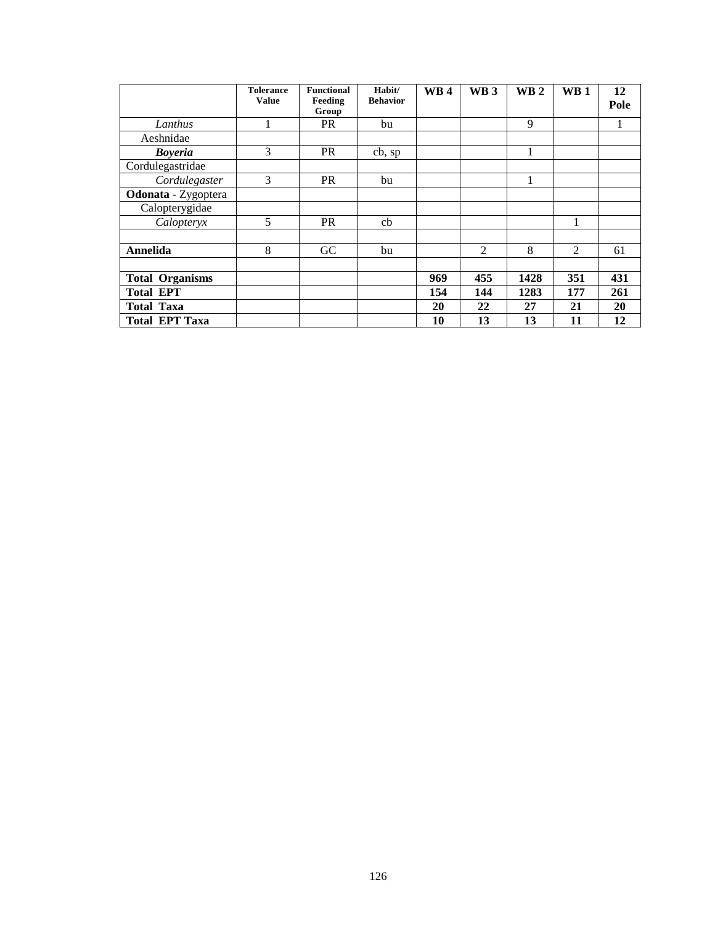|                        | <b>Tolerance</b><br><b>Value</b> | <b>Functional</b><br>Feeding<br>Group | Habit/<br><b>Behavior</b> | <b>WB4</b> | WB <sub>3</sub> | WB <sub>2</sub> | WB <sub>1</sub> | 12<br>Pole |
|------------------------|----------------------------------|---------------------------------------|---------------------------|------------|-----------------|-----------------|-----------------|------------|
| Lanthus                |                                  | <b>PR</b>                             | bu                        |            |                 | 9               |                 |            |
| Aeshnidae              |                                  |                                       |                           |            |                 |                 |                 |            |
| <b>Boyeria</b>         | 3                                | <b>PR</b>                             | cb, sp                    |            |                 | 1               |                 |            |
| Cordulegastridae       |                                  |                                       |                           |            |                 |                 |                 |            |
| Cordulegaster          | 3                                | <b>PR</b>                             | bu                        |            |                 |                 |                 |            |
| Odonata - Zygoptera    |                                  |                                       |                           |            |                 |                 |                 |            |
| Calopterygidae         |                                  |                                       |                           |            |                 |                 |                 |            |
| Calopteryx             | 5                                | <b>PR</b>                             | cb                        |            |                 |                 | 1               |            |
|                        |                                  |                                       |                           |            |                 |                 |                 |            |
| Annelida               | 8                                | GC                                    | bu                        |            | 2               | 8               | $\overline{2}$  | 61         |
|                        |                                  |                                       |                           |            |                 |                 |                 |            |
| <b>Total Organisms</b> |                                  |                                       |                           | 969        | 455             | 1428            | 351             | 431        |
| <b>Total EPT</b>       |                                  |                                       |                           | 154        | 144             | 1283            | 177             | 261        |
| <b>Total Taxa</b>      |                                  |                                       |                           | 20         | 22              | 27              | 21              | 20         |
| <b>Total EPT Taxa</b>  |                                  |                                       |                           | 10         | 13              | 13              | 11              | 12         |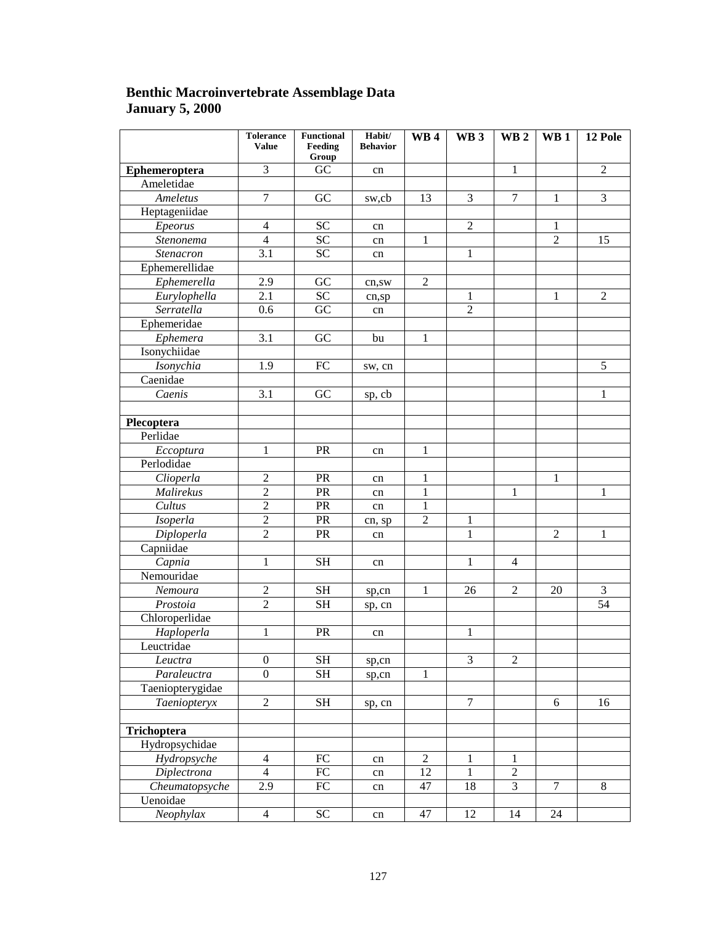### **Benthic Macroinvertebrate Assemblage Data January 5, 2000**

|                             | <b>Tolerance</b><br><b>Value</b> | <b>Functional</b><br>Feeding | Habit/<br><b>Behavior</b> | WB4             | WB <sub>3</sub> | WB <sub>2</sub> | WB 1           | 12 Pole        |
|-----------------------------|----------------------------------|------------------------------|---------------------------|-----------------|-----------------|-----------------|----------------|----------------|
|                             |                                  | Group                        |                           |                 |                 |                 |                |                |
| Ephemeroptera               | $\overline{3}$                   | GC                           | cn                        |                 |                 | 1               |                | $\overline{2}$ |
| Ameletidae                  |                                  |                              |                           |                 |                 |                 |                |                |
| Ameletus                    | $\overline{7}$                   | GC                           | sw,cb                     | 13              | $\overline{3}$  | $\overline{7}$  | $\mathbf{1}$   | $\overline{3}$ |
| Heptageniidae               |                                  |                              |                           |                 |                 |                 |                |                |
| Epeorus                     | $\overline{4}$                   | SC                           | cn                        |                 | $\overline{2}$  |                 | 1              |                |
| Stenonema                   | $\overline{4}$                   | $\overline{SC}$              | cn                        | $\mathbf{1}$    |                 |                 | $\overline{2}$ | 15             |
| Stenacron                   | $\overline{3.1}$                 | $\overline{SC}$              | cn                        |                 | $\mathbf{1}$    |                 |                |                |
| Ephemerellidae              |                                  |                              |                           |                 |                 |                 |                |                |
| Ephemerella                 | 2.9                              | GC                           | cn,sw                     | $\overline{2}$  |                 |                 |                |                |
| Eurylophella                | 2.1                              | $\overline{SC}$              | cn,sp                     |                 | $\mathbf{1}$    |                 | $\mathbf{1}$   | $\overline{2}$ |
| Serratella                  | 0.6                              | GC                           | cn                        |                 | $\overline{2}$  |                 |                |                |
| Ephemeridae                 |                                  |                              |                           |                 |                 |                 |                |                |
| Ephemera                    | $\overline{3.1}$                 | GC                           | bu                        | $\mathbf{1}$    |                 |                 |                |                |
| Isonychiidae                |                                  |                              |                           |                 |                 |                 |                |                |
| Isonychia                   | 1.9                              | FC                           | sw, cn                    |                 |                 |                 |                | $\overline{5}$ |
| Caenidae                    |                                  |                              |                           |                 |                 |                 |                |                |
| $\overline{C}$ <i>aenis</i> | $\overline{3.1}$                 | GC                           | sp, cb                    |                 |                 |                 |                | 1              |
|                             |                                  |                              |                           |                 |                 |                 |                |                |
| Plecoptera                  |                                  |                              |                           |                 |                 |                 |                |                |
| Perlidae                    |                                  |                              |                           |                 |                 |                 |                |                |
| Eccoptura                   | $\mathbf{1}$                     | PR                           | cn                        | $\mathbf{1}$    |                 |                 |                |                |
| Perlodidae                  |                                  |                              |                           |                 |                 |                 |                |                |
| Clioperla                   | $\overline{2}$                   | PR                           | cn                        | 1               |                 |                 | $\mathbf{1}$   |                |
| Malirekus                   | $\overline{2}$                   | PR                           | cn                        | 1               |                 | $\mathbf{1}$    |                | 1              |
| Cultus                      | $\overline{2}$                   | PR                           | cn                        | 1               |                 |                 |                |                |
| Isoperla                    | $\overline{2}$                   | PR                           | cn, sp                    | $\overline{c}$  | 1               |                 |                |                |
| Diploperla                  | $\overline{2}$                   | PR                           | cn                        |                 | $\mathbf{1}$    |                 | $\overline{2}$ | $\mathbf{1}$   |
| Capniidae                   |                                  |                              |                           |                 |                 |                 |                |                |
| $\overline{Capnia}$         | $\mathbf{1}$                     | $\overline{\text{SH}}$       | cn                        |                 | $\mathbf{1}$    | $\overline{4}$  |                |                |
| Nemouridae                  |                                  |                              |                           |                 |                 |                 |                |                |
| Nemoura                     | $\overline{2}$                   | $\operatorname{SH}$          | sp,cn                     | $\mathbf{1}$    | 26              | $\overline{2}$  | 20             | $\mathfrak{Z}$ |
| Prostoia                    | $\overline{2}$                   | <b>SH</b>                    | sp, cn                    |                 |                 |                 |                | 54             |
| Chloroperlidae              |                                  |                              |                           |                 |                 |                 |                |                |
| Haploperla                  | $\mathbf{1}$                     | PR                           | cn                        |                 | $\mathbf{1}$    |                 |                |                |
| Leuctridae                  |                                  |                              |                           |                 |                 |                 |                |                |
| Leuctra                     | $\boldsymbol{0}$                 | $\operatorname{SH}$          | sp,cn                     |                 | $\mathfrak{Z}$  | $\mathbf{2}$    |                |                |
| Paraleuctra                 | $\overline{0}$                   | $\overline{\text{SH}}$       | sp,cn                     | 1               |                 |                 |                |                |
| Taeniopterygidae            |                                  |                              |                           |                 |                 |                 |                |                |
| Taeniopteryx                | $\overline{2}$                   | $\overline{\text{SH}}$       | sp, cn                    |                 | $\overline{7}$  |                 | 6              | 16             |
|                             |                                  |                              |                           |                 |                 |                 |                |                |
| Trichoptera                 |                                  |                              |                           |                 |                 |                 |                |                |
| Hydropsychidae              |                                  |                              |                           |                 |                 |                 |                |                |
| Hydropsyche                 | $\overline{4}$                   | ${\rm FC}$                   | cn                        | $\overline{2}$  | $\mathbf{1}$    | 1               |                |                |
| <b>Diplectrona</b>          | $\overline{4}$                   | $\overline{FC}$              |                           | $\overline{12}$ | $\mathbf{1}$    | $\overline{2}$  |                |                |
| Cheumatopsyche              | $\overline{2.9}$                 | ${\rm FC}$                   | cn                        | 47              | 18              | $\overline{3}$  | $\overline{7}$ | $\overline{8}$ |
| Uenoidae                    |                                  |                              | cn                        |                 |                 |                 |                |                |
| Neophylax                   | $\overline{4}$                   | SC                           |                           | 47              | 12              | 14              | 24             |                |
|                             |                                  |                              | cn                        |                 |                 |                 |                |                |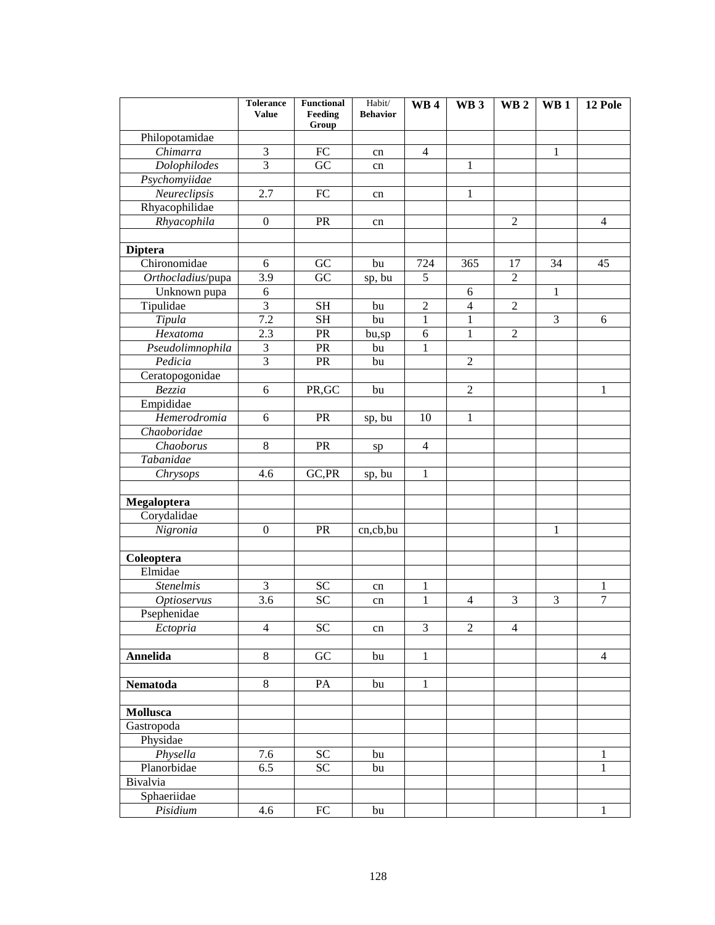|                        | <b>Tolerance</b><br><b>Value</b> | <b>Functional</b><br>Feeding<br>Group | Habit/<br><b>Behavior</b> | WB <sub>4</sub> | WB <sub>3</sub> | WB <sub>2</sub> | $\mathbf{W}\mathbf{B}$ 1 | 12 Pole           |
|------------------------|----------------------------------|---------------------------------------|---------------------------|-----------------|-----------------|-----------------|--------------------------|-------------------|
| Philopotamidae         |                                  |                                       |                           |                 |                 |                 |                          |                   |
| Chimarra               | 3                                | FC                                    | cn                        | $\overline{4}$  |                 |                 | 1                        |                   |
| Dolophilodes           | $\overline{3}$                   | GC                                    | cn                        |                 | $\mathbf{1}$    |                 |                          |                   |
| Psychomyiidae          |                                  |                                       |                           |                 |                 |                 |                          |                   |
| Neureclipsis           | 2.7                              | FC                                    | cn                        |                 | $\mathbf{1}$    |                 |                          |                   |
| Rhyacophilidae         |                                  |                                       |                           |                 |                 |                 |                          |                   |
| Rhyacophila            | $\overline{0}$                   | PR                                    | cn                        |                 |                 | $\mathfrak{2}$  |                          | $\overline{4}$    |
|                        |                                  |                                       |                           |                 |                 |                 |                          |                   |
| <b>Diptera</b>         |                                  |                                       |                           |                 |                 |                 |                          |                   |
| Chironomidae           | 6                                | ${\rm GC}$                            | bu                        | 724             | 365             | 17              | 34                       | 45                |
| Orthocladius/pupa      | 3.9                              | GC                                    | sp, bu                    | 5               |                 | $\overline{2}$  |                          |                   |
| Unknown pupa           | 6                                |                                       |                           |                 | 6               |                 | $\mathbf{1}$             |                   |
| Tipulidae              | $\overline{3}$                   | <b>SH</b>                             | bu                        | $\overline{2}$  | $\overline{4}$  | $\overline{2}$  |                          |                   |
| Tipula                 | 7.2                              | <b>SH</b>                             | bu                        | $\mathbf{1}$    | $\mathbf{1}$    |                 | 3                        | 6                 |
| Hexatoma               | 2.3                              | <b>PR</b>                             | bu,sp                     | 6               | $\mathbf{1}$    | $\mathfrak{2}$  |                          |                   |
| Pseudolimnophila       | 3                                | PR                                    | bu                        | 1               |                 |                 |                          |                   |
| Pedicia                | $\overline{3}$                   | PR                                    | bu                        |                 | $\overline{2}$  |                 |                          |                   |
| Ceratopogonidae        |                                  |                                       |                           |                 |                 |                 |                          |                   |
| Bezzia                 | 6                                | PR, GC                                | bu                        |                 | $\overline{2}$  |                 |                          | 1                 |
| Empididae              |                                  |                                       |                           |                 |                 |                 |                          |                   |
| Hemerodromia           | 6                                | PR                                    | sp, bu                    | 10              | $\mathbf{1}$    |                 |                          |                   |
| Chaoboridae            |                                  |                                       |                           |                 |                 |                 |                          |                   |
| Chaoborus              | 8                                | PR                                    | sp                        | 4               |                 |                 |                          |                   |
| Tabanidae              |                                  |                                       |                           |                 |                 |                 |                          |                   |
| Chrysops               | 4.6                              | GC, PR                                | sp, bu                    | $\mathbf{1}$    |                 |                 |                          |                   |
|                        |                                  |                                       |                           |                 |                 |                 |                          |                   |
| Megaloptera            |                                  |                                       |                           |                 |                 |                 |                          |                   |
| Corydalidae            |                                  |                                       |                           |                 |                 |                 |                          |                   |
| Nigronia               | $\mathbf{0}$                     | PR                                    | cn,cb,bu                  |                 |                 |                 | 1                        |                   |
|                        |                                  |                                       |                           |                 |                 |                 |                          |                   |
| Coleoptera             |                                  |                                       |                           |                 |                 |                 |                          |                   |
| Elmidae                |                                  |                                       |                           |                 |                 |                 |                          |                   |
| <b>Stenelmis</b>       | 3                                | <b>SC</b>                             | cn                        | 1               |                 |                 |                          | 1                 |
| <b>Optioservus</b>     | 3.6                              | <b>SC</b>                             | cn                        | $\mathbf{1}$    | 4               | 3               | 3                        | $\overline{7}$    |
| Psephenidae            |                                  |                                       |                           |                 |                 |                 |                          |                   |
| Ectopria               | $\overline{4}$                   | SC                                    | cn                        | 3               | $\overline{2}$  | $\overline{4}$  |                          |                   |
|                        |                                  |                                       |                           |                 |                 |                 |                          |                   |
| Annelida               | 8                                | GC                                    | bu                        | $\mathbf{1}$    |                 |                 |                          | $\overline{4}$    |
|                        |                                  |                                       |                           |                 |                 |                 |                          |                   |
| Nematoda               | 8                                | PA                                    | bu                        | 1               |                 |                 |                          |                   |
| <b>Mollusca</b>        |                                  |                                       |                           |                 |                 |                 |                          |                   |
|                        |                                  |                                       |                           |                 |                 |                 |                          |                   |
| Gastropoda<br>Physidae |                                  |                                       |                           |                 |                 |                 |                          |                   |
| Physella               |                                  | <b>SC</b>                             |                           |                 |                 |                 |                          |                   |
| Planorbidae            | 7.6<br>6.5                       | $\overline{SC}$                       | bu                        |                 |                 |                 |                          | 1<br>$\mathbf{1}$ |
| Bivalvia               |                                  |                                       | bu                        |                 |                 |                 |                          |                   |
| Sphaeriidae            |                                  |                                       |                           |                 |                 |                 |                          |                   |
| Pisidium               | 4.6                              | ${\rm FC}$                            | bu                        |                 |                 |                 |                          | $\mathbf{1}$      |
|                        |                                  |                                       |                           |                 |                 |                 |                          |                   |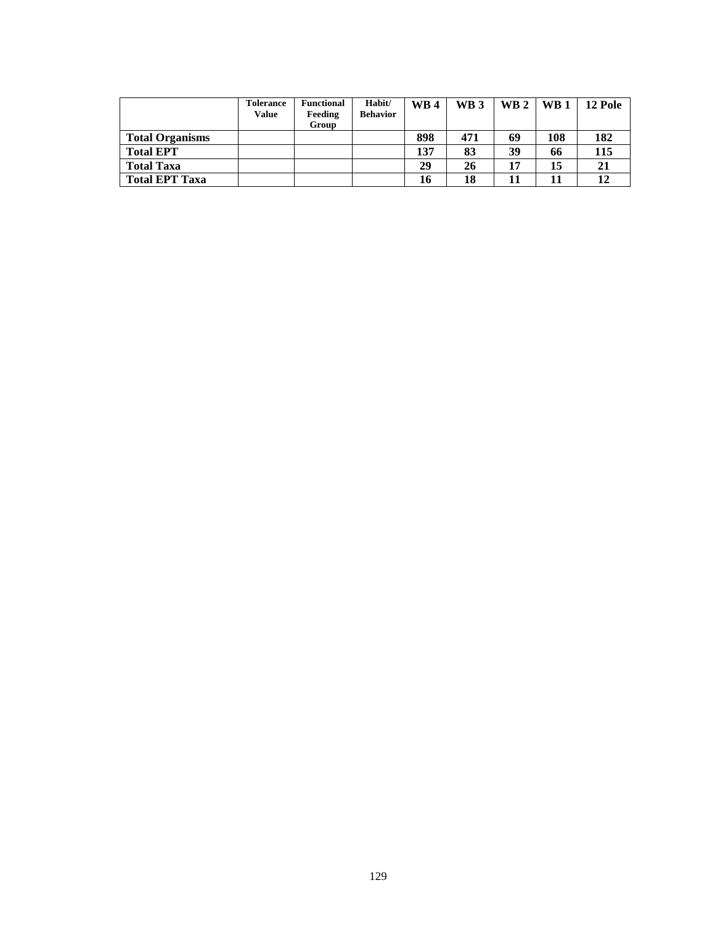|                        | <b>Tolerance</b><br>Value | <b>Functional</b><br>Feeding | Habit/<br><b>Behavior</b> | <b>WB4</b> | WB <sub>3</sub> | WB $2$   WB $1$ |     | 12 Pole |
|------------------------|---------------------------|------------------------------|---------------------------|------------|-----------------|-----------------|-----|---------|
|                        |                           | Group                        |                           |            |                 |                 |     |         |
| <b>Total Organisms</b> |                           |                              |                           | 898        | 471             | 69              | 108 | 182     |
| <b>Total EPT</b>       |                           |                              |                           | 137        | 83              | 39              | 66  | 115     |
| <b>Total Taxa</b>      |                           |                              |                           | 29         | 26              | 17              | 15  | 21      |
| <b>Total EPT Taxa</b>  |                           |                              |                           | 16         | 18              |                 | 11  |         |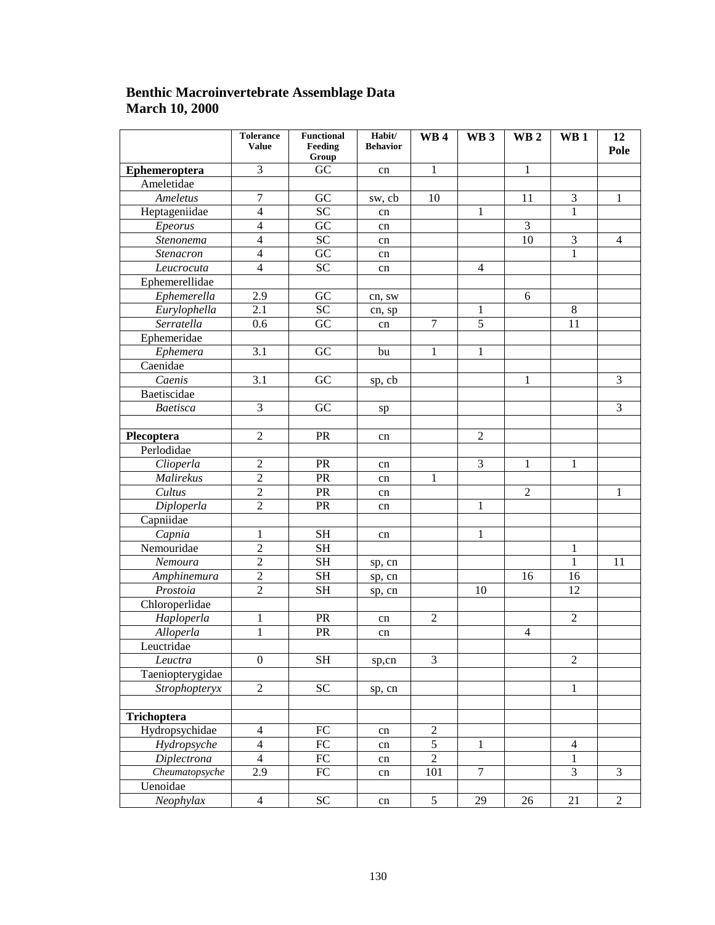### **Benthic Macroinvertebrate Assemblage Data March 10, 2000**

|                  | <b>Tolerance</b><br><b>Value</b> | <b>Functional</b><br>Feeding<br>Group | Habit/<br><b>Behavior</b> | WB <sub>4</sub> | WB <sub>3</sub> | WB <sub>2</sub> | WB <sub>1</sub> | 12<br>Pole     |
|------------------|----------------------------------|---------------------------------------|---------------------------|-----------------|-----------------|-----------------|-----------------|----------------|
| Ephemeroptera    | $\overline{3}$                   | $\overline{GC}$                       | cn                        | $\mathbf{1}$    |                 | $\mathbf{1}$    |                 |                |
| Ameletidae       |                                  |                                       |                           |                 |                 |                 |                 |                |
| Ameletus         | $\overline{7}$                   | GC                                    | sw, cb                    | 10              |                 | 11              | $\overline{3}$  | $\mathbf{1}$   |
| Heptageniidae    | $\overline{4}$                   | $\overline{SC}$                       | cn                        |                 | $\mathbf{1}$    |                 | 1               |                |
| Epeorus          | $\overline{4}$                   | $\overline{GC}$                       | cn                        |                 |                 | $\overline{3}$  |                 |                |
| Stenonema        | $\overline{4}$                   | SC                                    | cn                        |                 |                 | 10              | $\overline{3}$  | $\overline{4}$ |
| Stenacron        | $\overline{4}$                   | $\overline{GC}$                       | cn                        |                 |                 |                 | $\mathbf{1}$    |                |
| Leucrocuta       | $\overline{4}$                   | $\overline{SC}$                       | cn                        |                 | $\overline{4}$  |                 |                 |                |
| Ephemerellidae   |                                  |                                       |                           |                 |                 |                 |                 |                |
| Ephemerella      | 2.9                              | GC                                    | cn, sw                    |                 |                 | 6               |                 |                |
| Eurylophella     | $\overline{2.1}$                 | $\overline{SC}$                       | cn, sp                    |                 | 1               |                 | $\overline{8}$  |                |
| Serratella       | 0.6                              | $\overline{GC}$                       | cn                        | $\overline{7}$  | $\overline{5}$  |                 | 11              |                |
| Ephemeridae      |                                  |                                       |                           |                 |                 |                 |                 |                |
| Ephemera         | $\overline{3.1}$                 | $\overline{GC}$                       | bu                        | 1               | $\mathbf{1}$    |                 |                 |                |
| Caenidae         |                                  |                                       |                           |                 |                 |                 |                 |                |
| Caenis           | $\overline{3.1}$                 | $\overline{GC}$                       | sp, cb                    |                 |                 | 1               |                 | $\overline{3}$ |
| Baetiscidae      |                                  |                                       |                           |                 |                 |                 |                 |                |
| Baetisca         | $\overline{3}$                   | GC                                    | sp                        |                 |                 |                 |                 | $\overline{3}$ |
|                  |                                  |                                       |                           |                 |                 |                 |                 |                |
| Plecoptera       | $\overline{2}$                   | PR                                    | cn                        |                 | $\overline{2}$  |                 |                 |                |
| Perlodidae       |                                  |                                       |                           |                 |                 |                 |                 |                |
| Clioperla        | $\overline{2}$                   | PR                                    | cn                        |                 | $\overline{3}$  | $\mathbf{1}$    | $\mathbf{1}$    |                |
| Malirekus        | $\overline{2}$                   | PR                                    | cn                        | 1               |                 |                 |                 |                |
| Cultus           | $\overline{2}$                   | PR                                    | cn                        |                 |                 | $\overline{2}$  |                 | 1              |
| Diploperla       | $\overline{2}$                   | PR                                    | cn                        |                 | $\mathbf{1}$    |                 |                 |                |
| Capniidae        |                                  |                                       |                           |                 |                 |                 |                 |                |
| Capnia           | $\mathbf 1$                      | <b>SH</b>                             | cn                        |                 | $\mathbf{1}$    |                 |                 |                |
| Nemouridae       | $\overline{2}$                   | $\overline{\text{SH}}$                |                           |                 |                 |                 | 1               |                |
| Nemoura          | $\overline{2}$                   | <b>SH</b>                             | sp, cn                    |                 |                 |                 | 1               | 11             |
| Amphinemura      | $\overline{2}$                   | <b>SH</b>                             | sp, cn                    |                 |                 | 16              | 16              |                |
| Prostoia         | $\overline{2}$                   | <b>SH</b>                             | sp, cn                    |                 | 10              |                 | $\overline{12}$ |                |
| Chloroperlidae   |                                  |                                       |                           |                 |                 |                 |                 |                |
| Haploperla       | 1                                | PR                                    | cn                        | $\overline{2}$  |                 |                 | $\overline{2}$  |                |
| Alloperla        | $\mathbf{1}$                     | PR                                    | cn                        |                 |                 | $\overline{4}$  |                 |                |
| Leuctridae       |                                  |                                       |                           |                 |                 |                 |                 |                |
| Leuctra          | $\boldsymbol{0}$                 | <b>SH</b>                             | sp,cn                     | 3               |                 |                 | $\overline{2}$  |                |
| Taeniopterygidae |                                  |                                       |                           |                 |                 |                 |                 |                |
| Strophopteryx    | $\overline{2}$                   | $\overline{SC}$                       | sp, cn                    |                 |                 |                 | $\mathbf{1}$    |                |
|                  |                                  |                                       |                           |                 |                 |                 |                 |                |
| Trichoptera      |                                  |                                       |                           |                 |                 |                 |                 |                |
| Hydropsychidae   | $\overline{4}$                   | $\overline{FC}$                       | cn                        | $\overline{2}$  |                 |                 |                 |                |
| Hydropsyche      | $\overline{4}$                   | $\overline{FC}$                       | cn                        | $\overline{5}$  | $\mathbf{1}$    |                 | $\overline{4}$  |                |
| Diplectrona      | $\overline{4}$                   | $\overline{FC}$                       | cn                        | $\overline{2}$  |                 |                 | $\mathbf{1}$    |                |
| Cheumatopsyche   | $\overline{2.9}$                 | $\overline{FC}$                       | cn                        | 101             | $\overline{7}$  |                 | $\overline{3}$  | $\mathfrak{Z}$ |
| Uenoidae         |                                  |                                       |                           |                 |                 |                 |                 |                |
| Neophylax        | $\overline{4}$                   | $\overline{SC}$                       | cn                        | $\overline{5}$  | 29              | 26              | $\overline{21}$ | $\overline{2}$ |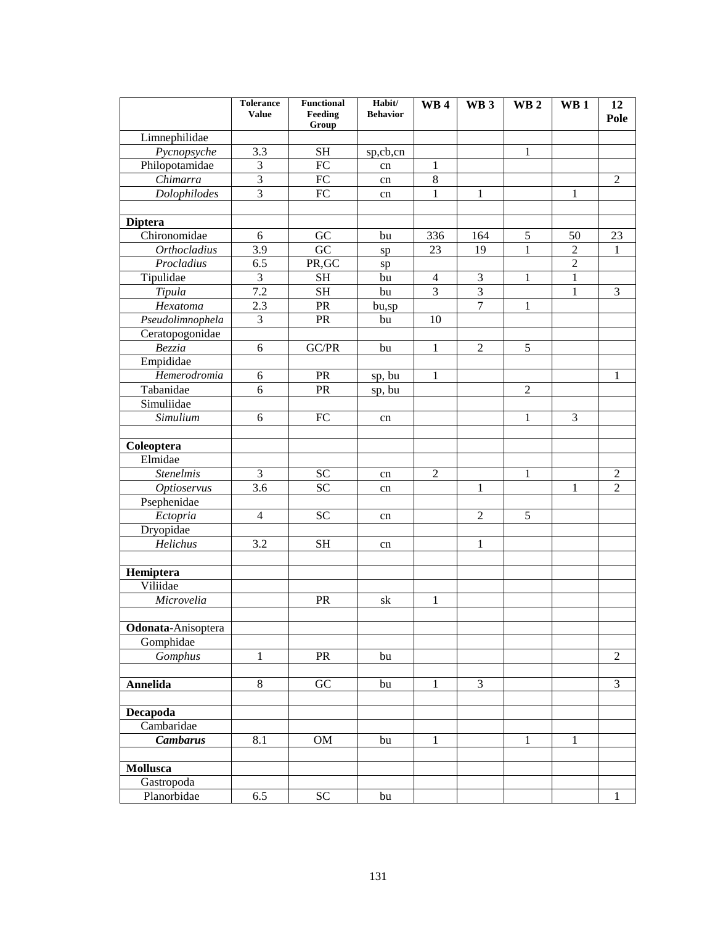|                               | <b>Tolerance</b><br><b>Value</b> | <b>Functional</b><br>Feeding<br>Group | Habit/<br><b>Behavior</b> | WB <sub>4</sub> | WB <sub>3</sub> | WB <sub>2</sub> | WB <sub>1</sub> | 12<br>Pole     |
|-------------------------------|----------------------------------|---------------------------------------|---------------------------|-----------------|-----------------|-----------------|-----------------|----------------|
| Limnephilidae                 |                                  |                                       |                           |                 |                 |                 |                 |                |
| Pycnopsyche                   | 3.3                              | <b>SH</b>                             | sp,cb,cn                  |                 |                 | 1               |                 |                |
| Philopotamidae                | 3                                | FC                                    | cn                        | 1               |                 |                 |                 |                |
| Chimarra                      | 3                                | ${\rm FC}$                            | cn                        | $\,8\,$         |                 |                 |                 | $\overline{2}$ |
| Dolophilodes                  | 3                                | FC                                    | cn                        | 1               | 1               |                 | 1               |                |
|                               |                                  |                                       |                           |                 |                 |                 |                 |                |
| <b>Diptera</b>                |                                  |                                       |                           |                 |                 |                 |                 |                |
| Chironomidae                  | 6                                | GC                                    | bu                        | 336             | 164             | 5               | 50              | 23             |
| <b>Orthocladius</b>           | 3.9                              | GC                                    | sp                        | 23              | 19              | $\mathbf{1}$    | $\overline{2}$  | 1              |
| Procladius                    | 6.5                              | PR, GC                                | sp                        |                 |                 |                 | $\overline{2}$  |                |
| Tipulidae                     | 3                                | <b>SH</b>                             | bu                        | $\overline{4}$  | 3               | 1               | $\mathbf{1}$    |                |
| Tipula                        | 7.2                              | <b>SH</b>                             | bu                        | 3               | 3               |                 | 1               | 3              |
| Hexatoma                      | 2.3                              | <b>PR</b>                             | bu,sp                     |                 | $\tau$          | 1               |                 |                |
| Pseudolimnophela              | 3                                | PR                                    | bu                        | 10              |                 |                 |                 |                |
| Ceratopogonidae               |                                  |                                       |                           |                 |                 |                 |                 |                |
| Bezzia                        | 6                                | GC/PR                                 | bu                        | 1               | $\overline{2}$  | 5               |                 |                |
| Empididae                     |                                  |                                       |                           |                 |                 |                 |                 |                |
| Hemerodromia                  | 6                                | PR                                    | sp, bu                    | 1               |                 |                 |                 | 1              |
| Tabanidae                     | 6                                | <b>PR</b>                             | sp, bu                    |                 |                 | $\overline{2}$  |                 |                |
| Simuliidae                    |                                  |                                       |                           |                 |                 |                 |                 |                |
| Simulium                      | 6                                | ${\rm FC}$                            | cn                        |                 |                 | 1               | 3               |                |
|                               |                                  |                                       |                           |                 |                 |                 |                 |                |
| Coleoptera                    |                                  |                                       |                           |                 |                 |                 |                 |                |
| Elmidae                       |                                  |                                       |                           |                 |                 |                 |                 |                |
| <b>Stenelmis</b>              | 3                                | <b>SC</b>                             |                           | 2               |                 | 1               |                 | $\overline{2}$ |
| <b>Optioservus</b>            | 3.6                              | <b>SC</b>                             | cn                        |                 | 1               |                 | 1               | 2              |
| Psephenidae                   |                                  |                                       | cn                        |                 |                 |                 |                 |                |
| Ectopria                      | $\overline{4}$                   | <b>SC</b>                             |                           |                 | $\overline{2}$  | 5               |                 |                |
| Dryopidae                     |                                  |                                       | cn                        |                 |                 |                 |                 |                |
| Helichus                      | 3.2                              | <b>SH</b>                             |                           |                 | 1               |                 |                 |                |
|                               |                                  |                                       | cn                        |                 |                 |                 |                 |                |
|                               |                                  |                                       |                           |                 |                 |                 |                 |                |
| Hemiptera<br>Viliidae         |                                  |                                       |                           |                 |                 |                 |                 |                |
| Microvelia                    |                                  | PR                                    |                           |                 |                 |                 |                 |                |
|                               |                                  |                                       | sk                        | 1               |                 |                 |                 |                |
| Odonata-Anisoptera            |                                  |                                       |                           |                 |                 |                 |                 |                |
| Gomphidae                     |                                  |                                       |                           |                 |                 |                 |                 |                |
|                               |                                  |                                       |                           |                 |                 |                 |                 | 2              |
| Gomphus                       | $\mathbf{1}$                     | <b>PR</b>                             | bu                        |                 |                 |                 |                 |                |
| Annelida                      | $\,8\,$                          | GC                                    |                           | 1               | 3               |                 |                 | 3              |
|                               |                                  |                                       | bu                        |                 |                 |                 |                 |                |
|                               |                                  |                                       |                           |                 |                 |                 |                 |                |
| <b>Decapoda</b><br>Cambaridae |                                  |                                       |                           |                 |                 |                 |                 |                |
|                               |                                  |                                       |                           |                 |                 |                 |                 |                |
| <b>Cambarus</b>               | 8.1                              | <b>OM</b>                             | bu                        | 1               |                 | $\mathbf{1}$    | 1               |                |
|                               |                                  |                                       |                           |                 |                 |                 |                 |                |
| <b>Mollusca</b>               |                                  |                                       |                           |                 |                 |                 |                 |                |
| Gastropoda                    |                                  |                                       |                           |                 |                 |                 |                 |                |
| Planorbidae                   | 6.5                              | SC <sub>1</sub>                       | bu                        |                 |                 |                 |                 | 1              |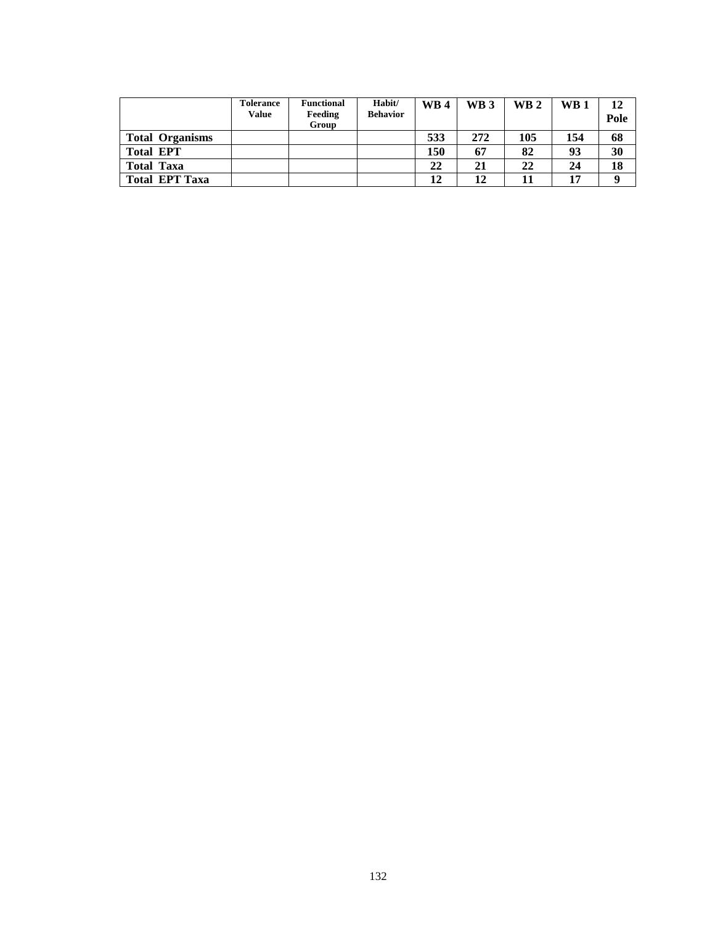|                        | Tolerance<br>Value | <b>Functional</b><br>Feeding<br>Group | Habit/<br><b>Behavior</b> | $\mathbf{W}\mathbf{B}$ 4 | WB <sub>3</sub> | $\mathbf{W}\mathbf{B}$ 2 | $\mathbf{W}\mathbf{B}$ 1 | 12<br>Pole |
|------------------------|--------------------|---------------------------------------|---------------------------|--------------------------|-----------------|--------------------------|--------------------------|------------|
| <b>Total Organisms</b> |                    |                                       |                           | 533                      | 272             | 105                      | 154                      | 68         |
| <b>Total EPT</b>       |                    |                                       |                           | 150                      | 67              | 82                       | 93                       | 30         |
| <b>Total Taxa</b>      |                    |                                       |                           | 22                       | 21              | 22                       | 24                       | 18         |
| <b>Total EPT Taxa</b>  |                    |                                       |                           | 12                       | 12              |                          | 17                       | 9          |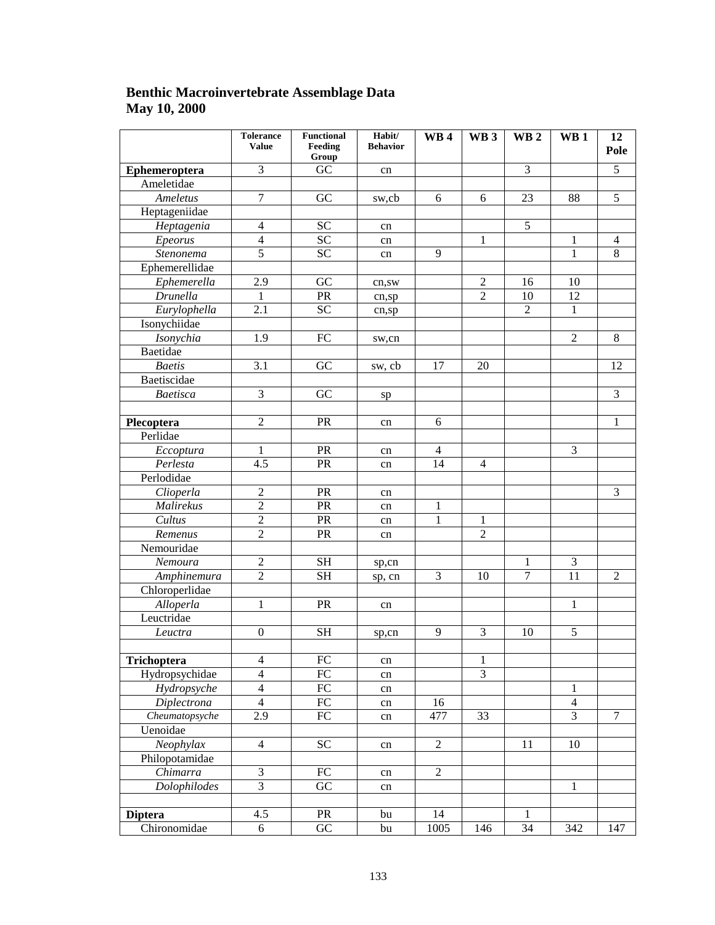### **Benthic Macroinvertebrate Assemblage Data May 10, 2000**

|                | <b>Tolerance</b><br><b>Value</b> | <b>Functional</b><br>Feeding<br>Group | Habit/<br><b>Behavior</b> | WB4            | WB <sub>3</sub> | WB <sub>2</sub> | WB <sub>1</sub> | 12<br>Pole     |
|----------------|----------------------------------|---------------------------------------|---------------------------|----------------|-----------------|-----------------|-----------------|----------------|
| Ephemeroptera  | $\overline{3}$                   | $\overline{GC}$                       | cn                        |                |                 | $\overline{3}$  |                 | $\overline{5}$ |
| Ameletidae     |                                  |                                       |                           |                |                 |                 |                 |                |
| Ameletus       | $\overline{7}$                   | GC                                    | sw,cb                     | 6              | 6               | 23              | 88              | $\overline{5}$ |
| Heptageniidae  |                                  |                                       |                           |                |                 |                 |                 |                |
| Heptagenia     | $\overline{4}$                   | <b>SC</b>                             | cn                        |                |                 | $\overline{5}$  |                 |                |
| Epeorus        | $\overline{4}$                   | $\overline{SC}$                       | cn                        |                | $\mathbf{1}$    |                 | $\mathbf{1}$    | $\overline{4}$ |
| Stenonema      | $\overline{5}$                   | $\overline{SC}$                       | cn                        | 9              |                 |                 | 1               | $8\,$          |
| Ephemerellidae |                                  |                                       |                           |                |                 |                 |                 |                |
| Ephemerella    | 2.9                              | GC                                    | cn,sw                     |                | $\overline{c}$  | 16              | 10              |                |
| Drunella       | 1                                | PR                                    | cn, sp                    |                | $\overline{2}$  | 10              | 12              |                |
| Eurylophella   | 2.1                              | <b>SC</b>                             | cn,sp                     |                |                 | $\overline{2}$  | 1               |                |
| Isonychiidae   |                                  |                                       |                           |                |                 |                 |                 |                |
| Isonychia      | 1.9                              | ${\rm FC}$                            | sw,cn                     |                |                 |                 | $\overline{2}$  | $\overline{8}$ |
| Baetidae       |                                  |                                       |                           |                |                 |                 |                 |                |
| <b>Baetis</b>  | $\overline{3.1}$                 | $\overline{GC}$                       | sw, cb                    | 17             | 20              |                 |                 | 12             |
| Baetiscidae    |                                  |                                       |                           |                |                 |                 |                 |                |
| Baetisca       | $\overline{3}$                   | GC                                    | sp                        |                |                 |                 |                 | $\overline{3}$ |
|                |                                  |                                       |                           |                |                 |                 |                 |                |
| Plecoptera     | $\overline{2}$                   | PR                                    | cn                        | 6              |                 |                 |                 | $\mathbf{1}$   |
| Perlidae       |                                  |                                       |                           |                |                 |                 |                 |                |
| Eccoptura      | $\mathbf{1}$                     | PR                                    | cn                        | $\overline{4}$ |                 |                 | $\overline{3}$  |                |
| Perlesta       | $\overline{4.5}$                 | PR                                    | cn                        | 14             | $\overline{4}$  |                 |                 |                |
| Perlodidae     |                                  |                                       |                           |                |                 |                 |                 |                |
| Clioperla      | $\sqrt{2}$                       | PR                                    | cn                        |                |                 |                 |                 | $\overline{3}$ |
| Malirekus      | $\overline{2}$                   | PR                                    | cn                        | $\mathbf{1}$   |                 |                 |                 |                |
| Cultus         | $\sqrt{2}$                       | PR                                    | cn                        | $\mathbf{1}$   | $\mathbf{1}$    |                 |                 |                |
| Remenus        | $\overline{2}$                   | PR                                    | cn                        |                | $\overline{2}$  |                 |                 |                |
| Nemouridae     |                                  |                                       |                           |                |                 |                 |                 |                |
| Nemoura        | $\sqrt{2}$                       | $\operatorname{SH}$                   | sp,cn                     |                |                 | 1               | $\mathfrak{Z}$  |                |
| Amphinemura    | $\overline{2}$                   | <b>SH</b>                             | sp, cn                    | $\overline{3}$ | 10              | $\overline{7}$  | $\overline{11}$ | $\overline{2}$ |
| Chloroperlidae |                                  |                                       |                           |                |                 |                 |                 |                |
| Alloperla      | $\mathbf{1}$                     | PR                                    | cn                        |                |                 |                 | $\mathbf{1}$    |                |
| Leuctridae     |                                  |                                       |                           |                |                 |                 |                 |                |
| Leuctra        | $\boldsymbol{0}$                 | <b>SH</b>                             | sp,cn                     | 9              | $\mathfrak{Z}$  | 10              | 5               |                |
|                |                                  |                                       |                           |                |                 |                 |                 |                |
| Trichoptera    | $\overline{4}$                   | ${\rm FC}$                            | cn                        |                | 1               |                 |                 |                |
| Hydropsychidae | $\overline{4}$                   | $\overline{FC}$                       | cn                        |                | $\overline{3}$  |                 |                 |                |
| Hydropsyche    | $\overline{4}$                   | $\overline{FC}$                       | cn                        |                |                 |                 | $\mathbf{1}$    |                |
| Diplectrona    | $\overline{4}$                   | $\overline{FC}$                       | cn                        | 16             |                 |                 | $\overline{4}$  |                |
| Cheumatopsyche | 2.9                              | $\overline{FC}$                       | cn                        | 477            | 33              |                 | $\overline{3}$  | $\tau$         |
| Uenoidae       |                                  |                                       |                           |                |                 |                 |                 |                |
| Neophylax      | $\overline{4}$                   | $\overline{SC}$                       | cn                        | $\overline{2}$ |                 | 11              | 10              |                |
| Philopotamidae |                                  |                                       |                           |                |                 |                 |                 |                |
| Chimarra       | $\overline{3}$                   | ${\rm FC}$                            | cn                        | $\overline{2}$ |                 |                 |                 |                |
| Dolophilodes   | $\overline{3}$                   | $\overline{GC}$                       | cn                        |                |                 |                 | 1               |                |
|                |                                  |                                       |                           |                |                 |                 |                 |                |
| <b>Diptera</b> | 4.5                              | PR                                    | bu                        | 14             |                 | 1               |                 |                |
| Chironomidae   | 6                                | $\overline{GC}$                       | bu                        | 1005           | 146             | $\overline{34}$ | 342             | 147            |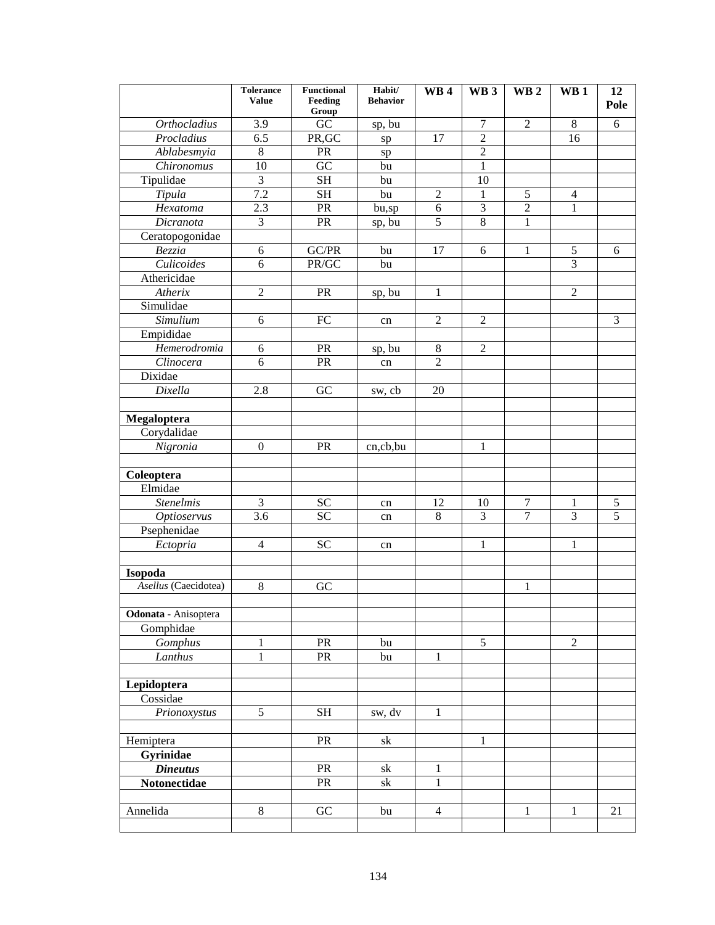|                                  | <b>Tolerance</b><br><b>Value</b> | <b>Functional</b><br>Feeding | Habit/<br><b>Behavior</b> | WB <sub>4</sub> | WB <sub>3</sub> | WB <sub>2</sub>  | WB <sub>1</sub>     | 12<br>Pole          |
|----------------------------------|----------------------------------|------------------------------|---------------------------|-----------------|-----------------|------------------|---------------------|---------------------|
| <b>Orthocladius</b>              | 3.9                              | Group<br>GC                  |                           |                 | $\overline{7}$  | $\overline{2}$   | 8                   | 6                   |
| Procladius                       | 6.5                              | PR, GC                       | sp, bu                    | 17              | $\overline{c}$  |                  | 16                  |                     |
| Ablabesmyia                      | $\,8\,$                          | PR                           | sp                        |                 | $\sqrt{2}$      |                  |                     |                     |
| Chironomus                       | 10                               | $\overline{GC}$              | ${\rm sp}$<br>bu          |                 | $\mathbf{1}$    |                  |                     |                     |
| Tipulidae                        | $\overline{3}$                   | <b>SH</b>                    | bu                        |                 | 10              |                  |                     |                     |
| Tipula                           | 7.2                              | <b>SH</b>                    | bu                        | $\overline{2}$  | $\mathbf{1}$    | 5                | $\overline{4}$      |                     |
| Hexatoma                         | 2.3                              | PR                           | bu,sp                     | 6               | 3               | $\overline{2}$   | $\mathbf{1}$        |                     |
| $\overline{D}$ icranota          | $\overline{3}$                   | PR                           | sp, bu                    | $\overline{5}$  | 8               | $\mathbf{1}$     |                     |                     |
| Ceratopogonidae                  |                                  |                              |                           |                 |                 |                  |                     |                     |
| Bezzia                           | 6                                | GC/PR                        | bu                        | 17              | 6               | 1                | 5                   | 6                   |
| $\overline{\textit{Culicoides}}$ | 6                                | PR/GC                        | bu                        |                 |                 |                  | $\overline{3}$      |                     |
| Athericidae                      |                                  |                              |                           |                 |                 |                  |                     |                     |
| Atherix                          | $\overline{2}$                   | PR                           | sp, bu                    | $\mathbf{1}$    |                 |                  | $\overline{2}$      |                     |
| Simulidae                        |                                  |                              |                           |                 |                 |                  |                     |                     |
| Simulium                         | 6                                | ${\rm FC}$                   |                           | $\overline{2}$  | $\mathfrak{2}$  |                  |                     | 3                   |
| Empididae                        |                                  |                              | cn                        |                 |                 |                  |                     |                     |
| Hemerodromia                     | 6                                | PR                           |                           | 8               | $\overline{2}$  |                  |                     |                     |
| Clinocera                        | 6                                | PR                           | sp, bu                    | $\overline{2}$  |                 |                  |                     |                     |
| Dixidae                          |                                  |                              | cn                        |                 |                 |                  |                     |                     |
|                                  | 2.8                              | GC                           |                           |                 |                 |                  |                     |                     |
| Dixella                          |                                  |                              | sw, cb                    | 20              |                 |                  |                     |                     |
|                                  |                                  |                              |                           |                 |                 |                  |                     |                     |
| Megaloptera                      |                                  |                              |                           |                 |                 |                  |                     |                     |
| Corydalidae                      |                                  |                              |                           |                 |                 |                  |                     |                     |
| Nigronia                         | $\boldsymbol{0}$                 | PR                           | cn,cb,bu                  |                 | $\mathbf{1}$    |                  |                     |                     |
|                                  |                                  |                              |                           |                 |                 |                  |                     |                     |
| Coleoptera<br>Elmidae            |                                  |                              |                           |                 |                 |                  |                     |                     |
|                                  | 3                                |                              |                           |                 |                 | $\boldsymbol{7}$ |                     |                     |
| <b>Stenelmis</b>                 | 3.6                              | <b>SC</b><br>$\overline{SC}$ | cn                        | 12<br>8         | 10<br>3         | $\overline{7}$   | 1<br>$\overline{3}$ | 5<br>$\overline{5}$ |
| <b>Optioservus</b>               |                                  |                              | cn                        |                 |                 |                  |                     |                     |
| Psephenidae                      |                                  |                              |                           |                 |                 |                  |                     |                     |
| Ectopria                         | $\overline{4}$                   | <b>SC</b>                    | cn                        |                 | $\mathbf{1}$    |                  | $\mathbf{1}$        |                     |
|                                  |                                  |                              |                           |                 |                 |                  |                     |                     |
| Isopoda<br>Asellus (Caecidotea)  | $\,8\,$                          | GC                           |                           |                 |                 | 1                |                     |                     |
|                                  |                                  |                              |                           |                 |                 |                  |                     |                     |
| Odonata - Anisoptera             |                                  |                              |                           |                 |                 |                  |                     |                     |
| Gomphidae                        |                                  |                              |                           |                 |                 |                  |                     |                     |
| Gomphus                          | $\mathbf{1}$                     | PR                           |                           |                 | 5               |                  | $\overline{2}$      |                     |
| Lanthus                          | $\mathbf{1}$                     | PR                           | bu                        | $\mathbf{1}$    |                 |                  |                     |                     |
|                                  |                                  |                              | bu                        |                 |                 |                  |                     |                     |
|                                  |                                  |                              |                           |                 |                 |                  |                     |                     |
| Lepidoptera<br>Cossidae          |                                  |                              |                           |                 |                 |                  |                     |                     |
|                                  | 5                                | <b>SH</b>                    |                           | $\mathbf{1}$    |                 |                  |                     |                     |
| Prionoxystus                     |                                  |                              | sw, dv                    |                 |                 |                  |                     |                     |
| Hemiptera                        |                                  | PR                           | sk                        |                 | 1               |                  |                     |                     |
|                                  |                                  |                              |                           |                 |                 |                  |                     |                     |
| Gyrinidae                        |                                  | PR                           |                           |                 |                 |                  |                     |                     |
| <b>Dineutus</b>                  |                                  |                              | sk                        | $\mathbf{1}$    |                 |                  |                     |                     |
| Notonectidae                     |                                  | PR                           | sk                        | $\mathbf{1}$    |                 |                  |                     |                     |
| Annelida                         | $8\,$                            | ${\rm GC}$                   | bu                        | $\overline{4}$  |                 | $\mathbf{1}$     | $\mathbf{1}$        | 21                  |
|                                  |                                  |                              |                           |                 |                 |                  |                     |                     |
|                                  |                                  |                              |                           |                 |                 |                  |                     |                     |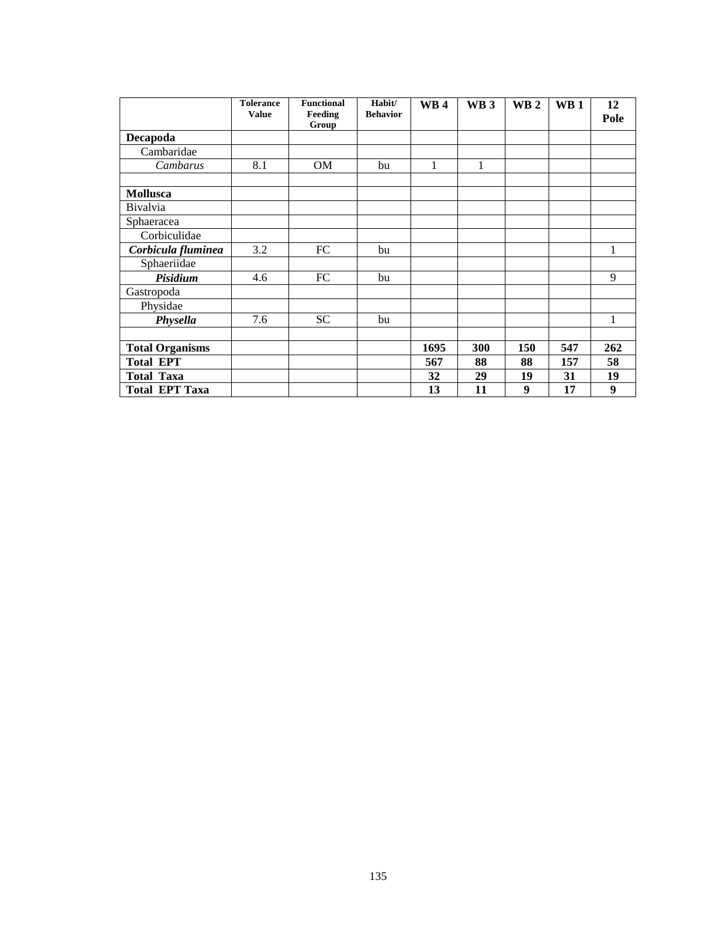|                        | <b>Tolerance</b><br><b>Value</b> | <b>Functional</b><br>Feeding | Habit/<br><b>Behavior</b> | <b>WB4</b> | WB <sub>3</sub> | WB <sub>2</sub>  | WB <sub>1</sub> | 12<br>Pole       |
|------------------------|----------------------------------|------------------------------|---------------------------|------------|-----------------|------------------|-----------------|------------------|
| <b>Decapoda</b>        |                                  | Group                        |                           |            |                 |                  |                 |                  |
|                        |                                  |                              |                           |            |                 |                  |                 |                  |
| Cambaridae             |                                  |                              |                           |            |                 |                  |                 |                  |
| Cambarus               | 8.1                              | <b>OM</b>                    | bu                        | 1          | $\mathbf{1}$    |                  |                 |                  |
|                        |                                  |                              |                           |            |                 |                  |                 |                  |
| <b>Mollusca</b>        |                                  |                              |                           |            |                 |                  |                 |                  |
| Bivalvia               |                                  |                              |                           |            |                 |                  |                 |                  |
| Sphaeracea             |                                  |                              |                           |            |                 |                  |                 |                  |
| Corbiculidae           |                                  |                              |                           |            |                 |                  |                 |                  |
| Corbicula fluminea     | 3.2                              | FC                           | bu                        |            |                 |                  |                 | 1                |
| Sphaeriidae            |                                  |                              |                           |            |                 |                  |                 |                  |
| Pisidium               | 4.6                              | FC                           | bu                        |            |                 |                  |                 | 9                |
| Gastropoda             |                                  |                              |                           |            |                 |                  |                 |                  |
| Physidae               |                                  |                              |                           |            |                 |                  |                 |                  |
| Physella               | 7.6                              | <b>SC</b>                    | bu                        |            |                 |                  |                 | 1                |
|                        |                                  |                              |                           |            |                 |                  |                 |                  |
| <b>Total Organisms</b> |                                  |                              |                           | 1695       | 300             | 150              | 547             | 262              |
| <b>Total EPT</b>       |                                  |                              |                           | 567        | 88              | 88               | 157             | 58               |
| <b>Total Taxa</b>      |                                  |                              |                           | 32         | 29              | 19               | 31              | 19               |
| <b>Total EPT Taxa</b>  |                                  |                              |                           | 13         | 11              | $\boldsymbol{9}$ | 17              | $\boldsymbol{9}$ |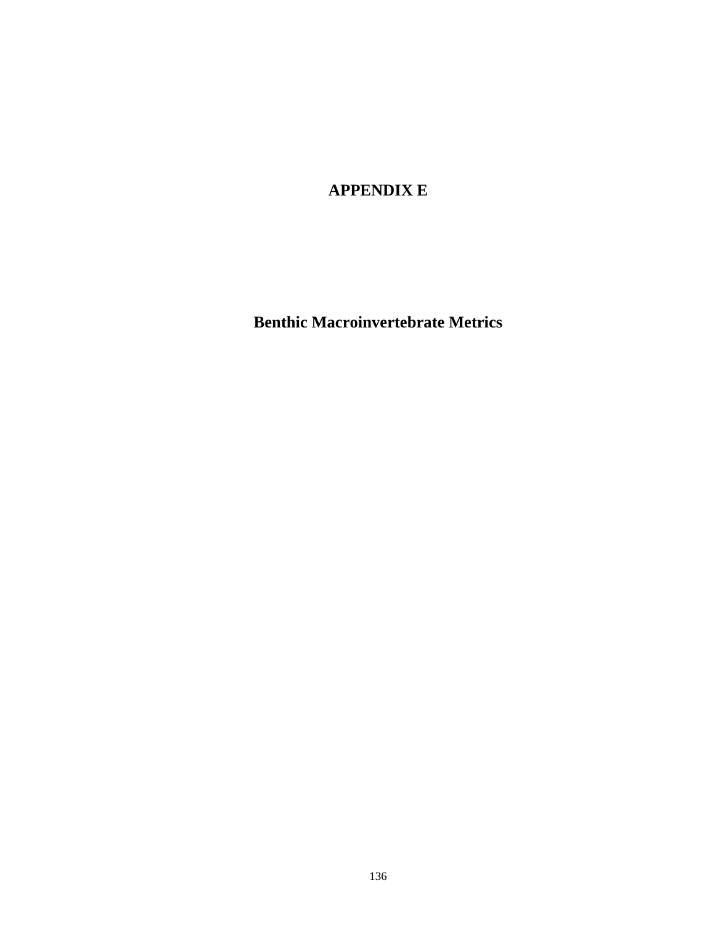**APPENDIX E** 

**Benthic Macroinvertebrate Metrics**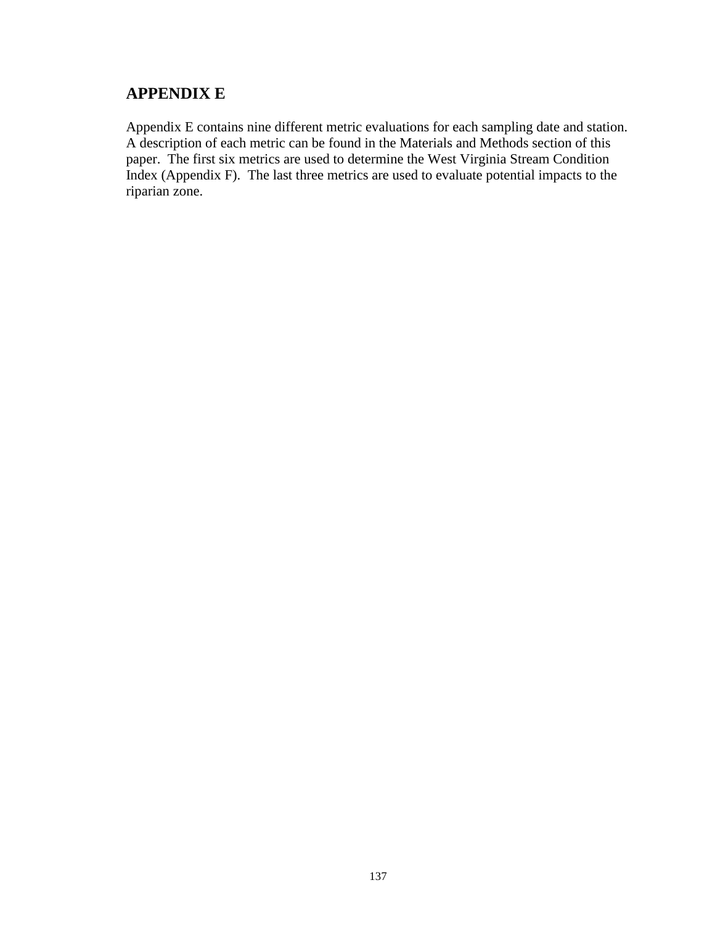### **APPENDIX E**

Appendix E contains nine different metric evaluations for each sampling date and station. A description of each metric can be found in the Materials and Methods section of this paper. The first six metrics are used to determine the West Virginia Stream Condition Index (Appendix F). The last three metrics are used to evaluate potential impacts to the riparian zone.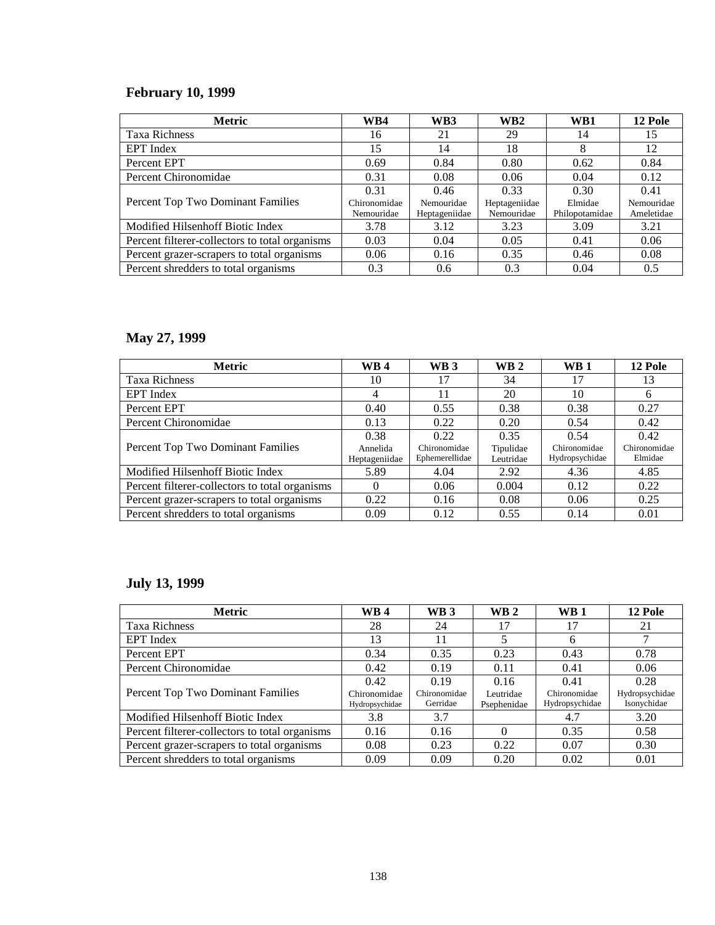## **February 10, 1999**

| <b>Metric</b>                                  | WB4                        | WB3                         | WB2                         | WB1                       | 12 Pole                  |
|------------------------------------------------|----------------------------|-----------------------------|-----------------------------|---------------------------|--------------------------|
| <b>Taxa Richness</b>                           | 16                         | 21                          | 29                          | 14                        | 15                       |
| EPT Index                                      | 15                         | 14                          | 18                          | 8                         | 12                       |
| Percent EPT                                    | 0.69                       | 0.84                        | 0.80                        | 0.62                      | 0.84                     |
| Percent Chironomidae                           | 0.31                       | 0.08                        | 0.06                        | 0.04                      | 0.12                     |
|                                                | 0.31                       | 0.46                        | 0.33                        | 0.30                      | 0.41                     |
| Percent Top Two Dominant Families              | Chironomidae<br>Nemouridae | Nemouridae<br>Heptageniidae | Heptageniidae<br>Nemouridae | Elmidae<br>Philopotamidae | Nemouridae<br>Ameletidae |
| Modified Hilsenhoff Biotic Index               | 3.78                       | 3.12                        | 3.23                        | 3.09                      | 3.21                     |
| Percent filterer-collectors to total organisms | 0.03                       | 0.04                        | 0.05                        | 0.41                      | 0.06                     |
| Percent grazer-scrapers to total organisms     | 0.06                       | 0.16                        | 0.35                        | 0.46                      | 0.08                     |
| Percent shredders to total organisms           | 0.3                        | 0.6                         | 0.3                         | 0.04                      | 0.5                      |

# **May 27, 1999**

| <b>Metric</b>                                  | <b>WB4</b>                | WB <sub>3</sub>                | <b>WB2</b>             | $\mathbf{W}\mathbf{B}$ 1       | 12 Pole                 |
|------------------------------------------------|---------------------------|--------------------------------|------------------------|--------------------------------|-------------------------|
| <b>Taxa Richness</b>                           | 10                        | 17                             | 34                     | 17                             | 13                      |
| EPT Index                                      | 4                         |                                | 20                     | 10                             | 6                       |
| Percent EPT                                    | 0.40                      | 0.55                           | 0.38                   | 0.38                           | 0.27                    |
| Percent Chironomidae                           | 0.13                      | 0.22                           | 0.20                   | 0.54                           | 0.42                    |
|                                                | 0.38                      | 0.22                           | 0.35                   | 0.54                           | 0.42                    |
| Percent Top Two Dominant Families              | Annelida<br>Heptageniidae | Chironomidae<br>Ephemerellidae | Tipulidae<br>Leutridae | Chironomidae<br>Hydropsychidae | Chironomidae<br>Elmidae |
| Modified Hilsenhoff Biotic Index               | 5.89                      | 4.04                           | 2.92                   | 4.36                           | 4.85                    |
| Percent filterer-collectors to total organisms | $\Omega$                  | 0.06                           | 0.004                  | 0.12                           | 0.22                    |
| Percent grazer-scrapers to total organisms     | 0.22                      | 0.16                           | 0.08                   | 0.06                           | 0.25                    |
| Percent shredders to total organisms           | 0.09                      | 0.12                           | 0.55                   | 0.14                           | 0.01                    |

#### **July 13, 1999**

| <b>Metric</b>                                  | <b>WB4</b>                             | <b>WB3</b>                       | $\mathbf{W}\mathbf{B}$ 2         | $\mathbf{W}\mathbf{B}$ 1               | 12 Pole                               |
|------------------------------------------------|----------------------------------------|----------------------------------|----------------------------------|----------------------------------------|---------------------------------------|
| <b>Taxa Richness</b>                           | 28                                     | 24                               | 17                               | 17                                     | 21                                    |
| <b>EPT</b> Index                               | 13                                     | 11                               | 5                                | 6                                      |                                       |
| Percent EPT                                    | 0.34                                   | 0.35                             | 0.23                             | 0.43                                   | 0.78                                  |
| Percent Chironomidae                           | 0.42                                   | 0.19                             | 0.11                             | 0.41                                   | 0.06                                  |
| Percent Top Two Dominant Families              | 0.42<br>Chironomidae<br>Hydropsychidae | 0.19<br>Chironomidae<br>Gerridae | 0.16<br>Leutridae<br>Psephenidae | 0.41<br>Chironomidae<br>Hydropsychidae | 0.28<br>Hydropsychidae<br>Isonychidae |
| Modified Hilsenhoff Biotic Index               | 3.8                                    | 3.7                              |                                  | 4.7                                    | 3.20                                  |
| Percent filterer-collectors to total organisms | 0.16                                   | 0.16                             |                                  | 0.35                                   | 0.58                                  |
| Percent grazer-scrapers to total organisms     | 0.08                                   | 0.23                             | 0.22                             | 0.07                                   | 0.30                                  |
| Percent shredders to total organisms           | 0.09                                   | 0.09                             | 0.20                             | 0.02                                   | 0.01                                  |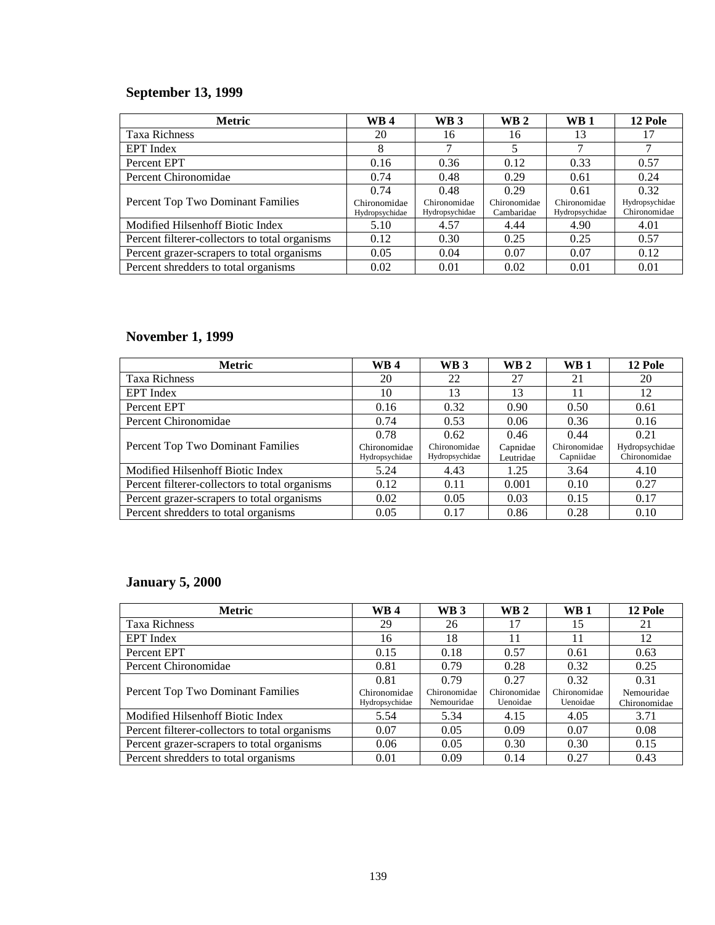## **September 13, 1999**

| <b>Metric</b>                                  | <b>WB4</b>                     | WB <sub>3</sub>                | <b>WB2</b>                 | <b>WB1</b>                     | <b>12 Pole</b>                 |
|------------------------------------------------|--------------------------------|--------------------------------|----------------------------|--------------------------------|--------------------------------|
| <b>Taxa Richness</b>                           | 20                             | 16                             | 16                         | 13                             | 17                             |
| <b>EPT</b> Index                               | 8                              |                                | 5                          |                                | 7                              |
| Percent EPT                                    | 0.16                           | 0.36                           | 0.12                       | 0.33                           | 0.57                           |
| Percent Chironomidae                           | 0.74                           | 0.48                           | 0.29                       | 0.61                           | 0.24                           |
|                                                | 0.74                           | 0.48                           | 0.29                       | 0.61                           | 0.32                           |
| Percent Top Two Dominant Families              | Chironomidae<br>Hydropsychidae | Chironomidae<br>Hydropsychidae | Chironomidae<br>Cambaridae | Chironomidae<br>Hydropsychidae | Hydropsychidae<br>Chironomidae |
| Modified Hilsenhoff Biotic Index               | 5.10                           | 4.57                           | 4.44                       | 4.90                           | 4.01                           |
| Percent filterer-collectors to total organisms | 0.12                           | 0.30                           | 0.25                       | 0.25                           | 0.57                           |
| Percent grazer-scrapers to total organisms     | 0.05                           | 0.04                           | 0.07                       | 0.07                           | 0.12                           |
| Percent shredders to total organisms           | 0.02                           | 0.01                           | 0.02                       | 0.01                           | 0.01                           |

## **November 1, 1999**

| <b>Metric</b>                                  | WB 4                           | <b>WB3</b>                     | $\mathbf{W}\mathbf{B}$ 2 | <b>WB1</b>                | 12 Pole                        |
|------------------------------------------------|--------------------------------|--------------------------------|--------------------------|---------------------------|--------------------------------|
| <b>Taxa Richness</b>                           | 20                             | 22                             | 27                       | 21                        | 20                             |
| EPT Index                                      | 10                             | 13                             | 13                       | 11                        | 12                             |
| Percent EPT                                    | 0.16                           | 0.32                           | 0.90                     | 0.50                      | 0.61                           |
| Percent Chironomidae                           | 0.74                           | 0.53                           | 0.06                     | 0.36                      | 0.16                           |
|                                                | 0.78                           | 0.62                           | 0.46                     | 0.44                      | 0.21                           |
| Percent Top Two Dominant Families              | Chironomidae<br>Hydropsychidae | Chironomidae<br>Hydropsychidae | Capnidae<br>Leutridae    | Chironomidae<br>Capniidae | Hydropsychidae<br>Chironomidae |
| Modified Hilsenhoff Biotic Index               | 5.24                           | 4.43                           | 1.25                     | 3.64                      | 4.10                           |
| Percent filterer-collectors to total organisms | 0.12                           | 0.11                           | 0.001                    | 0.10                      | 0.27                           |
| Percent grazer-scrapers to total organisms     | 0.02                           | 0.05                           | 0.03                     | 0.15                      | 0.17                           |
| Percent shredders to total organisms           | 0.05                           | 0.17                           | 0.86                     | 0.28                      | 0.10                           |

## **January 5, 2000**

| <b>Metric</b>                                  | <b>WB4</b>     | WB <sub>3</sub> | $\mathbf{W}\mathbf{B}$ 2 | $\mathbf{W}\mathbf{B}$ 1 | 12 Pole      |
|------------------------------------------------|----------------|-----------------|--------------------------|--------------------------|--------------|
| <b>Taxa Richness</b>                           | 29             | 26              | 17                       | 15                       | 21           |
| <b>EPT</b> Index                               | 16             | 18              | 11                       | 11                       | 12           |
| Percent EPT                                    | 0.15           | 0.18            | 0.57                     | 0.61                     | 0.63         |
| Percent Chironomidae                           | 0.81           | 0.79            | 0.28                     | 0.32                     | 0.25         |
|                                                | 0.81           | 0.79            | 0.27                     | 0.32                     | 0.31         |
| Percent Top Two Dominant Families              | Chironomidae   | Chironomidae    | Chironomidae             | Chironomidae             | Nemouridae   |
|                                                | Hydropsychidae | Nemouridae      | Uenoidae                 | Uenoidae                 | Chironomidae |
| Modified Hilsenhoff Biotic Index               | 5.54           | 5.34            | 4.15                     | 4.05                     | 3.71         |
| Percent filterer-collectors to total organisms | 0.07           | 0.05            | 0.09                     | 0.07                     | 0.08         |
| Percent grazer-scrapers to total organisms     | 0.06           | 0.05            | 0.30                     | 0.30                     | 0.15         |
| Percent shredders to total organisms           | 0.01           | 0.09            | 0.14                     | 0.27                     | 0.43         |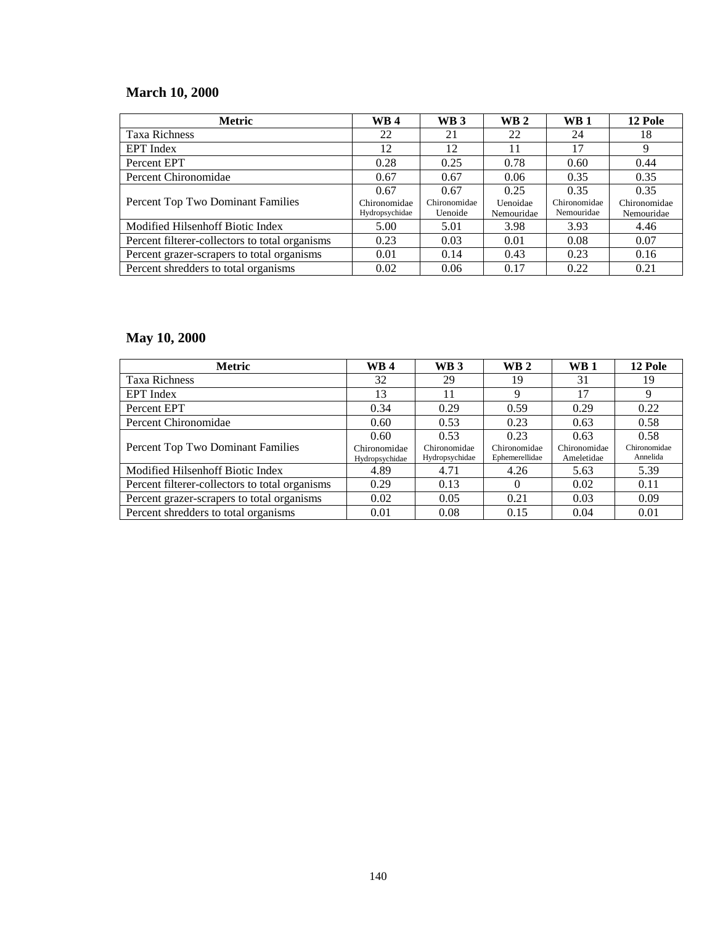## **March 10, 2000**

| <b>Metric</b>                                  | <b>WB4</b>                     | <b>WB3</b>              | <b>WB2</b>             | WB <sub>1</sub>            | 12 Pole                    |
|------------------------------------------------|--------------------------------|-------------------------|------------------------|----------------------------|----------------------------|
| <b>Taxa Richness</b>                           | 22                             | 21                      | 22                     | 24                         | 18                         |
| <b>EPT</b> Index                               | 12                             | 12                      | 11                     | 17                         | 9                          |
| Percent EPT                                    | 0.28                           | 0.25                    | 0.78                   | 0.60                       | 0.44                       |
| Percent Chironomidae                           | 0.67                           | 0.67                    | 0.06                   | 0.35                       | 0.35                       |
|                                                | 0.67                           | 0.67                    | 0.25                   | 0.35                       | 0.35                       |
| Percent Top Two Dominant Families              | Chironomidae<br>Hydropsychidae | Chironomidae<br>Uenoide | Uenoidae<br>Nemouridae | Chironomidae<br>Nemouridae | Chironomidae<br>Nemouridae |
| Modified Hilsenhoff Biotic Index               | 5.00                           | 5.01                    | 3.98                   | 3.93                       | 4.46                       |
| Percent filterer-collectors to total organisms | 0.23                           | 0.03                    | 0.01                   | 0.08                       | 0.07                       |
| Percent grazer-scrapers to total organisms     | 0.01                           | 0.14                    | 0.43                   | 0.23                       | 0.16                       |
| Percent shredders to total organisms           | 0.02                           | 0.06                    | 0.17                   | 0.22                       | 0.21                       |

# **May 10, 2000**

| <b>Metric</b>                                  | <b>WB4</b>                     | <b>WB3</b>                     | $\mathbf{W}\mathbf{B}$ 2       | <b>WB</b> 1                | 12 Pole                  |
|------------------------------------------------|--------------------------------|--------------------------------|--------------------------------|----------------------------|--------------------------|
| <b>Taxa Richness</b>                           | 32                             | 29                             | 19                             | 31                         | 19                       |
| <b>EPT</b> Index                               | 13                             | 11                             | 9                              | 17                         | 9                        |
| Percent EPT                                    | 0.34                           | 0.29                           | 0.59                           | 0.29                       | 0.22                     |
| Percent Chironomidae                           | 0.60                           | 0.53                           | 0.23                           | 0.63                       | 0.58                     |
|                                                | 0.60                           | 0.53                           | 0.23                           | 0.63                       | 0.58                     |
| Percent Top Two Dominant Families              | Chironomidae<br>Hydropsychidae | Chironomidae<br>Hydropsychidae | Chironomidae<br>Ephemerellidae | Chironomidae<br>Ameletidae | Chironomidae<br>Annelida |
| Modified Hilsenhoff Biotic Index               | 4.89                           | 4.71                           | 4.26                           | 5.63                       | 5.39                     |
| Percent filterer-collectors to total organisms | 0.29                           | 0.13                           | $\theta$                       | 0.02                       | 0.11                     |
| Percent grazer-scrapers to total organisms     | 0.02                           | 0.05                           | 0.21                           | 0.03                       | 0.09                     |
| Percent shredders to total organisms           | 0.01                           | 0.08                           | 0.15                           | 0.04                       | 0.01                     |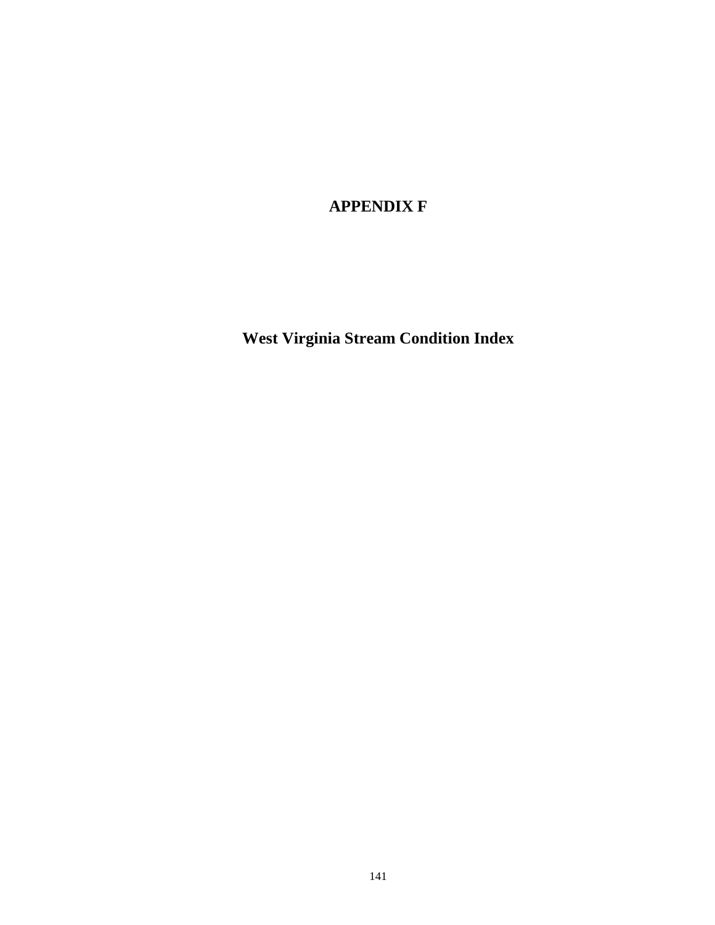### **APPENDIX F**

**West Virginia Stream Condition Index**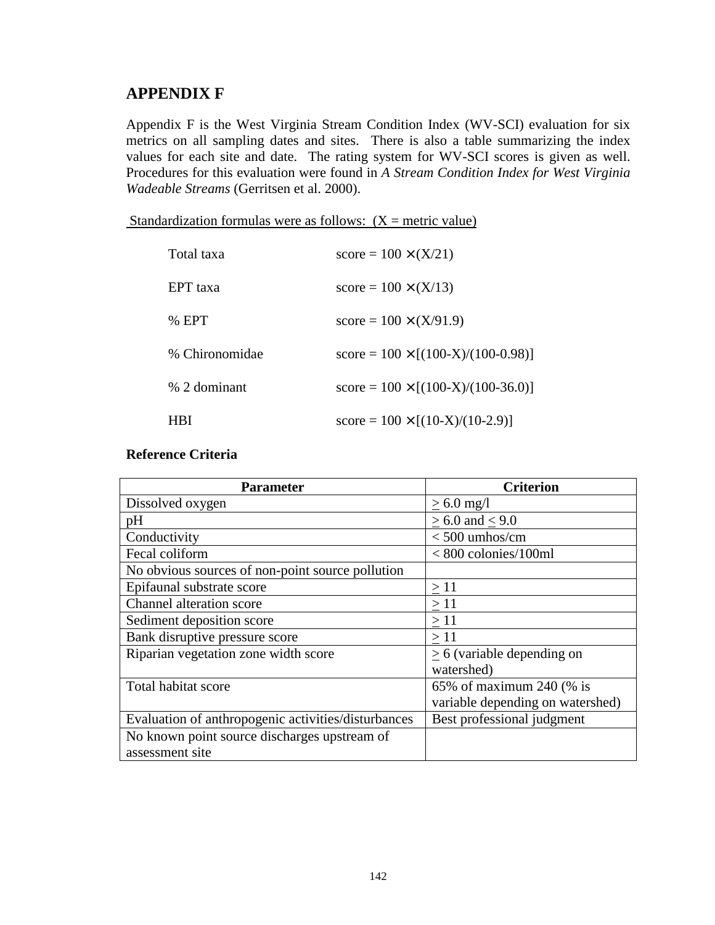#### **APPENDIX F**

Appendix F is the West Virginia Stream Condition Index (WV-SCI) evaluation for six metrics on all sampling dates and sites. There is also a table summarizing the index values for each site and date. The rating system for WV-SCI scores is given as well. Procedures for this evaluation were found in *A Stream Condition Index for West Virginia Wadeable Streams* (Gerritsen et al. 2000).

Standardization formulas were as follows:  $(X = \text{metric value})$ 

| Total taxa     | $score = 100 \times (X/21)$               |
|----------------|-------------------------------------------|
| EPT taxa       | $score = 100 \times (X/13)$               |
| $%$ EPT        | $score = 100 \times (X/91.9)$             |
| % Chironomidae | $score = 100 \times [(100-X)/(100-0.98)]$ |
| % 2 dominant   | $score = 100 \times [(100-X)/(100-36.0)]$ |
| IВI            | $score = 100 \times [(10-X)/(10-2.9)]$    |

#### **Reference Criteria**

| <b>Parameter</b>                                    | <b>Criterion</b>                 |
|-----------------------------------------------------|----------------------------------|
| Dissolved oxygen                                    | $> 6.0$ mg/l                     |
| pH                                                  | $> 6.0$ and $< 9.0$              |
| Conductivity                                        | $< 500$ umhos/cm                 |
| Fecal coliform                                      | $< 800$ colonies/100ml           |
| No obvious sources of non-point source pollution    |                                  |
| Epifaunal substrate score                           | $\geq$ 11                        |
| <b>Channel alteration score</b>                     | $\geq 11$                        |
| Sediment deposition score                           | >11                              |
| Bank disruptive pressure score                      | $\geq$ 11                        |
| Riparian vegetation zone width score                | $> 6$ (variable depending on     |
|                                                     | watershed)                       |
| Total habitat score                                 | 65% of maximum 240 (% is         |
|                                                     | variable depending on watershed) |
| Evaluation of anthropogenic activities/disturbances | Best professional judgment       |
| No known point source discharges upstream of        |                                  |
| assessment site                                     |                                  |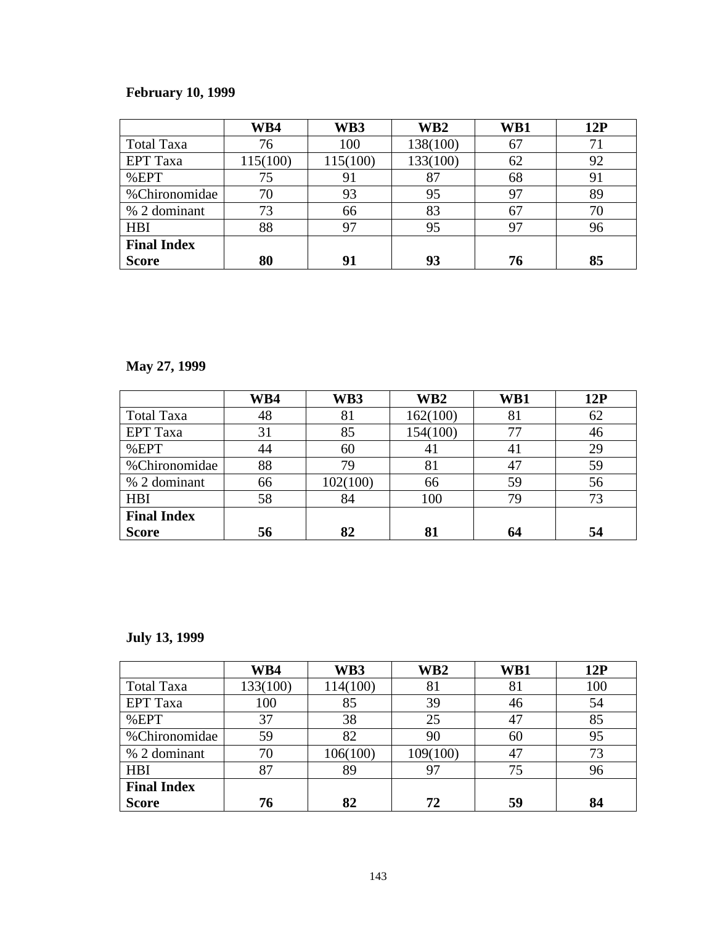## **February 10, 1999**

|                    | WB4      | WB3      | WB <sub>2</sub> | WB1 | 12P |
|--------------------|----------|----------|-----------------|-----|-----|
| <b>Total Taxa</b>  | 76       | 100      | 138(100)        | 67  | 71  |
| <b>EPT</b> Taxa    | 115(100) | 115(100) | 133(100)        | 62  | 92  |
| %EPT               | 75       | 91       | 87              | 68  | 91  |
| %Chironomidae      | 70       | 93       | 95              | 97  | 89  |
| % 2 dominant       | 73       | 66       | 83              | 67  | 70  |
| <b>HBI</b>         | 88       | 97       | 95              | 97  | 96  |
| <b>Final Index</b> |          |          |                 |     |     |
| <b>Score</b>       | 80       | 91       | 93              | 76  | 85  |

# **May 27, 1999**

|                    | WB4 | WB3      | WB <sub>2</sub> | WB1            | 12P |
|--------------------|-----|----------|-----------------|----------------|-----|
| <b>Total Taxa</b>  | 48  | 81       | 162(100)        | 81             | 62  |
| <b>EPT</b> Taxa    | 31  | 85       | 154(100)        | 77             | 46  |
| %EPT               | 44  | 60       | 41              | 4 <sub>1</sub> | 29  |
| %Chironomidae      | 88  | 79       | 81              | 47             | 59  |
| % 2 dominant       | 66  | 102(100) | 66              | 59             | 56  |
| <b>HBI</b>         | 58  | 84       | 100             | 79             | 73  |
| <b>Final Index</b> |     |          |                 |                |     |
| <b>Score</b>       | 56  | 82       | 81              | 64             | 54  |

## **July 13, 1999**

|                    | WB4      | WB3      | WB <sub>2</sub> | WB1 | 12P |
|--------------------|----------|----------|-----------------|-----|-----|
| <b>Total Taxa</b>  | 133(100) | 114(100) | 81              | 81  | 100 |
| <b>EPT</b> Taxa    | 100      | 85       | 39              | 46  | 54  |
| %EPT               | 37       | 38       | 25              | 47  | 85  |
| %Chironomidae      | 59       | 82       | 90              | 60  | 95  |
| % 2 dominant       | 70       | 106(100) | 109(100)        | 47  | 73  |
| <b>HBI</b>         | 87       | 89       | 97              |     | 96  |
| <b>Final Index</b> |          |          |                 |     |     |
| <b>Score</b>       | 76       | 82       | 72              | 59  | 84  |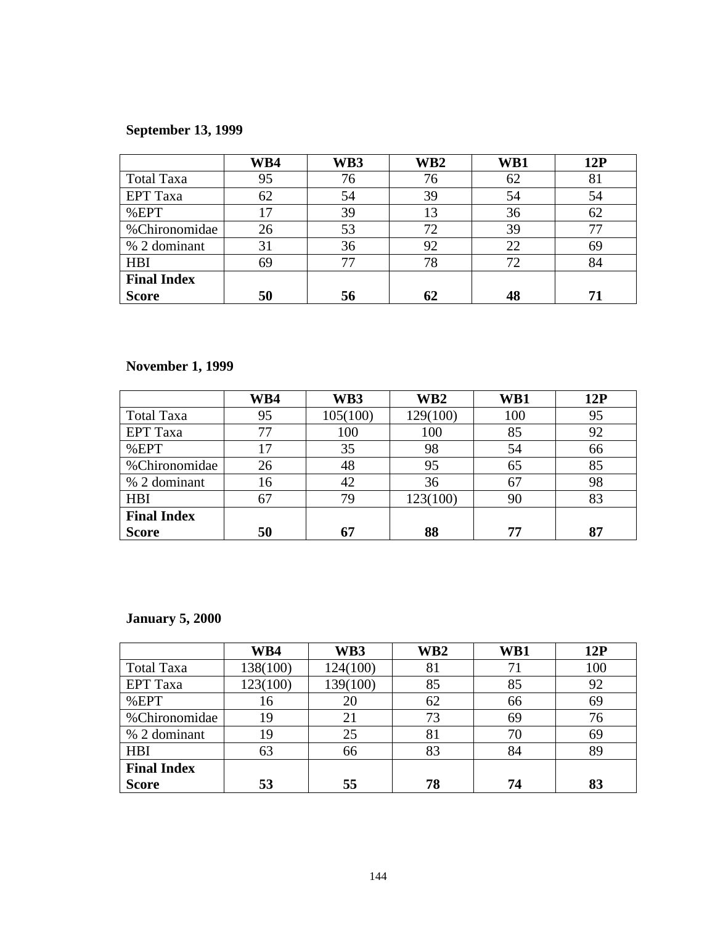## **September 13, 1999**

|                    | WB4        | WB3 | WB <sub>2</sub> | WB1 | 12P |
|--------------------|------------|-----|-----------------|-----|-----|
| <b>Total Taxa</b>  | 95         | 76  | 76              | 62  | 81  |
| <b>EPT</b> Taxa    | 62         | 54  | 39              | 54  | 54  |
| %EPT               | $\sqrt{7}$ | 39  | 13              | 36  | 62  |
| %Chironomidae      | 26         | 53  | 72              | 39  | 77  |
| % 2 dominant       | 31         | 36  | 92              | 22  | 69  |
| <b>HBI</b>         | 69         | 77  | 78              | 72  | 84  |
| <b>Final Index</b> |            |     |                 |     |     |
| <b>Score</b>       | 50         | 56  | 62              |     | 71  |

### **November 1, 1999**

|                    | WB4 | WB3      | WB <sub>2</sub> | WB1 | 12P |
|--------------------|-----|----------|-----------------|-----|-----|
| <b>Total Taxa</b>  | 95  | 105(100) | 129(100)        | 100 | 95  |
| <b>EPT</b> Taxa    |     | 100      | 100             | 85  | 92  |
| %EPT               | 17  | 35       | 98              | 54  | 66  |
| %Chironomidae      | 26  | 48       | 95              | 65  | 85  |
| % 2 dominant       | 16  | 42       | 36              | 67  | 98  |
| <b>HBI</b>         | 67  | 79       | 123(100)        | 90  | 83  |
| <b>Final Index</b> |     |          |                 |     |     |
| <b>Score</b>       | 50  | 67       | 88              | 77  | 87  |

#### **January 5, 2000**

|                    | WB4      | WB3      | WB <sub>2</sub> | WB1            | 12P |
|--------------------|----------|----------|-----------------|----------------|-----|
| <b>Total Taxa</b>  | 138(100) | 124(100) | 81              | 7 <sub>1</sub> | 100 |
| <b>EPT</b> Taxa    | 123(100) | 139(100) | 85              | 85             | 92  |
| %EPT               | 16       | 20       | 62              | 66             | 69  |
| %Chironomidae      | 19       | 21       | 73              | 69             | 76  |
| % 2 dominant       | 19       | 25       | 81              | 70             | 69  |
| <b>HBI</b>         | 63       | 66       | 83              | 84             | 89  |
| <b>Final Index</b> |          |          |                 |                |     |
| <b>Score</b>       | 53       | 55       | 78              | 74             | 83  |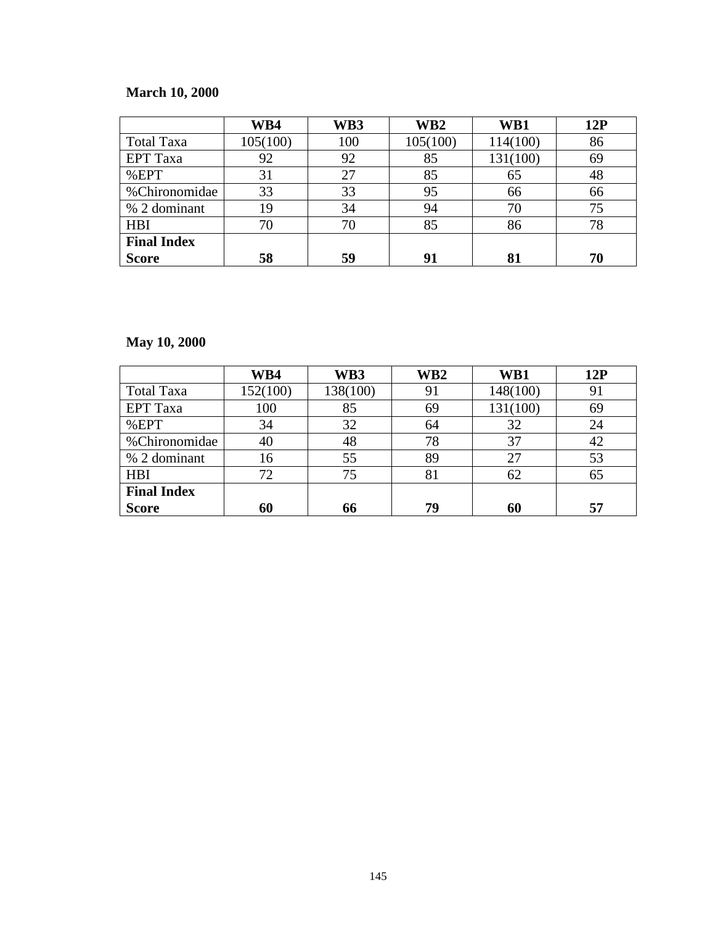#### **March 10, 2000**

|                    | WB4      | WB3 | WB <sub>2</sub> | WB1      | 12P |
|--------------------|----------|-----|-----------------|----------|-----|
| <b>Total Taxa</b>  | 105(100) | 100 | 105(100)        | 114(100) | 86  |
| <b>EPT</b> Taxa    | 92       | 92  | 85              | 131(100) | 69  |
| %EPT               | 31       | 27  | 85              | 65       | 48  |
| %Chironomidae      | 33       | 33  | 95              | 66       | 66  |
| % 2 dominant       | 19       | 34  | 94              | 70       | 75  |
| <b>HBI</b>         | 70       | 70  | 85              | 86       | 78  |
| <b>Final Index</b> |          |     |                 |          |     |
| <b>Score</b>       | 58       | 59  | 91              |          | 70  |

## **May 10, 2000**

|                    | WB4      | WB3      | WB <sub>2</sub> | WB1      | 12P |
|--------------------|----------|----------|-----------------|----------|-----|
| <b>Total Taxa</b>  | 152(100) | 138(100) | 91              | 148(100) | 91  |
| <b>EPT</b> Taxa    | 100      | 85       | 69              | 131(100) | 69  |
| %EPT               | 34       | 32       | 64              | 32       | 24  |
| %Chironomidae      | 40       | 48       | 78              | 37       | 42  |
| % 2 dominant       | 16       | 55       | 89              | 27       | 53  |
| <b>HBI</b>         | 72       | 75       | 81              | 62       | 65  |
| <b>Final Index</b> |          |          |                 |          |     |
| <b>Score</b>       | 60       | 66       | 79              | 60       | 57  |